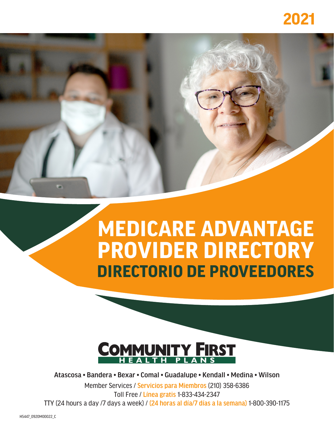# **2021**

# **MEDICARE ADVANTAGE PROVIDER DIRECTORY DIRECTORIO DE PROVEEDORES**



Atascosa • Bandera • Bexar • Comal • Guadalupe • Kendall • Medina • Wilson

Member Services / Servicios para Miembros (210) 358-6386 Toll Free / Línea gratis 1-833-434-2347 TTY (24 hours a day /7 days a week) / (24 horas al día/7 días a la semana) 1-800-390-1175

H5447\_0920M00022\_C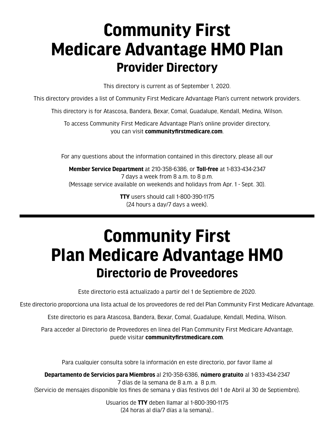# **Community First Medicare Advantage HMO Plan Provider Directory**

This directory is current as of September 1, 2020.

This directory provides a list of Community First Medicare Advantage Plan's current network providers.

This directory is for Atascosa, Bandera, Bexar, Comal, Guadalupe, Kendall, Medina, Wilson.

To access Community First Medicare Advantage Plan's online provider directory, you can visit **[communityfirstmedicare.com](http://communityfirstmedicare.com)**.

For any questions about the information contained in this directory, please all our

**Member Service Department** at 210-358-6386, or **Toll-free** at 1-833-434-2347 7 days a week from 8 a.m. to 8 p.m. (Message service available on weekends and holidays from Apr. 1 - Sept. 30).

> **TTY** users should call 1-800-390-1175 (24 hours a day/7 days a week).

# **Community First Plan Medicare Advantage HMO Directorio de Proveedores**

Este directorio está actualizado a partir del 1 de Septiembre de 2020.

Este directorio proporciona una lista actual de los proveedores de red del Plan Community First Medicare Advantage.

Este directorio es para Atascosa, Bandera, Bexar, Comal, Guadalupe, Kendall, Medina, Wilson.

Para acceder al Directorio de Proveedores en línea del Plan Community First Medicare Advantage, puede visitar **[communityfirstmedicare.com](http://communityfirstmedicare.com)**.

Para cualquier consulta sobre la información en este directorio, por favor llame al

**Departamento de Servicios para Miembros** al 210-358-6386, **número gratuito** al 1-833-434-2347 7 días de la semana de 8 a.m. a 8 p.m.

(Servicio de mensajes disponible los fines de semana y días festivos del 1 de Abril al 30 de Septiembre).

Usuarios de **TTY** deben llamar al 1-800-390-1175 (24 horas al día/7 días a la semana)..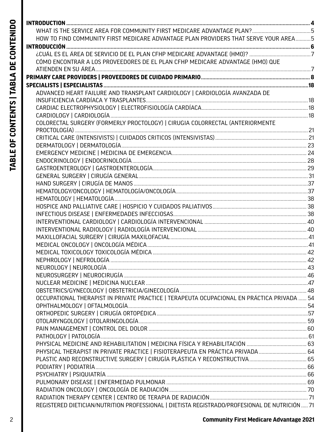| í   |
|-----|
|     |
|     |
|     |
|     |
|     |
| 7   |
|     |
|     |
|     |
| ī   |
| Ξ   |
|     |
| ì   |
|     |
|     |
|     |
|     |
|     |
|     |
| j   |
|     |
|     |
|     |
| ì   |
|     |
|     |
|     |
| ֘֝֬ |
| ֚֚֡ |

| HOW TO FIND COMMUNITY FIRST MEDICARE ADVANTAGE PLAN PROVIDERS THAT SERVE YOUR AREA5            |  |
|------------------------------------------------------------------------------------------------|--|
|                                                                                                |  |
|                                                                                                |  |
| CÓMO ENCONTRAR A LOS PROVEEDORES DE EL PLAN CFHP MEDICARE ADVANTAGE (HMO) QUE                  |  |
|                                                                                                |  |
|                                                                                                |  |
|                                                                                                |  |
| ADVANCED HEART FAILURE AND TRANSPLANT CARDIOLOGY   CARDIOLOGÍA AVANZADA DE                     |  |
|                                                                                                |  |
|                                                                                                |  |
|                                                                                                |  |
| COLORECTAL SURGERY (FORMERLY PROCTOLOGY)   CIRUGIA COLORRECTAL (ANTERIORMENTE                  |  |
|                                                                                                |  |
|                                                                                                |  |
|                                                                                                |  |
|                                                                                                |  |
|                                                                                                |  |
|                                                                                                |  |
|                                                                                                |  |
|                                                                                                |  |
|                                                                                                |  |
|                                                                                                |  |
|                                                                                                |  |
|                                                                                                |  |
|                                                                                                |  |
|                                                                                                |  |
|                                                                                                |  |
|                                                                                                |  |
|                                                                                                |  |
|                                                                                                |  |
|                                                                                                |  |
|                                                                                                |  |
|                                                                                                |  |
| OCCUPATIONAL THERAPIST IN PRIVATE PRACTICE   TERAPEUTA OCUPACIONAL EN PRÁCTICA PRIVADA  54     |  |
|                                                                                                |  |
|                                                                                                |  |
|                                                                                                |  |
|                                                                                                |  |
|                                                                                                |  |
|                                                                                                |  |
| PHYSICAL THERAPIST IN PRIVATE PRACTICE   FISIOTERAPEUTA EN PRÁCTICA PRIVADA  64                |  |
|                                                                                                |  |
|                                                                                                |  |
|                                                                                                |  |
|                                                                                                |  |
|                                                                                                |  |
|                                                                                                |  |
| REGISTERED DIETICIAN/NUTRITION PROFESSIONAL   DIETISTA REGISTRADO/PROFESIONAL DE NUTRICIÓN  71 |  |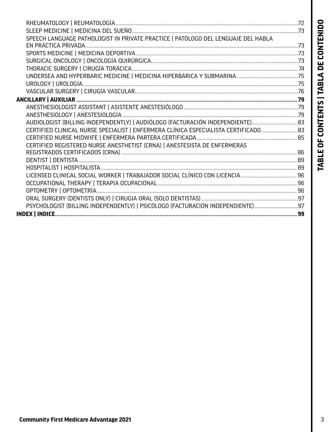| I                           |
|-----------------------------|
| I                           |
|                             |
|                             |
|                             |
|                             |
| ĺ<br>I<br>ı                 |
|                             |
|                             |
|                             |
|                             |
|                             |
|                             |
|                             |
| l<br><b>Service Service</b> |
|                             |
|                             |
|                             |
|                             |
| ı                           |
| l<br>l<br>l                 |
|                             |
| j                           |
| I                           |

| SPEECH LANGUAGE PATHOLOGIST IN PRIVATE PRACTICE   PATÓLOGO DEL LENGUAJE DEL HABLA    |  |
|--------------------------------------------------------------------------------------|--|
|                                                                                      |  |
|                                                                                      |  |
|                                                                                      |  |
|                                                                                      |  |
|                                                                                      |  |
|                                                                                      |  |
|                                                                                      |  |
|                                                                                      |  |
|                                                                                      |  |
|                                                                                      |  |
| AUDIOLOGIST (BILLING INDEPENDENTLY)   AUDIÓLOGO (FACTURACIÓN INDEPENDIENTE) 83       |  |
| CERTIFIED CLINICAL NURSE SPECIALIST   ENFERMERA CLÍNICA ESPECIALISTA CERTIFICADO  83 |  |
|                                                                                      |  |
| CERTIFIED REGISTERED NURSE ANESTHETIST (CRNA)   ANESTESISTA DE ENFERMERAS            |  |
|                                                                                      |  |
|                                                                                      |  |
|                                                                                      |  |
|                                                                                      |  |
|                                                                                      |  |
|                                                                                      |  |
|                                                                                      |  |
| PSYCHOLOGIST (BILLING INDEPENDENTLY)   PSICÓLOGO (FACTURACIÓN INDEPENDIENTE)97       |  |
|                                                                                      |  |
|                                                                                      |  |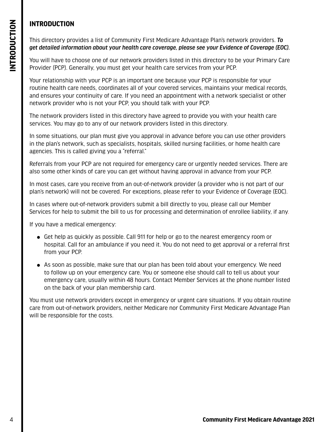# <span id="page-5-0"></span>**INTRODUCTION**

You will have to choose one of our network providers listed in this directory to be your Primary Care Provider (PCP). Generally, you must get your health care services from your PCP.

Your relationship with your PCP is an important one because your PCP is responsible for your routine health care needs, coordinates all of your covered services, maintains your medical records, and ensures your continuity of care. If you need an appointment with a network specialist or other network provider who is not your PCP, you should talk with your PCP.

The network providers listed in this directory have agreed to provide you with your health care services. You may go to any of our network providers listed in this directory.

In some situations, our plan must give you approval in advance before you can use other providers in the plan's network, such as specialists, hospitals, skilled nursing facilities, or home health care agencies. This is called giving you a "referral."

Referrals from your PCP are not required for emergency care or urgently needed services. There are also some other kinds of care you can get without having approval in advance from your PCP.

In most cases, care you receive from an out-of-network provider (a provider who is not part of our plan's network) will not be covered. For exceptions, please refer to your Evidence of Coverage (EOC).

In cases where out-of-network providers submit a bill directly to you, please call our Member Services for help to submit the bill to us for processing and determination of enrollee liability, if any.

If you have a medical emergency:

- Get help as quickly as possible. Call 911 for help or go to the nearest emergency room or hospital. Call for an ambulance if you need it. You do not need to get approval or a referral first from your PCP.
- $\bullet$  As soon as possible, make sure that our plan has been told about your emergency. We need to follow up on your emergency care. You or someone else should call to tell us about your emergency care, usually within 48 hours. Contact Member Services at the phone number listed on the back of your plan membership card.

You must use network providers except in emergency or urgent care situations. If you obtain routine care from out-of-network providers, neither Medicare nor Community First Medicare Advantage Plan will be responsible for the costs.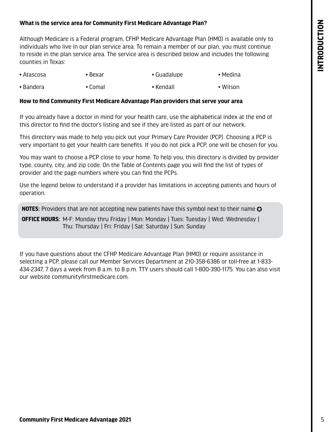#### <span id="page-6-0"></span>**What is the service area for Community First Medicare Advantage Plan?**

Although Medicare is a Federal program, CFHP Medicare Advantage Plan (HMO) is available only to individuals who live in our plan service area. To remain a member of our plan, you must continue to reside in the plan service area. The service area is described below and includes the following counties in Texas:

- Atascosa • Bexar • Guadalupe • Medina
- Bandera • Comal • Kendall • Wilson

#### **How to find Community First Medicare Advantage Plan providers that serve your area**

If you already have a doctor in mind for your health care, use the alphabetical index at the end of this director to find the doctor's listing and see if they are listed as part of our network.

This directory was made to help you pick out your Primary Care Provider (PCP). Choosing a PCP is very important to get your health care benefits. If you do not pick a PCP, one will be chosen for you.

You may want to choose a PCP close to your home. To help you, this directory is divided by provider type, county, city, and zip code. On the Table of Contents page you will find the list of types of provider and the page numbers where you can find the PCPs.

Use the legend below to understand if a provider has limitations in accepting patients and hours of operation.

**NOTES:** Providers that are not accepting new patients have this symbol next to their name  $\Omega$ 

**OFFICE HOURS:** M-F: Monday thru Friday | Mon: Monday | Tues: Tuesday | Wed: Wednesday | Thu: Thursday | Fri: Friday | Sat: Saturday | Sun: Sunday

If you have questions about the CFHP Medicare Advantage Plan (HMO) or require assistance in selecting a PCP, please call our Member Services Department at 210-358-6386 or toll-free at 1-833- 434-2347, 7 days a week from 8 a.m. to 8 p.m. TTY users should call 1-800-390-1175. You can also visit our website communityfirstmedicare.com.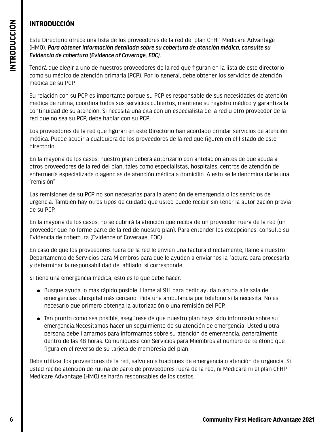# **INTRODUCCIÓN**

Este Directorio ofrece una lista de los proveedores de la red del plan CFHP Medicare Advantage (HMO). *Para obtener información detallada sobre su cobertura de atención médica, consulte su Evidencia de cobertura (Evidence of Coverage, EOC).*

Tendrá que elegir a uno de nuestros proveedores de la red que figuran en la lista de este directorio como su médico de atención primaria (PCP). Por lo general, debe obtener los servicios de atención médica de su PCP.

Su relación con su PCP es importante porque su PCP es responsable de sus necesidades de atención médica de rutina, coordina todos sus servicios cubiertos, mantiene su registro médico y garantiza la continuidad de su atención. Si necesita una cita con un especialista de la red u otro proveedor de la red que no sea su PCP, debe hablar con su PCP.

Los proveedores de la red que figuran en este Directorio han acordado brindar servicios de atención médica. Puede acudir a cualquiera de los proveedores de la red que figuren en el listado de este directorio

En la mayoría de los casos, nuestro plan deberá autorizarlo con antelación antes de que acuda a otros proveedores de la red del plan, tales como especialistas, hospitales, centros de atención de enfermería especializada o agencias de atención médica a domicilio. A esto se le denomina darle una "remisión".

Las remisiones de su PCP no son necesarias para la atención de emergencia o los servicios de urgencia. También hay otros tipos de cuidado que usted puede recibir sin tener la autorización previa de su PCP.

En la mayoría de los casos, no se cubrirá la atención que reciba de un proveedor fuera de la red (un proveedor que no forme parte de la red de nuestro plan). Para entender los excepciones, consulte su Evidencia de cobertura (Evidence of Coverage, EOC).

En caso de que los proveedores fuera de la red le envíen una factura directamente, llame a nuestro Departamento de Servicios para Miembros para que le ayuden a enviarnos la factura para procesarla y determinar la responsabilidad del afiliado, si corresponde.

Si tiene una emergencia médica, esto es lo que debe hacer:

- Busque ayuda lo más rápido posible. Llame al 911 para pedir ayuda o acuda a la sala de emergencias uhospital más cercano. Pida una ambulancia por teléfono si la necesita. No es necesario que primero obtenga la autorización o una remisión del PCP.
- <span id="page-7-0"></span>**Example 10** Convertige units laterative design providence of the redshift of the redshift of the redshift of the redshift of the redshift of the redshift of the redshift of the redshift of the redshift of the redshift of • Tan pronto como sea posible, asegúrese de que nuestro plan haya sido informado sobre su emergencia.Necesitamos hacer un seguimiento de su atención de emergencia. Usted u otra persona debe llamarnos para informarnos sobre su atención de emergencia, generalmente dentro de las 48 horas. Comuníquese con Servicios para Miembros al número de teléfono que figura en el reverso de su tarjeta de membresía del plan.

Debe utilizar los proveedores de la red, salvo en situaciones de emergencia o atención de urgencia. Si usted recibe atención de rutina de parte de proveedores fuera de la red, ni Medicare ni el plan CFHP Medicare Advantage (HMO) se harán responsables de los costos.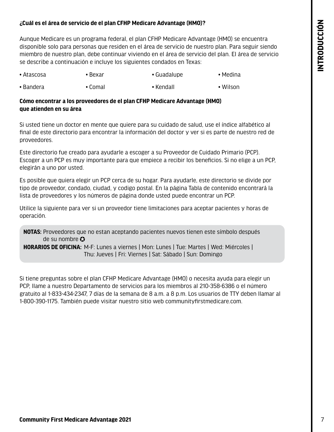#### <span id="page-8-0"></span>**¿Cuál es el área de servicio de el plan CFHP Medicare Advantage (HMO)? <sup>N</sup>**

Aunque Medicare es un programa federal, el plan CFHP Medicare Advantage (HMO) se encuentra disponible solo para personas que residen en el área de servicio de nuestro plan. Para seguir siendo miembro de nuestro plan, debe continuar viviendo en el área de servicio del plan. El área de servicio se describe a continuación e incluye los siguientes condados en Texas:

- Atascosa • Bexar • Guadalupe • Medina
- Bandera • Comal • Kendall • Wilson

### **Cómo encontrar a los proveedores de el plan CFHP Medicare Advantage (HMO) que atienden en su área**

Si usted tiene un doctor en mente que quiere para su cuidado de salud, use el índice alfabético al final de este directorio para encontrar la información del doctor y ver si es parte de nuestro red de proveedores.

Este directorio fue creado para ayudarle a escoger a su Proveedor de Cuidado Primario (PCP). Escoger a un PCP es muy importante para que empiece a recibir los beneficios. Si no elige a un PCP, elegirán a uno por usted.

Es posible que quiera elegir un PCP cerca de su hogar. Para ayudarle, este directorio se divide por tipo de proveedor, condado, ciudad, y codigo postal. En la página Tabla de contenido encontrará la lista de proveedores y los números de página donde usted puede encontrar un PCP.

Utilice la siguiente para ver si un proveedor tiene limitaciones para aceptar pacientes y horas de operación.

**NOTAS:** Proveedores que no estan aceptando pacientes nuevos tienen este símbolo después de su nombre  $\Omega$ 

**HORARIOS DE OFICINA:** M-F: Lunes a viernes | Mon: Lunes | Tue: Martes | Wed: Miércoles | Thu: Jueves | Fri: Viernes | Sat: Sábado | Sun: Domingo

**Community First Are in moreover the Station Advantage 2021**<br> **Community First Medicare Advantage 2021**<br> **Community First Medicare Advantage 2021**<br> **Community First Medicare Advantage 2021**<br> **Community First Medicare Advan** Si tiene preguntas sobre el plan CFHP Medicare Advantage (HMO) o necesita ayuda para elegir un PCP, llame a nuestro Departamento de servicios para los miembros al 210-358-6386 o el número gratuito al 1-833-434-2347, 7 días de la semana de 8 a.m. a 8 p.m. Los usuarios de TTY deben llamar al 1-800-390-1175. También puede visitar nuestro sitio web communityfirstmedicare.com.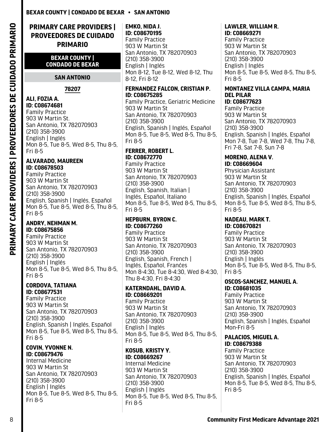# <span id="page-9-0"></span>**PRIMARY CARE PROVIDERS | PROVEEDORES DE CUIDADO PRIMARIO**

#### **BEXAR COUNTY | CONDADO DE BEXAR**

#### **SAN ANTONIO**

#### **78207**

#### **ALI, FOZIA A. ID: C08674681**

Family Practice 903 W Martin St. San Antonio, TX 782070903 (210) 358-3900 English | Inglés Mon 8-5, Tue 8-5, Wed 8-5, Thu 8-5, Fri 8-5

#### **ALVARADO, MAUREEN ID: C08678503**

Family Practice 903 W Martin St San Antonio, TX 782070903 (210) 358-3900 English, Spanish | Inglés, Español Mon 8-5, Tue 8-5, Wed 8-5, Thu 8-5, Fri 8-5

#### **ANDRY, NEHMAN M. ID: C08675856**

Family Practice 903 W Martin St San Antonio, TX 782070903 (210) 358-3900 English | Inglés Mon 8-5, Tue 8-5, Wed 8-5, Thu 8-5, Fri 8-5

#### **CORDOVA, TATIANA ID: C08677531**

Family Practice 903 W Martin St San Antonio, TX 782070903 (210) 358-3900 English, Spanish | Inglés, Español Mon 8-5, Tue 8-5, Wed 8-5, Thu 8-5, Fri 8-5

#### **COVIN, YVONNE N. ID: C08679476**

Internal Medicine 903 W Martin St San Antonio, TX 782070903 (210) 358-3900 English | Inglés Mon 8-5, Tue 8-5, Wed 8-5, Thu 8-5, Fri 8-5

**EMKO, NIDA J. ID: C08670195** Family Practice 903 W Martin St San Antonio, TX 782070903 (210) 358-3900 English | Inglés Mon 8-12, Tue 8-12, Wed 8-12, Thu 8-12, Fri 8-12

#### **FERNANDEZ FALCON, CRISTIAN P. ID: C08675285**

Family Practice, Geriatric Medicine 903 W Martin St San Antonio, TX 782070903 (210) 358-3900 English, Spanish | Inglés, Español Mon 8-5, Tue 8-5, Wed 8-5, Thu 8-5, Fri 8-5

#### **FERRER, ROBERT L. ID: C08672770**

Family Practice 903 W Martin St San Antonio, TX 782070903 (210) 358-3900 English, Spanish, Italian | Inglés, Español, Italiano Mon 8-5, Tue 8-5, Wed 8-5, Thu 8-5, Fri 8-5

### **HEPBURN, BYRON C. ID: C08677260**

Family Practice 903 W Martin St San Antonio, TX 782070903 (210) 358-3900 English, Spanish, French | Inglés, Español, Franćes Mon 8-4:30, Tue 8-4:30, Wed 8-4:30, Thu 8-4:30, Fri 8-4:30

# **KATERNDAHL, DAVID A. ID: C08669201**

Family Practice 903 W Martin St San Antonio, TX 782070903 (210) 358-3900 English | Inglés Mon 8-5, Tue 8-5, Wed 8-5, Thu 8-5, Fri 8-5

# **KOSUB, KRISTY Y. ID: C08669267**

Internal Medicine 903 W Martin St San Antonio, TX 782070903 (210) 358-3900 English | Inglés Mon 8-5, Tue 8-5, Wed 8-5, Thu 8-5, Fri 8-5

#### **LAWLER, WILLIAM R. ID: C08669271**

Family Practice 903 W Martin St San Antonio, TX 782070903 (210) 358-3900 English | Inglés Mon 8-5, Tue 8-5, Wed 8-5, Thu 8-5, Fri 8-5

# **MONTANEZ VILLA CAMPA, MARIA DEL PILAR**

**ID: C08677623** Family Practice 903 W Martin St San Antonio, TX 782070903 (210) 358-3900 English, Spanish | Inglés, Español Mon 7-8, Tue 7-8, Wed 7-8, Thu 7-8, Fri 7-8, Sat 7-8, Sun 7-8

#### **MORENO, ALENA V. ID: C08669604**

Physician Assistant 903 W Martin St San Antonio, TX 782070903 (210) 358-3900 English, Spanish | Inglés, Español Mon 8-5, Tue 8-5, Wed 8-5, Thu 8-5, Fri 8-5

#### **NADEAU, MARK T. ID: C08670821**

Family Practice 903 W Martin St San Antonio, TX 782070903 (210) 358-3900 English | Inglés Mon 8-5, Tue 8-5, Wed 8-5, Thu 8-5, Fri 8-5

#### **OSCOS-SANCHEZ, MANUEL A. ID: C08681035**

Family Practice 903 W Martin St San Antonio, TX 782070903 (210) 358-3900 English, Spanish | Inglés, Español Mon-Fri 8-5

#### **PALACIOS, MIGUEL A. ID: C08679388**

Family Practice 903 W Martin St San Antonio, TX 782070903 (210) 358-3900 English, Spanish | Inglés, Español Mon 8-5, Tue 8-5, Wed 8-5, Thu 8-5, Fri 8-5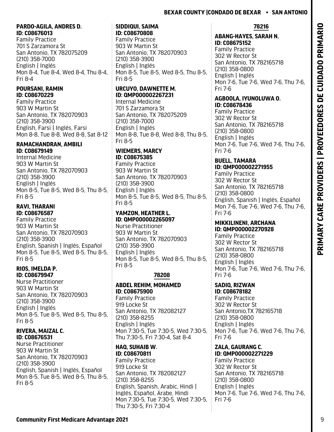### **PARDO-AGILA, ANDRES D. ID: C08676013**

Family Practice 701 S Zarzamora St San Antonio, TX 782075209 (210) 358-7000 English | Inglés Mon 8-4, Tue 8-4, Wed 8-4, Thu 8-4, Fri 8-4

# **POURSANI, RAMIN ID: C08670229**

Family Practice 903 W Martin St San Antonio, TX 782070903 (210) 358-3900 English, Farsi | Inglés, Farsi Mon 8-8, Tue 8-8, Wed 8-8, Sat 8-12

### **RAMACHANDRAN, AMBILI ID: C08679149**

Internal Medicine 903 W Martin St San Antonio, TX 782070903 (210) 358-3900 English | Inglés Mon 8-5, Tue 8-5, Wed 8-5, Thu 8-5, Fri 8-5

# **RAVI, THARANI ID: C08676587**

Family Practice 903 W Martin St San Antonio, TX 782070903 (210) 358-3900 English, Spanish | Inglés, Español Mon 8-5, Tue 8-5, Wed 8-5, Thu 8-5, Fri 8-5

#### **RIOS, IMELDA P. ID: C08679947**

Nurse Practitioner 903 W Martin St San Antonio, TX 782070903 (210) 358-3900 English | Inglés Mon 8-5, Tue 8-5, Wed 8-5, Thu 8-5, Fri 8-5

# **RIVERA, MAIZAL C. ID: C08676531**

Nurse Practitioner 903 W Martin St San Antonio, TX 782070903 (210) 358-3900 English, Spanish | Inglés, Español Mon 8-5, Tue 8-5, Wed 8-5, Thu 8-5, Fri 8-5

#### **SIDDIQUI, SAIMA ID: C08670808**

Family Practice 903 W Martin St San Antonio, TX 782070903 (210) 358-3900 English | Inglés Mon 8-5, Tue 8-5, Wed 8-5, Thu 8-5, Fri 8-5

# **URCUYO, DAWNETTE M. ID: QMP000002267231**

Internal Medicine 701 S Zarzamora St San Antonio, TX 782075209 (210) 358-7000 English | Inglés Mon 8-8, Tue 8-8, Wed 8-8, Thu 8-5, Fri 8-5

# **WIEMERS, MARCY**

**ID: C08675385** Family Practice 903 W Martin St San Antonio, TX 782070903 (210) 358-3900 English | Inglés Mon 8-5, Tue 8-5, Wed 8-5, Thu 8-5, Fri 8-5

# **YAMZON, HEATHER L. ID: QMP000002265097**

Nurse Practitioner 903 W Martin St San Antonio, TX 782070903 (210) 358-3900 English | Inglés Mon 8-5, Tue 8-5, Wed 8-5, Thu 8-5, Fri 8-5

# **78208**

#### **ABDEL REHIM, MOHAMED ID: C08675900** Family Practice 919 Locke St San Antonio, TX 782082127

(210) 358-8255 English | Inglés Mon 7:30-5, Tue 7:30-5, Wed 7:30-5, Thu 7:30-5, Fri 7:30-4, Sat 8-4

**HAQ, SUHAIB W. ID: C08670811** Family Practice 919 Locke St San Antonio, TX 782082127 (210) 358-8255 English, Spanish, Arabic, Hindi | Inglés, Español, Árabe, Hindi Mon 7:30-5, Tue 7:30-5, Wed 7:30-5, Thu 7:30-5, Fri 7:30-4

# **78216**

# **ABANG-HAYES, SARAH N. ID: C08675152**

Family Practice 302 W Rector St San Antonio, TX 782165718 (210) 358-0800 English | Inglés Mon 7-6, Tue 7-6, Wed 7-6, Thu 7-6, Fri 7-6

# **AGBOOLA, IYUNOLUWA O. ID: C08678436**

Family Practice 302 W Rector St San Antonio, TX 782165718 (210) 358-0800 English | Inglés Mon 7-6, Tue 7-6, Wed 7-6, Thu 7-6, Fri 7-6

# **BUELL, TAMARA ID: QMP000002271955**

Family Practice 302 W Rector St San Antonio, TX 782165718 (210) 358-0800 English, Spanish | Inglés, Español Mon 7-6, Tue 7-6, Wed 7-6, Thu 7-6, Fri 7-6

# **MIKKILINENI, ARCHANA ID: QMP000002270928**

Family Practice 302 W Rector St San Antonio, TX 782165718 (210) 358-0800 English | Inglés Mon 7-6, Tue 7-6, Wed 7-6, Thu 7-6, Fri 7-6

# **SADIQ, RIZWAN**

**ID: C08678182** Family Practice 302 W Rector St San Antonio,TX 782165718 (210) 358-0800 English | Inglés Mon 7-6, Tue 7-6, Wed 7-6, Thu 7-6, Fri 7-6

#### **ZALA, GAURANG C. ID: QMP000002271229**

Family Practice 302 W Rector St San Antonio, TX 782165718 (210) 358-0800 English | Inglés Mon 7-6, Tue 7-6, Wed 7-6, Thu 7-6, Fri 7-6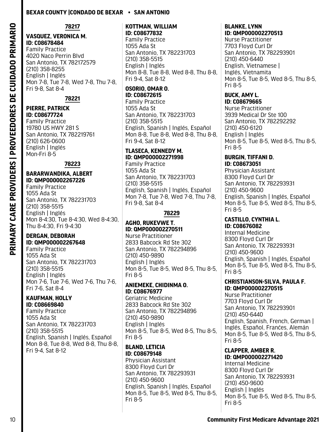**78217**

# **VASQUEZ, VERONICA M.**

**ID: C08678484** Family Practice 4020 Naco Perrin Blvd San Antonio, TX 782172579 (210) 358-8255 English | Inglés Mon 7-8, Tue 7-8, Wed 7-8, Thu 7-8, Fri 9-8, Sat 8-4

**78221**

# **PIERRE, PATRICK ID: C08677724**

Family Practice 19780 US HWY 281 S San Antonio, TX 782219761 (210) 626-0600 English | Inglés Mon-Fri 8-5

# **78223**

# **BARARWANDIKA, ALBERT ID: QMP000002267226**

Family Practice 1055 Ada St San Antonio, TX 782231703 (210) 358-5515 English | Inglés Mon 8-4:30, Tue 8-4:30, Wed 8-4:30, Thu 8-4:30, Fri 9-4:30

#### **DERGAN, DEBORAH ID: QMP000002267648**

Family Practice 1055 Ada St San Antonio, TX 782231703 (210) 358-5515 English | Inglés Mon 7-6, Tue 7-6, Wed 7-6, Thu 7-6, Fri 7-6, Sat 8-4

#### **KAUFMAN, HOLLY ID: C08669840**

Family Practice 1055 Ada St San Antonio, TX 782231703 (210) 358-5515 English, Spanish | Inglés, Español Mon 8-8, Tue 8-8, Wed 8-8, Thu 8-8, Fri 9-4, Sat 8-12

#### **KOTTMAN, WILLIAM ID: C08677832**

Family Practice 1055 Ada St San Antonio, TX 782231703 (210) 358-5515 English | Inglés Mon 8-8, Tue 8-8, Wed 8-8, Thu 8-8, Fri 9-4, Sat 8-12

# **OSORIO, OMAR O. ID: C08672615**

Family Practice 1055 Ada St San Antonio, TX 782231703 (210) 358-5515 English, Spanish | Inglés, Español Mon 8-8, Tue 8-8, Wed 8-8, Thu 8-8, Fri 9-4, Sat 8-12

### **TLASECA, KENNEDY M. ID: QMP000002271998**

Family Practice 1055 Ada St San Antonio, TX 782231703 (210) 358-5515 English, Spanish | Inglés, Español Mon 7-8, Tue 7-8, Wed 7-8, Thu 7-8, Fri 9-8, Sat 8-4

# **78229**

#### **AGHO, RUKEVWE T. ID: QMP000002270511**

Nurse Practitioner 2833 Babcock Rd Ste 302 San Antonio, TX 782294896 (210) 450-9890 English | Inglés Mon 8-5, Tue 8-5, Wed 8-5, Thu 8-5, Fri 8-5

# **ANIEMEKE, CHIDINMA O. ID: C08676977**

Geriatric Medicine 2833 Babcock Rd Ste 302 San Antonio, TX 782294896 (210) 450-9890 English | Inglés Mon 8-5, Tue 8-5, Wed 8-5, Thu 8-5, Fri 8-5

# **BLAND, LETICIA ID: C08679148**

Physician Assistant 8300 Floyd Curl Dr San Antonio, TX 782293931 (210) 450-9600 English, Spanish | Inglés, Español Mon 8-5, Tue 8-5, Wed 8-5, Thu 8-5, Fri 8-5

#### **BLANKE, LYNN ID: QMP000002270513**

Nurse Practitioner 7703 Floyd Curl Dr San Antonio, TX 782293901 (210) 450-6440 English, Vietnamese | Inglés, Vietnamita Mon 8-5, Tue 8-5, Wed 8-5, Thu 8-5, Fri 8-5

#### **BUCK, AMY L. ID: C08679665**

Nurse Practitioner 3939 Medical Dr Ste 100 San Antonio, TX 782292292 (210) 450-6120 English | Inglés Mon 8-5, Tue 8-5, Wed 8-5, Thu 8-5, Fri 8-5

#### **BURGIN, TIFFANI D. ID: C08673051**

Physician Assistant 8300 Floyd Curl Dr San Antonio, TX 782293931 (210) 450-9600 English, Spanish | Inglés, Español Mon 8-5, Tue 8-5, Wed 8-5, Thu 8-5, Fri 8-5

#### **CASTILLO, CYNTHIA L. ID: C08676082**

Internal Medicine 8300 Floyd Curl Dr San Antonio, TX 782293931 (210) 450-9600 English, Spanish | Inglés, Español Mon 8-5, Tue 8-5, Wed 8-5, Thu 8-5, Fri 8-5

#### **CHRISTIANSON-SILVA, PAULA F. ID: QMP000002270515**

Nurse Practitioner 7703 Floyd Curl Dr San Antonio, TX 782293901 (210) 450-6440 English, Spanish, French, German | Inglés, Español, Franćes, Alemán Mon 8-5, Tue 8-5, Wed 8-5, Thu 8-5, Fri 8-5

#### **CLAPPER, AMBER R. ID: QMP000002271420**

Internal Medicine 8300 Floyd Curl Dr San Antonio, TX 782293931 (210) 450-9600 English | Inglés Mon 8-5, Tue 8-5, Wed 8-5, Thu 8-5, Fri 8-5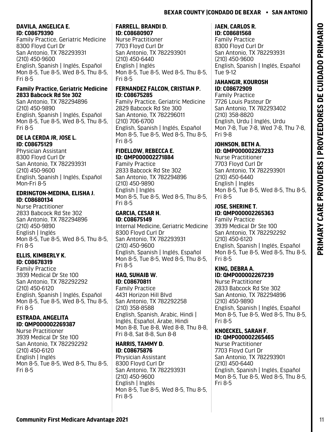# **DAVILA, ANGELICA E. ID: C08679390**

Family Practice, Geriatric Medicine 8300 Floyd Curl Dr San Antonio, TX 782293931 (210) 450-9600 English, Spanish | Inglés, Español Mon 8-5, Tue 8-5, Wed 8-5, Thu 8-5, Fri 8-5

#### **Family Practice, Geriatric Medicine 2833 Babcock Rd Ste 302**

San Antonio, TX 782294896 (210) 450-9890 English, Spanish | Inglés, Español Mon 8-5, Tue 8-5, Wed 8-5, Thu 8-5, Fri 8-5

# **DE LA CERDA JR, JOSE L. ID: C08675129**

Physician Assistant 8300 Floyd Curl Dr San Antonio, TX 782293931 (210) 450-9600 English, Spanish | Inglés, Español Mon-Fri 8-5

# **EDRINGTON-MEDINA, ELISHA J. ID: C08680134**

Nurse Practitioner 2833 Babcock Rd Ste 302 San Antonio, TX 782294896 (210) 450-9890 English | Inglés Mon 8-5, Tue 8-5, Wed 8-5, Thu 8-5, Fri 8-5

# **ELLIS, KIMBERLY K. ID: C08678319**

Family Practice 3939 Medical Dr Ste 100 San Antonio, TX 782292292 (210) 450-6120 English, Spanish | Inglés, Español Mon 8-5, Tue 8-5, Wed 8-5, Thu 8-5, Fri 8-5

# **ESTRADA, ANGELITA ID: QMP000002269387**

Nurse Practitioner 3939 Medical Dr Ste 100 San Antonio, TX 782292292 (210) 450-6120 English | Inglés Mon 8-5, Tue 8-5, Wed 8-5, Thu 8-5, Fri 8-5

#### **FARRELL, BRANDI D. ID: C08680907**

Nurse Practitioner 7703 Floyd Curl Dr San Antonio, TX 782293901 (210) 450-6440 English | Inglés Mon 8-5, Tue 8-5, Wed 8-5, Thu 8-5, Fri 8-5

# **FERNANDEZ FALCON, CRISTIAN P. ID: C08675285**

Family Practice, Geriatric Medicine 2829 Babcock Rd Ste 300 San Antonio, TX 782296011 (210) 706-6700 English, Spanish | Inglés, Español Mon 8-5, Tue 8-5, Wed 8-5, Thu 8-5, Fri 8-5

# **FIDELLOW, REBECCA E. ID: QMP000002271884**

Family Practice 2833 Babcock Rd Ste 302 San Antonio, TX 782294896 (210) 450-9890 English | Inglés Mon 8-5, Tue 8-5, Wed 8-5, Thu 8-5, Fri 8-5

#### **GARCIA, CESAR H. ID: C08675149**

Internal Medicine, Geriatric Medicine 8300 Floyd Curl Dr San Antonio, TX 782293931 (210) 450-9600 English, Spanish | Inglés, Español Mon 8-5, Tue 8-5, Wed 8-5, Thu 8-5, Fri 8-5

# **HAQ, SUHAIB W. ID: C08670811**

Family Practice 4431 Horizon Hill Blvd San Antonio, TX 782292258 (210) 358-8588 English, Spanish, Arabic, Hindi | Inglés, Español, Árabe, Hindi Mon 8-8, Tue 8-8, Wed 8-8, Thu 8-8, Fri 8-8, Sat 8-8, Sun 8-8

# **HARRIS, TAMMY D. ID: C08675876**

Physician Assistant 8300 Floyd Curl Dr San Antonio, TX 782293931 (210) 450-9600 English | Inglés Mon 8-5, Tue 8-5, Wed 8-5, Thu 8-5, Fri 8-5

### **JAEN, CARLOS R. ID: C08681568**

Family Practice 8300 Floyd Curl Dr San Antonio, TX 782293931 (210) 450-9600 English, Spanish | Inglés, Español Tue 9-12

#### **JAHANGIR, KOUROSH ID: C08672909**

Family Practice 7726 Louis Pasteur Dr San Antonio, TX 782293402 (210) 358-8820 English, Urdu | Inglés, Urdu Mon 7-8, Tue 7-8, Wed 7-8, Thu 7-8, Fri 9-8

# **JOHNSON, BETH A. ID: QMP000002267233**

Nurse Practitioner 7703 Floyd Curl Dr San Antonio, TX 782293901 (210) 450-6440 English | Inglés Mon 8-5, Tue 8-5, Wed 8-5, Thu 8-5, Fri 8-5

# **JOSE, SHERINE T. ID: QMP000002265363**

Family Practice 3939 Medical Dr Ste 100 San Antonio, TX 782292292 (210) 450-6120 English, Spanish | Inglés, Español Mon 8-5, Tue 8-5, Wed 8-5, Thu 8-5, Fri 8-5

# **KING, DEBRA A. ID: QMP000002267239**

Nurse Practitioner 2833 Babcock Rd Ste 302 San Antonio, TX 782294896 (210) 450-9890 English, Spanish | Inglés, Español Mon 8-5, Tue 8-5, Wed 8-5, Thu 8-5, Fri 8-5

# **KNOECKEL, SARAH F. ID: QMP000002265465**

Nurse Practitioner 7703 Floyd Curl Dr San Antonio, TX 782293901 (210) 450-6440 English, Spanish | Inglés, Español Mon 8-5, Tue 8-5, Wed 8-5, Thu 8-5, Fri 8-5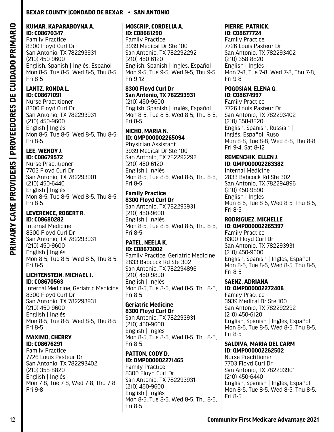#### **KUMAR, KAPARABOYNA A. ID: C08670347**

Family Practice 8300 Floyd Curl Dr San Antonio, TX 782293931 (210) 450-9600 English, Spanish | Inglés, Español Mon 8-5, Tue 8-5, Wed 8-5, Thu 8-5, Fri 8-5

#### **LANTZ, RONDA L. ID: C08671091**

Nurse Practitioner 8300 Floyd Curl Dr San Antonio, TX 782293931 (210) 450-9600 English | Inglés Mon 8-5, Tue 8-5, Wed 8-5, Thu 8-5, Fri 8-5

# **LEE, WENDY J.**

**ID: C08679572** Nurse Practitioner 7703 Floyd Curl Dr San Antonio, TX 782293901 (210) 450-6440 English | Inglés Mon 8-5, Tue 8-5, Wed 8-5, Thu 8-5, Fri 8-5

### **LEVERENCE, ROBERT R. ID: C08680282**

Internal Medicine 8300 Floyd Curl Dr San Antonio, TX 782293931 (210) 450-9600 English | Inglés Mon 8-5, Tue 8-5, Wed 8-5, Thu 8-5, Fri 8-5

#### **LICHTENSTEIN, MICHAEL J. ID: C08670563**

Internal Medicine, Geriatric Medicine 8300 Floyd Curl Dr San Antonio, TX 782293931 (210) 450-9600 English | Inglés Mon 8-5, Tue 8-5, Wed 8-5, Thu 8-5, Fri 8-5

### **MAXIMO, CHERRY ID: C08676291**

Family Practice 7726 Louis Pasteur Dr San Antonio, TX 782293402 (210) 358-8820 English | Inglés Mon 7-8, Tue 7-8, Wed 7-8, Thu 7-8, Fri 9-8

#### **MOSCRIP, CORDELIA A. ID: C08681290**

Family Practice 3939 Medical Dr Ste 100 San Antonio, TX 782292292 (210) 450-6120 English, Spanish | Inglés, Español Mon 9-5, Tue 9-5, Wed 9-5, Thu 9-5, Fri 9-12

#### **8300 Floyd Curl Dr San Antonio, TX 782293931** (210) 450-9600

English, Spanish | Inglés, Español Mon 8-5, Tue 8-5, Wed 8-5, Thu 8-5, Fri 8-5

### **NICHO, MARIA N. ID: QMP000002265094**

Physician Assistant 3939 Medical Dr Ste 100 San Antonio, TX 782292292 (210) 450-6120 English | Inglés Mon 8-5, Tue 8-5, Wed 8-5, Thu 8-5, Fri 8-5

# **Family Practice 8300 Floyd Curl Dr**

San Antonio, TX 782293931 (210) 450-9600 English | Inglés Mon 8-5, Tue 8-5, Wed 8-5, Thu 8-5, Fri 8-5

### **PATEL, NEELA K. ID: C08673002**

Family Practice, Geriatric Medicine 2833 Babcock Rd Ste 302 San Antonio, TX 782294896 (210) 450-9890 English | Inglés Mon 8-5, Tue 8-5, Wed 8-5, Thu 8-5, Fri 8-5

### **Geriatric Medicine 8300 Floyd Curl Dr**

San Antonio, TX 782293931 (210) 450-9600 English | Inglés Mon 8-5, Tue 8-5, Wed 8-5, Thu 8-5, Fri 8-5

#### **PATTON, CODY D. ID: QMP000002271465** Family Practice

8300 Floyd Curl Dr San Antonio, TX 782293931 (210) 450-9600 English | Inglés Mon 8-5, Tue 8-5, Wed 8-5, Thu 8-5, Fri 8-5

#### **PIERRE, PATRICK. ID: C08677724**

Family Practice 7726 Louis Pasteur Dr San Antonio, TX 782293402 (210) 358-8820 English | Inglés Mon 7-8, Tue 7-8, Wed 7-8, Thu 7-8, Fri 9-8

#### **POGOSIAN, ELENA G. ID: C08674997**

Family Practice 7726 Louis Pasteur Dr San Antonio, TX 782293402 (210) 358-8820 English, Spanish, Russian | Inglés, Español, Ruso Mon 8-8, Tue 8-8, Wed 8-8, Thu 8-8, Fri 9-4, Sat 8-12

### **REMENCHIK, ELLEN J. ID: QMP000002263382**

Internal Medicine 2833 Babcock Rd Ste 302 San Antonio, TX 782294896 (210) 450-9890 English | Inglés Mon 8-5, Tue 8-5, Wed 8-5, Thu 8-5, Fri 8-5

#### **RODRIGUEZ, MICHELLE ID: QMP000002265397**

Family Practice 8300 Floyd Curl Dr San Antonio, TX 782293931 (210) 450-9600 English, Spanish | Inglés, Español Mon 8-5, Tue 8-5, Wed 8-5, Thu 8-5, Fri 8-5

#### **SAENZ, ADRIANA ID: QMP000002272408**

Family Practice 3939 Medical Dr Ste 100 San Antonio, TX 782292292 (210) 450-6120 English, Spanish | Inglés, Español Mon 8-5, Tue 8-5, Wed 8-5, Thu 8-5, Fri 8-5

#### **SALDIVA, MARIA DEL CARM ID: QMP000002262502**

Nurse Practitioner 7703 Floyd Curl Dr San Antonio, TX 782293901 (210) 450-6440 English, Spanish | Inglés, Español Mon 8-5, Tue 8-5, Wed 8-5, Thu 8-5, Fri 8-5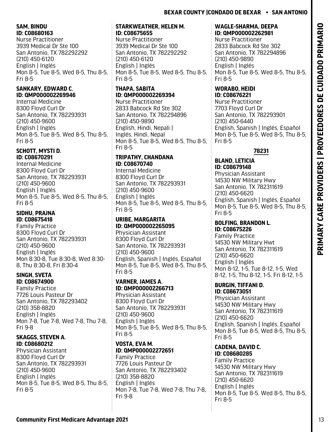### **SAM, BINDU ID: C08680163**

Nurse Practitioner 3939 Medical Dr Ste 100 San Antonio, TX 782292292 (210) 450-6120 English | Inglés Mon 8-5, Tue 8-5, Wed 8-5, Thu 8-5, Fri 8-5

### **SANKARY, EDWARD C. ID: QMP000002269946**

Internal Medicine 8300 Floyd Curl Dr San Antonio, TX 782293931 (210) 450-9600 English | Inglés Mon 8-5, Tue 8-5, Wed 8-5, Thu 8-5, Fri 8-5

#### **SCHOTT, MYSTI D. ID: C08670291**

Internal Medicine 8300 Floyd Curl Dr San Antonio, TX 782293931 (210) 450-9600 English | Inglés Mon 8-5, Tue 8-5, Wed 8-5, Thu 8-5, Fri 8-5

#### **SIDHU, PRAJNA ID: C08675418**

Family Practice 8300 Floyd Curl Dr San Antonio, TX 782293931 (210) 450-9600 English | Inglés Mon 8:30-8, Tue 8:30-8, Wed 8:30- 8, Thu 8:30-8, Fri 8:30-4

#### **SINGH, SVETA ID: C08674900**

Family Practice 7726 Louis Pasteur Dr San Antonio, TX 782293402 (210) 358-8820 English | Inglés Mon 7-8, Tue 7-8, Wed 7-8, Thu 7-8, Fri 9-8

### **SKAGGS, STEVEN A. ID: C08680212**

Physician Assistant 8300 Floyd Curl Dr San Antonio, TX 782293931 (210) 450-9600 English | Inglés Mon 8-5, Tue 8-5, Wed 8-5, Thu 8-5, Fri 8-5

### **STARKWEATHER, HELEN M. ID: C08675655**

Nurse Practitioner 3939 Medical Dr Ste 100 San Antonio, TX 782292292 (210) 450-6120 English | Inglés Mon 8-5, Tue 8-5, Wed 8-5, Thu 8-5, Fri 8-5

# **THAPA, SABITA ID: QMP000002269394**

Nurse Practitioner 2833 Babcock Rd Ste 302 San Antonio, TX 782294896 (210) 450-9890 English, Hindi, Nepali | Inglés, Hindi, Nepal Mon 8-5, Tue 8-5, Wed 8-5, Thu 8-5, Fri 8-5

# **TRIPATHY, CHANDANA ID: C08670740**

Internal Medicine 8300 Floyd Curl Dr San Antonio, TX 782293931 (210) 450-9600 English | Inglés Mon 8-5, Tue 8-5, Wed 8-5, Thu 8-5, Fri 8-5

### **URIBE, MARGARITA ID: QMP000002265095**

Physician Assistant 8300 Floyd Curl Dr San Antonio, TX 782293931 (210) 450-9600 English, Spanish | Inglés, Español Mon 8-5, Tue 8-5, Wed 8-5, Thu 8-5, Fri 8-5

### **VARNER, JAMES A. ID: QMP000002266713**

Physician Assistant 8300 Floyd Curl Dr San Antonio, TX 782293931 (210) 450-9600 English | Inglés Mon 8-5, Tue 8-5, Wed 8-5, Thu 8-5, Fri 8-5

# **VOSTA, EVA M. ID: QMP000002272651**

Family Practice 7726 Louis Pasteur Dr San Antonio, TX 782293402 (210) 358-8820 English | Inglés Mon 7-8, Tue 7-8, Wed 7-8, Thu 7-8, Fri 9-8

# **WAGLE-SHARMA, DEEPA ID: QMP000002262981**

Nurse Practitioner 2833 Babcock Rd Ste 302 San Antonio, TX 782294896 (210) 450-9890 English | Inglés Mon 8-5, Tue 8-5, Wed 8-5, Thu 8-5, Fri 8-5

#### **WORABO, HEIDI ID: C08676221**

Nurse Practitioner 7703 Floyd Curl Dr San Antonio, TX 782293901 (210) 450-6440 English, Spanish | Inglés, Español Mon 8-5, Tue 8-5, Wed 8-5, Thu 8-5, Fri 8-5

# **78231**

# **BLAND, LETICIA ID: C08679148**

Physician Assistant 14530 NW Military Hwy San Antonio, TX 782311619 (210) 450-6620 English, Spanish | Inglés, Español Mon 8-5, Tue 8-5, Wed 8-5, Thu 8-5, Fri 8-5

#### **BOLFING, BRANDON L. ID: C08675226**

Family Practice 14530 NW Military Hwt San Antonio, TX 782311619 (210) 450-6620 English | Inglés Mon 8-12, 1-5, Tue 8-12, 1-5, Wed 8-12, 1-5, Thu 8-12, 1-5, Fri 8-12, 1-5

#### **BURGIN, TIFFANI D. ID: C08673051**

Physician Assistant 14530 NW Military Hwy San Antonio, TX 782311619 (210) 450-6620 English, Spanish | Inglés, Español Mon 8-5, Tue 8-5, Wed 8-5, Thu 8-5, Fri 8-5

# **CADENA, DAVID C. ID: C08680285**

Family Practice 14530 NW Military Hwy San Antonio, TX 782311619 (210) 450-6620 English | Inglés Mon 8-5, Tue 8-5, Wed 8-5, Thu 8-5, Fri 8-5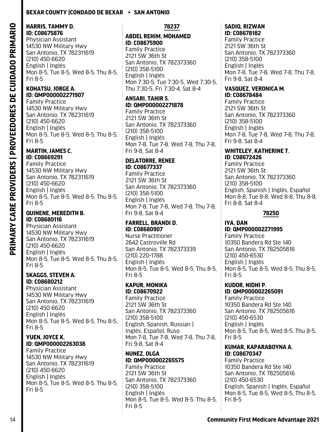# **HARRIS, TAMMY D. ID: C08675876**

Physician Assistant 14530 NW Military Hwy San Antonio, TX 782311619 (210) 450-6620 English | Inglés Mon 8-5, Tue 8-5, Wed 8-5, Thu 8-5, Fri 8-5

#### **KOHATSU, JORGE A. ID: QMP000002271907**

Family Practice 14530 NW Military Hwy San Antonio, TX 782311619 (210) 450-6620 English | Inglés Mon 8-5, Tue 8-5, Wed 8-5, Thu 8-5, Fri 8-5

#### **MARTIN, JAMES C. ID: C08669291**

Family Practice 14530 NW Military Hwy San Antonio, TX 782311619 (210) 450-6620 English | Inglés Mon 8-5, Tue 8-5, Wed 8-5, Thu 8-5, Fri 8-5

#### **QUINENE, MEREDITH B. ID: C08680116**

Physician Assistant 14530 NW Military Hwy San Antonio, TX 782311619 (210) 450-6620 English | Inglés Mon 8-5, Tue 8-5, Wed 8-5, Thu 8-5, Fri 8-5

#### **SKAGGS, STEVEN A. ID: C08680212**

Physician Assistant 14530 NW Military Hwy San Antonio, TX 782311619 (210) 450-6620 English | Inglés Mon 8-5, Tue 8-5, Wed 8-5, Thu 8-5, Fri 8-5

#### **YUEN, JOYCE K. ID: QMP000002263038**

Family Practice 14530 NW Military Hwy San Antonio, TX 782311619 (210) 450-6620 English | Inglés Mon 8-5, Tue 8-5, Wed 8-5, Thu 8-5, Fri 8-5

### **78237**

#### **ABDEL REHIM, MOHAMED ID: C08675900**

Family Practice 2121 SW 36th St San Antonio, TX 782373360 (210) 358-5100 English | Inglés Mon 7:30-5, Tue 7:30-5, Wed 7:30-5, Thu 7:30-5, Fri 7:30-4, Sat 8-4

# **ANSARI, TAHIR S. ID: QMP000002271878**

Family Practice 2121 SW 36th St San Antonio, TX 782373360 (210) 358-5100 English | Inglés Mon 7-8, Tue 7-8, Wed 7-8, Thu 7-8, Fri 9-8, Sat 8-4

# **DELATORRE, RENEE ID: C08677337**

Family Practice 2121 SW 36th St San Antonio, TX 782373360 (210) 358-5100 English | Inglés Mon 7-8, Tue 7-8, Wed 7-8, Thu 7-8, Fri 9-8, Sat 8-4

#### **FARRELL, BRANDI D. ID: C08680907**

Nurse Practitioner 2642 Castroville Rd San Antonio, TX 782373339 (210) 220-1788 English | Inglés Mon 8-5, Tue 8-5, Wed 8-5, Thu 8-5, Fri 8-5

#### **KAPUR, MONIKA ID: C08670922**

Family Practice 2121 SW 36th St San Antonio, TX 782373360 (210) 358-5100 English, Spanish, Russian | Inglés, Español, Ruso Mon 7-8, Tue 7-8, Wed 7-8, Thu 7-8, Fri 9-8, Sat 8-4

#### **NUNEZ, OLGA ID: QMP000002265575** Family Practice

2121 SW 36th St San Antonio, TX 782373360 (210) 358-5100 English | Inglés Mon 8-5, Tue 8-5, Wed 8-5, Thu 8-5, Fri 8-5

#### **SADIQ, RIZWAN ID: C08678182**

Family Practice 2121 SW 36th St San Antonio, TX 782373360 (210) 358-5100 English | Inglés Mon 7-8, Tue 7-8, Wed 7-8, Thu 7-8, Fri 9-8, Sat 8-4

#### **VASQUEZ, VERONICA M. ID: C08678484**

Family Practice 2121 SW 36th St San Antonio, TX 782373360 (210) 358-5100 English | Inglés Mon 7-8, Tue 7-8, Wed 7-8, Thu 7-8, Fri 9-8, Sat 8-4

#### **WHITELEY, KATHERINE T. ID: C08672426**

Family Practice 2121 SW 36th St San Antonio, TX 782373360 (210) 358-5100 English, Spanish | Inglés, Español Mon 8-8, Tue 8-8, Wed 8-8, Thu 8-8, Fri 8-8, Sat 8-4

# **78250**

#### **IYA, DAN ID: QMP000002271995** Family Practice 10350 Bandera Rd Ste 140 San Antonio, TX 782505616 (210) 450-6530 English | Inglés Mon 8-5, Tue 8-5, Wed 8-5, Thu 8-5, Fri 8-5

#### **KUDOR, NIDHI P. ID: QMP000002265091**

Family Practice 10350 Bandera Rd Ste 140 San Antonio, TX 782505616 (210) 450-6530 English | Inglés Mon 8-5, Tue 8-5, Wed 8-5, Thu 8-5, Fri 8-5

#### **KUMAR, KAPARABOYNA A. ID: C08670347**

Family Practice 10350 Bandera Rd Ste 140 San Antonio, TX 782505616 (210) 450-6530 English, Spanish | Inglés, Español Mon 8-5, Tue 8-5, Wed 8-5, Thu 8-5, Fri 8-5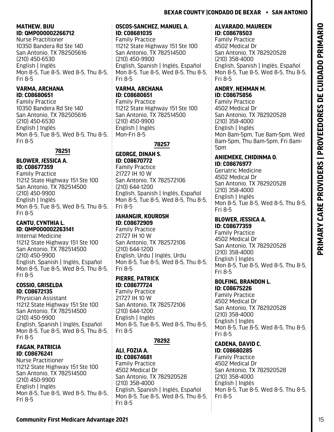# **MATHEW, BIJU ID: QMP000002266712**

Nurse Practitioner 10350 Bandera Rd Ste 140 San Antonio, TX 782505616 (210) 450-6530 English | Inglés Mon 8-5, Tue 8-5, Wed 8-5, Thu 8-5, Fri 8-5

# **VARMA, ARCHANA ID: C08680651**

Family Practice 10350 Bandera Rd Ste 140 San Antonio, TX 782505616 (210) 450-6530 English | Inglés Mon 8-5, Tue 8-5, Wed 8-5, Thu 8-5, Fri 8-5

# **78251**

# **BLOWER, JESSICA A. ID: C08677359**

Family Practice 11212 State Highway 151 Ste 100 San Antonio, TX 782514500 (210) 450-9900 English | Inglés Mon 8-5, Tue 8-5, Wed 8-5, Thu 8-5, Fri 8-5

# **CANTU, CYNTHIA L. ID: QMP000002263141**

Internal Medicine 11212 State Highway 151 Ste 100 San Antonio, TX 782514500 (210) 450-9900 English, Spanish | Inglés, Español Mon 8-5, Tue 8-5, Wed 8-5, Thu 8-5, Fri 8-5

# **COSSIO, GRISELDA ID: C08672135**

Physician Assistant 11212 State Highway 151 Ste 100 San Antonio, TX 782514500 (210) 450-9900 English, Spanish | Inglés, Español Mon 8-5, Tue 8-5, Wed 8-5, Thu 8-5, Fri 8-5

### **FAGAN, PATRICIA ID: C08676241**

Nurse Practitioner 11212 State Highway 151 Ste 100 San Antonio, TX 782514500 (210) 450-9900 English | Inglés Mon 8-5, Tue 8-5, Wed 8-5, Thu 8-5, Fri 8-5

# **OSCOS-SANCHEZ, MANUEL A. ID: C08681035**

Family Practice 11212 State Highway 151 Ste 100 San Antonio, TX 782514500 (210) 450-9900 English, Spanish | Inglés, Español Mon 8-5, Tue 8-5, Wed 8-5, Thu 8-5, Fri 8-5

# **VARMA, ARCHANA ID: C08680651**

Family Practice 11212 State Highway 151 Ste 100 San Antonio, TX 782514500 (210) 450-9900 English | Inglés Mon-Fri 8-5

# **78257**

# **GEORGE, DINAH S. ID: C08670772**

Family Practice 21727 IH 10 W San Antonio, TX 782572106 (210) 644-1200 English, Spanish | Inglés, Español Mon 8-5, Tue 8-5, Wed 8-5, Thu 8-5, Fri 8-5

# **JAHANGIR, KOUROSH ID: C08672909**

Family Practice 21727 IH 10 W San Antonio, TX 782572106 (210) 644-1200 English, Urdu | Inglés, Urdu Mon 8-5, Tue 8-5, Wed 8-5, Thu 8-5, Fri 8-5

#### **PIERRE, PATRICK ID: C08677724**

Family Practice 21727 IH 10 W San Antonio, TX 782572106 (210) 644-1200 English | Inglés Mon 8-5, Tue 8-5, Wed 8-5, Thu 8-5, Fri 8-5

# **78292**

#### **ALI, FOZIA A. ID: C08674681**

Family Practice 4502 Medical Dr San Antonio, TX 782920528 (210) 358-4000 English, Spanish | Inglés, Español Mon 8-5, Tue 8-5, Wed 8-5, Thu 8-5, Fri 8-5

#### **ALVARADO, MAUREEN ID: C08678503**

Family Practice 4502 Medical Dr San Antonio, TX 782920528 (210) 358-4000 English, Spanish | Inglés, Español Mon 8-5, Tue 8-5, Wed 8-5, Thu 8-5, Fri 8-5

#### **ANDRY, NEHMAN M. ID: C08675856**

Family Practice 4502 Medical Dr San Antonio, TX 782920528 (210) 358-4000 English | Inglés Mon 8am-5pm, Tue 8am-5pm, Wed 8am-5pm, Thu 8am-5pm, Fri 8am-5pm

# **ANIEMEKE, CHIDINMA O. ID: C08676977**

Geriatric Medicine 4502 Medical Dr San Antonio, TX 782920528 (210) 358-4000 English | Inglés Mon 8-5, Tue 8-5, Wed 8-5, Thu 8-5, Fri 8-5

#### **BLOWER, JESSICA A. ID: C08677359**

Family Practice 4502 Medical Dr San Antonio, TX 782920528 (210) 358-4000 English | Inglés Mon 8-5, Tue 8-5, Wed 8-5, Thu 8-5, Fri 8-5

# **BOLFING, BRANDON L.**

**ID: C08675226** Family Practice 4502 Medical Dr San Antonio, TX 782920528 (210) 358-4000 English | Inglés Mon 8-5, Tue 8-5, Wed 8-5, Thu 8-5, Fri 8-5

#### **CADENA, DAVID C. ID: C08680285**

Family Practice 4502 Medical Dr San Antonio, TX 782920528 (210) 358-4000 English | Inglés Mon 8-5, Tue 8-5, Wed 8-5, Thu 8-5, Fri 8-5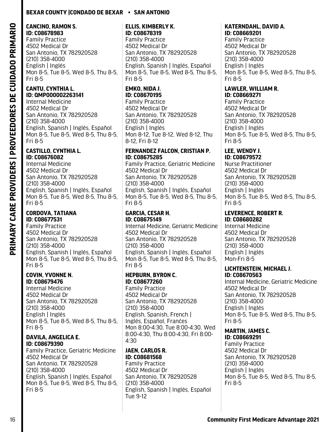#### **CANCINO, RAMON S. ID: C08678983**

Family Practice 4502 Medical Dr San Antonio, TX 782920528 (210) 358-4000 English | Inglés Mon 8-5, Tue 8-5, Wed 8-5, Thu 8-5, Fri 8-5

### **CANTU, CYNTHIA L. ID: QMP000002263141**

Internal Medicine 4502 Medical Dr San Antonio, TX 782920528 (210) 358-4000 English, Spanish | Inglés, Español Mon 8-5, Tue 8-5, Wed 8-5, Thu 8-5, Fri 8-5

#### **CASTILLO, CYNTHIA L. ID: C08676082**

Internal Medicine 4502 Medical Dr San Antonio, TX 782920528 (210) 358-4000 English, Spanish | Inglés, Español Mon 8-5, Tue 8-5, Wed 8-5, Thu 8-5, Fri 8-5

# **CORDOVA, TATIANA ID: C08677531**

Family Practice 4502 Medical Dr San Antonio, TX 782920528 (210) 358-4000 English, Spanish | Inglés, Español Mon 8-5, Tue 8-5, Wed 8-5, Thu 8-5, Fri 8-5

### **COVIN, YVONNE N. ID: C08679476**

Internal Medicine 4502 Medical Dr San Antonio, TX 782920528 (210) 358-4000 English | Inglés Mon 8-5, Tue 8-5, Wed 8-5, Thu 8-5, Fri 8-5

### **DAVILA, ANGELICA E. ID: C08679390**

Family Practice, Geriatric Medicine 4502 Medical Dr San Antonio, TX 782920528 (210) 358-4000 English, Spanish | Inglés, Español Mon 8-5, Tue 8-5, Wed 8-5, Thu 8-5, Fri 8-5

#### **ELLIS, KIMBERLY K. ID: C08678319**

Family Practice 4502 Medical Dr San Antonio, TX 782920528 (210) 358-4000 English, Spanish | Inglés, Español Mon 8-5, Tue 8-5, Wed 8-5, Thu 8-5, Fri 8-5

#### **EMKO, NIDA J. ID: C08670195**

Family Practice 4502 Medical Dr San Antonio, TX 782920528 (210) 358-4000 English | Inglés Mon 8-12, Tue 8-12, Wed 8-12, Thu 8-12, Fri 8-12

#### **FERNANDEZ FALCON, CRISTIAN P. ID: C08675285**

Family Practice, Geriatric Medicine 4502 Medical Dr San Antonio, TX 782920528 (210) 358-4000 English, Spanish | Inglés, Español Mon 8-5, Tue 8-5, Wed 8-5, Thu 8-5, Fri 8-5

#### **GARCIA, CESAR H. ID: C08675149**

Internal Medicine, Geriatric Medicine 4502 Medical Dr San Antonio, TX 782920528 (210) 358-4000 English, Spanish | Inglés, Español Mon 8-5, Tue 8-5, Wed 8-5, Thu 8-5, Fri 8-5

# **HEPBURN, BYRON C. ID: C08677260**

Family Practice 4502 Medical Dr San Antonio, TX 782920528 (210) 358-4000 English, Spanish, French | Inglés, Español, Franćes Mon 8:00-4:30, Tue 8:00-4:30, Wed 8:00-4:30, Thu 8:00-4:30, Fri 8:00- 4:30

# **JAEN, CARLOS R. ID: C08681568**

Family Practice 4502 Medical Dr San Antonio, TX 782920528 (210) 358-4000 English, Spanish | Inglés, Español Tue 9-12

#### **KATERNDAHL, DAVID A. ID: C08669201**

Family Practice 4502 Medical Dr San Antonio, TX 782920528 (210) 358-4000 English | Inglés Mon 8-5, Tue 8-5, Wed 8-5, Thu 8-5, Fri 8-5

#### **LAWLER, WILLIAM R. ID: C08669271**

Family Practice 4502 Medical Dr San Antonio, TX 782920528 (210) 358-4000 English | Inglés Mon 8-5, Tue 8-5, Wed 8-5, Thu 8-5, Fri 8-5

#### **LEE, WENDY J. ID: C08679572**

Nurse Practitioner 4502 Medical Dr San Antonio, TX 782920528 (210) 358-4000 English | Inglés Mon 8-5, Tue 8-5, Wed 8-5, Thu 8-5, Fri 8-5

# **LEVERENCE, ROBERT R.**

**ID: C08680282** Internal Medicine 4502 Medical Dr San Antonio, TX 782920528 (210) 358-4000 English | Inglés Mon-Fri 8-5

#### **LICHTENSTEIN, MICHAEL J. ID: C08670563**

Internal Medicine, Geriatric Medicine 4502 Medical Dr San Antonio, TX 782920528 (210) 358-4000 English | Inglés Mon 8-5, Tue 8-5, Wed 8-5, Thu 8-5, Fri 8-5

#### **MARTIN, JAMES C. ID: C08669291**

Family Practice 4502 Medical Dr San Antonio, TX 782920528 (210) 358-4000 English | Inglés Mon 8-5, Tue 8-5, Wed 8-5, Thu 8-5, Fri 8-5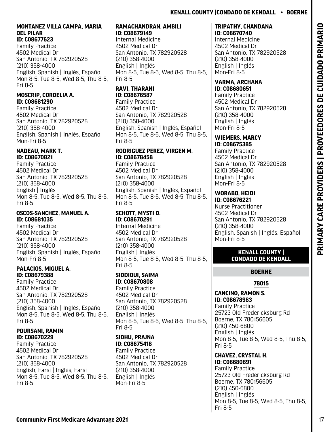#### **MONTANEZ VILLA CAMPA, MARIA DEL PILAR ID: C08677623**

Family Practice 4502 Medical Dr San Antonio, TX 782920528 (210) 358-4000 English, Spanish | Inglés, Español Mon 8-5, Tue 8-5, Wed 8-5, Thu 8-5, Fri 8-5

# **MOSCRIP, CORDELIA A. ID: C08681290**

Family Practice 4502 Medical Dr San Antonio, TX 782920528 (210) 358-4000 English, Spanish | Inglés, Español Mon-Fri 8-5

### **NADEAU, MARK T. ID: C08670821**

Family Practice 4502 Medical Dr San Antonio, TX 782920528 (210) 358-4000 English | Inglés Mon 8-5, Tue 8-5, Wed 8-5, Thu 8-5, Fri 8-5

# **OSCOS-SANCHEZ, MANUEL A. ID: C08681035**

Family Practice 4502 Medical Dr San Antonio, TX 782920528 (210) 358-4000 English, Spanish | Inglés, Español Mon-Fri 8-5

# **PALACIOS, MIGUEL A. ID: C08679388**

Family Practice 4502 Medical Dr San Antonio, TX 782920528 (210) 358-4000 English, Spanish | Inglés, Español Mon 8-5, Tue 8-5, Wed 8-5, Thu 8-5, Fri 8-5

### **POURSANI, RAMIN ID: C08670229**

Family Practice 4502 Medical Dr San Antonio, TX 782920528 (210) 358-4000 English, Farsi | Inglés, Farsi Mon 8-5, Tue 8-5, Wed 8-5, Thu 8-5, Fri 8-5

#### **RAMACHANDRAN, AMBILI ID: C08679149**

Internal Medicine 4502 Medical Dr San Antonio, TX 782920528 (210) 358-4000 English | Inglés Mon 8-5, Tue 8-5, Wed 8-5, Thu 8-5, Fri 8-5

#### **RAVI, THARANI ID: C08676587**

Family Practice 4502 Medical Dr San Antonio, TX 782920528 (210) 358-4000 English, Spanish | Inglés, Español Mon 8-5, Tue 8-5, Wed 8-5, Thu 8-5, Fri 8-5

# **RODRIGUEZ PEREZ, VIRGEN M. ID: C08678458**

Family Practice 4502 Medical Dr San Antonio, TX 782920528 (210) 358-4000 English, Spanish | Inglés, Español Mon 8-5, Tue 8-5, Wed 8-5, Thu 8-5, Fri 8-5

#### **SCHOTT, MYSTI D. ID: C08670291**

Internal Medicine 4502 Medical Dr San Antonio, TX 782920528 (210) 358-4000 English | Inglés Mon 8-5, Tue 8-5, Wed 8-5, Thu 8-5, Fri 8-5

# **SIDDIQUI, SAIMA ID: C08670808**

Family Practice 4502 Medical Dr San Antonio, TX 782920528 (210) 358-4000 English | Inglés Mon 8-5, Tue 8-5, Wed 8-5, Thu 8-5, Fri 8-5

### **SIDHU, PRAJNA ID: C08675418**

Family Practice 4502 Medical Dr San Antonio, TX 782920528 (210) 358-4000 English | Inglés Mon-Fri 8-5

### **TRIPATHY, CHANDANA ID: C08670740**

Internal Medicine 4502 Medical Dr San Antonio, TX 782920528 (210) 358-4000 English | Inglés Mon-Fri 8-5

#### **VARMA, ARCHANA ID: C08680651**

Family Practice 4502 Medical Dr San Antonio, TX 782920528 (210) 358-4000 English | Inglés Mon-Fri 8-5

#### **WIEMERS, MARCY ID: C08675385**

Family Practice 4502 Medical Dr San Antonio, TX 782920528 (210) 358-4000 English | Inglés Mon-Fri 8-5

# **WORABO, HEIDI**

**ID: C08676221** Nurse Practitioner 4502 Medical Dr San Antonio, TX 782920528 (210) 358-4000 English, Spanish | Inglés, Español Mon-Fri 8-5

# **KENALL COUNTY | CONDADO DE KENDALL**

# **BOERNE**

# **78015**

# **CANCINO, RAMON S. ID: C08678983**

Family Practice 25723 Old Fredericksburg Rd Boerne, TX 780156605 (210) 450-6800 English | Inglés Mon 8-5, Tue 8-5, Wed 8-5, Thu 8-5, Fri 8-5

**CHAVEZ, CRYSTAL H. ID: C08680891** Family Practice 25723 Old Fredericksburg Rd Boerne, TX 780156605 (210) 450-6800 English | Inglés Mon 8-5, Tue 8-5, Wed 8-5, Thu 8-5, Fri 8-5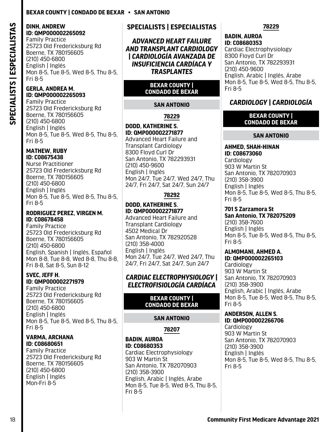# **DINH, ANDREW ID: QMP000002265092**

Family Practice 25723 Old Fredericksburg Rd Boerne, TX 780156605 (210) 450-6800 English | Inglés Mon 8-5, Tue 8-5, Wed 8-5, Thu 8-5, Fri 8-5

# **GERLA, ANDREA M. ID: QMP000002265093**

**SPECIALISTS | ESPECIALISTAS**

<span id="page-19-0"></span>SPECIALISTS | ESPECIALISTAS

Family Practice 25723 Old Fredericksburg Rd Boerne, TX 780156605 (210) 450-6800 English | Inglés Mon 8-5, Tue 8-5, Wed 8-5, Thu 8-5, Fri 8-5

### **MATHEW, RUBY ID: C08675438**

Nurse Practitioner 25723 Old Fredericksburg Rd Boerne, TX 780156605 (210) 450-6800 English | Inglés Mon 8-5, Tue 8-5, Wed 8-5, Thu 8-5, Fri 8-5

### **RODRIGUEZ PEREZ, VIRGEN M. ID: C08678458**

Family Practice 25723 Old Fredericksburg Rd Boerne, TX 780156605 (210) 450-6800 English, Spanish | Inglés, Español Mon 8-8, Tue 8-8, Wed 8-8, Thu 8-8, Fri 8-8, Sat 8-5, Sun 8-12

# **SVEC, JEFF H. ID: QMP000002271979**

Family Practice 25723 Old Fredericksburg Rd Boerne, TX 780156605 (210) 450-6800 English | Inglés Mon 8-5, Tue 8-5, Wed 8-5, Thu 8-5, Fri 8-5

### **VARMA, ARCHANA ID: C08680651**

Family Practice 25723 Old Fredericksburg Rd Boerne, TX 780156605 (210) 450-6800 English | Inglés Mon-Fri 8-5

# **SPECIALISTS | ESPECIALISTAS**

*ADVANCED HEART FAILURE AND TRANSPLANT CARDIOLOGY | CARDIOLOGÍA AVANZADA DE INSUFICIENCIA CARDÍACA Y TRASPLANTES*

# **BEXAR COUNTY | CONDADO DE BEXAR**

# **SAN ANTONIO**

**78229**

# **DODD, KATHERINE S. ID: QMP000002271877**

Advanced Heart Failure and Transplant Cardiology 8300 Floyd Curl Dr San Antonio, TX 782293931 (210) 450-9600 English | Inglés Mon 24/7, Tue 24/7, Wed 24/7, Thu 24/7, Fri 24/7, Sat 24/7, Sun 24/7

# **78292**

#### **DODD, KATHERINE S. ID: QMP000002271877**

Advanced Heart Failure and Transplant Cardiology 4502 Medical Dr San Antonio, TX 782920528 (210) 358-4000 English | Inglés Mon 24/7, Tue 24/7, Wed 24/7, Thu 24/7, Fri 24/7, Sat 24/7, Sun 24/7

# *CARDIAC ELECTROPHYSIOLOGY | ELECTROFISIOLOGÍA CARDÍACA*

#### **BEXAR COUNTY | CONDADO DE BEXAR**

# **SAN ANTONIO**

**78207**

#### **BADIN, AUROA ID: C08680353** Cardiac Electrophysiology 903 W Martin St San Antonio, TX 782070903 (210) 358-3900 English, Arabic | Inglés, Árabe Mon 8-5, Tue 8-5, Wed 8-5, Thu 8-5,

Fri 8-5

### **78229**

#### **BADIN, AUROA ID: C08680353**

Cardiac Electrophysiology 8300 Floyd Curl Dr San Antonio, TX 782293931 (210) 450-9600 English, Arabic | Inglés, Árabe Mon 8-5, Tue 8-5, Wed 8-5, Thu 8-5, Fri 8-5

# *CARDIOLOGY | CARDIOLOGÍA*

### **BEXAR COUNTY | CONDADO DE BEXAR**

# **SAN ANTONIO**

#### **AHMED, SHAH-HINAN ID: C08673060 Cardiology** 903 W Martin St San Antonio, TX 782070903 (210) 358-3900 English | Inglés Mon 8-5, Tue 8-5, Wed 8-5, Thu 8-5, Fri 8-5

# **701 S Zarzamora St**

**San Antonio, TX 782075209** (210) 358-7600 English | Inglés Mon 8-5, Tue 8-5, Wed 8-5, Thu 8-5, Fri 8-5

#### **ALMOMANI, AHMED A. ID: QMP000002265103**

Cardiology 903 W Martin St San Antonio, TX 782070903 (210) 358-3900 English, Arabic | Inglés, Árabe Mon 8-5, Tue 8-5, Wed 8-5, Thu 8-5, Fri 8-5

#### **ANDERSON, ALLEN S. ID: QMP000002266706**

Cardiology 903 W Martin St San Antonio, TX 782070903 (210) 358-3900 English | Inglés Mon 8-5, Tue 8-5, Wed 8-5, Thu 8-5, Fri 8-5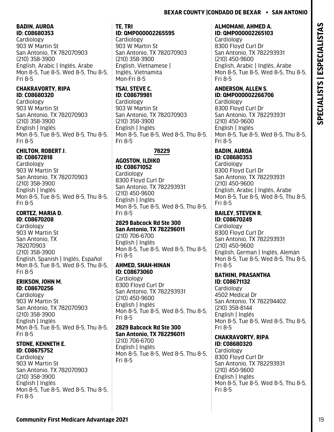# **BADIN, AUROA**

**ID: C08680353** Cardiology 903 W Martin St San Antonio, TX 782070903 (210) 358-3900 English, Arabic | Inglés, Árabe Mon 8-5, Tue 8-5, Wed 8-5, Thu 8-5, Fri 8-5

# **CHAKRAVORTY, RIPA ID: C08680320**

Cardiology 903 W Martin St San Antonio, TX 782070903 (210) 358-3900 English | Inglés Mon 8-5, Tue 8-5, Wed 8-5, Thu 8-5, Fri 8-5

#### **CHILTON, ROBERT J. ID: C08672818**

Cardiology 903 W Martin St San Antonio, TX 782070903 (210) 358-3900 English | Inglés Mon 8-5, Tue 8-5, Wed 8-5, Thu 8-5, Fri 8-5

# **CORTEZ, MARIA D. ID: C08670208**

Cardiology 903 W Martin St San Antonio, TX 782070903 (210) 358-3900 English, Spanish | Inglés, Español Mon 8-5, Tue 8-5, Wed 8-5, Thu 8-5, Fri 8-5

#### **ERIKSON, JOHN M. ID: C08670256**

**Cardiology** 903 W Martin St San Antonio, TX 782070903 (210) 358-3900 English | Inglés Mon 8-5, Tue 8-5, Wed 8-5, Thu 8-5, Fri 8-5

# **STONE, KENNETH E. ID: C08675752**

Cardiology 903 W Martin St San Antonio, TX 782070903 (210) 358-3900 English | Inglés Mon 8-5, Tue 8-5, Wed 8-5, Thu 8-5, Fri 8-5

# **TE, TRI**

**ID: QMP000002265595**

**Cardiology** 903 W Martin St San Antonio, TX 782070903 (210) 358-3900 English, Vietnamese | Inglés, Vietnamita Mon-Fri 8-5

### **TSAI, STEVE C. ID: C08679981**

Cardiology 903 W Martin St San Antonio, TX 782070903 (210) 358-3900 English | Inglés Mon 8-5, Tue 8-5, Wed 8-5, Thu 8-5, Fri 8-5

# **78229**

# **AGOSTON, ILDIKO ID: C08671052** Cardiology

8300 Floyd Curl Dr San Antonio, TX 782293931 (210) 450-9600 English | Inglés Mon 8-5, Tue 8-5, Wed 8-5, Thu 8-5, Fri 8-5

#### **2829 Babcock Rd Ste 300 San Antonio, TX 782296011**

(210) 706-6700 English | Inglés Mon 8-5, Tue 8-5, Wed 8-5, Thu 8-5, Fri 8-5

### **AHMED, SHAH-HINAN ID: C08673060**

Cardiology 8300 Floyd Curl Dr San Antonio, TX 782293931 (210) 450-9600 English | Inglés Mon 8-5, Tue 8-5, Wed 8-5, Thu 8-5, Fri 8-5

#### **2829 Babcock Rd Ste 300 San Antonio, TX 782296011**

(210) 706-6700 English | Inglés Mon 8-5, Tue 8-5, Wed 8-5, Thu 8-5, Fri 8-5

#### **ALMOMANI, AHMED A. ID: QMP000002265103**

**Cardiology** 8300 Floyd Curl Dr San Antonio, TX 782293931 (210) 450-9600 English, Arabic | Inglés, Árabe Mon 8-5, Tue 8-5, Wed 8-5, Thu 8-5, Fri 8-5

# **ANDERSON, ALLEN S. ID: QMP000002266706**

Cardiology 8300 Floyd Curl Dr San Antonio, TX 782293931 (210) 450-9600 English | Inglés Mon 8-5, Tue 8-5, Wed 8-5, Thu 8-5, Fri 8-5

# **BADIN, AUROA**

**ID: C08680353** Cardiology 8300 Floyd Curl Dr San Antonio, TX 782293931 (210) 450-9600 English, Arabic | Inglés, Árabe Mon 8-5, Tue 8-5, Wed 8-5, Thu 8-5, Fri 8-5

#### **BAILEY, STEVEN R. ID: C08670249**

Cardiology 8300 Floyd Curl Dr San Antonio, TX 782293931 (210) 450-9600 English, German | Inglés, Alemán Mon 8-5, Tue 8-5, Wed 8-5, Thu 8-5, Fri 8-5

#### **BATHINI, PRASANTHA ID: C08671132**

Cardiology 4502 Medical Dr San Antonio, TX 782294402 (210) 358-8144 English | Inglés Mon 8-5, Tue 8-5, Wed 8-5, Thu 8-5, Fri 8-5

#### **CHAKRAVORTY, RIPA ID: C08680320**

Cardiology 8300 Floyd Curl Dr San Antonio, TX 782293931 (210) 450-9600 English | Inglés Mon 8-5, Tue 8-5, Wed 8-5, Thu 8-5, Fri 8-5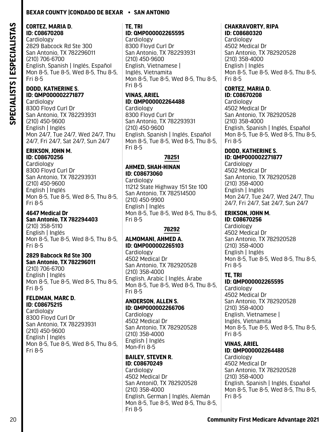#### **CORTEZ, MARIA D. ID: C08670208**

Cardiology 2829 Babcock Rd Ste 300 San Antonio, TX 782296011 (210) 706-6700 English, Spanish | Inglés, Español Mon 8-5, Tue 8-5, Wed 8-5, Thu 8-5, Fri 8-5

# **DODD, KATHERINE S. ID: QMP000002271877**

Cardiology 8300 Floyd Curl Dr San Antonio, TX 782293931 (210) 450-9600 English | Inglés Mon 24/7, Tue 24/7, Wed 24/7, Thu 24/7, Fri 24/7, Sat 24/7, Sun 24/7

#### **ERIKSON, JOHN M. ID: C08670256**

Cardiology 8300 Floyd Curl Dr San Antonio, TX 782293931 (210) 450-9600 English | Inglés Mon 8-5, Tue 8-5, Wed 8-5, Thu 8-5, Fri 8-5

#### **4647 Medical Dr San Antonio, TX 782294403** (210) 358-5110 English | Inglés Mon 8-5, Tue 8-5, Wed 8-5, Thu 8-5, Fri 8-5

#### **2829 Babcock Rd Ste 300 San Antonio, TX 782296011**

(210) 706-6700 English | Inglés Mon 8-5, Tue 8-5, Wed 8-5, Thu 8-5, Fri 8-5

#### **FELDMAN, MARC D. ID: C08675215**

Cardiology 8300 Floyd Curl Dr San Antonio, TX 782293931 (210) 450-9600 English | Inglés Mon 8-5, Tue 8-5, Wed 8-5, Thu 8-5, Fri 8-5

# **TE, TRI ID: QMP000002265595**

**Cardiology** 8300 Floyd Curl Dr San Antonio, TX 782293931 (210) 450-9600 English, Vietnamese | Inglés, Vietnamita Mon 8-5, Tue 8-5, Wed 8-5, Thu 8-5, Fri 8-5

# **VINAS, ARIEL ID: QMP000002264488**

**Cardiology** 8300 Floyd Curl Dr San Antonio, TX 782293931 (210) 450-9600 English, Spanish | Inglés, Español Mon 8-5, Tue 8-5, Wed 8-5, Thu 8-5, Fri 8-5

# **78251**

# **AHMED, SHAH-HINAN ID: C08673060**

Cardiology 11212 State Highway 151 Ste 100 San Antonio, TX 782514500 (210) 450-9900 English | Inglés Mon 8-5, Tue 8-5, Wed 8-5, Thu 8-5, Fri 8-5

# **78292**

### **ALMOMANI, AHMED A. ID: QMP000002265103**

**Cardiology** 4502 Medical Dr San Antonio, TX 782920528 (210) 358-4000 English, Arabic | Inglés, Árabe Mon 8-5, Tue 8-5, Wed 8-5, Thu 8-5, Fri 8-5

# **ANDERSON, ALLEN S. ID: QMP000002266706**

Cardiology 4502 Medical Dr San Antonio, TX 782920528 (210) 358-4000 English | Inglés Mon-Fri 8-5

# **BAILEY, STEVEN R. ID: C08670249**

**Cardiology** 4502 Medical Dr San AntoniO, TX 782920528 (210) 358-4000 English, German | Inglés, Alemán Mon 8-5, Tue 8-5, Wed 8-5, Thu 8-5, Fri 8-5

#### **CHAKRAVORTY, RIPA ID: C08680320**

**Cardiology** 4502 Medical Dr San Antonio, TX 782920528 (210) 358-4000 English | Inglés Mon 8-5, Tue 8-5, Wed 8-5, Thu 8-5, Fri 8-5

#### **CORTEZ, MARIA D. ID: C08670208**

Cardiology 4502 Medical Dr San Antonio, TX 782920528 (210) 358-4000 English, Spanish | Inglés, Español Mon 8-5, Tue 8-5, Wed 8-5, Thu 8-5, Fri 8-5

#### **DODD, KATHERINE S. ID: QMP000002271877**

Cardiology 4502 Medical Dr San Antonio, TX 782920528 (210) 358-4000 English | Inglés Mon 24/7, Tue 24/7, Wed 24/7, Thu 24/7, Fri 24/7, Sat 24/7, Sun 24/7

# **ERIKSON, JOHN M.**

**ID: C08670256 Cardiology** 4502 Medical Dr San Antonio, TX 782920528 (210) 358-4000 English | Inglés Mon 8-5, Tue 8-5, Wed 8-5, Thu 8-5, Fri 8-5

# **TE, TRI**

**ID: QMP000002265595** Cardiology

4502 Medical Dr San Antonio, TX 782920528 (210) 358-4000 English, Vietnamese | Inglés, Vietnamita Mon 8-5, Tue 8-5, Wed 8-5, Thu 8-5, Fri 8-5

# **VINAS, ARIEL**

**ID: QMP000002264488** Cardiology 4502 Medical Dr San Antonio, TX 782920528 (210) 358-4000 English, Spanish | Inglés, Español Mon 8-5, Tue 8-5, Wed 8-5, Thu 8-5, Fri 8-5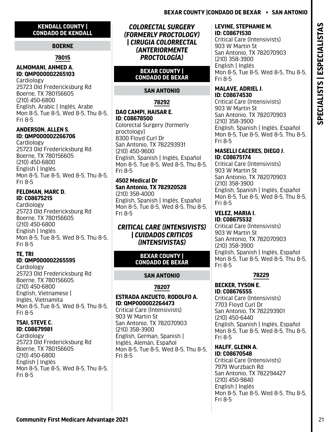# <span id="page-22-0"></span>**KENDALL COUNTY | CONDADO DE KENDALL**

# **BOERNE**

# **78015**

# **ALMOMANI, AHMED A. ID: QMP000002265103**

Cardiology 25723 Old Fredericksburg Rd Boerne, TX 780156605 (210) 450-6800 English, Arabic | Inglés, Árabe Mon 8-5, Tue 8-5, Wed 8-5, Thu 8-5, Fri 8-5

# **ANDERSON, ALLEN S. ID: QMP000002266706**

**Cardiology** 25723 Old Fredericksburg Rd Boerne, TX 780156605 (210) 450-6800 English | Inglés Mon 8-5, Tue 8-5, Wed 8-5, Thu 8-5, Fri 8-5

# **FELDMAN, MARC D. ID: C08675215**

Cardiology 25723 Old Fredericksburg Rd Boerne, TX 780156605 (210) 450-6800 English | Inglés Mon 8-5, Tue 8-5, Wed 8-5, Thu 8-5, Fri 8-5

# **TE, TRI ID: QMP000002265595**

Cardiology 25723 Old Fredericksburg Rd Boerne, TX 780156605 (210) 450-6800 English, Vietnamese | Inglés, Vietnamita Mon 8-5, Tue 8-5, Wed 8-5, Thu 8-5, Fri 8-5

#### **TSAI, STEVE C. ID: C08679981**

**Cardiology** 25723 Old Fredericksburg Rd Boerne, TX 780156605 (210) 450-6800 English | Inglés Mon 8-5, Tue 8-5, Wed 8-5, Thu 8-5, Fri 8-5

*COLORECTAL SURGERY (FORMERLY PROCTOLOGY) | CIRUGIA COLORRECTAL (ANTERIORMENTE PROCTOLOGÍA)*

# **BEXAR COUNTY | CONDADO DE BEXAR**

# **SAN ANTONIO**

# **78292**

# **DAO CAMPI, HAISAR E. ID: C08678500**

Colorectal Surgery (formerly proctology) 8300 Floyd Curl Dr San Antonio, TX 782293931 (210) 450-9600 English, Spanish | Inglés, Español Mon 8-5, Tue 8-5, Wed 8-5, Thu 8-5, Fri 8-5

#### **4502 Medical Dr San Antonio, TX 782920528** (210) 358-4000

English, Spanish | Inglés, Español Mon 8-5, Tue 8-5, Wed 8-5, Thu 8-5, Fri 8-5

# *CRITICAL CARE (INTENSIVISTS) | CUIDADOS CRITICOS (INTENSIVISTAS)*

# **BEXAR COUNTY | CONDADO DE BEXAR**

# **SAN ANTONIO**

# **78207**

### **ESTRADA ANZUETO, RODOLFO A. ID: QMP000002264473** Critical Care (Intensivists)

903 W Martin St San Antonio, TX 782070903 (210) 358-3900 English, German, Spanish | Inglés, Alemán, Español Mon 8-5, Tue 8-5, Wed 8-5, Thu 8-5, Fri 8-5

# **LEVINE, STEPHANIE M. ID: C08671530**

Critical Care (Intensivists) 903 W Martin St San Antonio, TX 782070903 (210) 358-3900 English | Inglés Mon 8-5, Tue 8-5, Wed 8-5, Thu 8-5, Fri 8-5

#### **MALAVE, ADRIEL J. ID: C08674530**

Critical Care (Intensivists) 903 W Martin St San Antonio, TX 782070903 (210) 358-3900 English, Spanish | Inglés, Español Mon 8-5, Tue 8-5, Wed 8-5, Thu 8-5, Fri 8-5

### **MASELLI CACERES, DIEGO J. ID: C08675174**

Critical Care (Intensivists) 903 W Martin St San Antonio, TX 782070903 (210) 358-3900 English, Spanish | Inglés, Español Mon 8-5, Tue 8-5, Wed 8-5, Thu 8-5, Fri 8-5

# **VELEZ, MARIA I.**

**ID: C08675532**  Critical Care (Intensivists) 903 W Martin St San Antonio, TX 782070903 (210) 358-3900 English, Spanish | Inglés, Español Mon 8-5, Tue 8-5, Wed 8-5, Thu 8-5, Fri 8-5

# **78229**

#### **BECKER, TYSON E. ID: C08676555**

Critical Care (Intensivists) 7703 Floyd Curl Dr San Antonio, TX 782293901 (210) 450-6440 English, Spanish | Inglés, Español Mon 8-5, Tue 8-5, Wed 8-5, Thu 8-5, Fri 8-5

#### **HALFF, GLENN A. ID: C08670548**

Critical Care (Intensivists) 7979 Wurzbach Rd San Antonio, TX 782294427 (210) 450-9840 English | Inglés Mon 8-5, Tue 8-5, Wed 8-5, Thu 8-5, Fri 8-5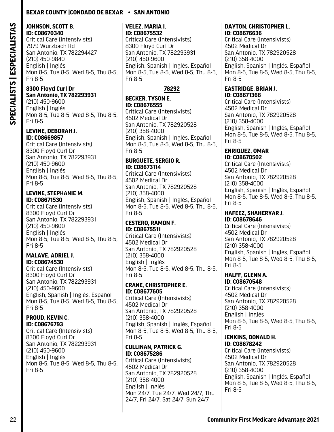#### **JOHNSON, SCOTT B. ID: C08670340**

Critical Care (Intensivists) 7979 Wurzbach Rd San Antonio, TX 782294427 (210) 450-9840 English | Inglés Mon 8-5, Tue 8-5, Wed 8-5, Thu 8-5, Fri 8-5

### **8300 Floyd Curl Dr San Antonio, TX 782293931**

(210) 450-9600 English | Inglés Mon 8-5, Tue 8-5, Wed 8-5, Thu 8-5, Fri 8-5

### **LEVINE, DEBORAH J. ID: C08669857**

Critical Care (Intensivists) 8300 Floyd Curl Dr San Antonio, TX 782293931 (210) 450-9600 English | Inglés Mon 8-5, Tue 8-5, Wed 8-5, Thu 8-5, Fri 8-5

#### **LEVINE, STEPHANIE M. ID: C08671530**

Critical Care (Intensivists) 8300 Floyd Curl Dr San Antonio, TX 782293931 (210) 450-9600 English | Inglés Mon 8-5, Tue 8-5, Wed 8-5, Thu 8-5, Fri 8-5

### **MALAVE, ADRIEL J. ID: C08674530**

Critical Care (Intensivists) 8300 Floyd Curl Dr San Antonio, TX 782293931 (210) 450-9600 English, Spanish | Inglés, Español Mon 8-5, Tue 8-5, Wed 8-5, Thu 8-5, Fri 8-5

#### **PROUD, KEVIN C. ID: C08676793**

Critical Care (Intensivists) 8300 Floyd Curl Dr San Antonio, TX 782293931 (210) 450-9600 English | Inglés Mon 8-5, Tue 8-5, Wed 8-5, Thu 8-5, Fri 8-5

#### **VELEZ, MARIA I. ID: C08675532**

Critical Care (Intensivists) 8300 Floyd Curl Dr San Antonio, TX 782293931 (210) 450-9600 English, Spanish | Inglés, Español Mon 8-5, Tue 8-5, Wed 8-5, Thu 8-5, Fri 8-5

# **78292**

# **BECKER, TYSON E. ID: C08676555**

Critical Care (Intensivists) 4502 Medical Dr San Antonio, TX 782920528 (210) 358-4000 English, Spanish | Inglés, Español Mon 8-5, Tue 8-5, Wed 8-5, Thu 8-5, Fri 8-5

# **BURGUETE, SERGIO R. ID: C08673114**

Critical Care (Intensivists) 4502 Medical Dr San Antonio, TX 782920528 (210) 358-4000 English, Spanish | Inglés, Español Mon 8-5, Tue 8-5, Wed 8-5, Thu 8-5, Fri 8-5

#### **CESTERO, RAMON F. ID: C08675511**

Critical Care (Intensivists) 4502 Medical Dr San Antonio, TX 782920528 (210) 358-4000 English | Inglés Mon 8-5, Tue 8-5, Wed 8-5, Thu 8-5, Fri 8-5

### **CRANE, CHRISTOPHER E. ID: C08677605**

Critical Care (Intensivists) 4502 Medical Dr San Antonio, TX 782920528 (210) 358-4000 English, Spanish | Inglés, Español Mon 8-5, Tue 8-5, Wed 8-5, Thu 8-5, Fri 8-5

### **CULLINAN, PATRICK G. ID: C08675286**

Critical Care (Intensivists) 4502 Medical Dr San Antonio, TX 782920528 (210) 358-4000 English | Inglés Mon 24/7, Tue 24/7, Wed 24/7, Thu 24/7, Fri 24/7, Sat 24/7, Sun 24/7

#### **DAYTON, CHRISTOPHER L. ID: C08676636**

Critical Care (Intensivists) 4502 Medical Dr San Antonio, TX 782920528 (210) 358-4000 English, Spanish | Inglés, Español Mon 8-5, Tue 8-5, Wed 8-5, Thu 8-5, Fri 8-5

#### **EASTRIDGE, BRIAN J. ID: C08671368**

Critical Care (Intensivists) 4502 Medical Dr San Antonio, TX 782920528 (210) 358-4000 English, Spanish | Inglés, Español Mon 8-5, Tue 8-5, Wed 8-5, Thu 8-5, Fri 8-5

#### **ENRIQUEZ, OMAR ID: C08670502**

Critical Care (Intensivists) 4502 Medical Dr San Antonio, TX 782920528 (210) 358-4000 English, Spanish | Inglés, Español Mon 8-5, Tue 8-5, Wed 8-5, Thu 8-5, Fri 8-5

#### **HAFEEZ, SHAHERYAR J. ID: C08678646**

Critical Care (Intensivists) 4502 Medical Dr San Antonio, TX 782920528 (210) 358-4000 English, Spanish | Inglés, Español Mon 8-5, Tue 8-5, Wed 8-5, Thu 8-5, Fri 8-5

#### **HALFF, GLENN A. ID: C08670548**

Critical Care (Intensivists) 4502 Medical Dr San Antonio, TX 782920528 (210) 358-4000 English | Inglés Mon 8-5, Tue 8-5, Wed 8-5, Thu 8-5, Fri 8-5

#### **JENKINS, DONALD H. ID: C08678242**

Critical Care (Intensivists) 4502 Medical Dr San Antonio, TX 782920528 (210) 358-4000 English, Spanish | Inglés, Español Mon 8-5, Tue 8-5, Wed 8-5, Thu 8-5, Fri 8-5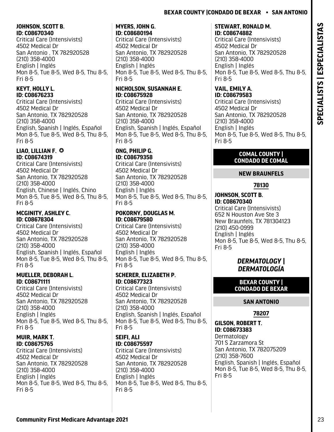# <span id="page-24-0"></span>**JOHNSON, SCOTT B. ID: C08670340**

Critical Care (Intensivists) 4502 Medical Dr San Antonio , TX 782920528 (210) 358-4000 English | Inglés Mon 8-5, Tue 8-5, Wed 8-5, Thu 8-5, Fri 8-5

# **KEYT, HOLLY L. ID: C08676233**

Critical Care (Intensivists) 4502 Medical Dr San Antonio, TX 782920528 (210) 358-4000 English, Spanish | Inglés, Español Mon 8-5, Tue 8-5, Wed 8-5, Thu 8-5, Fri 8-5

### **LIAO, LILLIAN F. © ID: C08674319**

Critical Care (Intensivists) 4502 Medical Dr San Antonio, TX 782920528 (210) 358-4000 English, Chinese | Inglés, Chino Mon 8-5, Tue 8-5, Wed 8-5, Thu 8-5, Fri 8-5

# **MCGINITY, ASHLEY C. ID: C08678304**

Critical Care (Intensivists) 4502 Medical Dr San Antonio, TX 782920528 (210) 358-4000 English, Spanish | Inglés, Español Mon 8-5, Tue 8-5, Wed 8-5, Thu 8-5, Fri 8-5

# **MUELLER, DEBORAH L. ID: C08671111**

Critical Care (Intensivists) 4502 Medical Dr San Antonio, TX 782920528 (210) 358-4000 English | Inglés Mon 8-5, Tue 8-5, Wed 8-5, Thu 8-5, Fri 8-5

### **MUIR, MARK T. ID: C08675765**

Critical Care (Intensivists) 4502 Medical Dr San Antonio, TX 782920528 (210) 358-4000 English | Inglés Mon 8-5, Tue 8-5, Wed 8-5, Thu 8-5, Fri 8-5

# **MYERS, JOHN G. ID: C08680194**

Critical Care (Intensivists) 4502 Medical Dr San Antonio, TX 782920528 (210) 358-4000 English | Inglés Mon 8-5, Tue 8-5, Wed 8-5, Thu 8-5, Fri 8-5

# **NICHOLSON, SUSANNAH E. ID: C08675928**

Critical Care (Intensivists) 4502 Medical Dr San Antonio, TX 782920528 (210) 358-4000 English, Spanish | Inglés, Español Mon 8-5, Tue 8-5, Wed 8-5, Thu 8-5, Fri 8-5

#### **ONG, PHILIP G. ID: C08679358**

Critical Care (Intensivists) 4502 Medical Dr San Antonio, TX 782920528 (210) 358-4000 English | Inglés Mon 8-5, Tue 8-5, Wed 8-5, Thu 8-5, Fri 8-5

# **POKORNY, DOUGLAS M. ID: C08679580**

Critical Care (Intensivists) 4502 Medical Dr San Antonio, TX 782920528 (210) 358-4000 English | Inglés Mon 8-5, Tue 8-5, Wed 8-5, Thu 8-5, Fri 8-5

# **SCHERER, ELIZABETH P. ID: C08677323**

Critical Care (Intensivists) 4502 Medical Dr San Antonio, TX 782920528 (210) 358-4000 English, Spanish | Inglés, Español Mon 8-5, Tue 8-5, Wed 8-5, Thu 8-5, Fri 8-5

#### **SEIFI, ALI ID: C08675597**

Critical Care (Intensivists) 4502 Medical Dr San Antonio, TX 782920528 (210) 358-4000 English | Inglés Mon 8-5, Tue 8-5, Wed 8-5, Thu 8-5, Fri 8-5

# **STEWART, RONALD M. ID: C08674882**

Critical Care (Intensivists) 4502 Medical Dr San Antonio, TX 782920528 (210) 358-4000 English | Inglés Mon 8-5, Tue 8-5, Wed 8-5, Thu 8-5, Fri 8-5

#### **VAIL, EMILY A. ID: C08679583**

Critical Care (Intensivists) 4502 Medical Dr San Antonio, TX 782920528 (210) 358-4000 English | Inglés Mon 8-5, Tue 8-5, Wed 8-5, Thu 8-5, Fri 8-5

# **COMAL COUNTY | CONDADO DE COMAL**

# **NEW BRAUNFELS**

# **78130**

**JOHNSON, SCOTT B. ID: C08670340**  Critical Care (Intensivists) 652 N Houston Ave Ste 3 New Braunfels, TX 781304123 (210) 450-0999 English | Inglés Mon 8-5, Tue 8-5, Wed 8-5, Thu 8-5, Fri 8-5

# *DERMATOLOGY | DERMATOLOGÍA*

**BEXAR COUNTY | CONDADO DE BEXAR**

# **SAN ANTONIO**

**78207**

**GILSON, ROBERT T. ID: C08673383** Dermatology 701 S Zarzamora St San Antonio, TX 782075209 (210) 358-7600 English, Spanish | Inglés, Español Mon 8-5, Tue 8-5, Wed 8-5, Thu 8-5, Fri 8-5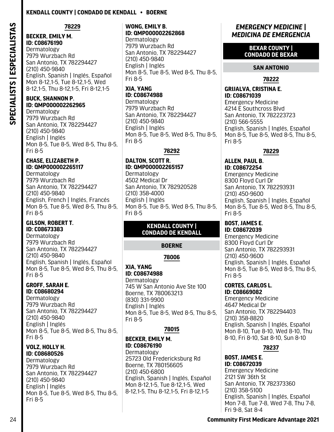# **Kendall County | Condado De Kendall • Boerne**

<span id="page-25-0"></span>SPECIALISTS | ESPECIALISTAS **SPECIALISTS | ESPECIALISTAS**

# **78229**

San Antonio, TX 782294427 English, Spanish | Inglés, Español Mon 8-12,1-5, Tue 8-12,1-5, Wed 8-12,1-5, Thu 8-12,1-5, Fri 8-12,1-5

# **ID: QMP000002262965**

7979 Wurzbach Rd San Antonio, TX 782294427 (210) 450-9840 English | Inglés Mon 8-5, Tue 8-5, Wed 8-5, Thu 8-5, Fri 8-5

### **CHASE, ELIZABETH P. ID: QMP000002265117**

Dermatology 7979 Wurzbach Rd San Antonio, TX 782294427 (210) 450-9840 English, French | Inglés, Francés Mon 8-5, Tue 8-5, Wed 8-5, Thu 8-5, Fri 8-5

#### **GILSON, ROBERT T. ID: C08673383**

Dermatology 7979 Wurzbach Rd San Antonio, TX 782294427 (210) 450-9840 English, Spanish | Inglés, Español Mon 8-5, Tue 8-5, Wed 8-5, Thu 8-5, Fri 8-5

#### **GROFF, SARAH E. ID: C08680294**

Dermatology 7979 Wurzbach Rd San Antonio, TX 782294427 (210) 450-9840 English | Inglés Mon 8-5, Tue 8-5, Wed 8-5, Thu 8-5, Fri 8-5

#### **VOLZ, HOLLY H. ID: C08680526**

Dermatology 7979 Wurzbach Rd San Antonio, TX 782294427 (210) 450-9840 English | Inglés Mon 8-5, Tue 8-5, Wed 8-5, Thu 8-5, Fri 8-5

#### **WONG, EMILY B. ID: QMP000002262868** Dermatology

7979 Wurzbach Rd San Antonio, TX 782294427 (210) 450-9840 English | Inglés Mon 8-5, Tue 8-5, Wed 8-5, Thu 8-5, Fri 8-5

#### **XIA, YANG ID: C08674988**

Dermatology 7979 Wurzbach Rd San Antonio, TX 782294427 (210) 450-9840 English | Inglés Mon 8-5, Tue 8-5, Wed 8-5, Thu 8-5, Fri 8-5

# **78292**

# **DALTON, SCOTT R. ID: QMP000002265157**

Dermatology 4502 Medical Dr San Antonio, TX 782920528 (210) 358-4000 English | Inglés Mon 8-5, Tue 8-5, Wed 8-5, Thu 8-5, Fri 8-5

### **KENDALL COUNTY | CONDADO DE KENDALL**

# **BOERNE**

# **78006**

#### **XIA, YANG ID: C08674988**  Dermatology

745 W San Antonio Ave Ste 100 Boerne, TX 780063213 (830) 331-9900 English | Inglés Mon 8-5, Tue 8-5, Wed 8-5, Thu 8-5, Fri 8-5

# **78015**

#### **BECKER, EMILY M. ID: C08676190**

**Dermatology** 25723 Old Fredericksburg Rd Boerne, TX 780156605 (210) 450-6800 English, Spanish | Inglés, Español Mon 8-12,1-5, Tue 8-12,1-5, Wed 8-12,1-5, Thu 8-12,1-5, Fri 8-12,1-5

# *EMERGENCY MEDICINE | MEDICINA DE EMERGENCIA*

#### **BEXAR COUNTY | CONDADO DE BEXAR**

# **SAN ANTONIO**

# **78222**

# **GRIJALVA, CRISTINA E. ID: C08671039**

Emergency Medicine 4214 E Southcross Blvd San Antonio, TX 782223723 (210) 566-5555 English, Spanish | Inglés, Español Mon 8-5, Tue 8-5, Wed 8-5, Thu 8-5, Fri 8-5

# **78229**

#### **ALLEN, PAUL B. ID: C08672254**  Emergency Medicine

8300 Floyd Curl Dr San Antonio, TX 782293931 (210) 450-9600 English, Spanish | Inglés, Español Mon 8-5, Tue 8-5, Wed 8-5, Thu 8-5, Fri 8-5

#### **BOST, JAMES E. ID: C08672039**

Emergency Medicine 8300 Floyd Curl Dr San Antonio, TX 782293931 (210) 450-9600 English, Spanish | Inglés, Español Mon 8-5, Tue 8-5, Wed 8-5, Thu 8-5, Fri 8-5

# **CORTES, CARLOS L.**

**ID: C08669082**  Emergency Medicine 4647 Medical Dr San Antonio, TX 782294403 (210) 358-8820 English, Spanish | Inglés, Español Mon 8-10, Tue 8-10, Wed 8-10, Thu 8-10, Fri 8-10, Sat 8-10, Sun 8-10

# **78237**

#### **BOST, JAMES E. ID: C08672039**  Emergency Medicine 2121 SW 36th St San Antonio, TX 782373360 (210) 358-5100 English, Spanish | Inglés, Español Mon 7-8, Tue 7-8, Wed 7-8, Thu 7-8, Fri 9-8, Sat 8-4

# 24 **Community First Medicare Advantage 2021**

**BECKER, EMILY M. ID: C08676190**  Dermatology 7979 Wurzbach Rd (210) 450-9840 **BUCK, SHANNON P.** Dermatology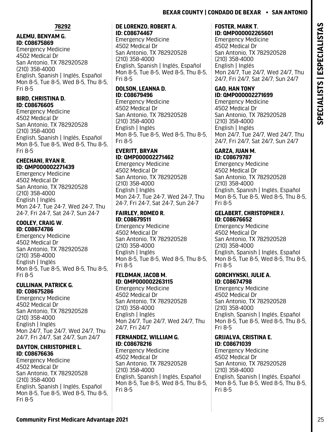#### **78292**

#### **ALEMU, BENYAM G. ID: C08675869**

Emergency Medicine 4502 Medical Dr San Antonio, TX 782920528 (210) 358-4000 English, Spanish | Inglés, Español Mon 8-5, Tue 8-5, Wed 8-5, Thu 8-5, Fri 8-5

#### **BIRD, CHRISTINA D. ID: C08676605**

Emergency Medicine 4502 Medical Dr San Antonio, TX 782920528 (210) 358-4000 English, Spanish | Inglés, Español Mon 8-5, Tue 8-5, Wed 8-5, Thu 8-5, Fri 8-5

### **CHECHANI, RYAN R. ID: QMP000002271439**

Emergency Medicine 4502 Medical Dr San Antonio, TX 782920528 (210) 358-4000 English | Inglés Mon 24-7, Tue 24-7, Wed 24-7, Thu 24-7, Fri 24-7, Sat 24-7, Sun 24-7

#### **COOLEY, CRAIG W. ID: C08674786**

Emergency Medicine 4502 Medical Dr San Antonio, TX 782920528 (210) 358-4000 English | Inglés Mon 8-5, Tue 8-5, Wed 8-5, Thu 8-5, Fri 8-5

#### **CULLINAN, PATRICK G. ID: C08675286**

Emergency Medicine 4502 Medical Dr San Antonio, TX 782920528 (210) 358-4000 English | Inglés Mon 24/7, Tue 24/7, Wed 24/7, Thu 24/7, Fri 24/7, Sat 24/7, Sun 24/7

**DAYTON, CHRISTOPHER L. ID: C08676636**  Emergency Medicine 4502 Medical Dr San Antonio, TX 782920528 (210) 358-4000 English, Spanish | Inglés, Español

Fri 8-5

Mon 8-5, Tue 8-5, Wed 8-5, Thu 8-5,

#### **DE LORENZO, ROBERT A. ID: C08674467**

Emergency Medicine 4502 Medical Dr San Antonio, TX 782920528 (210) 358-4000 English, Spanish | Inglés, Español Mon 8-5, Tue 8-5, Wed 8-5, Thu 8-5, Fri 8-5

# **DOLSON, LEANNA D. ID: C08679496**

Emergency Medicine 4502 Medical Dr San Antonio, TX 782920528 (210) 358-4000 English | Inglés Mon 8-5, Tue 8-5, Wed 8-5, Thu 8-5, Fri 8-5

### **EVERITT, BRYAN ID: QMP000002271462**

Emergency Medicine 4502 Medical Dr San Antonio, TX 782920528 (210) 358-4000 English | Inglés Mon 24-7, Tue 24-7, Wed 24-7, Thu 24-7, Fri 24-7, Sat 24-7, Sun 24-7

# **FAIRLEY, ROMEO R. ID: C08679511**

Emergency Medicine 4502 Medical Dr San Antonio, TX 782920528 (210) 358-4000 English | Inglés Mon 8-5, Tue 8-5, Wed 8-5, Thu 8-5, Fri 8-5

### **FELDMAN, JACOB M. ID: QMP000002263115**

Emergency Medicine 4502 Medical Dr San Antonio, TX 782920528 (210) 358-4000 English | Inglés Mon 24/7, Tue 24/7, Wed 24/7, Thu 24/7, Fri 24/7

### **FERNANDEZ, WILLIAM G. ID: C08678216**

Emergency Medicine 4502 Medical Dr San Antonio, TX 782920528 (210) 358-4000 English, Spanish | Inglés, Español Mon 8-5, Tue 8-5, Wed 8-5, Thu 8-5, Fri 8-5

#### **FOSTER, MARK T. ID: QMP000002265601**

Emergency Medicine 4502 Medical Dr San Antonio, TX 782920528 (210) 358-4000 English | Inglés Mon 24/7, Tue 24/7, Wed 24/7, Thu 24/7, Fri 24/7, Sat 24/7, Sun 24/7

#### **GAO, HAN TONY ID: QMP000002271699**

Emergency Medicine 4502 Medical Dr San Antonio, TX 782920528 (210) 358-4000 English | Inglés Mon 24/7, Tue 24/7, Wed 24/7, Thu 24/7, Fri 24/7, Sat 24/7, Sun 24/7

#### **GARZA, JUAN M. ID: C08679787**

Emergency Medicine 4502 Medical Dr San Antonio, TX 782920528 (210) 358-4000 English, Spanish | Inglés, Español Mon 8-5, Tue 8-5, Wed 8-5, Thu 8-5, Fri 8-5

#### **GELABERT, CHRISTOPHER J. ID: C08676652**

Emergency Medicine 4502 Medical Dr San Antonio, TX 782920528 (210) 358-4000 English, Spanish | Inglés, Español Mon 8-5, Tue 8-5, Wed 8-5, Thu 8-5, Fri 8-5

#### **GORCHYNSKI, JULIE A. ID: C08674798**

Emergency Medicine 4502 Medical Dr San Antonio, TX 782920528 (210) 358-4000 English, Spanish | Inglés, Español Mon 8-5, Tue 8-5, Wed 8-5, Thu 8-5, Fri 8-5

#### **GRIJALVA, CRISTINA E. ID: C08671039**

Emergency Medicine 4502 Medical Dr San Antonio, TX 782920528 (210) 358-4000 English, Spanish | Inglés, Español Mon 8-5, Tue 8-5, Wed 8-5, Thu 8-5, Fri 8-5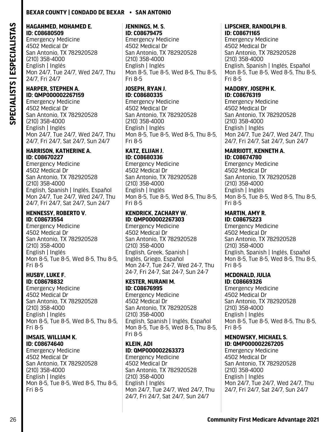#### **HAGAHMED, MOHAMED E. ID: C08680509**

Emergency Medicine 4502 Medical Dr San Antonio, TX 782920528 (210) 358-4000 English | Inglés Mon 24/7, Tue 24/7, Wed 24/7, Thu 24/7, Fri 24/7

#### **HARPER, STEPHEN A. ID: QMP000002267159**

Emergency Medicine 4502 Medical Dr San Antonio, TX 782920528 (210) 358-4000 English | Inglés Mon 24/7, Tue 24/7, Wed 24/7, Thu 24/7, Fri 24/7, Sat 24/7, Sun 24/7

#### **HARRISON, KATHERINE A. ID: C08670227**

Emergency Medicine 4502 Medical Dr San Antonio, TX 782920528 (210) 358-4000 English, Spanish | Inglés, Español Mon 24/7, Tue 24/7, Wed 24/7, Thu 24/7, Fri 24/7, Sat 24/7, Sun 24/7

#### **HENNESSY, ROBERTO V. ID: C08673554**

Emergency Medicine 4502 Medical Dr San Antonio, TX 782920528 (210) 358-4000 English | Inglés Mon 8-5, Tue 8-5, Wed 8-5, Thu 8-5, Fri 8-5

#### **HUSBY, LUKE F. ID: C08678832**

Emergency Medicine 4502 Medical Dr San Antonio, TX 782920528 (210) 358-4000 English | Inglés Mon 8-5, Tue 8-5, Wed 8-5, Thu 8-5, Fri 8-5

#### **IMSAIS, WILLIAM K. ID: C08674640**

Emergency Medicine 4502 Medical Dr San Antonio, TX 782920528 (210) 358-4000 English | Inglés Mon 8-5, Tue 8-5, Wed 8-5, Thu 8-5, Fri 8-5

#### **JENNINGS, M. S. ID: C08679475**

Emergency Medicine 4502 Medical Dr San Antonio, TX 782920528 (210) 358-4000 English | Inglés Mon 8-5, Tue 8-5, Wed 8-5, Thu 8-5, Fri 8-5

# **JOSEPH, RYAN J. ID: C08680335**

Emergency Medicine 4502 Medical Dr San Antonio, TX 782920528 (210) 358-4000 English | Inglés Mon 8-5, Tue 8-5, Wed 8-5, Thu 8-5, Fri 8-5

#### **KATZ, ELIJAH J. ID: C08680336**

Emergency Medicine 4502 Medical Dr San Antonio, TX 782920528 (210) 358-4000 English | Inglés Mon 8-5, Tue 8-5, Wed 8-5, Thu 8-5, Fri 8-5

### **KENDRICK, ZACHARY W. ID: QMP000002267303**

Emergency Medicine 4502 Medical Dr San Antonio, TX 782920528 (210) 358-4000 English, Greek, Spanish | Inglés, Griego, Español Mon 24-7, Tue 24-7, Wed 24-7, Thu 24-7, Fri 24-7, Sat 24-7, Sun 24-7

# **KESTER, NURANI M. ID: C08676995**

Emergency Medicine 4502 Medical Dr San Antonio, TX 782920528 (210) 358-4000 English, Spanish | Inglés, Español Mon 8-5, Tue 8-5, Wed 8-5, Thu 8-5, Fri 8-5

# **KLEIN, ADI ID: QMP000002263373**

Emergency Medicine 4502 Medical Dr San Antonio, TX 782920528 (210) 358-4000 English | Inglés Mon 24/7, Tue 24/7, Wed 24/7, Thu 24/7, Fri 24/7, Sat 24/7, Sun 24/7

### **LIPSCHER, RANDOLPH B. ID: C08671165**

Emergency Medicine 4502 Medical Dr San Antonio, TX 782920528 (210) 358-4000 English, Spanish | Inglés, Español Mon 8-5, Tue 8-5, Wed 8-5, Thu 8-5, Fri 8-5

#### **MADDRY, JOSEPH K. ID: C08676319**

Emergency Medicine 4502 Medical Dr San Antonio, TX 782920528 (210) 358-4000 English | Inglés Mon 24/7, Tue 24/7, Wed 24/7, Thu 24/7, Fri 24/7, Sat 24/7, Sun 24/7

# **MARRIOTT, KENNETH A.**

**ID: C08674780**  Emergency Medicine 4502 Medical Dr San Antonio, TX 782920528 (210) 358-4000 English | Inglés Mon 8-5, Tue 8-5, Wed 8-5, Thu 8-5, Fri 8-5

# **MARTIN, AMY R.**

**ID: C08675223**  Emergency Medicine 4502 Medical Dr San Antonio, TX 782920528 (210) 358-4000 English, Spanish | Inglés, Español Mon 8-5, Tue 8-5, Wed 8-5, Thu 8-5, Fri 8-5

#### **MCDONALD, JULIA ID: C08669326**

Emergency Medicine 4502 Medical Dr San Antonio, TX 782920528 (210) 358-4000 English | Inglés Mon 8-5, Tue 8-5, Wed 8-5, Thu 8-5, Fri 8-5

#### **MENOWSKY, MICHAEL S. ID: QMP000002267205**

Emergency Medicine 4502 Medical Dr San Antonio, TX 782920528 (210) 358-4000 English | Inglés Mon 24/7, Tue 24/7, Wed 24/7, Thu 24/7, Fri 24/7, Sat 24/7, Sun 24/7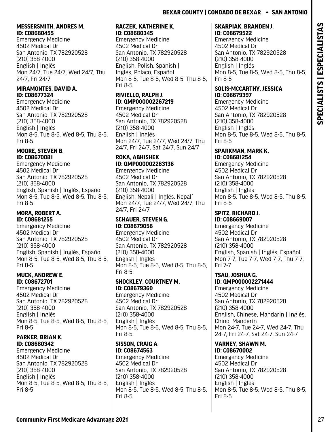# **MESSERSMITH, ANDRES M. ID: C08680455**

Emergency Medicine 4502 Medical Dr San Antonio, TX 782920528 (210) 358-4000 English | Inglés Mon 24/7, Tue 24/7, Wed 24/7, Thu 24/7, Fri 24/7

#### **MIRAMONTES, DAVID A. ID: C08677324**

Emergency Medicine 4502 Medical Dr San Antonio, TX 782920528 (210) 358-4000 English | Inglés Mon 8-5, Tue 8-5, Wed 8-5, Thu 8-5, Fri 8-5

### **MOORE, STEVEN B. ID: C08670081**

Emergency Medicine 4502 Medical Dr San Antonio, TX 782920528 (210) 358-4000 English, Spanish | Inglés, Español Mon 8-5, Tue 8-5, Wed 8-5, Thu 8-5, Fri 8-5

**MORA, ROBERT A. ID: C08681255**  Emergency Medicine 4502 Medical Dr San Antonio, TX 782920528 (210) 358-4000 English, Spanish | Inglés, Español Mon 8-5, Tue 8-5, Wed 8-5, Thu 8-5, Fri 8-5

# **MUCK, ANDREW E. ID: C08672701**

Emergency Medicine 4502 Medical Dr San Antonio, TX 782920528 (210) 358-4000 English | Inglés Mon 8-5, Tue 8-5, Wed 8-5, Thu 8-5, Fri 8-5

### **PARKER, BRIAN K. ID: C08680342**

Emergency Medicine 4502 Medical Dr San Antonio, TX 782920528 (210) 358-4000 English | Inglés Mon 8-5, Tue 8-5, Wed 8-5, Thu 8-5, Fri 8-5

#### **RACZEK, KATHERINE K. ID: C08680345**

Emergency Medicine 4502 Medical Dr San Antonio, TX 782920528 (210) 358-4000 English, Polish, Spanish | Inglés, Polaco, Español Mon 8-5, Tue 8-5, Wed 8-5, Thu 8-5, Fri 8-5

# **RIVIELLO, RALPH J. ID: QMP000002267219**

Emergency Medicine 4502 Medical Dr San Antonio, TX 782920528 (210) 358-4000 English | Inglés Mon 24/7, Tue 24/7, Wed 24/7, Thu 24/7, Fri 24/7, Sat 24/7, Sun 24/7

# **ROKA, ABHISHEK ID: QMP000002263136**

Emergency Medicine 4502 Medical Dr San Antonio, TX 782920528 (210) 358-4000 English, Nepali | Inglés, Nepalí Mon 24/7, Tue 24/7, Wed 24/7, Thu 24/7, Fri 24/7

# **SCHAUER, STEVEN G. ID: C08679058**

Emergency Medicine 4502 Medical Dr San Antonio, TX 782920528 (210) 358-4000 English | Inglés Mon 8-5, Tue 8-5, Wed 8-5, Thu 8-5, Fri 8-5

# **SHOCKLEY, COURTNEY M. ID: C08679360**

Emergency Medicine 4502 Medical Dr San Antonio, TX 782920528 (210) 358-4000 English | Inglés Mon 8-5, Tue 8-5, Wed 8-5, Thu 8-5, Fri 8-5

#### **SISSON, CRAIG A. ID: C08674563**

Emergency Medicine 4502 Medical Dr San Antonio, TX 782920528 (210) 358-4000 English | Inglés Mon 8-5, Tue 8-5, Wed 8-5, Thu 8-5, Fri 8-5

# **SKARPIAK, BRANDEN J.**

**ID: C08679522**  Emergency Medicine 4502 Medical Dr San Antonio, TX 782920528 (210) 358-4000 English | Inglés Mon 8-5, Tue 8-5, Wed 8-5, Thu 8-5, Fri 8-5

# **SOLIS-MCCARTHY, JESSICA ID: C08679397**

Emergency Medicine 4502 Medical Dr San Antonio, TX 782920528 (210) 358-4000 English | Inglés Mon 8-5, Tue 8-5, Wed 8-5, Thu 8-5, Fri 8-5

#### **SPARKMAN, MARK K. ID: C08681254**

Emergency Medicine 4502 Medical Dr San Antonio, TX 782920528 (210) 358-4000 English | Inglés Mon 8-5, Tue 8-5, Wed 8-5, Thu 8-5, Fri 8-5

# **SPITZ, RICHARD J.**

**ID: C08669007**  Emergency Medicine 4502 Medical Dr San Antonio, TX 782920528 (210) 358-4000 English, Spanish | Inglés, Español Mon 7-7, Tue 7-7, Wed 7-7, Thu 7-7, Fri 7-7

# **TSAU, JOSHUA G.**

**ID: QMP000002271444** Emergency Medicine 4502 Medical Dr San Antonio, TX 782920528 (210) 358-4000 English, Chinese, Mandarin | Inglés, Chino, Mandarín Mon 24-7, Tue 24-7, Wed 24-7, Thu 24-7, Fri 24-7, Sat 24-7, Sun 24-7

# **VARNEY, SHAWN M.**

**ID: C08670002**  Emergency Medicine 4502 Medical Dr San Antonio, TX 782920528 (210) 358-4000 English | Inglés Mon 8-5, Tue 8-5, Wed 8-5, Thu 8-5, Fri 8-5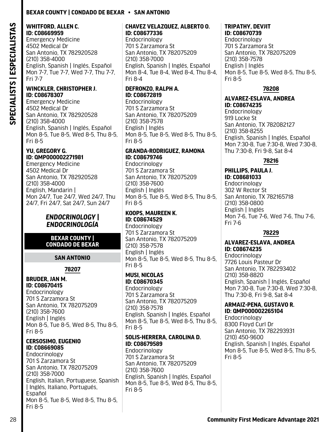#### <span id="page-29-0"></span>**WHITFORD, ALLEN C. ID: C08669959**

Emergency Medicine 4502 Medical Dr San Antonio, TX 782920528 (210) 358-4000 English, Spanish | Inglés, Español Mon 7-7, Tue 7-7, Wed 7-7, Thu 7-7, Fri 7-7

#### **WINCKLER, CHRISTOPHER J. ID: C08678307**

Emergency Medicine 4502 Medical Dr San Antonio, TX 782920528 (210) 358-4000 English, Spanish | Inglés, Español Mon 8-5, Tue 8-5, Wed 8-5, Thu 8-5, Fri 8-5

#### **YU, GREGORY G. ID: QMP000002271981**

Emergency Medicine 4502 Medical Dr San Antonio, TX 782920528 (210) 358-4000 English, Mandarin | Mon 24/7, Tue 24/7, Wed 24/7, Thu 24/7, Fri 24/7, Sat 24/7, Sun 24/7

### *ENDOCRINOLOGY | ENDOCRINOLOGÍA*

#### **BEXAR COUNTY | CONDADO DE BEXAR**

#### **SAN ANTONIO**

# **78207**

#### **BRUDER, JAN M. ID: C08670415**

Endocrinology 701 S Zarzamora St San Antonio, TX 782075209 (210) 358-7600 English | Inglés Mon 8-5, Tue 8-5, Wed 8-5, Thu 8-5, Fri 8-5

# **CERSOSIMO, EUGENIO ID: C08669085**

Endocrinology 701 S Zarzamora St San Antonio, TX 782075209 (210) 358-7000 English, Italian, Portuguese, Spanish | Inglés, Italiano, Portugués, Español Mon 8-5, Tue 8-5, Wed 8-5, Thu 8-5, Fri 8-5

#### **CHAVEZ VELAZQUEZ, ALBERTO O. ID: C08677336**

Endocrinology 701 S Zarzamora St San Antonio, TX 782075209 (210) 358-7000 English, Spanish | Inglés, Español Mon 8-4, Tue 8-4, Wed 8-4, Thu 8-4, Fri 8-4

# **DEFRONZO, RALPH A. ID: C08672819**

Endocrinology 701 S Zarzamora St San Antonio, TX 782075209 (210) 358-7578 English | Inglés Mon 8-5, Tue 8-5, Wed 8-5, Thu 8-5, Fri 8-5

#### **GRANDA-RODRIGUEZ, RAMONA ID: C08679746**

Endocrinology 701 S Zarzamora St San Antonio, TX 782075209 (210) 358-7600 English | Inglés Mon 8-5, Tue 8-5, Wed 8-5, Thu 8-5, Fri 8-5

#### **KOOPS, MAUREEN K. ID: C08674529**

Endocrinology 701 S Zarzamora St San Antonio, TX 782075209 (210) 358-7578 English | Inglés Mon 8-5, Tue 8-5, Wed 8-5, Thu 8-5, Fri 8-5

#### **MUSI, NICOLAS ID: C08670345**

Endocrinology 701 S Zarzamora St San Antonio, TX 782075209 (210) 358-7578 English, Spanish | Inglés, Español Mon 8-5, Tue 8-5, Wed 8-5, Thu 8-5, Fri 8-5

### **SOLIS-HERRERA, CAROLINA D. ID: C08679589**

Endocrinology 701 S Zarzamora St San Antonio, TX 782075209 (210) 358-7600 English, Spanish | Inglés, Español Mon 8-5, Tue 8-5, Wed 8-5, Thu 8-5, Fri 8-5

# **TRIPATHY, DEVJIT**

**ID: C08670739**  Endocrinology 701 S Zarzamora St San Antonio, TX 782075209 (210) 358-7578 English | Inglés Mon 8-5, Tue 8-5, Wed 8-5, Thu 8-5, Fri 8-5

# **78208**

**ALVAREZ-ESLAVA, ANDREA ID: C08674235**  Endocrinology 919 Locke St

San Antonio, TX 782082127 (210) 358-8255 English, Spanish | Inglés, Español Mon 7:30-8, Tue 7:30-8, Wed 7:30-8, Thu 7:30-8, Fri 9-8, Sat 8-4

# **78216**

**PHILLIPS, PAULA J. ID: C08681033**  Endocrinology 302 W Rector St San Antonio, TX 782165718 (210) 358-0800 English | Inglés Mon 7-6, Tue 7-6, Wed 7-6, Thu 7-6, Fri 7-6

# **78229**

**ALVAREZ-ESLAVA, ANDREA ID: C08674235** 

Endocrinology 7726 Louis Pasteur Dr San Antonio, TX 782293402 (210) 358-8820 English, Spanish | Inglés, Español Mon 7:30-8, Tue 7:30-8, Wed 7:30-8, Thu 7:30-8, Fri 9-8, Sat 8-4

#### **ARMAIZ-PENA, GUSTAVO R. ID: QMP000002265104**

Endocrinology 8300 Floyd Curl Dr San Antonio, TX 782293931 (210) 450-9600 English, Spanish | Inglés, Español Mon 8-5, Tue 8-5, Wed 8-5, Thu 8-5, Fri 8-5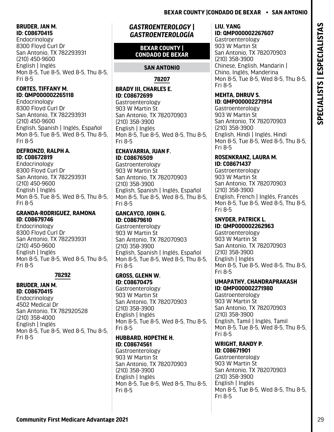#### <span id="page-30-0"></span>**BRUDER, JAN M. ID: C08670415**

Endocrinology 8300 Floyd Curl Dr San Antonio, TX 782293931 (210) 450-9600 English | Inglés Mon 8-5, Tue 8-5, Wed 8-5, Thu 8-5, Fri 8-5

### **CORTES, TIFFANY M. ID: QMP000002265118**

Endocrinology 8300 Floyd Curl Dr San Antonio, TX 782293931 (210) 450-9600 English, Spanish | Inglés, Español Mon 8-5, Tue 8-5, Wed 8-5, Thu 8-5, Fri 8-5

#### **DEFRONZO, RALPH A. ID: C08672819**

Endocrinology 8300 Floyd Curl Dr San Antonio, TX 782293931 (210) 450-9600 English | Inglés Mon 8-5, Tue 8-5, Wed 8-5, Thu 8-5, Fri 8-5

#### **GRANDA-RODRIGUEZ, RAMONA ID: C08679746**

Endocrinology 8300 Floyd Curl Dr San Antonio, TX 782293931 (210) 450-9600 English | Inglés Mon 8-5, Tue 8-5, Wed 8-5, Thu 8-5, Fri 8-5

# **78292**

# **BRUDER, JAN M.**

**ID: C08670415**  Endocrinology 4502 Medical Dr San Antonio, TX 782920528 (210) 358-4000 English | Inglés Mon 8-5, Tue 8-5, Wed 8-5, Thu 8-5, Fri 8-5

# *GASTROENTEROLOGY | GASTROENTEROLOGÍA*

# **BEXAR COUNTY | CONDADO DE BEXAR**

# **SAN ANTONIO**

**78207**

# **BRADY III, CHARLES E. ID: C08672699**

Gastroenterology 903 W Martin St San Antonio, TX 782070903 (210) 358-3900 English | Inglés Mon 8-5, Tue 8-5, Wed 8-5, Thu 8-5, Fri 8-5

#### **ECHAVARRIA, JUAN F. ID: C08676509**

Gastroenterology 903 W Martin St San Antonio, TX 782070903 (210) 358-3900 English, Spanish | Inglés, Español Mon 8-5, Tue 8-5, Wed 8-5, Thu 8-5, Fri 8-5

# **GANCAYCO, JOHN G. ID: C08679610**

Gastroenterology 903 W Martin St San Antonio, TX 782070903 (210) 358-3900 English, Spanish | Inglés, Español Mon 8-5, Tue 8-5, Wed 8-5, Thu 8-5, Fri 8-5

#### **GROSS, GLENN W. ID: C08670475**

Gastroenterology 903 W Martin St San Antonio, TX 782070903 (210) 358-3900 English | Inglés Mon 8-5, Tue 8-5, Wed 8-5, Thu 8-5, Fri 8-5

### **HUBBARD, HOPETHE H. ID: C08674561**

Gastroenterology 903 W Martin St San Antonio, TX 782070903 (210) 358-3900 English | Inglés Mon 8-5, Tue 8-5, Wed 8-5, Thu 8-5, Fri 8-5

# **LIU, YANG ID: QMP000002267607**

Gastroenterology 903 W Martin St San Antonio, TX 782070903 (210) 358-3900 Chinese, English, Mandarin | Chino, Inglés, Manderina Mon 8-5, Tue 8-5, Wed 8-5, Thu 8-5, Fri 8-5

# **MEHTA, DHRUV S. ID: QMP000002271914**

Gastroenterology 903 W Martin St San Antonio, TX 782070903 (210) 358-3900 English, Hindi | Inglés, Hindi Mon 8-5, Tue 8-5, Wed 8-5, Thu 8-5, Fri 8-5

### **ROSENKRANZ, LAURA M. ID: C08671437**

Gastroenterology 903 W Martin St San Antonio, TX 782070903 (210) 358-3900 English, French | Inglés, Francés Mon 8-5, Tue 8-5, Wed 8-5, Thu 8-5, Fri 8-5

#### **SNYDER, PATRICK L. ID: QMP000002262963**

Gastroenterology 903 W Martin St San Antonio, TX 782070903 (210) 358-3900 English | Inglés Mon 8-5, Tue 8-5, Wed 8-5, Thu 8-5, Fri 8-5

#### **UMAPATHY, CHANDRAPRAKASH ID: QMP000002271980**

Gastroenterology 903 W Martin St San Antonio, TX 782070903 (210) 358-3900 English, Tamil | Inglés, Tamil Mon 8-5, Tue 8-5, Wed 8-5, Thu 8-5, Fri 8-5

#### **WRIGHT, RANDY P. ID: C08671901**

Gastroenterology 903 W Martin St San Antonio, TX 782070903 (210) 358-3900 English | Inglés Mon 8-5, Tue 8-5, Wed 8-5, Thu 8-5, Fri 8-5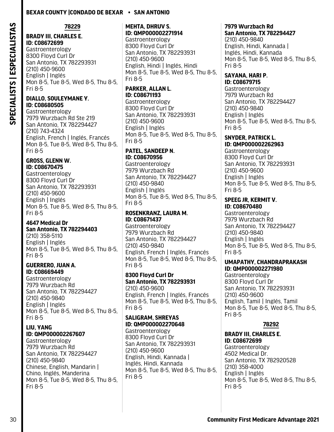SPECIALISTS | ESPECIALISTAS **SPECIALISTS | ESPECIALISTAS** **78229**

#### **BRADY III, CHARLES E. ID: C08672699**

Gastroenterology 8300 Floyd Curl Dr San Antonio, TX 782293931 (210) 450-9600 English | Inglés Mon 8-5, Tue 8-5, Wed 8-5, Thu 8-5, Fri 8-5

#### **DIALLO, SOULEYMANE Y. ID: C08680505**

Gastroenterology 7979 Wurzbach Rd Ste 219 San Antonio, TX 782294427 (210) 743-4324 English, French | Inglés, Francés Mon 8-5, Tue 8-5, Wed 8-5, Thu 8-5, Fri 8-5

### **GROSS, GLENN W. ID: C08670475**

Gastroenterology 8300 Floyd Curl Dr San Antonio, TX 782293931 (210) 450-9600 English | Inglés Mon 8-5, Tue 8-5, Wed 8-5, Thu 8-5, Fri 8-5

# **4647 Medical Dr**

**San Antonio, TX 782294403** (210) 358-5110 English | Inglés Mon 8-5, Tue 8-5, Wed 8-5, Thu 8-5,

#### **GUERRERO, JUAN A. ID: C08669449**

Fri 8-5

Gastroenterology 7979 Wurzbach Rd San Antonio, TX 782294427 (210) 450-9840 English | Inglés Mon 8-5, Tue 8-5, Wed 8-5, Thu 8-5, Fri 8-5

#### **LIU, YANG ID: QMP000002267607**

Gastroenterology 7979 Wurzbach Rd San Antonio, TX 782294427 (210) 450-9840 Chinese, English, Mandarin | Chino, Inglés, Manderina Mon 8-5, Tue 8-5, Wed 8-5, Thu 8-5, Fri 8-5

# **MEHTA, DHRUV S. ID: QMP000002271914**

Gastroenterology 8300 Floyd Curl Dr San Antonio, TX 782293931 (210) 450-9600 English, Hindi | Inglés, Hindi Mon 8-5, Tue 8-5, Wed 8-5, Thu 8-5, Fri 8-5

# **PARKER, ALLAN L. ID: C08671193**

Gastroenterology 8300 Floyd Curl Dr San Antonio, TX 782293931 (210) 450-9600 English | Inglés Mon 8-5, Tue 8-5, Wed 8-5, Thu 8-5, Fri 8-5

#### **PATEL, SANDEEP N. ID: C08670956**

Gastroenterology 7979 Wurzbach Rd San Antonio, TX 782294427 (210) 450-9840 English | Inglés Mon 8-5, Tue 8-5, Wed 8-5, Thu 8-5, Fri 8-5

# **ROSENKRANZ, LAURA M. ID: C08671437**

Gastroenterology 7979 Wurzbach Rd San Antonio, TX 782294427 (210) 450-9840 English, French | Inglés, Francés Mon 8-5, Tue 8-5, Wed 8-5, Thu 8-5, Fri 8-5

# **8300 Floyd Curl Dr San Antonio, TX 782293931** (210) 450-9600

English, French | Inglés, Francés Mon 8-5, Tue 8-5, Wed 8-5, Thu 8-5, Fri 8-5

# **SALIGRAM, SHREYAS ID: QMP000002270648**

Gastroenterology 8300 Floyd Curl Dr San Antonio, TX 782293931 (210) 450-9600 English, Hindi, Kannada | Inglés, Hindi, Kannada Mon 8-5, Tue 8-5, Wed 8-5, Thu 8-5, Fri 8-5

# **7979 Wurzbach Rd San Antonio, TX 782294427**

(210) 450-9840 English, Hindi, Kannada | Inglés, Hindi, Kannada Mon 8-5, Tue 8-5, Wed 8-5, Thu 8-5, Fri 8-5

#### **SAYANA, HARI P. ID: C08679715**

Gastroenterology 7979 Wurzbach Rd San Antonio, TX 782294427 (210) 450-9840 English | Inglés Mon 8-5, Tue 8-5, Wed 8-5, Thu 8-5, Fri 8-5

#### **SNYDER, PATRICK L. ID: QMP000002262963**

Gastroenterology 8300 Floyd Curl Dr San Antonio, TX 782293931 (210) 450-9600 English | Inglés Mon 8-5, Tue 8-5, Wed 8-5, Thu 8-5, Fri 8-5

#### **SPEEG JR, KERMIT V. ID: C08670480**

Gastroenterology 7979 Wurzbach Rd San Antonio, TX 782294427 (210) 450-9840 English | Inglés Mon 8-5, Tue 8-5, Wed 8-5, Thu 8-5, Fri 8-5

#### **UMAPATHY, CHANDRAPRAKASH ID: QMP000002271980**

Gastroenterology 8300 Floyd Curl Dr San Antonio, TX 782293931 (210) 450-9600 English, Tamil | Inglés, Tamil Mon 8-5, Tue 8-5, Wed 8-5, Thu 8-5, Fri 8-5

# **78292**

# **BRADY III, CHARLES E. ID: C08672699**

Gastroenterology 4502 Medical Dr. San Antonio, TX 782920528 (210) 358-4000 English | Inglés Mon 8-5, Tue 8-5, Wed 8-5, Thu 8-5, Fri 8-5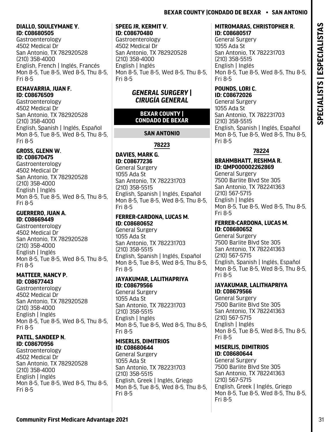# <span id="page-32-0"></span>**DIALLO, SOULEYMANE Y. ID: C08680505**

Gastroenterology 4502 Medical Dr San Antonio, TX 782920528 (210) 358-4000 English, French | Inglés, Francés Mon 8-5, Tue 8-5, Wed 8-5, Thu 8-5, Fri 8-5

# **ECHAVARRIA, JUAN F. ID: C08676509**

Gastroenterology 4502 Medical Dr San Antonio, TX 782920528 (210) 358-4000 English, Spanish | Inglés, Español Mon 8-5, Tue 8-5, Wed 8-5, Thu 8-5, Fri 8-5

#### **GROSS, GLENN W. ID: C08670475**

Gastroenterology 4502 Medical Dr San Antonio, TX 782920528 (210) 358-4000 English | Inglés Mon 8-5, Tue 8-5, Wed 8-5, Thu 8-5, Fri 8-5

# **GUERRERO, JUAN A. ID: C08669449**

Gastroenterology 4502 Medical Dr San Antonio, TX 782920528 (210) 358-4000 English | Inglés Mon 8-5, Tue 8-5, Wed 8-5, Thu 8-5, Fri 8-5

# **MATTEER, NANCY P. ID: C08677443**

Gastroenterology 4502 Medical Dr San Antonio, TX 782920528 (210) 358-4000 English | Inglés Mon 8-5, Tue 8-5, Wed 8-5, Thu 8-5, Fri 8-5

# **PATEL, SANDEEP N. ID: C08670956**

Gastroenterology 4502 Medical Dr San Antonio, TX 782920528 (210) 358-4000 English | Inglés Mon 8-5, Tue 8-5, Wed 8-5, Thu 8-5, Fri 8-5

#### **SPEEG JR, KERMIT V. ID: C08670480**

Gastroenterology 4502 Medical Dr San Antonio, TX 782920528 (210) 358-4000 English | Inglés Mon 8-5, Tue 8-5, Wed 8-5, Thu 8-5, Fri 8-5

# *GENERAL SURGERY | CIRUGÍA GENERAL*

# **BEXAR COUNTY | CONDADO DE BEXAR**

# **SAN ANTONIO**

# **78223**

#### **DAVIES, MARK G. ID: C08677236**  General Surgery 1055 Ada St San Antonio, TX 782231703 (210) 358-5515 English, Spanish | Inglés, Español Mon 8-5, Tue 8-5, Wed 8-5, Thu 8-5, Fri 8-5

# **FERRER-CARDONA, LUCAS M. ID: C08680652**

General Surgery 1055 Ada St San Antonio, TX 782231703 (210) 358-5515 English, Spanish | Inglés, Español Mon 8-5, Tue 8-5, Wed 8-5, Thu 8-5, Fri 8-5

# **JAYAKUMAR, LALITHAPRIYA ID: C08679566**

General Surgery 1055 Ada St San Antonio, TX 782231703 (210) 358-5515 English | Inglés Mon 8-5, Tue 8-5, Wed 8-5, Thu 8-5, Fri 8-5

# **MISERLIS, DIMITRIOS ID: C08680644**

General Surgery 1055 Ada St San Antonio, TX 782231703 (210) 358-5515 English, Greek | Inglés, Griego Mon 8-5, Tue 8-5, Wed 8-5, Thu 8-5, Fri 8-5

# **MITROMARAS, CHRISTOPHER R. ID: C08680517**

General Surgery 1055 Ada St San Antonio, TX 782231703 (210) 358-5515 English | Inglés Mon 8-5, Tue 8-5, Wed 8-5, Thu 8-5, Fri 8-5

#### **POUNDS, LORI C. ID: C08672026**

General Surgery 1055 Ada St San Antonio, TX 782231703 (210) 358-5515 English, Spanish | Inglés, Español Mon 8-5, Tue 8-5, Wed 8-5, Thu 8-5, Fri 8-5

# **78224**

# **BRAHMBHATT, RESHMA R. ID: QMP000002262869**

General Surgery 7500 Barlite Blvd Ste 305 San Antonio, TX 782241363 (210) 567-5715 English | Inglés Mon 8-5, Tue 8-5, Wed 8-5, Thu 8-5, Fri 8-5

#### **FERRER-CARDONA, LUCAS M. ID: C08680652**

General Surgery 7500 Barlite Blvd Ste 305 San Antonio, TX 782241363 (210) 567-5715 English, Spanish | Inglés, Español Mon 8-5, Tue 8-5, Wed 8-5, Thu 8-5, Fri 8-5

### **JAYAKUMAR, LALITHAPRIYA ID: C08679566**

General Surgery 7500 Barlite Blvd Ste 305 San Antonio, TX 782241363 (210) 567-5715 English | Inglés Mon 8-5, Tue 8-5, Wed 8-5, Thu 8-5, Fri 8-5

### **MISERLIS, DIMITRIOS ID: C08680644**

General Surgery 7500 Barlite Blvd Ste 305 San Antonio, TX 782241363 (210) 567-5715 English, Greek | Inglés, Griego Mon 8-5, Tue 8-5, Wed 8-5, Thu 8-5, Fri 8-5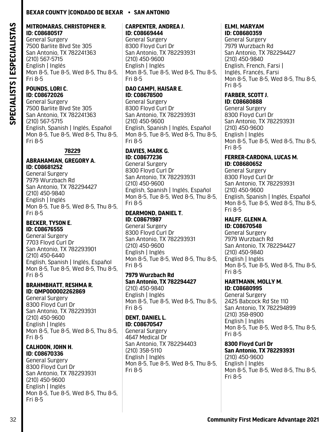#### **MITROMARAS, CHRISTOPHER R. ID: C08680517**

General Surgery 7500 Barlite Blvd Ste 305 San Antonio, TX 782241363 (210) 567-5715 English | Inglés Mon 8-5, Tue 8-5, Wed 8-5, Thu 8-5, Fri 8-5

# **POUNDS, LORI C. ID: C08672026**

General Surgery 7500 Barlite Blvd Ste 305 San Antonio, TX 782241363 (210) 567-5715 English, Spanish | Inglés, Español Mon 8-5, Tue 8-5, Wed 8-5, Thu 8-5, Fri 8-5

# **78229**

#### **ABRAHAMIAN, GREGORY A. ID: C08681252**

General Surgery 7979 Wurzbach Rd San Antonio, TX 782294427 (210) 450-9840 English | Inglés Mon 8-5, Tue 8-5, Wed 8-5, Thu 8-5, Fri 8-5

#### **BECKER, TYSON E. ID: C08676555**

General Surgery 7703 Floyd Curl Dr San Antonio, TX 782293901 (210) 450-6440 English, Spanish | Inglés, Español Mon 8-5, Tue 8-5, Wed 8-5, Thu 8-5, Fri 8-5

#### **BRAHMBHATT, RESHMA R. ID: QMP000002262869**

General Surgery 8300 Floyd Curl Dr San Antonio, TX 782293931 (210) 450-9600 English | Inglés Mon 8-5, Tue 8-5, Wed 8-5, Thu 8-5, Fri 8-5

#### **CALHOON, JOHN H. ID: C08670336**

General Surgery 8300 Floyd Curl Dr San Antonio, TX 782293931 (210) 450-9600 English | Inglés Mon 8-5, Tue 8-5, Wed 8-5, Thu 8-5, Fri 8-5

#### **CARPENTER, ANDREA J. ID: C08669444**

General Surgery 8300 Floyd Curl Dr San Antonio, TX 782293931 (210) 450-9600 English | Inglés Mon 8-5, Tue 8-5, Wed 8-5, Thu 8-5, Fri 8-5

# **DAO CAMPI, HAISAR E. ID: C08678500**

General Surgery 8300 Floyd Curl Dr San Antonio, TX 782293931 (210) 450-9600 English, Spanish | Inglés, Español Mon 8-5, Tue 8-5, Wed 8-5, Thu 8-5, Fri 8-5

#### **DAVIES, MARK G. ID: C08677236**

General Surgery 8300 Floyd Curl Dr San Antonio, TX 782293931 (210) 450-9600 English, Spanish | Inglés, Español Mon 8-5, Tue 8-5, Wed 8-5, Thu 8-5, Fri 8-5

### **DEARMOND, DANIEL T. ID: C08671987**

General Surgery 8300 Floyd Curl Dr San Antonio, TX 782293931 (210) 450-9600 English | Inglés Mon 8-5, Tue 8-5, Wed 8-5, Thu 8-5, Fri 8-5

#### **7979 Wurzbach Rd San Antonio, TX 782294427**

(210) 450-9840 English | Inglés Mon 8-5, Tue 8-5, Wed 8-5, Thu 8-5, Fri 8-5

# **DENT, DANIEL L.**

**ID: C08670547**  General Surgery 4647 Medical Dr San Antonio, TX 782294403 (210) 358-5110 English | Inglés Mon 8-5, Tue 8-5, Wed 8-5, Thu 8-5, Fri 8-5

#### **ELMI, MARYAM ID: C08680359**

General Surgery 7979 Wurzbach Rd San Antonio, TX 782294427 (210) 450-9840 English, French, Farsi | Inglés, Francés, Farsi Mon 8-5, Tue 8-5, Wed 8-5, Thu 8-5, Fri 8-5

#### **FARBER, SCOTT J. ID: C08680888**

General Surgery 8300 Floyd Curl Dr San Antonio, TX 782293931 (210) 450-9600 English | Inglés Mon 8-5, Tue 8-5, Wed 8-5, Thu 8-5, Fri 8-5

#### **FERRER-CARDONA, LUCAS M. ID: C08680652**

General Surgery 8300 Floyd Curl Dr San Antonio, TX 782293931 (210) 450-9600 English, Spanish | Inglés, Español Mon 8-5, Tue 8-5, Wed 8-5, Thu 8-5, Fri 8-5

#### **HALFF, GLENN A. ID: C08670548**

General Surgery 7979 Wurzbach Rd San Antonio, TX 782294427 (210) 450-9840 English | Inglés Mon 8-5, Tue 8-5, Wed 8-5, Thu 8-5, Fri 8-5

#### **HARTMANN, MOLLY M. ID: C08680995**

General Surgery 2425 Babcock Rd Ste 110 San Antonio, TX 782294899 (210) 358-8900 English | Inglés Mon 8-5, Tue 8-5, Wed 8-5, Thu 8-5, Fri 8-5

# **8300 Floyd Curl Dr**

**San Antonio, TX 782293931** (210) 450-9600 English | Inglés Mon 8-5, Tue 8-5, Wed 8-5, Thu 8-5, Fri 8-5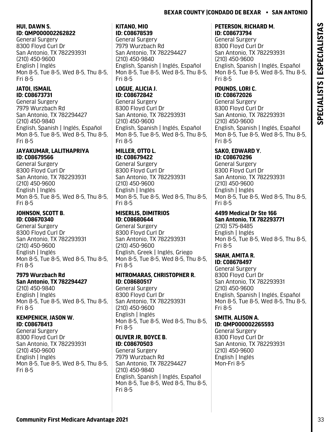#### **HUI, DAWN S. ID: QMP000002262822**

General Surgery 8300 Floyd Curl Dr San Antonio, TX 782293931 (210) 450-9600 English | Inglés Mon 8-5, Tue 8-5, Wed 8-5, Thu 8-5, Fri 8-5

# **JATOI, ISMAIL ID: C08673731**

General Surgery 7979 Wurzbach Rd San Antonio, TX 782294427 (210) 450-9840 English, Spanish | Inglés, Español Mon 8-5, Tue 8-5, Wed 8-5, Thu 8-5, Fri 8-5

### **JAYAKUMAR, LALITHAPRIYA ID: C08679566**

General Surgery 8300 Floyd Curl Dr San Antonio, TX 782293931 (210) 450-9600 English | Inglés Mon 8-5, Tue 8-5, Wed 8-5, Thu 8-5, Fri 8-5

### **JOHNSON, SCOTT B. ID: C08670340**

General Surgery 8300 Floyd Curl Dr San Antonio, TX 782293931 (210) 450-9600 English | Inglés Mon 8-5, Tue 8-5, Wed 8-5, Thu 8-5, Fri 8-5

#### **7979 Wurzbach Rd San Antonio, TX 782294427**

(210) 450-9840 English | Inglés Mon 8-5, Tue 8-5, Wed 8-5, Thu 8-5, Fri 8-5

# **KEMPENICH, JASON W. ID: C08678413**

General Surgery 8300 Floyd Curl Dr San Antonio, TX 782293931 (210) 450-9600 English | Inglés Mon 8-5, Tue 8-5, Wed 8-5, Thu 8-5, Fri 8-5

# **KITANO, MIO ID: C08678539**

General Surgery 7979 Wurzbach Rd San Antonio, TX 782294427 (210) 450-9840 English, Spanish | Inglés, Español Mon 8-5, Tue 8-5, Wed 8-5, Thu 8-5, Fri 8-5

# **LOGUE, ALICIA J. ID: C08672842**

General Surgery 8300 Floyd Curl Dr San Antonio, TX 782293931 (210) 450-9600 English, Spanish | Inglés, Español Mon 8-5, Tue 8-5, Wed 8-5, Thu 8-5, Fri 8-5

#### **MILLER, OTTO L. ID: C08679422**

General Surgery 8300 Floyd Curl Dr San Antonio, TX 782293931 (210) 450-9600 English | Inglés Mon 8-5, Tue 8-5, Wed 8-5, Thu 8-5, Fri 8-5

# **MISERLIS, DIMITRIOS ID: C08680644**

General Surgery 8300 Floyd Curl Dr San Antonio, TX 782293931 (210) 450-9600 English, Greek | Inglés, Griego Mon 8-5, Tue 8-5, Wed 8-5, Thu 8-5, Fri 8-5

# **MITROMARAS, CHRISTOPHER R. ID: C08680517**

General Surgery 8300 Floyd Curl Dr San Antonio, TX 782293931 (210) 450-9600 English | Inglés Mon 8-5, Tue 8-5, Wed 8-5, Thu 8-5, Fri 8-5

# **OLIVER JR, BOYCE B. ID: C08670503**

General Surgery 7979 Wurzbach Rd San Antonio, TX 782294427 (210) 450-9840 English, Spanish | Inglés, Español Mon 8-5, Tue 8-5, Wed 8-5, Thu 8-5, Fri 8-5

#### **PETERSON, RICHARD M. ID: C08673794**

General Surgery 8300 Floyd Curl Dr San Antonio, TX 782293931 (210) 450-9600 English, Spanish | Inglés, Español Mon 8-5, Tue 8-5, Wed 8-5, Thu 8-5, Fri 8-5

# **POUNDS, LORI C. ID: C08672026**

General Surgery 8300 Floyd Curl Dr San Antonio, TX 782293931 (210) 450-9600 English, Spanish | Inglés, Español Mon 8-5, Tue 8-5, Wed 8-5, Thu 8-5, Fri 8-5

#### **SAKO, EDWARD Y. ID: C08670296**

General Surgery 8300 Floyd Curl Dr San Antonio, TX 782293931 (210) 450-9600 English | Inglés Mon 8-5, Tue 8-5, Wed 8-5, Thu 8-5, Fri 8-5

# **4499 Medical Dr Ste 166 San Antonio, TX 782293771**

(210) 575-8485 English | Inglés Mon 8-5, Tue 8-5, Wed 8-5, Thu 8-5, Fri 8-5

#### **SHAH, AMITA R. ID: C08678497**

General Surgery 8300 Floyd Curl Dr San Antonio, TX 782293931 (210) 450-9600 English, Spanish | Inglés, Español Mon 8-5, Tue 8-5, Wed 8-5, Thu 8-5, Fri 8-5

# **SMITH, ALISON A.**

**ID: QMP000002265593** General Surgery 8300 Floyd Curl Dr San Antonio, TX 782293931 (210) 450-9600 English | Inglés Mon-Fri 8-5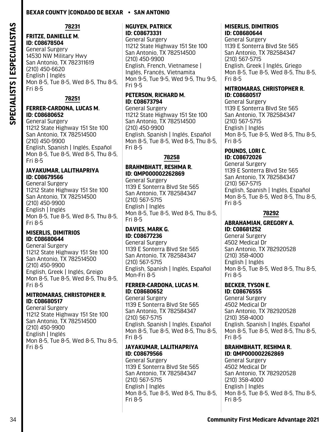**78231**

# **FRITZE, DANIELLE M.**

**ID: C08678504**  General Surgery 14530 NW Military Hwy San Antonio, TX 782311619 (210) 450-6620 English | Inglés Mon 8-5, Tue 8-5, Wed 8-5, Thu 8-5, Fri 8-5

**78251**

#### **FERRER-CARDONA, LUCAS M. ID: C08680652**

General Surgery 11212 State Highway 151 Ste 100 San Antonio, TX 782514500 (210) 450-9900 English, Spanish | Inglés, Español Mon 8-5, Tue 8-5, Wed 8-5, Thu 8-5, Fri 8-5

#### **JAYAKUMAR, LALITHAPRIYA ID: C08679566**

General Surgery 11212 State Highway 151 Ste 100 San Antonio, TX 782514500 (210) 450-9900 English | Inglés Mon 8-5, Tue 8-5, Wed 8-5, Thu 8-5, Fri 8-5

#### **MISERLIS, DIMITRIOS ID: C08680644**

General Surgery 11212 State Highway 151 Ste 100 San Antonio, TX 782514500 (210) 450-9900 English, Greek | Inglés, Greigo Mon 8-5, Tue 8-5, Wed 8-5, Thu 8-5, Fri 8-5

#### **MITROMARAS, CHRISTOPHER R. ID: C08680517**

General Surgery 11212 State Highway 151 Ste 100 San Antonio, TX 782514500 (210) 450-9900 English | Inglés Mon 8-5, Tue 8-5, Wed 8-5, Thu 8-5, Fri 8-5

#### **NGUYEN, PATRICK ID: C08673331**

General Surgery 11212 State Highway 151 Ste 100 San Antonio, TX 782514500 (210) 450-9900 English, French, Vietnamese | Inglés, Francés, Vietnamita Mon 9-5, Tue 9-5, Wed 9-5, Thu 9-5, Fri 9-5

#### **PETERSON, RICHARD M. ID: C08673794**

General Surgery 11212 State Highway 151 Ste 100 San Antonio, TX 782514500 (210) 450-9900 English, Spanish | Inglés, Español Mon 8-5, Tue 8-5, Wed 8-5, Thu 8-5, Fri 8-5

### **78258**

# **BRAHMBHATT, RESHMA R. ID: QMP000002262869**

General Surgery 1139 E Sonterra Blvd Ste 565 San Antonio, TX 782584347 (210) 567-5715 English | Inglés Mon 8-5, Tue 8-5, Wed 8-5, Thu 8-5, Fri 8-5

#### **DAVIES, MARK G. ID: C08677236**

General Surgery 1139 E Sonterra Blvd Ste 565 San Antonio, TX 782584347 (210) 567-5715 English, Spanish | Inglés, Español Mon-Fri 8-5

#### **FERRER-CARDONA, LUCAS M. ID: C08680652**

General Surgery 1139 E Sonterra Blvd Ste 565 San Antonio, TX 782584347 (210) 567-5715 English, Spanish | Inglés, Español Mon 8-5, Tue 8-5, Wed 8-5, Thu 8-5, Fri 8-5

### **JAYAKUMAR, LALITHAPRIYA ID: C08679566**

General Surgery 1139 E Sonterra Blvd Ste 565 San Antonio, TX 782584347 (210) 567-5715 English | Inglés Mon 8-5, Tue 8-5, Wed 8-5, Thu 8-5, Fri 8-5

# **MISERLIS, DIMITRIOS ID: C08680644**

General Surgery 1139 E Sonterra Blvd Ste 565 San Antonio, TX 782584347 (210) 567-5715 English, Greek | Inglés, Griego Mon 8-5, Tue 8-5, Wed 8-5, Thu 8-5, Fri 8-5

#### **MITROMARAS, CHRISTOPHER R. ID: C08680517**

General Surgery 1139 E Sonterra Blvd Ste 565 San Antonio, TX 782584347 (210) 567-5715 English | Inglés Mon 8-5, Tue 8-5, Wed 8-5, Thu 8-5, Fri 8-5

#### **POUNDS, LORI C. ID: C08672026**

General Surgery 1139 E Sonterra Blvd Ste 565 San Antonio, TX 782584347 (210) 567-5715 English, Spanish | Inglés, Español Mon 8-5, Tue 8-5, Wed 8-5, Thu 8-5, Fri 8-5

# **78292**

#### **ABRAHAMIAN, GREGORY A. ID: C08681252**

General Surgery 4502 Medical Dr San Antonio, TX 782920528 (210) 358-4000 English | Inglés Mon 8-5, Tue 8-5, Wed 8-5, Thu 8-5, Fri 8-5

# **BECKER, TYSON E.**

**ID: C08676555**  General Surgery 4502 Medical Dr San Antonio, TX 782920528 (210) 358-4000 English, Spanish | Inglés, Español Mon 8-5, Tue 8-5, Wed 8-5, Thu 8-5, Fri 8-5

#### **BRAHMBHATT, RESHMA R. ID: QMP000002262869**

General Surgery 4502 Medical Dr San Antonio, TX 782920528 (210) 358-4000 English | Inglés Mon 8-5, Tue 8-5, Wed 8-5, Thu 8-5, Fri 8-5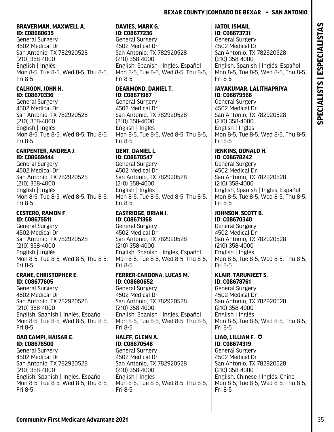#### **BRAVERMAN, MAXWELL A. ID: C08680635**

General Surgery 4502 Medical Dr San Antonio, TX 782920528 (210) 358-4000 English | Inglés Mon 8-5, Tue 8-5, Wed 8-5, Thu 8-5, Fri 8-5

## **CALHOON, JOHN H. ID: C08670336**

General Surgery 4502 Medical Dr San Antonio, TX 782920528 (210) 358-4000 English | Inglés Mon 8-5, Tue 8-5, Wed 8-5, Thu 8-5, Fri 8-5

## **CARPENTER, ANDREA J. ID: C08669444**

General Surgery 4502 Medical Dr San Antonio, TX 782920528 (210) 358-4000 English | Inglés Mon 8-5, Tue 8-5, Wed 8-5, Thu 8-5, Fri 8-5

## **CESTERO, RAMON F. ID: C08675511**

General Surgery 4502 Medical Dr San Antonio, TX 782920528 (210) 358-4000 English | Inglés Mon 8-5, Tue 8-5, Wed 8-5, Thu 8-5, Fri 8-5

## **CRANE, CHRISTOPHER E. ID: C08677605**

General Surgery 4502 Medical Dr San Antonio, TX 782920528 (210) 358-4000 English, Spanish | Inglés, Español Mon 8-5, Tue 8-5, Wed 8-5, Thu 8-5, Fri 8-5

## **DAO CAMPI, HAISAR E. ID: C08678500**

General Surgery 4502 Medical Dr San Antonio, TX 782920528 (210) 358-4000 English, Spanish | Inglés, Español Mon 8-5, Tue 8-5, Wed 8-5, Thu 8-5, Fri 8-5

# **DAVIES, MARK G.**

**ID: C08677236**  General Surgery 4502 Medical Dr San Antonio, TX 782920528 (210) 358-4000 English, Spanish | Inglés, Español Mon 8-5, Tue 8-5, Wed 8-5, Thu 8-5, Fri 8-5

# **DEARMOND, DANIEL T. ID: C08671987**

General Surgery 4502 Medical Dr San Antonio, TX 782920528 (210) 358-4000 English | Inglés Mon 8-5, Tue 8-5, Wed 8-5, Thu 8-5, Fri 8-5

# **DENT, DANIEL L.**

**ID: C08670547**  General Surgery 4502 Medical Dr San Antonio, TX 782920528 (210) 358-4000 English | Inglés Mon 8-5, Tue 8-5, Wed 8-5, Thu 8-5, Fri 8-5

## **EASTRIDGE, BRIAN J. ID: C08671368**

General Surgery 4502 Medical Dr San Antonio, TX 782920528 (210) 358-4000 English, Spanish | Inglés, Español Mon 8-5, Tue 8-5, Wed 8-5, Thu 8-5, Fri 8-5

## **FERRER-CARDONA, LUCAS M. ID: C08680652**

General Surgery 4502 Medical Dr San Antonio, TX 782920528 (210) 358-4000 English, Spanish | Inglés, Español Mon 8-5, Tue 8-5, Wed 8-5, Thu 8-5, Fri 8-5

## **HALFF, GLENN A. ID: C08670548**

General Surgery 4502 Medical Dr San Antonio, TX 782920528 (210) 358-4000 English | Inglés Mon 8-5, Tue 8-5, Wed 8-5, Thu 8-5, Fri 8-5

#### **JATOI, ISMAIL ID: C08673731**

General Surgery 4502 Medical Dr San Antonio, TX 782920528 (210) 358-4000 English, Spanish | Inglés, Español Mon 8-5, Tue 8-5, Wed 8-5, Thu 8-5, Fri 8-5

## **JAYAKUMAR, LALITHAPRIYA ID: C08679566**

General Surgery 4502 Medical Dr San Antonio, TX 782920528 (210) 358-4000 English | Inglés Mon 8-5, Tue 8-5, Wed 8-5, Thu 8-5, Fri 8-5

#### **JENKINS, DONALD H. ID: C08678242**

General Surgery 4502 Medical Dr San Antonio, TX 782920528 (210) 358-4000 English, Spanish | Inglés, Español Mon 8-5, Tue 8-5, Wed 8-5, Thu 8-5, Fri 8-5

#### **JOHNSON, SCOTT B. ID: C08670340**

General Surgery 4502 Medical Dr San Antonio, TX 782920528 (210) 358-4000 English | Inglés Mon 8-5, Tue 8-5, Wed 8-5, Thu 8-5, Fri 8-5

#### **KLAIR, TARUNJEET S. ID: C08678761**

General Surgery 4502 Medical Dr San Antonio, TX 782920528 (210) 358-4000 English | Inglés Mon 8-5, Tue 8-5, Wed 8-5, Thu 8-5, Fri 8-5

#### **LIAO, LILLIAN F.**  $\odot$ **ID: C08674319**

General Surgery 4502 Medical Dr San Antonio, TX 782920528 (210) 358-4000 English, Chinese | Inglés, Chino Mon 8-5, Tue 8-5, Wed 8-5, Thu 8-5, Fri 8-5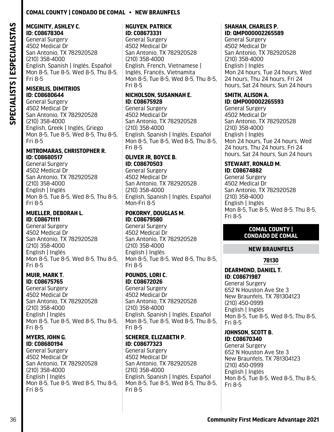## **Comal County | Condado De Comal • New Braunfels**

#### **MCGINITY, ASHLEY C. ID: C08678304**

General Surgery 4502 Medical Dr San Antonio, TX 782920528 (210) 358-4000 English, Spanish | Inglés, Español Mon 8-5, Tue 8-5, Wed 8-5, Thu 8-5, Fri 8-5

#### **MISERLIS, DIMITRIOS ID: C08680644**

General Surgery 4502 Medical Dr San Antonio, TX 782920528 (210) 358-4000 English, Greek | Inglés, Griego Mon 8-5, Tue 8-5, Wed 8-5, Thu 8-5, Fri 8-5

#### **MITROMARAS, CHRISTOPHER R. ID: C08680517**

General Surgery 4502 Medical Dr San Antonio, TX 782920528 (210) 358-4000 English | Inglés Mon 8-5, Tue 8-5, Wed 8-5, Thu 8-5, Fri 8-5

#### **MUELLER, DEBORAH L. ID: C08671111**

General Surgery 4502 Medical Dr San Antonio, TX 782920528 (210) 358-4000 English | Inglés Mon 8-5, Tue 8-5, Wed 8-5, Thu 8-5, Fri 8-5

#### **MUIR, MARK T. ID: C08675765**

General Surgery 4502 Medical Dr San Antonio, TX 782920528 (210) 358-4000 English | Inglés Mon 8-5, Tue 8-5, Wed 8-5, Thu 8-5, Fri 8-5

#### **MYERS, JOHN G. ID: C08680194**

General Surgery 4502 Medical Dr San Antonio, TX 782920528 (210) 358-4000 English | Inglés Mon 8-5, Tue 8-5, Wed 8-5, Thu 8-5, Fri 8-5

#### **NGUYEN, PATRICK ID: C08673331**

General Surgery 4502 Medical Dr San Antonio, TX 782920528 (210) 358-4000 English, French, Vietnamese | Inglés, Francés, Vietnamita Mon 8-5, Tue 8-5, Wed 8-5, Thu 8-5, Fri 8-5

#### **NICHOLSON, SUSANNAH E. ID: C08675928**

General Surgery 4502 Medical Dr San Antonio, TX 782920528 (210) 358-4000 English, Spanish | Inglés, Español Mon 8-5, Tue 8-5, Wed 8-5, Thu 8-5, Fri 8-5

#### **OLIVER JR, BOYCE B. ID: C08670503**

General Surgery 4502 Medical Dr San Antonio, TX 782920528 (210) 358-4000 English, Spanish | Inglés, Español Mon-Fri 8-5

#### **POKORNY, DOUGLAS M. ID: C08679580**

General Surgery 4502 Medical Dr San Antonio, TX 782920528 (210) 358-4000 English | Inglés Mon 8-5, Tue 8-5, Wed 8-5, Thu 8-5, Fri 8-5

## **POUNDS, LORI C. ID: C08672026**

General Surgery 4502 Medical Dr San Antonio, TX 782920528 (210) 358-4000 English, Spanish | Inglés, Español Mon 8-5, Tue 8-5, Wed 8-5, Thu 8-5, Fri 8-5

#### **SCHERER, ELIZABETH P. ID: C08677323**

General Surgery 4502 Medical Dr San Antonio, TX 782920528 (210) 358-4000 English, Spanish | Inglés, Español Mon 8-5, Tue 8-5, Wed 8-5, Thu 8-5, Fri 8-5

#### **SHAHAN, CHARLES P. ID: QMP000002265589**

General Surgery 4502 Medical Dr San Antonio, TX 782920528 (210) 358-4000 English | Inglés Mon 24 hours, Tue 24 hours, Wed 24 hours, Thu 24 hours, Fri 24 hours, Sat 24 hours, Sun 24 hours

#### **SMITH, ALISON A. ID: QMP000002265593**

General Surgery 4502 Medical Dr San Antonio, TX 782920528 (210) 358-4000 English | Inglés Mon 24 hours, Tue 24 hours, Wed 24 hours, Thu 24 hours, Fri 24 hours, Sat 24 hours, Sun 24 hours

#### **STEWART, RONALD M. ID: C08674882**

General Surgery 4502 Medical Dr San Antonio, TX 782920528 (210) 358-4000 English | Inglés Mon 8-5, Tue 8-5, Wed 8-5, Thu 8-5, Fri 8-5

#### **COMAL COUNTY | CONDADO DE COMAL**

## **NEW BRAUNFELS**

## **78130**

## **DEARMOND, DANIEL T. ID: C08671987**

General Surgery 652 N Houston Ave Ste 3 New Braunfels, TX 781304123 (210) 450-0999 English | Inglés Mon 8-5, Tue 8-5, Wed 8-5, Thu 8-5, Fri 8-5

#### **JOHNSON, SCOTT B. ID: C08670340**

General Surgery 652 N Houston Ave Ste 3 New Braunfels, TX 781304123 (210) 450-0999 English | Inglés Mon 8-5, Tue 8-5, Wed 8-5, Thu 8-5, Fri 8-5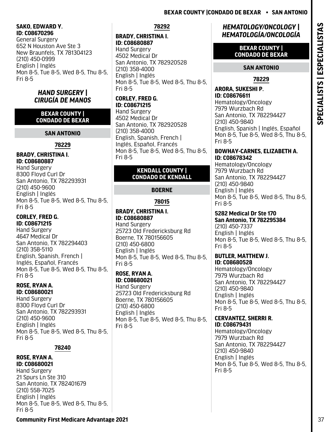#### **SAKO, EDWARD Y. ID: C08670296**

General Surgery 652 N Houston Ave Ste 3 New Braunfels, TX 781304123 (210) 450-0999 English | Inglés Mon 8-5, Tue 8-5, Wed 8-5, Thu 8-5, Fri 8-5

## *HAND SURGERY | CIRUGÍA DE MANOS*

#### **BEXAR COUNTY | CONDADO DE BEXAR**

## **SAN ANTONIO**

## **78229**

## **BRADY, CHRISTINA I. ID: C08680887**

Hand Surgery 8300 Floyd Curl Dr San Antonio, TX 782293931 (210) 450-9600 English | Inglés Mon 8-5, Tue 8-5, Wed 8-5, Thu 8-5, Fri 8-5

## **CORLEY, FRED G. ID: C08671215**

Hand Surgery 4647 Medical Dr San Antonio, TX 782294403 (210) 358-5110 English, Spanish, French | Inglés, Español, Francés Mon 8-5, Tue 8-5, Wed 8-5, Thu 8-5, Fri 8-5

#### **ROSE, RYAN A. ID: C08680021**

Hand Surgery 8300 Floyd Curl Dr San Antonio, TX 782293931 (210) 450-9600 English | Inglés Mon 8-5, Tue 8-5, Wed 8-5, Thu 8-5, Fri 8-5

## **78240**

#### **ROSE, RYAN A. ID: C08680021**

Hand Surgery 21 Spurs Ln Ste 310 San Antonio, TX 782401679 (210) 558-7025 English | Inglés Mon 8-5, Tue 8-5, Wed 8-5, Thu 8-5, Fri 8-5

## **78292**

## **BRADY, CHRISTINA I. ID: C08680887**

Hand Surgery 4502 Medical Dr San Antonio, TX 782920528 (210) 358-4000 English | Inglés Mon 8-5, Tue 8-5, Wed 8-5, Thu 8-5, Fri 8-5

## **CORLEY, FRED G. ID: C08671215**

Hand Surgery 4502 Medical Dr San Antonio, TX 782920528 (210) 358-4000 English, Spanish, French | Inglés, Español, Francés Mon 8-5, Tue 8-5, Wed 8-5, Thu 8-5, Fri 8-5

## **KENDALL COUNTY | CONDADO DE KENDALL**

## **BOERNE**

## **78015**

## **BRADY, CHRISTINA I. ID: C08680887**  Hand Surgery 25723 Old Fredericksburg Rd

Boerne, TX 780156605 (210) 450-6800 English | Inglés Mon 8-5, Tue 8-5, Wed 8-5, Thu 8-5, Fri 8-5

## **ROSE, RYAN A. ID: C08680021**

Hand Surgery 25723 Old Fredericksburg Rd Boerne, TX 780156605 (210) 450-6800 English | Inglés Mon 8-5, Tue 8-5, Wed 8-5, Thu 8-5, Fri 8-5

## *HEMATOLOGY/ONCOLOGY | HEMATOLOGÍA/ONCOLOGÍA*

#### **BEXAR COUNTY | CONDADO DE BEXAR**

## **SAN ANTONIO**

## **78229**

#### **ARORA, SUKESHI P. ID: C08676611**  Hematology/Oncology

7979 Wurzbach Rd San Antonio, TX 782294427 (210) 450-9840 English, Spanish | Inglés, Español Mon 8-5, Tue 8-5, Wed 8-5, Thu 8-5, Fri 8-5

#### **BOWHAY-CARNES, ELIZABETH A. ID: C08678342**

Hematology/Oncology 7979 Wurzbach Rd San Antonio, TX 782294427 (210) 450-9840 English | Inglés Mon 8-5, Tue 8-5, Wed 8-5, Thu 8-5, Fri 8-5

## **5282 Medical Dr Ste 170 San Antonio, TX 782295384** (210) 450-7337

English | Inglés Mon 8-5, Tue 8-5, Wed 8-5, Thu 8-5, Fri 8-5

#### **BUTLER, MATTHEW J. ID: C08680528**

Hematology/Oncology 7979 Wurzbach Rd San Antonio, TX 782294427 (210) 450-9840 English | Inglés Mon 8-5, Tue 8-5, Wed 8-5, Thu 8-5, Fri 8-5

#### **CERVANTEZ, SHERRI R. ID: C08679431**

Hematology/Oncology 7979 Wurzbach Rd San Antonio, TX 782294427 (210) 450-9840 English | Inglés Mon 8-5, Tue 8-5, Wed 8-5, Thu 8-5, Fri 8-5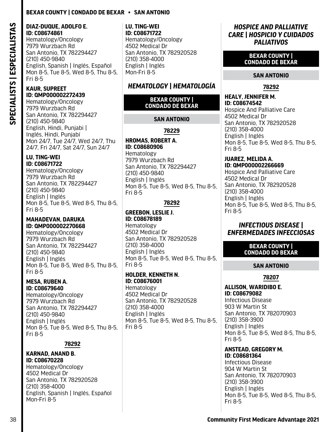#### **DIAZ-DUQUE, ADOLFO E. ID: C08674861**

Hematology/Oncology 7979 Wurzbach Rd San Antonio, TX 782294427 (210) 450-9840 English, Spanish | Inglés, Español Mon 8-5, Tue 8-5, Wed 8-5, Thu 8-5, Fri 8-5

## **KAUR, SUPREET ID: QMP000002272439**

Hematology/Oncology 7979 Wurzbach Rd San Antonio, TX 782294427 (210) 450-9840 English, Hindi, Punjabi | Inglés, Hindi, Punjabí Mon 24/7, Tue 24/7, Wed 24/7, Thu 24/7, Fri 24/7, Sat 24/7, Sun 24/7

#### **LU, TING-WEI ID: C08671722**

Hematology/Oncology 7979 Wurzbach Rd San Antonio, TX 782294427 (210) 450-9840 English | Inglés Mon 8-5, Tue 8-5, Wed 8-5, Thu 8-5, Fri 8-5

#### **MAHADEVAN, DARUKA ID: QMP000002270668**

Hematology/Oncology 7979 Wurzbach Rd San Antonio, TX 782294427 (210) 450-9840 English | Inglés Mon 8-5, Tue 8-5, Wed 8-5, Thu 8-5, Fri 8-5

#### **MESA, RUBEN A. ID: C08679640**

Hematology/Oncology 7979 Wurzbach Rd San Antonio, TX 782294427 (210) 450-9840 English | Inglés Mon 8-5, Tue 8-5, Wed 8-5, Thu 8-5, Fri 8-5

## **78292**

#### **KARNAD, ANAND B. ID: C08670228**

Hematology/Oncology 4502 Medical Dr San Antonio, TX 782920528 (210) 358-4000 English, Spanish | Inglés, Español Mon-Fri 8-5

#### **LU, TING-WEI ID: C08671722**

Hematology/Oncology 4502 Medical Dr San Antonio, TX 782920528 (210) 358-4000 English | Inglés Mon-Fri 8-5

# *HEMATOLOGY | HEMATOLOGÍA*

#### **BEXAR COUNTY | CONDADO DE BEXAR**

## **SAN ANTONIO**

**78229**

#### **HROMAS, ROBERT A. ID: C08680906**  Hematology 7979 Wurzbach Rd

San Antonio, TX 782294427 (210) 450-9840 English | Inglés Mon 8-5, Tue 8-5, Wed 8-5, Thu 8-5, Fri 8-5

## **78292**

#### **GREEBON, LESLIE J. ID: C08678189**  Hematology 4502 Medical Dr San Antonio, TX 782920528 (210) 358-4000 English | Inglés Mon 8-5, Tue 8-5, Wed 8-5, Thu 8-5, Fri 8-5

## **HOLDER, KENNETH N. ID: C08676001**

Hematology 4502 Medical Dr San Antonio, TX 782920528 (210) 358-4000 English | Inglés Mon 8-5, Tue 8-5, Wed 8-5, Thu 8-5, Fri 8-5

## *HOSPICE AND PALLIATIVE CARE | HOSPICIO Y CUIDADOS PALIATIVOS*

## **BEXAR COUNTY | CONDADO DE BEXAR**

## **SAN ANTONIO**

**78292**

#### **HEALY, JENNIFER M. ID: C08674542**

Hospice And Palliative Care 4502 Medical Dr San Antonio, TX 782920528 (210) 358-4000 English | Inglés Mon 8-5, Tue 8-5, Wed 8-5, Thu 8-5, Fri 8-5

#### **JUAREZ, MELIDA A. ID: QMP000002266669**

Hospice And Palliative Care 4502 Medical Dr San Antonio, TX 782920528 (210) 358-4000 English | Inglés Mon 8-5, Tue 8-5, Wed 8-5, Thu 8-5, Fri 8-5

## *INFECTIOUS DISEASE | ENFERMEDADES INFECCIOSAS*

#### **BEXAR COUNTY | CONDADO DO BEXAR**

## **SAN ANTONIO**

**78207**

# **ALLISON, WARIDIBO E.**

**ID: C08679082**  Infectious Disease 903 W Martin St San Antonio, TX 782070903 (210) 358-3900 English | Inglés Mon 8-5, Tue 8-5, Wed 8-5, Thu 8-5, Fri 8-5

# **ANSTEAD, GREGORY M.**

**ID: C08681364**  Infectious Disease 904 W Martin St San Antonio, TX 782070903 (210) 358-3900 English | Inglés Mon 8-5, Tue 8-5, Wed 8-5, Thu 8-5, Fri 8-5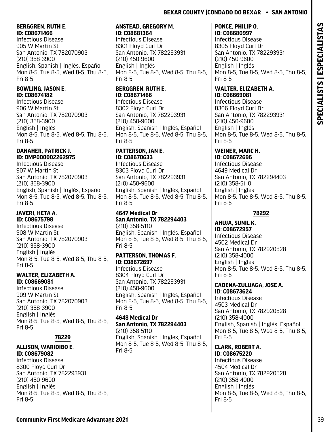## **BERGGREN, RUTH E. ID: C08671466**

Infectious Disease 905 W Martin St San Antonio, TX 782070903 (210) 358-3900 English, Spanish | Inglés, Español Mon 8-5, Tue 8-5, Wed 8-5, Thu 8-5, Fri 8-5

## **BOWLING, JASON E. ID: C08674182**

Infectious Disease 906 W Martin St San Antonio, TX 782070903 (210) 358-3900 English | Inglés Mon 8-5, Tue 8-5, Wed 8-5, Thu 8-5, Fri 8-5

## **DANAHER, PATRICK J. ID: QMP000002262975**

Infectious Disease 907 W Martin St San Antonio, TX 782070903 (210) 358-3900 English, Spanish | Inglés, Español Mon 8-5, Tue 8-5, Wed 8-5, Thu 8-5, Fri 8-5

## **JAVERI, HETA A. ID: C08675798**

Infectious Disease 908 W Martin St San Antonio, TX 782070903 (210) 358-3900 English | Inglés Mon 8-5, Tue 8-5, Wed 8-5, Thu 8-5, Fri 8-5

## **WALTER, ELIZABETH A. ID: C08669081**

Infectious Disease 909 W Martin St San Antonio, TX 782070903 (210) 358-3900 English | Inglés Mon 8-5, Tue 8-5, Wed 8-5, Thu 8-5, Fri 8-5

# **78229**

## **ALLISON, WARIDIBO E. ID: C08679082**

Infectious Disease 8300 Floyd Curl Dr San Antonio, TX 782293931 (210) 450-9600 English | Inglés Mon 8-5, Tue 8-5, Wed 8-5, Thu 8-5, Fri 8-5

#### **ANSTEAD, GREGORY M. ID: C08681364**

Infectious Disease 8301 Floyd Curl Dr San Antonio, TX 782293931 (210) 450-9600 English | Inglés Mon 8-5, Tue 8-5, Wed 8-5, Thu 8-5, Fri 8-5

## **BERGGREN, RUTH E. ID: C08671466**

Infectious Disease 8302 Floyd Curl Dr San Antonio, TX 782293931 (210) 450-9600 English, Spanish | Inglés, Español Mon 8-5, Tue 8-5, Wed 8-5, Thu 8-5, Fri 8-5

## **PATTERSON, JAN E. ID: C08670633**

Infectious Disease 8303 Floyd Curl Dr San Antonio, TX 782293931 (210) 450-9600 English, Spanish | Inglés, Español Mon 8-5, Tue 8-5, Wed 8-5, Thu 8-5, Fri 8-5

#### **4647 Medical Dr San Antonio, TX 782294403** (210) 358-5110

English, Spanish | Inglés, Español Mon 8-5, Tue 8-5, Wed 8-5, Thu 8-5, Fri 8-5

## **PATTERSON, THOMAS F. ID: C08672697**

Infectious Disease 8304 Floyd Curl Dr San Antonio, TX 782293931 (210) 450-9600 English, Spanish | Inglés, Español Mon 8-5, Tue 8-5, Wed 8-5, Thu 8-5, Fri 8-5

## **4648 Medical Dr San Antonio, TX 782294403** (210) 358-5110

English, Spanish | Inglés, Español Mon 8-5, Tue 8-5, Wed 8-5, Thu 8-5, Fri 8-5

## **PONCE, PHILIP O. ID: C08680997**

Infectious Disease 8305 Floyd Curl Dr San Antonio, TX 782293931 (210) 450-9600 English | Inglés Mon 8-5, Tue 8-5, Wed 8-5, Thu 8-5, Fri 8-5

## **WALTER, ELIZABETH A. ID: C08669081**

Infectious Disease 8306 Floyd Curl Dr San Antonio, TX 782293931 (210) 450-9600 English | Inglés Mon 8-5, Tue 8-5, Wed 8-5, Thu 8-5, Fri 8-5

#### **WEINER, MARC H. ID: C08672696**

Infectious Disease 4649 Medical Dr San Antonio, TX 782294403 (210) 358-5110 English | Inglés Mon 8-5, Tue 8-5, Wed 8-5, Thu 8-5, Fri 8-5

## **78292**

#### **AHUJA, SUNIL K. ID: C08672957**  Infectious Disease 4502 Medical Dr San Antonio, TX 782920528 (210) 358-4000 English | Inglés Mon 8-5, Tue 8-5, Wed 8-5, Thu 8-5, Fri 8-5

#### **CADENA-ZULUAGA, JOSE A. ID: C08673624**

Infectious Disease 4503 Medical Dr San Antonio, TX 782920528 (210) 358-4000 English, Spanish | Inglés, Español Mon 8-5, Tue 8-5, Wed 8-5, Thu 8-5, Fri 8-5

# **CLARK, ROBERT A.**

**ID: C08675220**  Infectious Disease 4504 Medical Dr San Antonio, TX 782920528 (210) 358-4000 English | Inglés Mon 8-5, Tue 8-5, Wed 8-5, Thu 8-5, Fri 8-5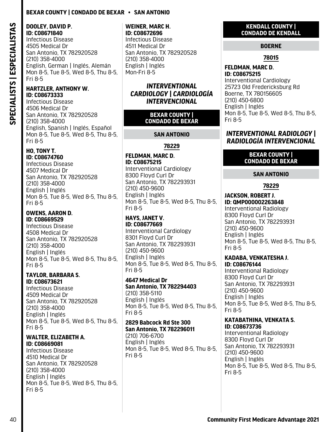#### **DOOLEY, DAVID P. ID: C08671840**

Infectious Disease 4505 Medical Dr San Antonio, TX 782920528 (210) 358-4000 English, German | Inglés, Alemán Mon 8-5, Tue 8-5, Wed 8-5, Thu 8-5, Fri 8-5

#### **HARTZLER, ANTHONY W. ID: C08673333**

Infectious Disease 4506 Medical Dr San Antonio, TX 782920528 (210) 358-4000 English, Spanish | Inglés, Español Mon 8-5, Tue 8-5, Wed 8-5, Thu 8-5, Fri 8-5

## **HO, TONY T. ID: C08674760**

Infectious Disease 4507 Medical Dr San Antonio, TX 782920528 (210) 358-4000 English | Inglés Mon 8-5, Tue 8-5, Wed 8-5, Thu 8-5, Fri 8-5

## **OWENS, AARON D. ID: C08669529**

Infectious Disease 4508 Medical Dr San Antonio, TX 782920528 (210) 358-4000 English | Inglés Mon 8-5, Tue 8-5, Wed 8-5, Thu 8-5, Fri 8-5

#### **TAYLOR, BARBARA S. ID: C08673621**

Infectious Disease 4509 Medical Dr San Antonio, TX 782920528 (210) 358-4000 English | Inglés Mon 8-5, Tue 8-5, Wed 8-5, Thu 8-5, Fri 8-5

#### **WALTER, ELIZABETH A. ID: C08669081**

Infectious Disease 4510 Medical Dr San Antonio, TX 782920528 (210) 358-4000 English | Inglés Mon 8-5, Tue 8-5, Wed 8-5, Thu 8-5, Fri 8-5

#### **WEINER, MARC H. ID: C08672696**

Infectious Disease 4511 Medical Dr San Antonio, TX 782920528 (210) 358-4000 English | Inglés Mon-Fri 8-5

## *INTERVENTIONAL CARDIOLOGY | CARDIOLOGÍA INTERVENCIONAL*

#### **BEXAR COUNTY | CONDADO DE BEXAR**

## **SAN ANTONIO**

## **78229**

## **FELDMAN, MARC D. ID: C08675215**

Interventional Cardiology 8300 Floyd Curl Dr San Antonio, TX 782293931 (210) 450-9600 English | Inglés Mon 8-5, Tue 8-5, Wed 8-5, Thu 8-5, Fri 8-5

#### **HAYS, JANET V. ID: C08677669**

Interventional Cardiology 8301 Floyd Curl Dr San Antonio, TX 782293931 (210) 450-9600 English | Inglés Mon 8-5, Tue 8-5, Wed 8-5, Thu 8-5, Fri 8-5

#### **4647 Medical Dr San Antonio, TX 782294403** (210) 358-5110 English | Inglés Mon 8-5, Tue 8-5, Wed 8-5, Thu 8-5, Fri 8-5

#### **2829 Babcock Rd Ste 300 San Antonio, TX 782296011**

(210) 706-6700 English | Inglés Mon 8-5, Tue 8-5, Wed 8-5, Thu 8-5, Fri 8-5

## **KENDALL COUNTY | CONDADO DE KENDALL**

## **BOERNE**

## **78015**

## **FELDMAN, MARC D. ID: C08675215**

Interventional Cardiology 25723 Old Fredericksburg Rd Boerne, TX 780156605 (210) 450-6800 English | Inglés Mon 8-5, Tue 8-5, Wed 8-5, Thu 8-5, Fri 8-5

## *INTERVENTIONAL RADIOLOGY | RADIOLOGÍA INTERVENCIONAL*

## **BEXAR COUNTY | CONDADO DE BEXAR**

## **SAN ANTONIO**

## **78229**

#### **JACKSON, ROBERT J. ID: QMP000002263848**

Interventional Radiology 8300 Floyd Curl Dr San Antonio, TX 782293931 (210) 450-9600 English | Inglés Mon 8-5, Tue 8-5, Wed 8-5, Thu 8-5, Fri 8-5

#### **KADABA, VENKATESHA J. ID: C08676144**

Interventional Radiology 8300 Floyd Curl Dr San Antonio, TX 782293931 (210) 450-9600 English | Inglés Mon 8-5, Tue 8-5, Wed 8-5, Thu 8-5, Fri 8-5

#### **KATABATHINA, VENKATA S. ID: C08673736**

Interventional Radiology 8300 Floyd Curl Dr San Antonio, TX 782293931 (210) 450-9600 English | Inglés Mon 8-5, Tue 8-5, Wed 8-5, Thu 8-5, Fri 8-5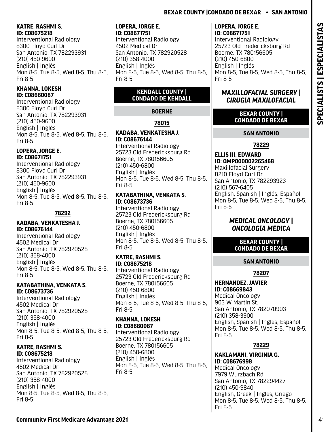## **KATRE, RASHMI S. ID: C08675218**

Interventional Radiology 8300 Floyd Curl Dr San Antonio, TX 782293931 (210) 450-9600 English | Inglés Mon 8-5, Tue 8-5, Wed 8-5, Thu 8-5, Fri 8-5

## **KHANNA, LOKESH ID: C08680087**

Interventional Radiology 8300 Floyd Curl Dr San Antonio, TX 782293931 (210) 450-9600 English | Inglés Mon 8-5, Tue 8-5, Wed 8-5, Thu 8-5, Fri 8-5

#### **LOPERA, JORGE E. ID: C08671751**

Interventional Radiology 8300 Floyd Curl Dr San Antonio, TX 782293931 (210) 450-9600 English | Inglés Mon 8-5, Tue 8-5, Wed 8-5, Thu 8-5, Fri 8-5

#### **78292**

#### **KADABA, VENKATESHA J. ID: C08676144**

Interventional Radiology 4502 Medical Dr San Antonio, TX 782920528 (210) 358-4000 English | Inglés Mon 8-5, Tue 8-5, Wed 8-5, Thu 8-5, Fri 8-5

#### **KATABATHINA, VENKATA S. ID: C08673736**

Interventional Radiology 4502 Medical Dr San Antonio, TX 782920528 (210) 358-4000 English | Inglés Mon 8-5, Tue 8-5, Wed 8-5, Thu 8-5, Fri 8-5

## **KATRE, RASHMI S. ID: C08675218**

Interventional Radiology 4502 Medical Dr San Antonio, TX 782920528 (210) 358-4000 English | Inglés Mon 8-5, Tue 8-5, Wed 8-5, Thu 8-5, Fri 8-5

#### **LOPERA, JORGE E. ID: C08671751**

Interventional Radiology 4502 Medical Dr San Antonio, TX 782920528 (210) 358-4000 English | Inglés Mon 8-5, Tue 8-5, Wed 8-5, Thu 8-5, Fri 8-5

## **KENDALL COUNTY | CONDADO DE KENDALL**

# **BOERNE**

# **78015**

## **KADABA, VENKATESHA J. ID: C08676144**

Interventional Radiology 25723 Old Fredericksburg Rd Boerne, TX 780156605 (210) 450-6800 English | Inglés Mon 8-5, Tue 8-5, Wed 8-5, Thu 8-5, Fri 8-5

## **KATABATHINA, VENKATA S. ID: C08673736**

Interventional Radiology 25723 Old Fredericksburg Rd Boerne, TX 780156605 (210) 450-6800 English | Inglés Mon 8-5, Tue 8-5, Wed 8-5, Thu 8-5, Fri 8-5

## **KATRE, RASHMI S. ID: C08675218**

Interventional Radiology 25723 Old Fredericksburg Rd Boerne, TX 780156605 (210) 450-6800 English | Inglés Mon 8-5, Tue 8-5, Wed 8-5, Thu 8-5, Fri 8-5

## **KHANNA, LOKESH ID: C08680087**

Interventional Radiology 25723 Old Fredericksburg Rd Boerne, TX 780156605 (210) 450-6800 English | Inglés Mon 8-5, Tue 8-5, Wed 8-5, Thu 8-5, Fri 8-5

#### **LOPERA, JORGE E. ID: C08671751**

Interventional Radiology 25723 Old Fredericksburg Rd Boerne, TX 780156605 (210) 450-6800 English | Inglés Mon 8-5, Tue 8-5, Wed 8-5, Thu 8-5, Fri 8-5

## *MAXILLOFACIAL SURGERY | CIRUGÍA MAXILOFACIAL*

## **BEXAR COUNTY | CONDADO DE BEXAR**

# **SAN ANTONIO**

# **78229**

#### **ELLIS III, EDWARD ID: QMP000002265468** Maxillofacial Surgery 8210 Floyd Curl Dr San Antonio, TX 782293923 (210) 567-6405 English, Spanish | Inglés, Español Mon 8-5, Tue 8-5, Wed 8-5, Thu 8-5, Fri 8-5

# *MEDICAL ONCOLOGY | ONCOLOGÍA MÉDICA*

## **BEXAR COUNTY | CONDADO DE BEXAR**

# **SAN ANTONIO**

# **78207**

#### **HERNANDEZ, JAVIER ID: C08669843**

Medical Oncology 903 W Martin St. San Antonio, TX 782070903 (210) 358-3900 English, Spanish | Inglés, Español Mon 8-5, Tue 8-5, Wed 8-5, Thu 8-5, Fri 8-5

# **78229**

**KAKLAMANI, VIRGINIA G. ID: C08676998**  Medical Oncology 7979 Wurzbach Rd San Antonio, TX 782294427 (210) 450-9840 English, Greek | Inglés, Griego Mon 8-5, Tue 8-5, Wed 8-5, Thu 8-5, Fri 8-5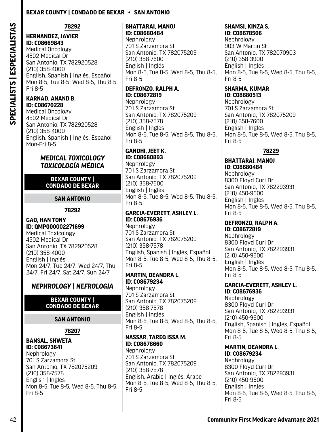SPECIALISTS | ESPECIALISTAS **SPECIALISTS | ESPECIALISTAS** **78292**

## **HERNANDEZ, JAVIER ID: C08669843**  Medical Oncology

4502 Medical Dr San Antonio, TX 782920528 (210) 358-4000 English, Spanish | Inglés, Español Mon 8-5, Tue 8-5, Wed 8-5, Thu 8-5, Fri 8-5

# **KARNAD, ANAND B.**

**ID: C08670228**  Medical Oncology 4502 Medical Dr San Antonio, TX 782920528 (210) 358-4000 English, Spanish | Inglés, Español Mon-Fri 8-5

## *MEDICAL TOXICOLOGY TOXICOLOGÍA MÉDICA*

#### **BEXAR COUNTY | CONDADO DE BEXAR**

## **SAN ANTONIO**

## **78292**

#### **GAO, HAN TONY ID: QMP000002271699**

Medical Toxicology 4502 Medical Dr San Antonio, TX 782920528 (210) 358-4000 English | Inglés Mon 24/7, Tue 24/7, Wed 24/7, Thu 24/7, Fri 24/7, Sat 24/7, Sun 24/7

# *NEPHROLOGY | NEFROLOGÍA*

## **BEXAR COUNTY | CONDADO DE BEXAR**

## **SAN ANTONIO**

#### **78207**

#### **BANSAL, SHWETA ID: C08673641**  Nephrology 701 S Zarzamora St San Antonio, TX 782075209 (210) 358-7578 English | Inglés Mon 8-5, Tue 8-5, Wed 8-5, Thu 8-5, Fri 8-5

## **BHATTARAI, MANOJ ID: C08680484**

Nephrology 701 S Zarzamora St San Antonio, TX 782075209 (210) 358-7600 English | Inglés Mon 8-5, Tue 8-5, Wed 8-5, Thu 8-5, Fri 8-5

## **DEFRONZO, RALPH A. ID: C08672819**

Nephrology 701 S Zarzamora St San Antonio, TX 782075209 (210) 358-7578 English | Inglés Mon 8-5, Tue 8-5, Wed 8-5, Thu 8-5, Fri 8-5

# **GANDHI, JEET K.**

**ID: C08680893**  Nephrology 701 S Zarzamora St San Antonio, TX 782075209 (210) 358-7600 English | Inglés Mon 8-5, Tue 8-5, Wed 8-5, Thu 8-5, Fri 8-5

#### **GARCIA-EVERETT, ASHLEY L. ID: C08676936**

Nephrology 701 S Zarzamora St San Antonio, TX 782075209 (210) 358-7578 English, Spanish | Inglés, Español Mon 8-5, Tue 8-5, Wed 8-5, Thu 8-5, Fri 8-5

#### **MARTIN, DEANDRA L. ID: C08679234**

Nephrology 701 S Zarzamora St San Antonio, TX 782075209 (210) 358-7578 English | Inglés Mon 8-5, Tue 8-5, Wed 8-5, Thu 8-5, Fri 8-5

#### **NASSAR, TAREQ ISSA M. ID: C08678660**

Nephrology 701 S Zarzamora St San Antonio, TX 782075209 (210) 358-7578 English, Arabic | Inglés, Árabe Mon 8-5, Tue 8-5, Wed 8-5, Thu 8-5, Fri 8-5

# **SHAMSI, KINZA S.**

**ID: C08678506**  Nephrology 903 W Martin St San Antonio, TX 782070903 (210) 358-3900 English | Inglés Mon 8-5, Tue 8-5, Wed 8-5, Thu 8-5, Fri 8-5

# **SHARMA, KUMAR**

**ID: C08680513**  Nephrology 701 S Zarzamora St San Antonio, TX 782075209 (210) 358-7600 English | Inglés Mon 8-5, Tue 8-5, Wed 8-5, Thu 8-5, Fri 8-5

## **78229**

## **BHATTARAI, MANOJ ID: C08680484**

Nephrology 8300 Floyd Curl Dr San Antonio, TX 782293931 (210) 450-9600 English | Inglés Mon 8-5, Tue 8-5, Wed 8-5, Thu 8-5, Fri 8-5

# **DEFRONZO, RALPH A.**

**ID: C08672819**  Nephrology 8300 Floyd Curl Dr San Antonio, TX 782293931 (210) 450-9600 English | Inglés Mon 8-5, Tue 8-5, Wed 8-5, Thu 8-5, Fri 8-5

# **GARCIA-EVERETT, ASHLEY L.**

**ID: C08676936**  Nephrology 8300 Floyd Curl Dr San Antonio, TX 782293931 (210) 450-9600 English, Spanish | Inglés, Español Mon 8-5, Tue 8-5, Wed 8-5, Thu 8-5, Fri 8-5

## **MARTIN, DEANDRA L.**

**ID: C08679234**  Nephrology 8300 Floyd Curl Dr San Antonio, TX 782293931 (210) 450-9600 English | Inglés Mon 8-5, Tue 8-5, Wed 8-5, Thu 8-5, Fri 8-5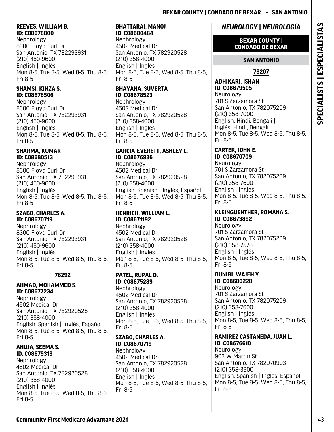#### **REEVES, WILLIAM B. ID: C08678800**

Nephrology 8300 Floyd Curl Dr San Antonio, TX 782293931 (210) 450-9600 English | Inglés Mon 8-5, Tue 8-5, Wed 8-5, Thu 8-5, Fri 8-5

#### **SHAMSI, KINZA S. ID: C08678506**

Nephrology 8300 Floyd Curl Dr San Antonio, TX 782293931 (210) 450-9600 English | Inglés Mon 8-5, Tue 8-5, Wed 8-5, Thu 8-5, Fri 8-5

#### **SHARMA, KUMAR ID: C08680513**

Nephrology 8300 Floyd Curl Dr San Antonio, TX 782293931 (210) 450-9600 English | Inglés Mon 8-5, Tue 8-5, Wed 8-5, Thu 8-5, Fri 8-5

## **SZABO, CHARLES A. ID: C08670719**

Nephrology 8300 Floyd Curl Dr San Antonio, TX 782293931 (210) 450-9600 English | Inglés Mon 8-5, Tue 8-5, Wed 8-5, Thu 8-5, Fri 8-5

## **78292**

#### **AHMAD, MOHAMMED S. ID: C08677234**

Nephrology 4502 Medical Dr San Antonio, TX 782920528 (210) 358-4000 English, Spanish | Inglés, Español Mon 8-5, Tue 8-5, Wed 8-5, Thu 8-5, Fri 8-5

#### **AHUJA, SEEMA S. ID: C08679319**  Nephrology 4502 Medical Dr San Antonio, TX 782920528 (210) 358-4000 English | Inglés Mon 8-5, Tue 8-5, Wed 8-5, Thu 8-5, Fri 8-5

#### **BHATTARAI, MANOJ ID: C08680484**

Nephrology 4502 Medical Dr San Antonio, TX 782920528 (210) 358-4000 English | Inglés Mon 8-5, Tue 8-5, Wed 8-5, Thu 8-5, Fri 8-5

#### **BHAYANA, SUVERTA ID: C08678523**  Nephrology

4502 Medical Dr San Antonio, TX 782920528 (210) 358-4000 English | Inglés Mon 8-5, Tue 8-5, Wed 8-5, Thu 8-5, Fri 8-5

#### **GARCIA-EVERETT, ASHLEY L. ID: C08676936**

Nephrology 4502 Medical Dr San Antonio, TX 782920528 (210) 358-4000 English, Spanish | Inglés, Español Mon 8-5, Tue 8-5, Wed 8-5, Thu 8-5, Fri 8-5

#### **HENRICH, WILLIAM L. ID: C08671192**  Nephrology

4502 Medical Dr San Antonio, TX 782920528 (210) 358-4000 English | Inglés Mon 8-5, Tue 8-5, Wed 8-5, Thu 8-5, Fri 8-5

## **PATEL, RUPAL D. ID: C08675289**

Nephrology 4502 Medical Dr San Antonio, TX 782920528 (210) 358-4000 English | Inglés Mon 8-5, Tue 8-5, Wed 8-5, Thu 8-5, Fri 8-5

#### **SZABO, CHARLES A. ID: C08670719**

Nephrology 4502 Medical Dr San Antonio, TX 782920528 (210) 358-4000 English | Inglés Mon 8-5, Tue 8-5, Wed 8-5, Thu 8-5, Fri 8-5

# *NEUROLOGY | NEUROLOGÍA*

## **BEXAR COUNTY | CONDADO DE BEXAR**

# **SAN ANTONIO**

# **78207**

#### **ADHIKARI, ISHAN ID: C08679505**  Neurology 701 S Zarzamora St San Antonio, TX 782075209 (210) 358-7000 English, Hindi, Bengali | Inglés, Hindi, Bengalí Mon 8-5, Tue 8-5, Wed 8-5, Thu 8-5, Fri 8-5

#### **CARTER, JOHN E. ID: C08670709**

Neurology 701 S Zarzamora St San Antonio, TX 782075209 (210) 358-7600 English | Inglés Mon 8-5, Tue 8-5, Wed 8-5, Thu 8-5, Fri 8-5

#### **KLEINGUENTHER, ROMANA S. ID: C08673892**

Neurology 701 S Zarzamora St San Antonio, TX 782075209 (210) 358-7578 English | Inglés Mon 8-5, Tue 8-5, Wed 8-5, Thu 8-5, Fri 8-5

#### **QUNIBI, WAJEH Y. ID: C08680228**

Neurology 701 S Zarzamora St San Antonio, TX 782075209 (210) 358-7600 English | Inglés Mon 8-5, Tue 8-5, Wed 8-5, Thu 8-5, Fri 8-5

## **RAMIREZ CASTANEDA, JUAN L. ID: C08676610**

Neurology 903 W Martin St San Antonio, TX 782070903 (210) 358-3900 English, Spanish | Inglés, Español Mon 8-5, Tue 8-5, Wed 8-5, Thu 8-5, Fri 8-5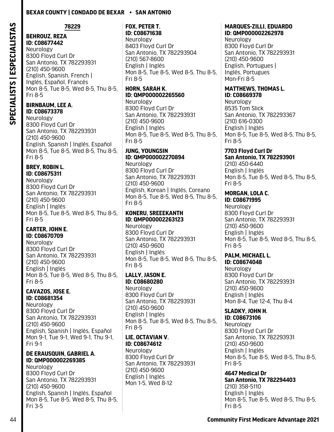SPECIALISTS | ESPECIALISTAS **SPECIALISTS | ESPECIALISTAS** **78229**

Mon 8-5, Tue 8-5, Wed 8-5, Thu 8-5,

**BEHROUZ, REZA ID: C08677442**  Neurology

(210) 450-9600

**BIRNBAUM, LEE A. ID: C08673378**  Neurology

8300 Floyd Curl Dr

(210) 450-9600

**BREY, ROBIN L. ID: C08675311**  Neurology

(210) 450-9600 English | Inglés

**CARTER, JOHN E. ID: C08670709**  Neurology

8300 Floyd Curl Dr

(210) 450-9600 English | Inglés

**CAVAZOS, JOSE E. ID: C08681354**  Neurology

8300 Floyd Curl Dr

(210) 450-9600

San Antonio, TX 782293931

**DE ERAUSQUIN, GABRIEL A. ID: QMP000002269385**

San Antonio, TX 782293931

English, Spanish | Inglés, Español Mon 8-5, Tue 8-5, Wed 8-5, Thu 8-5,

English, Spanish | Inglés, Español Mon 9-1, Tue 9-1, Wed 9-1, Thu 9-1,

San Antonio, TX 782293931

8300 Floyd Curl Dr

San Antonio, TX 782293931

Mon 8-5, Tue 8-5, Wed 8-5, Thu 8-5,

Mon 8-5, Tue 8-5, Wed 8-5, Thu 8-5,

San Antonio, TX 782293931

English, Spanish | Inglés, Español Mon 8-5, Tue 8-5, Wed 8-5, Thu 8-5,

Fri 8-5

Fri 8-5

Fri 8-5

Fri 8-5

Fri 9-1

Fri 3-5

Neurology

8300 Floyd Curl Dr

(210) 450-9600

8300 Floyd Curl Dr

San Antonio, TX 782293931

English, Spanish, French | Inglés, Español, Francés

#### **FOX, PETER T. ID: C08671638**

Neurology 8403 Floyd Curl Dr San Antonio, TX 782293904 (210) 567-8600 English | Inglés Mon 8-5, Tue 8-5, Wed 8-5, Thu 8-5, Fri 8-5

## **HORN, SARAH K. ID: QMP000002265560**

Neurology 8300 Floyd Curl Dr San Antonio, TX 782293931 (210) 450-9600 English | Inglés Mon 8-5, Tue 8-5, Wed 8-5, Thu 8-5, Fri 8-5

## **JUNG, YOUNGSIN ID: QMP000002270894**

Neurology 8300 Floyd Curl Dr San Antonio, TX 782293931 (210) 450-9600 English, Korean | Inglés, Coreano Mon 8-5, Tue 8-5, Wed 8-5, Thu 8-5, Fri 8-5

## **KONERU, SREEEKANTH ID: QMP000002263123**

Neurology 8300 Floyd Curl Dr San Antonio, TX 782293931 (210) 450-9600 English | Inglés Mon 8-5, Tue 8-5, Wed 8-5, Thu 8-5, Fri 8-5

#### **LALLY, JASON E. ID: C08680280**

Neurology 8300 Floyd Curl Dr San Antonio, TX 782293931 (210) 450-9600 English | Inglés Mon 8-5, Tue 8-5, Wed 8-5, Thu 8-5, Fri 8-5

## **LIE, OCTAVIAN V. ID: C08674612**

Neurology 8300 Floyd Curl Dr San Antonio, TX 782293931 (210) 450-9600 English | Inglés Mon 1-5, Wed 8-12

#### **MARQUES-ZILLI, EDUARDO ID: QMP000002262978**

Neurology 8300 Floyd Curl Dr San Antonio, TX 782293931 (210) 450-9600 English, Portugues | Inglés, Portugues Mon-Fri 8-5

#### **MATTHEWS, THOMAS L. ID: C08669378**

Neurology 8535 Tom Slick San Antonio, TX 782293367 (210) 616-0300 English | Inglés Mon 8-5, Tue 8-5, Wed 8-5, Thu 8-5, Fri 8-5

## **7703 Floyd Curl Dr**

**San Antonio, TX 782293901** (210) 450-6440 English | Inglés Mon 8-5, Tue 8-5, Wed 8-5, Thu 8-5, Fri 8-5

## **MORGAN, LOLA C.**

**ID: C08671995**  Neurology 8300 Floyd Curl Dr San Antonio, TX 782293931 (210) 450-9600 English | Inglés Mon 8-5, Tue 8-5, Wed 8-5, Thu 8-5, Fri 8-5

# **PALM, MICHAEL L.**

**ID: C08674048**  Neurology 8300 Floyd Curl Dr San Antonio, TX 782293931 (210) 450-9600 English | Inglés Mon 8-4, Tue 12-4, Thu 8-4

## **SLADKY, JOHN H.**

**ID: C08673106**  Neurology 8300 Floyd Curl Dr San Antonio, TX 782293931 (210) 450-9600 English | Inglés Mon 8-5, Tue 8-5, Wed 8-5, Thu 8-5, Fri 8-5

#### **4647 Medical Dr San Antonio, TX 782294403** (210) 358-5110 English | Inglés Mon 8-5, Tue 8-5, Wed 8-5, Thu 8-5, Fri 8-5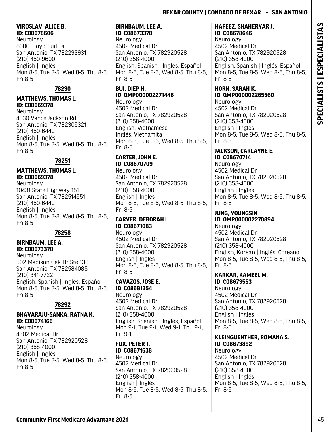#### **VIROSLAV, ALICE B. ID: C08678606**

Neurology 8300 Floyd Curl Dr San Antonio, TX 782293931 (210) 450-9600 English | Inglés Mon 8-5, Tue 8-5, Wed 8-5, Thu 8-5, Fri 8-5

## **78230**

## **MATTHEWS, THOMAS L. ID: C08669378**

Neurology 4330 Vance Jackson Rd San Antonio, TX 782305321 (210) 450-6440 English | Inglés Mon 8-5, Tue 8-5, Wed 8-5, Thu 8-5, Fri 8-5

#### **78251**

## **MATTHEWS, THOMAS L. ID: C08669378**

Neurology 10431 State Highway 151 San Antonio, TX 782514551 (210) 450-6440 English | Inglés Mon 8-5, Tue 8-8, Wed 8-5, Thu 8-5, Fri 8-5

## **78258**

## **BIRNBAUM, LEE A. ID: C08673378**

Neurology 502 Madison Oak Dr Ste 130 San Antonio, TX 782584085 (210) 341-7722 English, Spanish | Inglés, Español Mon 8-5, Tue 8-5, Wed 8-5, Thu 8-5, Fri 8-5

## **78292**

#### **BHAVARAJU-SANKA, RATNA K. ID: C08674166**

Neurology 4502 Medical Dr San Antonio, TX 782920528 (210) 358-4000 English | Inglés Mon 8-5, Tue 8-5, Wed 8-5, Thu 8-5, Fri 8-5

#### **BIRNBAUM, LEE A. ID: C08673378**

Neurology 4502 Medical Dr San Antonio, TX 782920528 (210) 358-4000 English, Spanish | Inglés, Español Mon 8-5, Tue 8-5, Wed 8-5, Thu 8-5, Fri 8-5

## **BUI, DIEP H. ID: QMP000002271446**

Neurology 4502 Medical Dr San Antonio, TX 782920528 (210) 358-4000 English, Vietnamese | Inglés, Vietnamita Mon 8-5, Tue 8-5, Wed 8-5, Thu 8-5, Fri 8-5

## **CARTER, JOHN E. ID: C08670709**

Neurology 4502 Medical Dr San Antonio, TX 782920528 (210) 358-4000 English | Inglés Mon 8-5, Tue 8-5, Wed 8-5, Thu 8-5, Fri 8-5

## **CARVER, DEBORAH L. ID: C08671083**

Neurology 4502 Medical Dr San Antonio, TX 782920528 (210) 358-4000 English | Inglés Mon 8-5, Tue 8-5, Wed 8-5, Thu 8-5, Fri 8-5

#### **CAVAZOS, JOSE E. ID: C08681354**  Neurology 4502 Medical Dr

San Antonio, TX 782920528 (210) 358-4000 English, Spanish | Inglés, Español Mon 9-1, Tue 9-1, Wed 9-1, Thu 9-1, Fri 9-1

## **FOX, PETER T. ID: C08671638**

Neurology 4502 Medical Dr San Antonio, TX 782920528 (210) 358-4000 English | Inglés Mon 8-5, Tue 8-5, Wed 8-5, Thu 8-5, Fri 8-5

#### **HAFEEZ, SHAHERYAR J. ID: C08678646**

Neurology 4502 Medical Dr San Antonio, TX 782920528 (210) 358-4000 English, Spanish | Inglés, Español Mon 8-5, Tue 8-5, Wed 8-5, Thu 8-5, Fri 8-5

## **HORN, SARAH K. ID: QMP000002265560**

Neurology 4502 Medical Dr San Antonio, TX 782920528 (210) 358-4000 English | Inglés Mon 8-5, Tue 8-5, Wed 8-5, Thu 8-5, Fri 8-5

# **JACKSON, CARLAYNE E.**

**ID: C08670714**  Neurology 4502 Medical Dr San Antonio, TX 782920528 (210) 358-4000 English | Inglés Mon 8-5, Tue 8-5, Wed 8-5, Thu 8-5, Fri 8-5

## **JUNG, YOUNGSIN**

**ID: QMP000002270894** Neurology 4502 Medical Dr San Antonio, TX 782920528 (210) 358-4000 English, Korean | Inglés, Coreano Mon 8-5, Tue 8-5, Wed 8-5, Thu 8-5, Fri 8-5

# **KARKAR, KAMEEL M.**

**ID: C08673553**  Neurology 4502 Medical Dr San Antonio, TX 782920528 (210) 358-4000 English | Inglés Mon 8-5, Tue 8-5, Wed 8-5, Thu 8-5, Fri 8-5

#### **KLEINGUENTHER, ROMANA S. ID: C08673892**

Neurology 4502 Medical Dr San Antonio, TX 782920528 (210) 358-4000 English | Inglés Mon 8-5, Tue 8-5, Wed 8-5, Thu 8-5, Fri 8-5

**SPECIALISTS | ESPECIALISTAS**

SPECIALISTS | ESPECIALISTAS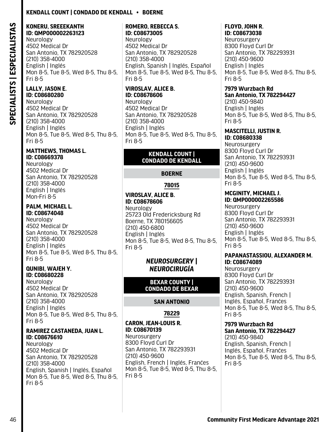## **Kendall Count | Condado De Kendall • Boerne**

## **KONERU, SREEEKANTH ID: QMP000002263123**

Neurology 4502 Medical Dr San Antonio, TX 782920528 (210) 358-4000 English | Inglés Mon 8-5, Tue 8-5, Wed 8-5, Thu 8-5, Fri 8-5

## **LALLY, JASON E. ID: C08680280**

Neurology 4502 Medical Dr San Antonio, TX 782920528 (210) 358-4000 English | Inglés Mon 8-5, Tue 8-5, Wed 8-5, Thu 8-5, Fri 8-5

## **MATTHEWS, THOMAS L. ID: C08669378**

Neurology 4502 Medical Dr San Antonio, TX 782920528 (210) 358-4000 English | Inglés Mon-Fri 8-5

# **PALM, MICHAEL L.**

**ID: C08674048**  Neurology 4502 Medical Dr San Antonio, TX 782920528 (210) 358-4000 English | Inglés Mon 8-5, Tue 8-5, Wed 8-5, Thu 8-5, Fri 8-5

## **QUNIBI, WAJEH Y. ID: C08680228**

Neurology 4502 Medical Dr San Antonio, TX 782920528 (210) 358-4000 English | Inglés Mon 8-5, Tue 8-5, Wed 8-5, Thu 8-5, Fri 8-5

#### **RAMIREZ CASTANEDA, JUAN L. ID: C08676610**

Neurology 4502 Medical Dr San Antonio, TX 782920528 (210) 358-4000 English, Spanish | Inglés, Español Mon 8-5, Tue 8-5, Wed 8-5, Thu 8-5, Fri 8-5

## **ROMERO, REBECCA S. ID: C08673005**

Neurology 4502 Medical Dr San Antonio, TX 782920528 (210) 358-4000 English, Spanish | Inglés, Español Mon 8-5, Tue 8-5, Wed 8-5, Thu 8-5, Fri 8-5

# **VIROSLAV, ALICE B. ID: C08678606**

Neurology 4502 Medical Dr San Antonio, TX 782920528 (210) 358-4000 English | Inglés Mon 8-5, Tue 8-5, Wed 8-5, Thu 8-5, Fri 8-5

#### **KENDALL COUNT | CONDADO DE KENDALL**

## **BOERNE**

## **78015**

# **VIROSLAV, ALICE B. ID: C08678606**

Neurology 25723 Old Fredericksburg Rd Boerne, TX 780156605 (210) 450-6800 English | Inglés Mon 8-5, Tue 8-5, Wed 8-5, Thu 8-5, Fri 8-5

## *NEUROSURGERY | NEUROCIRUGÍA*

## **BEXAR COUNTY | CONDADO DE BEXAR**

## **SAN ANTONIO**

## **78229**

#### **CARON, JEAN-LOUIS R. ID: C08670139**

**Neurosurgery** 8300 Floyd Curl Dr San Antonio, TX 782293931 (210) 450-9600 English, French | Inglés, Franćes Mon 8-5, Tue 8-5, Wed 8-5, Thu 8-5, Fri 8-5

#### **FLOYD, JOHN R. ID: C08673038**

**Neurosurgery** 8300 Floyd Curl Dr San Antonio, TX 782293931 (210) 450-9600 English | Inglés Mon 8-5, Tue 8-5, Wed 8-5, Thu 8-5, Fri 8-5

#### **7979 Wurzbach Rd San Antonio, TX 782294427**

(210) 450-9840 English | Inglés Mon 8-5, Tue 8-5, Wed 8-5, Thu 8-5, Fri 8-5

## **MASCITELLI, JUSTIN R.**

**ID: C08680338**  Neurosurgery 8300 Floyd Curl Dr San Antonio, TX 782293931 (210) 450-9600 English | Inglés Mon 8-5, Tue 8-5, Wed 8-5, Thu 8-5, Fri 8-5

#### **MCGINITY, MICHAEL J. ID: QMP000002265586**

Neurosurgery 8300 Floyd Curl Dr San Antonio, TX 782293931 (210) 450-9600 English | Inglés Mon 8-5, Tue 8-5, Wed 8-5, Thu 8-5, Fri 8-5

## **PAPANASTASSIOU, ALEXANDER M. ID: C08674089**

**Neurosurgery** 8300 Floyd Curl Dr San Antonio, TX 782293931 (210) 450-9600 English, Spanish, French | Inglés, Español, Franćes Mon 8-5, Tue 8-5, Wed 8-5, Thu 8-5, Fri 8-5

#### **7979 Wurzbach Rd San Antonio, TX 782294427**

(210) 450-9840 English, Spanish, French | Inglés, Español, Franćes Mon 8-5, Tue 8-5, Wed 8-5, Thu 8-5, Fri 8-5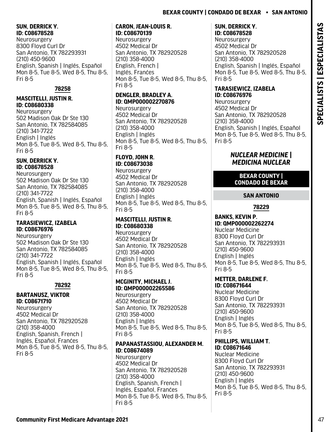#### **SUN, DERRICK Y. ID: C08678528**

**Neurosurgery** 8300 Floyd Curl Dr San Antonio, TX 782293931 (210) 450-9600 English, Spanish | Inglés, Español Mon 8-5, Tue 8-5, Wed 8-5, Thu 8-5, Fri 8-5

## **78258**

## **MASCITELLI, JUSTIN R. ID: C08680338**

**Neurosurgery** 502 Madison Oak Dr Ste 130 San Antonio, TX 782584085 (210) 341-7722 English | Inglés Mon 8-5, Tue 8-5, Wed 8-5, Thu 8-5, Fri 8-5

## **SUN, DERRICK Y. ID: C08678528**

Neurosurgery 502 Madison Oak Dr Ste 130 San Antonio, TX 782584085 (210) 341-7722 English, Spanish | Inglés, Español Mon 8-5, Tue 8-5, Wed 8-5, Thu 8-5, Fri 8-5

## **TARASIEWICZ, IZABELA ID: C08676976**

**Neurosurgery** 502 Madison Oak Dr Ste 130 San Antonio, TX 782584085 (210) 341-7722 English, Spanish | Inglés, Español Mon 8-5, Tue 8-5, Wed 8-5, Thu 8-5, Fri 8-5

## **78292**

#### **BARTANUSZ, VIKTOR ID: C08671710**

**Neurosurgery** 4502 Medical Dr San Antonio, TX 782920528 (210) 358-4000 English, Spanish, French | Inglés, Español, Franćes Mon 8-5, Tue 8-5, Wed 8-5, Thu 8-5, Fri 8-5

#### **CARON, JEAN-LOUIS R. ID: C08670139**

**Neurosurgery** 4502 Medical Dr San Antonio, TX 782920528 (210) 358-4000 English, French | Inglés, Franćes Mon 8-5, Tue 8-5, Wed 8-5, Thu 8-5, Fri 8-5

## **DENGLER, BRADLEY A. ID: QMP000002270876**

Neurosurgery 4502 Medical Dr San Antonio, TX 782920528 (210) 358-4000 English | Inglés Mon 8-5, Tue 8-5, Wed 8-5, Thu 8-5, Fri 8-5

## **FLOYD, JOHN R. ID: C08673038**

Neurosurgery 4502 Medical Dr San Antonio, TX 782920528 (210) 358-4000 English | Inglés Mon 8-5, Tue 8-5, Wed 8-5, Thu 8-5, Fri 8-5

## **MASCITELLI, JUSTIN R. ID: C08680338**

**Neurosurgery** 4502 Medical Dr San Antonio, TX 782920528 (210) 358-4000 English | Inglés Mon 8-5, Tue 8-5, Wed 8-5, Thu 8-5, Fri 8-5

## **MCGINITY, MICHAEL J. ID: QMP000002265586**

Neurosurgery 4502 Medical Dr San Antonio, TX 782920528 (210) 358-4000 English | Inglés Mon 8-5, Tue 8-5, Wed 8-5, Thu 8-5, Fri 8-5

## **PAPANASTASSIOU, ALEXANDER M. ID: C08674089**

**Neurosurgery** 4502 Medical Dr San Antonio, TX 782920528 (210) 358-4000 English, Spanish, French | Inglés, Español, Franćes Mon 8-5, Tue 8-5, Wed 8-5, Thu 8-5, Fri 8-5

## **SUN, DERRICK Y. ID: C08678528**

**Neurosurgery** 4502 Medical Dr San Antonio, TX 782920528 (210) 358-4000 English, Spanish | Inglés, Español Mon 8-5, Tue 8-5, Wed 8-5, Thu 8-5, Fri 8-5

## **TARASIEWICZ, IZABELA ID: C08676976**

Neurosurgery 4502 Medical Dr San Antonio, TX 782920528 (210) 358-4000 English, Spanish | Inglés, Español Mon 8-5, Tue 8-5, Wed 8-5, Thu 8-5, Fri 8-5

## *NUCLEAR MEDICINE | MEDICINA NUCLEAR*

## **BEXAR COUNTY | CONDADO DE BEXAR**

# **SAN ANTONIO**

## **78229**

#### **BANKS, KEVIN P. ID: QMP000002262274** Nuclear Medicine 8300 Floyd Curl Dr San Antonio, TX 782293931 (210) 450-9600 English | Inglés Mon 8-5, Tue 8-5, Wed 8-5, Thu 8-5, Fri 8-5

## **METTER, DARLENE F. ID: C08671644**

Nuclear Medicine 8300 Floyd Curl Dr San Antonio, TX 782293931 (210) 450-9600 English | Inglés Mon 8-5, Tue 8-5, Wed 8-5, Thu 8-5, Fri 8-5

#### **PHILLIPS, WILLIAM T. ID: C08671646**

Nuclear Medicine 8300 Floyd Curl Dr San Antonio, TX 782293931 (210) 450-9600 English | Inglés Mon 8-5, Tue 8-5, Wed 8-5, Thu 8-5, Fri 8-5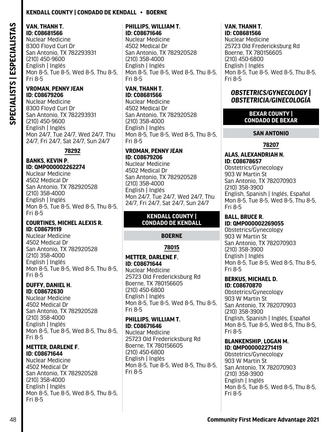## **Kendall County | Condado De Kendall • Boerne**

#### **VAN, THANH T. ID: C08681566**

Nuclear Medicine 8300 Floyd Curl Dr San Antonio, TX 782293931 (210) 450-9600 English | Inglés Mon 8-5, Tue 8-5, Wed 8-5, Thu 8-5, Fri 8-5

#### **VROMAN, PENNY JEAN ID: C08679206**

Nuclear Medicine 8300 Floyd Curl Dr San Antonio, TX 782293931 (210) 450-9600 English | Inglés Mon 24/7, Tue 24/7, Wed 24/7, Thu 24/7, Fri 24/7, Sat 24/7, Sun 24/7

## **78292**

#### **BANKS, KEVIN P. ID: QMP000002262274**

Nuclear Medicine 4502 Medical Dr San Antonio, TX 782920528 (210) 358-4000 English | Inglés Mon 8-5, Tue 8-5, Wed 8-5, Thu 8-5, Fri 8-5

#### **COURTINES, MICHEL ALEXIS R. ID: C08679119**

Nuclear Medicine 4502 Medical Dr San Antonio, TX 782920528 (210) 358-4000 English | Inglés Mon 8-5, Tue 8-5, Wed 8-5, Thu 8-5, Fri 8-5

#### **DUFFY, DANIEL H. ID: C08672630**

Nuclear Medicine 4502 Medical Dr San Antonio, TX 782920528 (210) 358-4000 English | Inglés Mon 8-5, Tue 8-5, Wed 8-5, Thu 8-5, Fri 8-5

#### **METTER, DARLENE F. ID: C08671644**

Nuclear Medicine 4502 Medical Dr San Antonio, TX 782920528 (210) 358-4000 English | Inglés Mon 8-5, Tue 8-5, Wed 8-5, Thu 8-5, Fri 8-5

## **PHILLIPS, WILLIAM T. ID: C08671646**

Nuclear Medicine 4502 Medical Dr San Antonio, TX 782920528 (210) 358-4000 English | Inglés Mon 8-5, Tue 8-5, Wed 8-5, Thu 8-5, Fri 8-5

#### **VAN, THANH T. ID: C08681566**

Nuclear Medicine 4502 Medical Dr San Antonio, TX 782920528 (210) 358-4000 English | Inglés Mon 8-5, Tue 8-5, Wed 8-5, Thu 8-5, Fri 8-5

#### **VROMAN, PENNY JEAN ID: C08679206**

Nuclear Medicine 4502 Medical Dr San Antonio, TX 782920528 (210) 358-4000 English | Inglés Mon 24/7, Tue 24/7, Wed 24/7, Thu 24/7, Fri 24/7, Sat 24/7, Sun 24/7

#### **KENDALL COUNTY | CONDADO DE KENDALL**

## **BOERNE**

# **78015**

## **METTER, DARLENE F. ID: C08671644**

Nuclear Medicine 25723 Old Fredericksburg Rd Boerne, TX 780156605 (210) 450-6800 English | Inglés Mon 8-5, Tue 8-5, Wed 8-5, Thu 8-5, Fri 8-5

#### **PHILLIPS, WILLIAM T. ID: C08671646**

Nuclear Medicine 25723 Old Fredericksburg Rd Boerne, TX 780156605 (210) 450-6800 English | Inglés Mon 8-5, Tue 8-5, Wed 8-5, Thu 8-5, Fri 8-5

#### **VAN, THANH T. ID: C08681566**

Nuclear Medicine 25723 Old Fredericksburg Rd Boerne, TX 780156605 (210) 450-6800 English | Inglés Mon 8-5, Tue 8-5, Wed 8-5, Thu 8-5, Fri 8-5

## *OBSTETRICS/GYNECOLOGY | OBSTETRICIA/GINECOLOGÍA*

#### **BEXAR COUNTY | CONDADO DE BEXAR**

## **SAN ANTONIO**

## **78207**

#### **ALAS, ALEXANDRIAH N. ID: C08678657**

Obstetrics/Gynecology 903 W Martin St San Antonio, TX 782070903 (210) 358-3900 English, Spanish | Inglés, Español Mon 8-5, Tue 8-5, Wed 8-5, Thu 8-5, Fri 8-5

#### **BALL, BRUCE R. ID: QMP000002269055**

Obstetrics/Gynecology 903 W Martin St San Antonio, TX 782070903 (210) 358-3900 English | Inglés Mon 8-5, Tue 8-5, Wed 8-5, Thu 8-5, Fri 8-5

#### **BERKUS, MICHAEL D. ID: C08670870**

Obstetrics/Gynecology 903 W Martin St San Antonio, TX 782070903 (210) 358-3900 English, Spanish | Inglés, Español Mon 8-5, Tue 8-5, Wed 8-5, Thu 8-5, Fri 8-5

#### **BLANKENSHIP, LOGAN M. ID: QMP000002271419**

Obstetrics/Gynecology 903 W Martin St San Antonio, TX 782070903 (210) 358-3900 English | Inglés Mon 8-5, Tue 8-5, Wed 8-5, Thu 8-5, Fri 8-5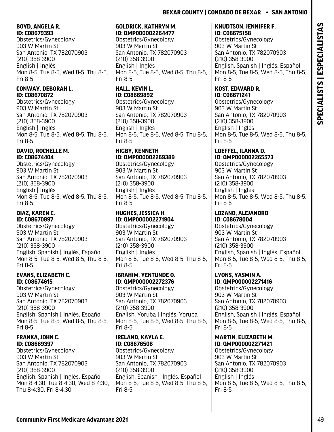## **BOYD, ANGELA R. ID: C08679393**

Obstetrics/Gynecology 903 W Martin St San Antonio, TX 782070903 (210) 358-3900 English | Inglés Mon 8-5, Tue 8-5, Wed 8-5, Thu 8-5, Fri 8-5

## **CONWAY, DEBORAH L. ID: C08670872**

Obstetrics/Gynecology 903 W Martin St San Antonio, TX 782070903 (210) 358-3900 English | Inglés Mon 8-5, Tue 8-5, Wed 8-5, Thu 8-5, Fri 8-5

#### **DAVID, ROCHELLE M. ID: C08674404**

Obstetrics/Gynecology 903 W Martin St San Antonio, TX 782070903 (210) 358-3900 English | Inglés Mon 8-5, Tue 8-5, Wed 8-5, Thu 8-5, Fri 8-5

## **DIAZ, KAREN C. ID: C08670897**

Obstetrics/Gynecology 903 W Martin St San Antonio, TX 782070903 (210) 358-3900 English, Spanish | Inglés, Español Mon 8-5, Tue 8-5, Wed 8-5, Thu 8-5, Fri 8-5

## **EVANS, ELIZABETH C. ID: C08674615**

Obstetrics/Gynecology 903 W Martin St San Antonio, TX 782070903 (210) 358-3900 English, Spanish | Inglés, Español Mon 8-5, Tue 8-5, Wed 8-5, Thu 8-5, Fri 8-5

## **FRANKA, JOHN C. ID: C08669397**

Obstetrics/Gynecology 903 W Martin St San Antonio, TX 782070903 (210) 358-3900 English, Spanish | Inglés, Español Mon 8-4:30, Tue 8-4:30, Wed 8-4:30, Thu 8-4:30, Fri 8-4:30

## **GOLDRICK, KATHRYN M. ID: QMP000002264477**

Obstetrics/Gynecology 903 W Martin St San Antonio, TX 782070903 (210) 358-3900 English | Inglés Mon 8-5, Tue 8-5, Wed 8-5, Thu 8-5, Fri 8-5

## **HALL, KEVIN L. ID: C08669892**

Obstetrics/Gynecology 903 W Martin St San Antonio, TX 782070903 (210) 358-3900 English | Inglés Mon 8-5, Tue 8-5, Wed 8-5, Thu 8-5, Fri 8-5

## **HIGBY, KENNETH ID: QMP000002269389**

Obstetrics/Gynecology 903 W Martin St San Antonio, TX 782070903 (210) 358-3900 English | Inglés Mon 8-5, Tue 8-5, Wed 8-5, Thu 8-5, Fri 8-5

## **HUGHES, JESSICA H. ID: QMP000002271904**

Obstetrics/Gynecology 903 W Martin St San Antonio, TX 782070903 (210) 358-3900 English | Inglés Mon 8-5, Tue 8-5, Wed 8-5, Thu 8-5, Fri 8-5

## **IBRAHIM, YENTUNDE O. ID: QMP000002272376**

Obstetrics/Gynecology 903 W Martin St San Antonio, TX 782070903 (210) 358-3900 English, Yoruba | Inglés, Yoruba Mon 8-5, Tue 8-5, Wed 8-5, Thu 8-5, Fri 8-5

## **IRELAND, KAYLA E. ID: C08676508**

Obstetrics/Gynecology 903 W Martin St San Antonio, TX 782070903 (210) 358-3900 English, Spanish | Inglés, Español Mon 8-5, Tue 8-5, Wed 8-5, Thu 8-5, Fri 8-5

## **KNUDTSON, JENNIFER F. ID: C08675158**

Obstetrics/Gynecology 903 W Martin St San Antonio, TX 782070903 (210) 358-3900 English, Spanish | Inglés, Español Mon 8-5, Tue 8-5, Wed 8-5, Thu 8-5, Fri 8-5

#### **KOST, EDWARD R. ID: C08671241**

Obstetrics/Gynecology 903 W Martin St San Antonio, TX 782070903 (210) 358-3900 English | Inglés Mon 8-5, Tue 8-5, Wed 8-5, Thu 8-5, Fri 8-5

#### **LOEFFEL, ILANNA D. ID: QMP000002265573**

Obstetrics/Gynecology 903 W Martin St San Antonio, TX 782070903 (210) 358-3900 English | Inglés Mon 8-5, Tue 8-5, Wed 8-5, Thu 8-5, Fri 8-5

# **LOZANO, ALEJANDRO**

**ID: C08678004**  Obstetrics/Gynecology 903 W Martin St San Antonio, TX 782070903 (210) 358-3900 English, Spanish | Inglés, Español Mon 8-5, Tue 8-5, Wed 8-5, Thu 8-5, Fri 8-5

# **LYONS, YASMIN A.**

**ID: QMP000002271416** Obstetrics/Gynecology 903 W Martin St San Antonio, TX 782070903 (210) 358-3900 English, Spanish | Inglés, Español Mon 8-5, Tue 8-5, Wed 8-5, Thu 8-5, Fri 8-5

#### **MARTIN, ELIZABETH M. ID: QMP000002271421**

Obstetrics/Gynecology 903 W Martin St San Antonio, TX 782070903 (210) 358-3900 English | Inglés Mon 8-5, Tue 8-5, Wed 8-5, Thu 8-5, Fri 8-5

**SPECIALISTS | ESPECIALISTAS**

SPECIALISTS | ESPECIALISTAS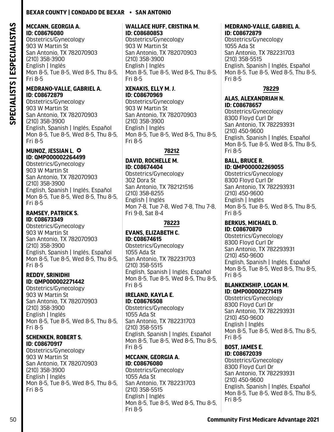#### **MCCANN, GEORGIA A. ID: C08676080**

Obstetrics/Gynecology 903 W Martin St San Antonio, TX 782070903 (210) 358-3900 English | Inglés Mon 8-5, Tue 8-5, Wed 8-5, Thu 8-5, Fri 8-5

#### **MEDRANO-VALLE, GABRIEL A. ID: C08672879**

Obstetrics/Gynecology 903 W Martin St San Antonio, TX 782070903 (210) 358-3900 English, Spanish | Inglés, Español Mon 8-5, Tue 8-5, Wed 8-5, Thu 8-5, Fri 8-5

#### **MUNOZ, JESSIAN L.**  $\odot$ **ID: QMP000002264499**

Obstetrics/Gynecology 903 W Martin St San Antonio, TX 782070903 (210) 358-3900 English, Spanish | Inglés, Español Mon 8-5, Tue 8-5, Wed 8-5, Thu 8-5, Fri 8-5

#### **RAMSEY, PATRICK S. ID: C08673349**

Obstetrics/Gynecology 903 W Martin St San Antonio, TX 782070903 (210) 358-3900 English, Spanish | Inglés, Español Mon 8-5, Tue 8-5, Wed 8-5, Thu 8-5, Fri 8-5

#### **REDDY, SRINIDHI ID: QMP000002271442**

Obstetrics/Gynecology 903 W Martin St San Antonio, TX 782070903 (210) 358-3900 English | Inglés Mon 8-5, Tue 8-5, Wed 8-5, Thu 8-5, Fri 8-5

#### **SCHENKEN, ROBERT S. ID: C08670917**

Obstetrics/Gynecology 903 W Martin St San Antonio, TX 782070903 (210) 358-3900 English | Inglés Mon 8-5, Tue 8-5, Wed 8-5, Thu 8-5, Fri 8-5

#### **WALLACE HUFF, CRISTINA M. ID: C08680853**

Obstetrics/Gynecology 903 W Martin St San Antonio, TX 782070903 (210) 358-3900 English | Inglés Mon 8-5, Tue 8-5, Wed 8-5, Thu 8-5, Fri 8-5

# **XENAKIS, ELLY M. J. ID: C08670969**

Obstetrics/Gynecology 903 W Martin St San Antonio, TX 782070903 (210) 358-3900 English | Inglés Mon 8-5, Tue 8-5, Wed 8-5, Thu 8-5, Fri 8-5

## **78212**

**DAVID, ROCHELLE M. ID: C08674404** 

Obstetrics/Gynecology 302 Dora St San Antonio, TX 782121516 (210) 358-8255 English | Inglés Mon 7-8, Tue 7-8, Wed 7-8, Thu 7-8, Fri 9-8, Sat 8-4

## **78223**

## **EVANS, ELIZABETH C. ID: C08674615**

Obstetrics/Gynecology 1055 Ada St San Antonio, TX 782231703 (210) 358-5515 English, Spanish | Inglés, Español Mon 8-5, Tue 8-5, Wed 8-5, Thu 8-5, Fri 8-5

#### **IRELAND, KAYLA E. ID: C08676508**

Obstetrics/Gynecology 1055 Ada St San Antonio, TX 782231703 (210) 358-5515 English, Spanish | Inglés, Español Mon 8-5, Tue 8-5, Wed 8-5, Thu 8-5, Fri 8-5

#### **MCCANN, GEORGIA A. ID: C08676080**

Obstetrics/Gynecology 1055 Ada St San Antonio, TX 782231703 (210) 358-5515 English | Inglés Mon 8-5, Tue 8-5, Wed 8-5, Thu 8-5, Fri 8-5

#### **MEDRANO-VALLE, GABRIEL A. ID: C08672879**

Obstetrics/Gynecology 1055 Ada St San Antonio, TX 782231703 (210) 358-5515 English, Spanish | Inglés, Español Mon 8-5, Tue 8-5, Wed 8-5, Thu 8-5, Fri 8-5

## **78229**

#### **ALAS, ALEXANDRIAH N. ID: C08678657**

Obstetrics/Gynecology 8300 Floyd Curl Dr San Antonio, TX 782293931 (210) 450-9600 English, Spanish | Inglés, Español Mon 8-5, Tue 8-5, Wed 8-5, Thu 8-5, Fri 8-5

#### **BALL, BRUCE R. ID: QMP000002269055**

Obstetrics/Gynecology 8300 Floyd Curl Dr San Antonio, TX 782293931 (210) 450-9600 English | Inglés Mon 8-5, Tue 8-5, Wed 8-5, Thu 8-5, Fri 8-5

#### **BERKUS, MICHAEL D. ID: C08670870**

Obstetrics/Gynecology 8300 Floyd Curl Dr San Antonio, TX 782293931 (210) 450-9600 English, Spanish | Inglés, Español Mon 8-5, Tue 8-5, Wed 8-5, Thu 8-5, Fri 8-5

#### **BLANKENSHIP, LOGAN M. ID: QMP000002271419**

Obstetrics/Gynecology 8300 Floyd Curl Dr San Antonio, TX 782293931 (210) 450-9600 English | Inglés Mon 8-5, Tue 8-5, Wed 8-5, Thu 8-5, Fri 8-5

#### **BOST, JAMES E. ID: C08672039**

Obstetrics/Gynecology 8300 Floyd Curl Dr San Antonio, TX 782293931 (210) 450-9600 English, Spanish | Inglés, Español Mon 8-5, Tue 8-5, Wed 8-5, Thu 8-5, Fri 8-5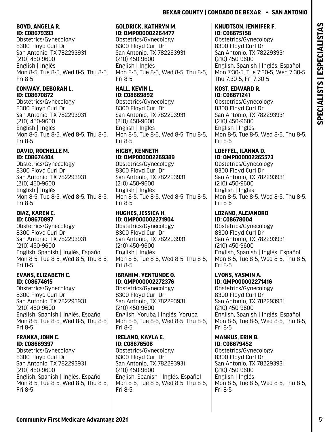## **BOYD, ANGELA R. ID: C08679393**

Obstetrics/Gynecology 8300 Floyd Curl Dr San Antonio, TX 782293931 (210) 450-9600 English | Inglés Mon 8-5, Tue 8-5, Wed 8-5, Thu 8-5, Fri 8-5

## **CONWAY, DEBORAH L. ID: C08670872**

Obstetrics/Gynecology 8300 Floyd Curl Dr San Antonio, TX 782293931 (210) 450-9600 English | Inglés Mon 8-5, Tue 8-5, Wed 8-5, Thu 8-5, Fri 8-5

#### **DAVID, ROCHELLE M. ID: C08674404**

Obstetrics/Gynecology 8300 Floyd Curl Dr San Antonio, TX 782293931 (210) 450-9600 English | Inglés Mon 8-5, Tue 8-5, Wed 8-5, Thu 8-5, Fri 8-5

## **DIAZ, KAREN C. ID: C08670897**

Obstetrics/Gynecology 8300 Floyd Curl Dr San Antonio, TX 782293931 (210) 450-9600 English, Spanish | Inglés, Español Mon 8-5, Tue 8-5, Wed 8-5, Thu 8-5, Fri 8-5

## **EVANS, ELIZABETH C. ID: C08674615**

Obstetrics/Gynecology 8300 Floyd Curl Dr San Antonio, TX 782293931 (210) 450-9600 English, Spanish | Inglés, Español Mon 8-5, Tue 8-5, Wed 8-5, Thu 8-5, Fri 8-5

## **FRANKA, JOHN C. ID: C08669397**

Obstetrics/Gynecology 8300 Floyd Curl Dr San Antonio, TX 782293931 (210) 450-9600 English, Spanish | Inglés, Español Mon 8-5, Tue 8-5, Wed 8-5, Thu 8-5, Fri 8-5

#### **GOLDRICK, KATHRYN M. ID: QMP000002264477**

Obstetrics/Gynecology 8300 Floyd Curl Dr San Antonio, TX 782293931 (210) 450-9600 English | Inglés Mon 8-5, Tue 8-5, Wed 8-5, Thu 8-5, Fri 8-5

## **HALL, KEVIN L. ID: C08669892**

Obstetrics/Gynecology 8300 Floyd Curl Dr San Antonio, TX 782293931 (210) 450-9600 English | Inglés Mon 8-5, Tue 8-5, Wed 8-5, Thu 8-5, Fri 8-5

## **HIGBY, KENNETH ID: QMP000002269389**

Obstetrics/Gynecology 8300 Floyd Curl Dr San Antonio, TX 782293931 (210) 450-9600 English | Inglés Mon 8-5, Tue 8-5, Wed 8-5, Thu 8-5, Fri 8-5

## **HUGHES, JESSICA H. ID: QMP000002271904**

Obstetrics/Gynecology 8300 Floyd Curl Dr San Antonio, TX 782293931 (210) 450-9600 English | Inglés Mon 8-5, Tue 8-5, Wed 8-5, Thu 8-5, Fri 8-5

## **IBRAHIM, YENTUNDE O. ID: QMP000002272376**

Obstetrics/Gynecology 8300 Floyd Curl Dr San Antonio, TX 782293931 (210) 450-9600 English, Yoruba | Inglés, Yoruba Mon 8-5, Tue 8-5, Wed 8-5, Thu 8-5, Fri 8-5

## **IRELAND, KAYLA E. ID: C08676508**

Obstetrics/Gynecology 8300 Floyd Curl Dr San Antonio, TX 782293931 (210) 450-9600 English, Spanish | Inglés, Español Mon 8-5, Tue 8-5, Wed 8-5, Thu 8-5, Fri 8-5

## **KNUDTSON, JENNIFER F. ID: C08675158**

Obstetrics/Gynecology 8300 Floyd Curl Dr San Antonio, TX 782293931 (210) 450-9600 English, Spanish | Inglés, Español Mon 7:30-5, Tue 7:30-5, Wed 7:30-5, Thu 7:30-5, Fri 7:30-5

## **KOST, EDWARD R. ID: C08671241**

Obstetrics/Gynecology 8300 Floyd Curl Dr San Antonio, TX 782293931 (210) 450-9600 English | Inglés Mon 8-5, Tue 8-5, Wed 8-5, Thu 8-5, Fri 8-5

#### **LOEFFEL, ILANNA D. ID: QMP000002265573**

Obstetrics/Gynecology 8300 Floyd Curl Dr San Antonio, TX 782293931 (210) 450-9600 English | Inglés Mon 8-5, Tue 8-5, Wed 8-5, Thu 8-5, Fri 8-5

# **LOZANO, ALEJANDRO**

**ID: C08678004**  Obstetrics/Gynecology 8300 Floyd Curl Dr San Antonio, TX 782293931 (210) 450-9600 English, Spanish | Inglés, Español Mon 8-5, Tue 8-5, Wed 8-5, Thu 8-5, Fri 8-5

#### **LYONS, YASMIN A. ID: QMP000002271416**

Obstetrics/Gynecology 8300 Floyd Curl Dr San Antonio, TX 782293931 (210) 450-9600 English, Spanish | Inglés, Español Mon 8-5, Tue 8-5, Wed 8-5, Thu 8-5, Fri 8-5

# **MANKUS, ERIN B.**

**ID: C08679452**  Obstetrics/Gynecology 8300 Floyd Curl Dr San Antonio, TX 782293931 (210) 450-9600 English | Inglés Mon 8-5, Tue 8-5, Wed 8-5, Thu 8-5, Fri 8-5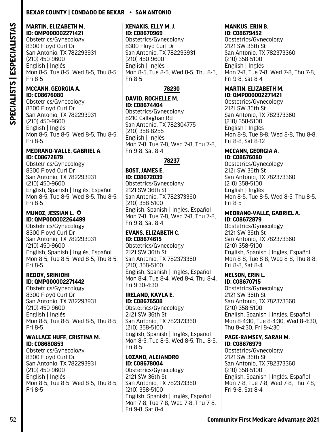#### **MARTIN, ELIZABETH M. ID: QMP000002271421**

Obstetrics/Gynecology 8300 Floyd Curl Dr San Antonio, TX 782293931 (210) 450-9600 English | Inglés Mon 8-5, Tue 8-5, Wed 8-5, Thu 8-5, Fri 8-5

#### **MCCANN, GEORGIA A. ID: C08676080**

Obstetrics/Gynecology 8300 Floyd Curl Dr San Antonio, TX 782293931 (210) 450-9600 English | Inglés Mon 8-5, Tue 8-5, Wed 8-5, Thu 8-5, Fri 8-5

#### **MEDRANO-VALLE, GABRIEL A. ID: C08672879**

Obstetrics/Gynecology 8300 Floyd Curl Dr San Antonio, TX 782293931 (210) 450-9600 English, Spanish | Inglés, Español Mon 8-5, Tue 8-5, Wed 8-5, Thu 8-5, Fri 8-5

#### **MUNOZ, JESSIAN L.**  $\odot$ **ID: QMP000002264499**

Obstetrics/Gynecology 8300 Floyd Curl Dr San Antonio, TX 782293931 (210) 450-9600 English, Spanish | Inglés, Español Mon 8-5, Tue 8-5, Wed 8-5, Thu 8-5, Fri 8-5

## **REDDY, SRINIDHI ID: QMP000002271442**

Obstetrics/Gynecology 8300 Floyd Curl Dr San Antonio, TX 782293931 (210) 450-9600 English | Inglés Mon 8-5, Tue 8-5, Wed 8-5, Thu 8-5, Fri 8-5

#### **WALLACE HUFF, CRISTINA M. ID: C08680853**

Obstetrics/Gynecology 8300 Floyd Curl Dr San Antonio, TX 782293931 (210) 450-9600 English | Inglés Mon 8-5, Tue 8-5, Wed 8-5, Thu 8-5, Fri 8-5

#### **XENAKIS, ELLY M. J. ID: C08670969**

Obstetrics/Gynecology 8300 Floyd Curl Dr San Antonio, TX 782293931 (210) 450-9600 English | Inglés Mon 8-5, Tue 8-5, Wed 8-5, Thu 8-5, Fri 8-5

## **78230**

## **DAVID, ROCHELLE M. ID: C08674404**

Obstetrics/Gynecology 8210 Callaghan Rd San Antonio, TX 782304775 (210) 358-8255 English | Inglés Mon 7-8, Tue 7-8, Wed 7-8, Thu 7-8, Fri 9-8, Sat 8-4

## **78237**

# **BOST, JAMES E.**

**ID: C08672039**  Obstetrics/Gynecology 2121 SW 36th St San Antonio, TX 782373360 (210) 358-5100 English, Spanish | Inglés, Español Mon 7-8, Tue 7-8, Wed 7-8, Thu 7-8, Fri 9-8, Sat 8-4

## **EVANS, ELIZABETH C. ID: C08674615**

Obstetrics/Gynecology 2121 SW 36th St San Antonio, TX 782373360 (210) 358-5100 English, Spanish | Inglés, Español Mon 8-4, Tue 8-4, Wed 8-4, Thu 8-4, Fri 9:30-4:30

#### **IRELAND, KAYLA E. ID: C08676508**

Obstetrics/Gynecology 2121 SW 36th St San Antonio, TX 782373360 (210) 358-5100 English, Spanish | Inglés, Español Mon 8-5, Tue 8-5, Wed 8-5, Thu 8-5, Fri 8-5

## **LOZANO, ALEJANDRO ID: C08678004**

Obstetrics/Gynecology 2121 SW 36th St San Antonio, TX 782373360 (210) 358-5100 English, Spanish | Inglés, Español Mon 7-8, Tue 7-8, Wed 7-8, Thu 7-8, Fri 9-8, Sat 8-4

#### **MANKUS, ERIN B. ID: C08679452**

Obstetrics/Gynecology 2121 SW 36th St San Antonio, TX 782373360 (210) 358-5100 English | Inglés Mon 7-8, Tue 7-8, Wed 7-8, Thu 7-8, Fri 9-8, Sat 8-4

#### **MARTIN, ELIZABETH M. ID: QMP000002271421**

Obstetrics/Gynecology 2121 SW 36th St San Antonio, TX 782373360 (210) 358-5100 English | Inglés Mon 8-8, Tue 8-8, Wed 8-8, Thu 8-8, Fri 8-8, Sat 8-12

#### **MCCANN, GEORGIA A. ID: C08676080**

Obstetrics/Gynecology 2121 SW 36th St San Antonio, TX 782373360 (210) 358-5100 English | Inglés Mon 8-5, Tue 8-5, Wed 8-5, Thu 8-5, Fri 8-5

#### **MEDRANO-VALLE, GABRIEL A. ID: C08672879**

Obstetrics/Gynecology 2121 SW 36th St San Antonio, TX 782373360 (210) 358-5100 English, Spanish | Inglés, Español Mon 8-8, Tue 8-8, Wed 8-8, Thu 8-8, Fri 8-8, Sat 8-4

#### **NELSON, ERIN L. ID: C08670715**

Obstetrics/Gynecology 2121 SW 36th St San Antonio, TX 782373360 (210) 358-5100 English, Spanish | Inglés, Español Mon 8-4:30, Tue 8-4:30, Wed 8-4:30, Thu 8-4:30, Fri 8-4:30

#### **PAGE-RAMSEY, SARAH M. ID: C08676979**

Obstetrics/Gynecology 2121 SW 36th St San Antonio, TX 782373360 (210) 358-5100 English, Spanish | Inglés, Español Mon 7-8, Tue 7-8, Wed 7-8, Thu 7-8, Fri 9-8, Sat 8-4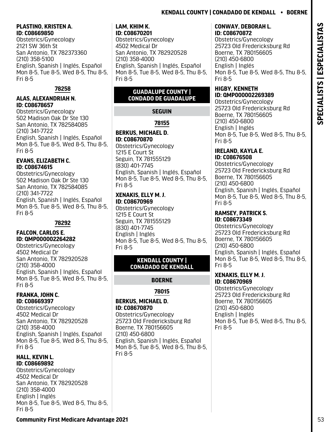# Fri 8-5

## **FRANKA, JOHN C. ID: C08669397**

(210) 358-4000

**PLASTINO, KRISTEN A.**

Obstetrics/Gynecology 2121 SW 36th St

**ALAS, ALEXANDRIAH N.**

Obstetrics/Gynecology 502 Madison Oak Dr Ste 130 San Antonio, TX 782584085

**EVANS, ELIZABETH C.**

Obstetrics/Gynecology 502 Madison Oak Dr Ste 130 San Antonio, TX 782584085

San Antonio, TX 782373360

English, Spanish | Inglés, Español Mon 8-5, Tue 8-5, Wed 8-5, Thu 8-5,

**78258**

English, Spanish | Inglés, Español Mon 8-5, Tue 8-5, Wed 8-5, Thu 8-5,

English, Spanish | Inglés, Español Mon 8-5, Tue 8-5, Wed 8-5, Thu 8-5,

**78292**

**ID: C08669850** 

(210) 358-5100

**ID: C08678657** 

(210) 341-7722

**ID: C08674615** 

(210) 341-7722

**FALCON, CARLOS E. ID: QMP000002264282** Obstetrics/Gynecology 4502 Medical Dr

San Antonio, TX 782920528

English, Spanish | Inglés, Español Mon 8-5, Tue 8-5, Wed 8-5, Thu 8-5,

Fri 8-5

Fri 8-5

Fri 8-5

Obstetrics/Gynecology 4502 Medical Dr San Antonio, TX 782920528 (210) 358-4000 English, Spanish | Inglés, Español Mon 8-5, Tue 8-5, Wed 8-5, Thu 8-5, Fri 8-5

#### **HALL, KEVIN L. ID: C08669892**

Obstetrics/Gynecology 4502 Medical Dr San Antonio, TX 782920528 (210) 358-4000 English | Inglés Mon 8-5, Tue 8-5, Wed 8-5, Thu 8-5, Fri 8-5

#### **LAM, KHIM K. ID: C08670201**

Obstetrics/Gynecology 4502 Medical Dr San Antonio, TX 782920528 (210) 358-4000 English, Spanish | Inglés, Español Mon 8-5, Tue 8-5, Wed 8-5, Thu 8-5, Fri 8-5

## **GUADALUPE COUNTY | CONDADO DE GUADALUPE**

**SEGUIN**

**78155**

#### **BERKUS, MICHAEL D. ID: C08670870**  Obstetrics/Gynecology

1215 E Court St Seguin, TX 781555129 (830) 401-7745 English, Spanish | Inglés, Español Mon 8-5, Tue 8-5, Wed 8-5, Thu 8-5, Fri 8-5

#### **XENAKIS, ELLY M. J. ID: C08670969**

Obstetrics/Gynecology 1215 E Court St Seguin, TX 781555129 (830) 401-7745 English | Inglés Mon 8-5, Tue 8-5, Wed 8-5, Thu 8-5, Fri 8-5

## **KENDALL COUNTY | CONADADO DE KENDALL**

## **BOERNE**

## **78015**

#### **BERKUS, MICHAEL D. ID: C08670870**

Obstetrics/Gynecology 25723 Old Fredericksburg Rd Boerne, TX 780156605 (210) 450-6800 English, Spanish | Inglés, Español Mon 8-5, Tue 8-5, Wed 8-5, Thu 8-5, Fri 8-5

# **Kendall County | Conadado De Kendall • Boerne**

#### **CONWAY, DEBORAH L. ID: C08670872**

Obstetrics/Gynecology 25723 Old Fredericksburg Rd Boerne, TX 780156605 (210) 450-6800 English | Inglés Mon 8-5, Tue 8-5, Wed 8-5, Thu 8-5, Fri 8-5

#### **HIGBY, KENNETH ID: QMP000002269389**

Obstetrics/Gynecology 25723 Old Fredericksburg Rd Boerne, TX 780156605 (210) 450-6800 English | Inglés Mon 8-5, Tue 8-5, Wed 8-5, Thu 8-5, Fri 8-5

#### **IRELAND, KAYLA E. ID: C08676508**

Obstetrics/Gynecology 25723 Old Fredericksburg Rd Boerne, TX 780156605 (210) 450-6800 English, Spanish | Inglés, Español Mon 8-5, Tue 8-5, Wed 8-5, Thu 8-5, Fri 8-5

#### **RAMSEY, PATRICK S. ID: C08673349**

Obstetrics/Gynecology 25723 Old Fredericksburg Rd Boerne, TX 780156605 (210) 450-6800 English, Spanish | Inglés, Español Mon 8-5, Tue 8-5, Wed 8-5, Thu 8-5, Fri 8-5

#### **XENAKIS, ELLY M. J. ID: C08670969**

Obstetrics/Gynecology 25723 Old Fredericksburg Rd Boerne, TX 780156605 (210) 450-6800 English | Inglés Mon 8-5, Tue 8-5, Wed 8-5, Thu 8-5, Fri 8-5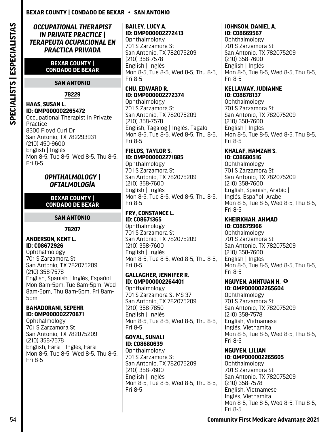*OCCUPATIONAL THERAPIST IN PRIVATE PRACTICE | TERAPEUTA OCUPACIONAL EN PRÁCTICA PRIVADA*

#### **BEXAR COUNTY | CONDADO DE BEXAR**

#### **SAN ANTONIO**

**78229**

#### **HAAS, SUSAN L. ID: QMP000002265472**

Occupational Therapist in Private Practice 8300 Floyd Curl Dr San Antonio, TX 782293931 (210) 450-9600 English | Inglés Mon 8-5, Tue 8-5, Wed 8-5, Thu 8-5, Fri 8-5

## *OPHTHALMOLOGY | OFTALMOLOGÍA*

#### **BEXAR COUNTY | CONDADO DE BEXAR**

**SAN ANTONIO**

## **78207**

## **ANDERSON, KENT L. ID: C08672926**

Ophthalmology 701 S Zarzamora St San Antonio, TX 782075209 (210) 358-7578 English, Spanish | Inglés, Español Mon 8am-5pm, Tue 8am-5pm, Wed 8am-5pm, Thu 8am-5pm, Fri 8am-5pm

#### **BAHADORANI, SEPEHR ID: QMP000002270871**

Ophthalmology 701 S Zarzamora St San Antonio, TX 782075209 (210) 358-7578 English, Farsi | Inglés, Farsi Mon 8-5, Tue 8-5, Wed 8-5, Thu 8-5, Fri 8-5

## **BAILEY, LUCY A. ID: QMP000002272413**

Ophthalmology 701 S Zarzamora St San Antonio, TX 782075209 (210) 358-7578 English | Inglés Mon 8-5, Tue 8-5, Wed 8-5, Thu 8-5, Fri 8-5

## **CHU, EDWARD R. ID: QMP000002272374**

Ophthalmology 701 S Zarzamora St San Antonio, TX 782075209 (210) 358-7578 English, Tagalog | Inglés, Tagalo Mon 8-5, Tue 8-5, Wed 8-5, Thu 8-5, Fri 8-5

#### **FIELDS, TAYLOR S. ID: QMP000002271885**

**Ophthalmology** 701 S Zarzamora St San Antonio, TX 782075209 (210) 358-7600 English | Inglés Mon 8-5, Tue 8-5, Wed 8-5, Thu 8-5, Fri 8-5

## **FRY, CONSTANCE L. ID: C08671365**

Ophthalmology 701 S Zarzamora St San Antonio, TX 782075209 (210) 358-7600 English | Inglés Mon 8-5, Tue 8-5, Wed 8-5, Thu 8-5, Fri 8-5

## **GALLAGHER, JENNIFER R. ID: QMP000002264401**

Ophthalmology 701 S Zarzamora St MS 37 San Antonio, TX 782075209 (210) 358-7850 English | Inglés Mon 8-5, Tue 8-5, Wed 8-5, Thu 8-5, Fri 8-5

## **GOYAL, SUNALI ID: C08680639**

**Ophthalmology** 701 S Zarzamora St San Antonio, TX 782075209 (210) 358-7600 English | Inglés Mon 8-5, Tue 8-5, Wed 8-5, Thu 8-5, Fri 8-5

# **JOHNSON, DANIEL A.**

**ID: C08669567**  Ophthalmology 701 S Zarzamora St San Antonio, TX 782075209 (210) 358-7600 English | Inglés Mon 8-5, Tue 8-5, Wed 8-5, Thu 8-5, Fri 8-5

#### **KELLAWAY, JUDIANNE ID: C08678137**

Ophthalmology 701 S Zarzamora St San Antonio, TX 782075209 (210) 358-7600 English | Inglés Mon 8-5, Tue 8-5, Wed 8-5, Thu 8-5, Fri 8-5

#### **KHALAF, HAMZAH S. ID: C08680516**

Ophthalmology 701 S Zarzamora St San Antonio, TX 782075209 (210) 358-7600 English, Spanish, Arabic | Inglés, Español, Árabe Mon 8-5, Tue 8-5, Wed 8-5, Thu 8-5, Fri 8-5

#### **KHEIRKHAH, AHMAD ID: C08679966**

Ophthalmology 701 S Zarzamora St San Antonio, TX 782075209 (210) 358-7600 English | Inglés Mon 8-5, Tue 8-5, Wed 8-5, Thu 8-5, Fri 8-5

#### **NGUYEN, ANHTUAN H.**  $\odot$ **ID: QMP000002265604**

Ophthalmology 701 S Zarzamora St San Antonio, TX 782075209 (210) 358-7578 English, Vietnamese | Inglés, Vietnamita Mon 8-5, Tue 8-5, Wed 8-5, Thu 8-5, Fri 8-5

#### **NGUYEN, LILIAN ID: QMP000002265605**

Ophthalmology 701 S Zarzamora St San Antonio, TX 782075209 (210) 358-7578 English, Vietnamese | Inglés, Vietnamita Mon 8-5, Tue 8-5, Wed 8-5, Thu 8-5, Fri 8-5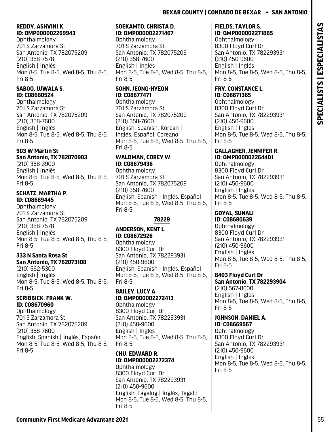#### **REDDY, ASHVINI K. ID: QMP000002269943**

**Ophthalmology** 701 S Zarzamora St San Antonio, TX 782075209 (210) 358-7578 English | Inglés Mon 8-5, Tue 8-5, Wed 8-5, Thu 8-5, Fri 8-5

## **SABOO, UJWALA S. ID: C08680524**

Ophthalmology 701 S Zarzamora St San Antonio, TX 782075209 (210) 358-7600 English | Inglés Mon 8-5, Tue 8-5, Wed 8-5, Thu 8-5, Fri 8-5

# **903 W Martin St**

**San Antonio, TX 782070903** (210) 358-3900 English | Inglés Mon 8-5, Tue 8-5, Wed 8-5, Thu 8-5, Fri 8-5

## **SCHATZ, MARTHA P. ID: C08669445**

Ophthalmology 701 S Zarzamora St San Antonio, TX 782075209 (210) 358-7578 English | Inglés Mon 8-5, Tue 8-5, Wed 8-5, Thu 8-5, Fri 8-5

#### **333 N Santa Rosa St San Antonio, TX 782073108**

(210) 562-5300 English | Inglés Mon 8-5, Tue 8-5, Wed 8-5, Thu 8-5, Fri 8-5

## **SCRIBBICK, FRANK W. ID: C08670960**

Ophthalmology 701 S Zarzamora St San Antonio, TX 782075209 (210) 358-7600 English, Spanish | Inglés, Español Mon 8-5, Tue 8-5, Wed 8-5, Thu 8-5, Fri 8-5

## **SOEKAMTO, CHRISTA D. ID: QMP000002271467**

**Ophthalmology** 701 S Zarzamora St San Antonio, TX 782075209 (210) 358-7600 English | Inglés Mon 8-5, Tue 8-5, Wed 8-5, Thu 8-5, Fri 8-5

# **SOHN, JEONG-HYEON ID: C08677471**

Ophthalmology 701 S Zarzamora St San Antonio, TX 782075209 (210) 358-7600 English, Spanish, Korean | Inglés, Español, Coreano Mon 8-5, Tue 8-5, Wed 8-5, Thu 8-5, Fri 8-5

## **WALDMAN, COREY W. ID: C08679436**

**Ophthalmology** 701 S Zarzamora St San Antonio, TX 782075209 (210) 358-7600 English, Spanish | Inglés, Español Mon 8-5, Tue 8-5, Wed 8-5, Thu 8-5, Fri 8-5

## **78229**

## **ANDERSON, KENT L. ID: C08672926**

Ophthalmology 8300 Floyd Curl Dr San Antonio, TX 782293931 (210) 450-9600 English, Spanish | Inglés, Español Mon 8-5, Tue 8-5, Wed 8-5, Thu 8-5, Fri 8-5

## **BAILEY, LUCY A. ID: QMP000002272413**

Ophthalmology 8300 Floyd Curl Dr San Antonio, TX 782293931 (210) 450-9600 English | Inglés Mon 8-5, Tue 8-5, Wed 8-5, Thu 8-5, Fri 8-5

## **CHU, EDWARD R. ID: QMP000002272374**

Ophthalmology 8300 Floyd Curl Dr San Antonio, TX 782293931 (210) 450-9600 English, Tagalog | Inglés, Tagalo Mon 8-5, Tue 8-5, Wed 8-5, Thu 8-5, Fri 8-5

## **FIELDS, TAYLOR S. ID: QMP000002271885**

Ophthalmology 8300 Floyd Curl Dr San Antonio, TX 782293931 (210) 450-9600 English | Inglés Mon 8-5, Tue 8-5, Wed 8-5, Thu 8-5, Fri 8-5

#### **FRY, CONSTANCE L. ID: C08671365**

Ophthalmology 8300 Floyd Curl Dr San Antonio, TX 782293931 (210) 450-9600 English | Inglés Mon 8-5, Tue 8-5, Wed 8-5, Thu 8-5, Fri 8-5

#### **GALLAGHER, JENNIFER R. ID: QMP000002264401**

Ophthalmology 8300 Floyd Curl Dr San Antonio, TX 782293931 (210) 450-9600 English | Inglés Mon 8-5, Tue 8-5, Wed 8-5, Thu 8-5, Fri 8-5

# **GOYAL, SUNALI**

**ID: C08680639**  Ophthalmology 8300 Floyd Curl Dr San Antonio, TX 782293931 (210) 450-9600 English | Inglés Mon 8-5, Tue 8-5, Wed 8-5, Thu 8-5, Fri 8-5

## **8403 Floyd Curl Dr**

**San Antonio, TX 782293904** (210) 567-8600 English | Inglés Mon 8-5, Tue 8-5, Wed 8-5, Thu 8-5, Fri 8-5

# **JOHNSON, DANIEL A.**

**ID: C08669567**  Ophthalmology 8300 Floyd Curl Dr San Antonio, TX 782293931 (210) 450-9600 English | Inglés Mon 8-5, Tue 8-5, Wed 8-5, Thu 8-5, Fri 8-5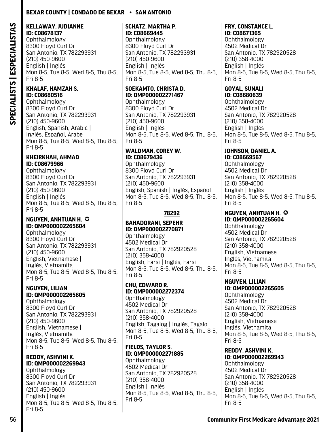#### **KELLAWAY, JUDIANNE ID: C08678137**

**Ophthalmology** 8300 Floyd Curl Dr San Antonio, TX 782293931 (210) 450-9600 English | Inglés Mon 8-5, Tue 8-5, Wed 8-5, Thu 8-5, Fri 8-5

#### **KHALAF, HAMZAH S. ID: C08680516**

Ophthalmology 8300 Floyd Curl Dr San Antonio, TX 782293931 (210) 450-9600 English, Spanish, Arabic | Inglés, Español, Árabe Mon 8-5, Tue 8-5, Wed 8-5, Thu 8-5, Fri 8-5

## **KHEIRKHAH, AHMAD ID: C08679966**

Ophthalmology 8300 Floyd Curl Dr San Antonio, TX 782293931 (210) 450-9600 English | Inglés Mon 8-5, Tue 8-5, Wed 8-5, Thu 8-5, Fri 8-5

#### **NGUYEN, ANHTUAN H.**  $\odot$ **ID: QMP000002265604**

Ophthalmology 8300 Floyd Curl Dr San Antonio, TX 782293931 (210) 450-9600 English, Vietnamese | Inglés, Vietnamita Mon 8-5, Tue 8-5, Wed 8-5, Thu 8-5, Fri 8-5

#### **NGUYEN, LILIAN ID: QMP000002265605**

**Ophthalmology** 8300 Floyd Curl Dr San Antonio, TX 782293931 (210) 450-9600 English, Vietnamese | Inglés, Vietnamita Mon 8-5, Tue 8-5, Wed 8-5, Thu 8-5, Fri 8-5

#### **REDDY, ASHVINI K. ID: QMP000002269943**

Ophthalmology 8300 Floyd Curl Dr San Antonio, TX 782293931 (210) 450-9600 English | Inglés Mon 8-5, Tue 8-5, Wed 8-5, Thu 8-5, Fri 8-5

#### **SCHATZ, MARTHA P. ID: C08669445**

Ophthalmology 8300 Floyd Curl Dr San Antonio, TX 782293931 (210) 450-9600 English | Inglés Mon 8-5, Tue 8-5, Wed 8-5, Thu 8-5, Fri 8-5

## **SOEKAMTO, CHRISTA D. ID: QMP000002271467**

Ophthalmology 8300 Floyd Curl Dr San Antonio, TX 782293931 (210) 450-9600 English | Inglés Mon 8-5, Tue 8-5, Wed 8-5, Thu 8-5, Fri 8-5

## **WALDMAN, COREY W. ID: C08679436**

Ophthalmology 8300 Floyd Curl Dr San Antonio, TX 782293931 (210) 450-9600 English, Spanish | Inglés, Español Mon 8-5, Tue 8-5, Wed 8-5, Thu 8-5, Fri 8-5

## **78292**

## **BAHADORANI, SEPEHR ID: QMP000002270871**

Ophthalmology 4502 Medical Dr San Antonio, TX 782920528 (210) 358-4000 English, Farsi | Inglés, Farsi Mon 8-5, Tue 8-5, Wed 8-5, Thu 8-5, Fri 8-5

## **CHU, EDWARD R. ID: QMP000002272374**

Ophthalmology 4502 Medical Dr San Antonio, TX 782920528 (210) 358-4000 English, Tagalog | Inglés, Tagalo Mon 8-5, Tue 8-5, Wed 8-5, Thu 8-5, Fri 8-5

## **FIELDS, TAYLOR S. ID: QMP000002271885**

Ophthalmology 4502 Medical Dr San Antonio, TX 782920528 (210) 358-4000 English | Inglés Mon 8-5, Tue 8-5, Wed 8-5, Thu 8-5, Fri 8-5

# **FRY, CONSTANCE L.**

**ID: C08671365**  Ophthalmology 4502 Medical Dr San Antonio, TX 782920528 (210) 358-4000 English | Inglés Mon 8-5, Tue 8-5, Wed 8-5, Thu 8-5, Fri 8-5

# **GOYAL, SUNALI**

**ID: C08680639**  Ophthalmology 4502 Medical Dr San Antonio, TX 782920528 (210) 358-4000 English | Inglés Mon 8-5, Tue 8-5, Wed 8-5, Thu 8-5, Fri 8-5

# **JOHNSON, DANIEL A.**

**ID: C08669567**  Ophthalmology 4502 Medical Dr San Antonio, TX 782920528 (210) 358-4000 English | Inglés Mon 8-5, Tue 8-5, Wed 8-5, Thu 8-5, Fri 8-5

#### **NGUYEN, ANHTUAN H.**  $\odot$ **ID: QMP000002265604**

Ophthalmology 4502 Medical Dr San Antonio, TX 782920528 (210) 358-4000 English, Vietnamese | Inglés, Vietnamita Mon 8-5, Tue 8-5, Wed 8-5, Thu 8-5, Fri 8-5

# **NGUYEN, LILIAN**

**ID: QMP000002265605** Ophthalmology 4502 Medical Dr San Antonio, TX 782920528 (210) 358-4000 English, Vietnamese | Inglés, Vietnamita Mon 8-5, Tue 8-5, Wed 8-5, Thu 8-5, Fri 8-5

#### **REDDY, ASHVINI K. ID: QMP000002269943**

Ophthalmology 4502 Medical Dr San Antonio, TX 782920528 (210) 358-4000 English | Inglés Mon 8-5, Tue 8-5, Wed 8-5, Thu 8-5, Fri 8-5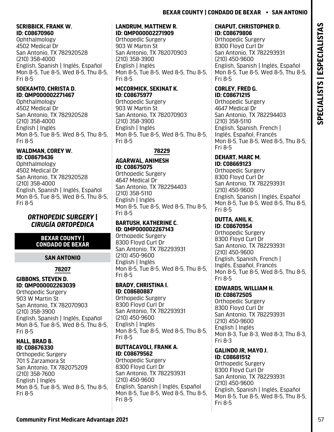## **SCRIBBICK, FRANK W. ID: C08670960**

Ophthalmology 4502 Medical Dr San Antonio, TX 782920528 (210) 358-4000 English, Spanish | Inglés, Español Mon 8-5, Tue 8-5, Wed 8-5, Thu 8-5, Fri 8-5

## **SOEKAMTO, CHRISTA D. ID: QMP000002271467**

Ophthalmology 4502 Medical Dr San Antonio, TX 782920528 (210) 358-4000 English | Inglés Mon 8-5, Tue 8-5, Wed 8-5, Thu 8-5, Fri 8-5

## **WALDMAN, COREY W. ID: C08679436**

Ophthalmology 4502 Medical Dr San Antonio, TX 782920528 (210) 358-4000 English, Spanish | Inglés, Español Mon 8-5, Tue 8-5, Wed 8-5, Thu 8-5, Fri 8-5

## *ORTHOPEDIC SURGERY | CIRUGÍA ORTOPÉDICA*

## **BEXAR COUNTY | CONDADO DE BEXAR**

# **SAN ANTONIO**

# **78207**

## **GIBBONS, STEVEN D. ID: QMP000002263039**

Orthopedic Surgery 903 W Martin St San Antonio, TX 782070903 (210) 358-3900 English, Spanish | Inglés, Español Mon 8-5, Tue 8-5, Wed 8-5, Thu 8-5, Fri 8-5

## **HALL, BRAD B. ID: C08676330**

Orthopedic Surgery 701 S Zarzamora St San Antonio, TX 782075209 (210) 358-7600 English | Inglés Mon 8-5, Tue 8-5, Wed 8-5, Thu 8-5, Fri 8-5

## **LANDRUM, MATTHEW R. ID: QMP000002271909**

Orthopedic Surgery 903 W Martin St San Antonio, TX 782070903 (210) 358-3900 English | Inglés Mon 8-5, Tue 8-5, Wed 8-5, Thu 8-5, Fri 8-5

# **MCCORMICK, SEKINAT K. ID: C08675977**

Orthopedic Surgery 903 W Martin St San Antonio, TX 782070903 (210) 358-3900 English | Inglés Mon 8-5, Tue 8-5, Wed 8-5, Thu 8-5, Fri 8-5

# **78229**

# **AGARWAL, ANIMESH ID: C08675075**

Orthopedic Surgery 4647 Medical Dr San Antonio, TX 782294403 (210) 358-5110 English | Inglés Mon 8-5, Tue 8-5, Wed 8-5, Thu 8-5, Fri 8-5

## **BARTUSH, KATHERINE C. ID: QMP000002267143**

Orthopedic Surgery 8300 Floyd Curl Dr San Antonio, TX 782293931 (210) 450-9600 English | Inglés Mon 8-5, Tue 8-5, Wed 8-5, Thu 8-5, Fri 8-5

## **BRADY, CHRISTINA I. ID: C08680887**

Orthopedic Surgery 8300 Floyd Curl Dr San Antonio, TX 782293931 (210) 450-9600 English | Inglés Mon 8-5, Tue 8-5, Wed 8-5, Thu 8-5, Fri 8-5

## **BUTTACAVOLI, FRANK A. ID: C08679562**

Orthopedic Surgery 8300 Floyd Curl Dr San Antonio, TX 782293931 (210) 450-9600 English, Spanish | Inglés, Español Mon 8-5, Tue 8-5, Wed 8-5, Thu 8-5, Fri 8-5

#### **CHAPUT, CHRISTOPHER D. ID: C08679806**

Orthopedic Surgery 8300 Floyd Curl Dr San Antonio, TX 782293931 (210) 450-9600 English, Spanish | Inglés, Español Mon 8-5, Tue 8-5, Wed 8-5, Thu 8-5, Fri 8-5

## **CORLEY, FRED G. ID: C08671215**

Orthopedic Surgery 4647 Medical Dr San Antonio, TX 782294403 (210) 358-5110 English, Spanish, French | Inglés, Español, Francés Mon 8-5, Tue 8-5, Wed 8-5, Thu 8-5, Fri 8-5

## **DEHART, MARC M. ID: C08669123**

Orthopedic Surgery 8300 Floyd Curl Dr San Antonio, TX 782293931 (210) 450-9600 English, Spanish | Inglés, Español Mon 8-5, Tue 8-5, Wed 8-5, Thu 8-5, Fri 8-5

#### **DUTTA, ANIL K. ID: C08670954**

Orthopedic Surgery 8300 Floyd Curl Dr San Antonio, TX 782293931 (210) 450-9600 English, Spanish, French | Inglés, Español, Francés Mon 8-5, Tue 8-5, Wed 8-5, Thu 8-5, Fri 8-5

## **EDWARDS, WILLIAM H. ID: C08672505**

Orthopedic Surgery 8300 Floyd Curl Dr San Antonio, TX 782293931 (210) 450-9600 English | Inglés Mon 8-3, Tue 8-3, Wed 8-3, Thu 8-3, Fri 8-3

#### **GALINDO JR, MAYO J. ID: C08681512**

Orthopedic Surgery 8300 Floyd Curl Dr San Antonio, TX 782293931 (210) 450-9600 English, Spanish | Inglés, Español Mon 8-5, Tue 8-5, Wed 8-5, Thu 8-5, Fri 8-5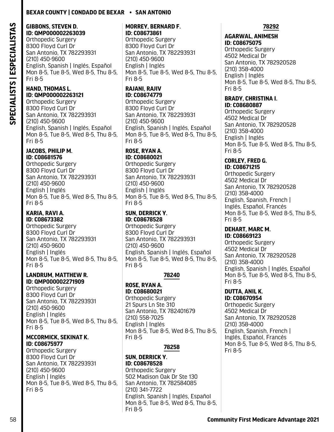## **GIBBONS, STEVEN D. ID: QMP000002263039**

Orthopedic Surgery 8300 Floyd Curl Dr San Antonio, TX 782293931 (210) 450-9600 English, Spanish | Inglés, Español Mon 8-5, Tue 8-5, Wed 8-5, Thu 8-5, Fri 8-5

#### **HAND, THOMAS L. ID: QMP000002263121**

Orthopedic Surgery 8300 Floyd Curl Dr San Antonio, TX 782293931 (210) 450-9600 English, Spanish | Inglés, Español Mon 8-5, Tue 8-5, Wed 8-5, Thu 8-5, Fri 8-5

#### **JACOBS, PHILIP M. ID: C08681576**

Orthopedic Surgery 8300 Floyd Curl Dr San Antonio, TX 782293931 (210) 450-9600 English | Inglés Mon 8-5, Tue 8-5, Wed 8-5, Thu 8-5, Fri 8-5

## **KARIA, RAVI A. ID: C08673382**

Orthopedic Surgery 8300 Floyd Curl Dr San Antonio, TX 782293931 (210) 450-9600 English | Inglés Mon 8-5, Tue 8-5, Wed 8-5, Thu 8-5, Fri 8-5

#### **LANDRUM, MATTHEW R. ID: QMP000002271909**

Orthopedic Surgery 8300 Floyd Curl Dr San Antonio, TX 782293931 (210) 450-9600 English | Inglés Mon 8-5, Tue 8-5, Wed 8-5, Thu 8-5, Fri 8-5

#### **MCCORMICK, SEKINAT K. ID: C08675977**

Orthopedic Surgery 8300 Floyd Curl Dr San Antonio, TX 782293931 (210) 450-9600 English | Inglés Mon 8-5, Tue 8-5, Wed 8-5, Thu 8-5, Fri 8-5

#### **MORREY, BERNARD F. ID: C08673861**

Orthopedic Surgery 8300 Floyd Curl Dr San Antonio, TX 782293931 (210) 450-9600 English | Inglés Mon 8-5, Tue 8-5, Wed 8-5, Thu 8-5, Fri 8-5

#### **RAJANI, RAJIV ID: C08674779**

Orthopedic Surgery 8300 Floyd Curl Dr San Antonio, TX 782293931 (210) 450-9600 English, Spanish | Inglés, Español Mon 8-5, Tue 8-5, Wed 8-5, Thu 8-5, Fri 8-5

#### **ROSE, RYAN A. ID: C08680021**

Orthopedic Surgery 8300 Floyd Curl Dr San Antonio, TX 782293931 (210) 450-9600 English | Inglés Mon 8-5, Tue 8-5, Wed 8-5, Thu 8-5, Fri 8-5

#### **SUN, DERRICK Y. ID: C08678528**

Orthopedic Surgery 8300 Floyd Curl Dr San Antonio, TX 782293931 (210) 450-9600 English, Spanish | Inglés, Español Mon 8-5, Tue 8-5, Wed 8-5, Thu 8-5, Fri 8-5

## **78240**

**ROSE, RYAN A. ID: C08680021**  Orthopedic Surgery 21 Spurs Ln Ste 310 San Antonio, TX 782401679 (210) 558-7025 English | Inglés Mon 8-5, Tue 8-5, Wed 8-5, Thu 8-5, Fri 8-5

## **78258**

**SUN, DERRICK Y. ID: C08678528**  Orthopedic Surgery 502 Madison Oak Dr Ste 130 San Antonio, TX 782584085 (210) 341-7722 English, Spanish | Inglés, Español Mon 8-5, Tue 8-5, Wed 8-5, Thu 8-5, Fri 8-5

## **78292**

#### **AGARWAL, ANIMESH ID: C08675075**

Orthopedic Surgery 4502 Medical Dr San Antonio, TX 782920528 (210) 358-4000 English | Inglés Mon 8-5, Tue 8-5, Wed 8-5, Thu 8-5, Fri 8-5

#### **BRADY, CHRISTINA I. ID: C08680887**

Orthopedic Surgery 4502 Medical Dr San Antonio, TX 782920528 (210) 358-4000 English | Inglés Mon 8-5, Tue 8-5, Wed 8-5, Thu 8-5, Fri 8-5

#### **CORLEY, FRED G. ID: C08671215**

Orthopedic Surgery 4502 Medical Dr San Antonio, TX 782920528 (210) 358-4000 English, Spanish, French | Inglés, Español, Francés Mon 8-5, Tue 8-5, Wed 8-5, Thu 8-5, Fri 8-5

#### **DEHART, MARC M. ID: C08669123**

Orthopedic Surgery 4502 Medical Dr San Antonio, TX 782920528 (210) 358-4000 English, Spanish | Inglés, Español Mon 8-5, Tue 8-5, Wed 8-5, Thu 8-5, Fri 8-5

#### **DUTTA, ANIL K. ID: C08670954**

Orthopedic Surgery 4502 Medical Dr San Antonio, TX 782920528 (210) 358-4000 English, Spanish, French | Inglés, Español, Francés Mon 8-5, Tue 8-5, Wed 8-5, Thu 8-5, Fri 8-5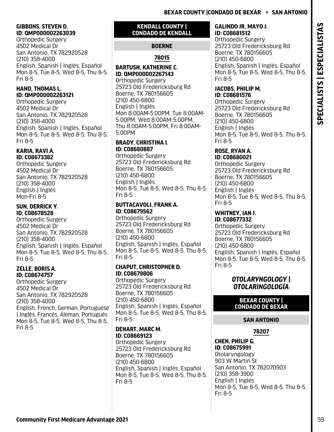## **GIBBONS, STEVEN D. ID: QMP000002263039**

Orthopedic Surgery 4502 Medical Dr San Antonio, TX 782920528 (210) 358-4000 English, Spanish | Inglés, Español Mon 8-5, Tue 8-5, Wed 8-5, Thu 8-5, Fri 8-5

## **HAND, THOMAS L. ID: QMP000002263121**

Orthopedic Surgery 4502 Medical Dr San Antonio, TX 782920528 (210) 358-4000 English, Spanish | Inglés, Español Mon 8-5, Tue 8-5, Wed 8-5, Thu 8-5, Fri 8-5

#### **KARIA, RAVI A. ID: C08673382**

Orthopedic Surgery 4502 Medical Dr San Antonio, TX 782920528 (210) 358-4000 English | Inglés Mon-Fri 8-5

## **SUN, DERRICK Y. ID: C08678528**

Orthopedic Surgery 4502 Medical Dr San Antonio, TX 782920528 (210) 358-4000 English, Spanish | Inglés, Español Mon 8-5, Tue 8-5, Wed 8-5, Thu 8-5, Fri 8-5

## **ZELLE, BORIS A. ID: C08674757**

Orthopedic Surgery 4502 Medical Dr San Antonio, TX 782920528 (210) 358-4000 English, French, German, Portuguese | Inglés, Francés, Áleman, Portugués Mon 8-5, Tue 8-5, Wed 8-5, Thu 8-5, Fri 8-5

## **KENDALL COUNTY | CONDADO DE KENDALL**

# **BOERNE**

# **78015**

# **BARTUSH, KATHERINE C. ID: QMP000002267143**

Orthopedic Surgery 25723 Old Fredericksburg Rd Boerne, TX 780156605 (210) 450-6800 English | Inglés Mon 8:00AM-5:00PM, Tue 8:00AM-5:00PM, Wed 8:00AM-5:00PM, Thu 8:00AM-5:00PM, Fri 8:00AM-5:00PM

## **BRADY, CHRISTINA I. ID: C08680887**

Orthopedic Surgery 25723 Old Fredericksburg Rd Boerne, TX 780156605 (210) 450-6800 English | Inglés Mon 8-5, Tue 8-5, Wed 8-5, Thu 8-5, Fri 8-5

## **BUTTACAVOLI, FRANK A. ID: C08679562**

Orthopedic Surgery 25723 Old Fredericksburg Rd Boerne, TX 780156605 (210) 450-6800 English, Spanish | Inglés, Español Mon 8-5, Tue 8-5, Wed 8-5, Thu 8-5, Fri 8-5

## **CHAPUT, CHRISTOPHER D. ID: C08679806**

Orthopedic Surgery 25723 Old Fredericksburg Rd Boerne, TX 780156605 (210) 450-6800 English, Spanish | Inglés, Español Mon 8-5, Tue 8-5, Wed 8-5, Thu 8-5, Fri 8-5

## **DEHART, MARC M. ID: C08669123**

Orthopedic Surgery 25723 Old Fredericksburg Rd Boerne, TX 780156605 (210) 450-6800 English, Spanish | Inglés, Español Mon 8-5, Tue 8-5, Wed 8-5, Thu 8-5, Fri 8-5

## **GALINDO JR, MAYO J. ID: C08681512**

Orthopedic Surgery 25723 Old Fredericksburg Rd Boerne, TX 780156605 (210) 450-6800 English, Spanish | Inglés, Español Mon 8-5, Tue 8-5, Wed 8-5, Thu 8-5, Fri 8-5

## **JACOBS, PHILIP M. ID: C08681576**

Orthopedic Surgery 25723 Old Fredericksburg Rd Boerne, TX 780156605 (210) 450-6800 English | Inglés Mon 8-5, Tue 8-5, Wed 8-5, Thu 8-5, Fri 8-5

#### **ROSE, RYAN A. ID: C08680021**

Orthopedic Surgery 25723 Old Fredericksburg Rd Boerne, TX 780156605 (210) 450-6800 English | Inglés Mon 8-5, Tue 8-5, Wed 8-5, Thu 8-5, Fri 8-5

#### **WHITNEY, IAN J. ID: C08677332**

Orthopedic Surgery 25723 Old Fredericksburg Rd Boerne, TX 780156605 (210) 450-6800 English, Spanish | Inglés, Español Mon 8-5, Tue 8-5, Wed 8-5, Thu 8-5, Fri 8-5

## *OTOLARYNGOLOGY | OTOLARINGOLOGÍA*

## **BEXAR COUNTY | CONDADO DE BEXAR**

## **SAN ANTONIO**

## **78207**

**CHEN, PHILIP G. ID: C08675991**  Otolaryngology 903 W Martin St San Antonio, TX 782070903 (210) 358-3900 English | Inglés Mon 8-5, Tue 8-5, Wed 8-5, Thu 8-5, Fri 8-5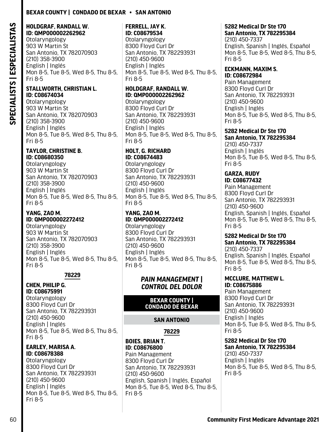## **HOLDGRAF, RANDALL W. ID: QMP000002262962**

Otolaryngology 903 W Martin St San Antonio, TX 782070903 (210) 358-3900 English | Inglés Mon 8-5, Tue 8-5, Wed 8-5, Thu 8-5, Fri 8-5

#### **STALLWORTH, CHRISTIAN L. ID: C08674034**

Otolaryngology 903 W Martin St San Antonio, TX 782070903 (210) 358-3900 English | Inglés Mon 8-5, Tue 8-5, Wed 8-5, Thu 8-5, Fri 8-5

#### **TAYLOR, CHRISTINE B. ID: C08680350**

Otolaryngology 903 W Martin St San Antonio, TX 782070903 (210) 358-3900 English | Inglés Mon 8-5, Tue 8-5, Wed 8-5, Thu 8-5, Fri 8-5

#### **YANG, ZAO M. ID: QMP000002272412**

Otolaryngology 903 W Martin St San Antonio, TX 782070903 (210) 358-3900 English | Inglés Mon 8-5, Tue 8-5, Wed 8-5, Thu 8-5, Fri 8-5

## **78229**

#### **CHEN, PHILIP G. ID: C08675991**

Otolaryngology 8300 Floyd Curl Dr San Antonio, TX 782293931 (210) 450-9600 English | Inglés Mon 8-5, Tue 8-5, Wed 8-5, Thu 8-5, Fri 8-5

#### **EARLEY, MARISA A. ID: C08678388**

Otolaryngology 8300 Floyd Curl Dr San Antonio, TX 782293931 (210) 450-9600 English | Inglés Mon 8-5, Tue 8-5, Wed 8-5, Thu 8-5, Fri 8-5

#### **FERRELL, JAY K. ID: C08679534**

Otolaryngology 8300 Floyd Curl Dr San Antonio, TX 782293931 (210) 450-9600 English | Inglés Mon 8-5, Tue 8-5, Wed 8-5, Thu 8-5, Fri 8-5

## **HOLDGRAF, RANDALL W. ID: QMP000002262962**

Otolaryngology 8300 Floyd Curl Dr San Antonio, TX 782293931 (210) 450-9600 English | Inglés Mon 8-5, Tue 8-5, Wed 8-5, Thu 8-5, Fri 8-5

#### **HOLT, G. RICHARD ID: C08674483**

Otolaryngology 8300 Floyd Curl Dr San Antonio, TX 782293931 (210) 450-9600 English | Inglés Mon 8-5, Tue 8-5, Wed 8-5, Thu 8-5, Fri 8-5

## **YANG, ZAO M. ID: QMP000002272412**

Otolaryngology 8300 Floyd Curl Dr San Antonio, TX 782293931 (210) 450-9600 English | Inglés Mon 8-5, Tue 8-5, Wed 8-5, Thu 8-5, Fri 8-5

## *PAIN MANAGEMENT | CONTROL DEL DOLOR*

## **BEXAR COUNTY | CONDADO DE BEXAR**

## **SAN ANTONIO**

**78229**

#### **BOIES, BRIAN T. ID: C08676800**  Pain Management 8300 Floyd Curl Dr San Antonio, TX 782293931 (210) 450-9600 English, Spanish | Inglés, Español Mon 8-5, Tue 8-5, Wed 8-5, Thu 8-5, Fri 8-5

#### **5282 Medical Dr Ste 170 San Antonio, TX 782295384**

(210) 450-7337 English, Spanish | Inglés, Español Mon 8-5, Tue 8-5, Wed 8-5, Thu 8-5, Fri 8-5

#### **ECKMANN, MAXIM S. ID: C08672984**

Pain Management 8300 Floyd Curl Dr San Antonio, TX 782293931 (210) 450-9600 English | Inglés Mon 8-5, Tue 8-5, Wed 8-5, Thu 8-5, Fri 8-5

#### **5282 Medical Dr Ste 170 San Antonio, TX 782295384**

(210) 450-7337 English | Inglés Mon 8-5, Tue 8-5, Wed 8-5, Thu 8-5, Fri 8-5

#### **GARZA, RUDY ID: C08677432**

Pain Management 8300 Floyd Curl Dr San Antonio, TX 782293931 (210) 450-9600 English, Spanish | Inglés, Español Mon 8-5, Tue 8-5, Wed 8-5, Thu 8-5, Fri 8-5

#### **5282 Medical Dr Ste 170 San Antonio, TX 782295384** (210) 450-7337 English, Spanish | Inglés, Español Mon 8-5, Tue 8-5, Wed 8-5, Thu 8-5, Fri 8-5

**MCCLURE, MATTHEW L. ID: C08675886**  Pain Management

8300 Floyd Curl Dr San Antonio, TX 782293931 (210) 450-9600 English | Inglés Mon 8-5, Tue 8-5, Wed 8-5, Thu 8-5, Fri 8-5

#### **5282 Medical Dr Ste 170 San Antonio, TX 782295384**

(210) 450-7337 English | Inglés Mon 8-5, Tue 8-5, Wed 8-5, Thu 8-5, Fri 8-5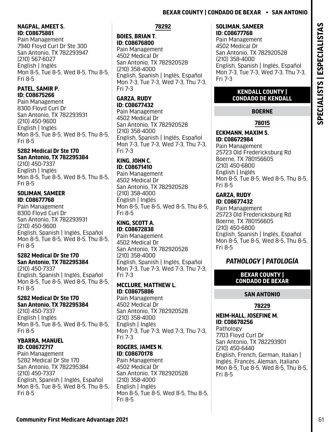## **NAGPAL, AMEET S. ID: C08675881**

Pain Management 7940 Floyd Curl Dr Ste 300 San Antonio, TX 782293947 (210) 567-6027 English | Inglés Mon 8-5, Tue 8-5, Wed 8-5, Thu 8-5, Fri 8-5

## **PATEL, SAMIR P. ID: C08675266**

Pain Management 8300 Floyd Curl Dr San Antonio, TX 782293931 (210) 450-9600 English | Inglés Mon 8-5, Tue 8-5, Wed 8-5, Thu 8-5, Fri 8-5

## **5282 Medical Dr Ste 170 San Antonio, TX 782295384**

(210) 450-7337 English | Inglés Mon 8-5, Tue 8-5, Wed 8-5, Thu 8-5, Fri 8-5

## **SOLIMAN, SAMEER ID: C08677768**

Pain Management 8300 Floyd Curl Dr San Antonio, TX 782293931 (210) 450-9600 English, Spanish | Inglés, Español Mon 8-5, Tue 8-5, Wed 8-5, Thu 8-5, Fri 8-5

## **5282 Medical Dr Ste 170 San Antonio, TX 782295384**

(210) 450-7337 English, Spanish | Inglés, Español Mon 8-5, Tue 8-5, Wed 8-5, Thu 8-5, Fri 8-5

## **5282 Medical Dr Ste 170 San Antonio, TX 782295384**

(210) 450-7337 English | Inglés Mon 8-5, Tue 8-5, Wed 8-5, Thu 8-5, Fri 8-5

#### **YBARRA, MANUEL ID: C08672717**

Pain Management 5282 Medical Dr Ste 170 San Antonio, TX 782295384 (210) 450-7337 English, Spanish | Inglés, Español Mon 8-5, Tue 8-5, Wed 8-5, Thu 8-5, Fri 8-5

## **78292**

## **BOIES, BRIAN T. ID: C08676800**

Pain Management 4502 Medical Dr San Antonio, TX 782920528 (210) 358-4000 English, Spanish | Inglés, Español Mon 7-3, Tue 7-3, Wed 7-3, Thu 7-3, Fri 7-3

## **GARZA, RUDY ID: C08677432**

Pain Management 4502 Medical Dr San Antonio, TX 782920528 (210) 358-4000 English, Spanish | Inglés, Español Mon 7-3, Tue 7-3, Wed 7-3, Thu 7-3, Fri 7-3

## **KING, JOHN C. ID: C08671410**

Pain Management 4502 Medical Dr San Antonio, TX 782920528 (210) 358-4000 English | Inglés Mon 8-5, Tue 8-5, Wed 8-5, Thu 8-5, Fri 8-5

#### **KING, SCOTT A. ID: C08672838**

Pain Management 4502 Medical Dr San Antonio, TX 782920528 (210) 358-4000 English, Spanish | Inglés, Español Mon 7-3, Tue 7-3, Wed 7-3, Thu 7-3, Fri 7-3

## **MCCLURE, MATTHEW L. ID: C08675886**

Pain Management 4502 Medical Dr San Antonio, TX 782920528 (210) 358-4000 English | Inglés Mon 7-3, Tue 7-3, Wed 7-3, Thu 7-3, Fri 7-3

## **ROGERS, JAMES N. ID: C08670178**

Pain Management 4502 Medical Dr San Antonio, TX 782920528 (210) 358-4000 English | Inglés Mon 8-5, Tue 8-5, Wed 8-5, Thu 8-5, Fri 8-5

#### **SOLIMAN, SAMEER ID: C08677768**

Pain Management 4502 Medical Dr San Antonio, TX 782920528 (210) 358-4000 English, Spanish | Inglés, Español Mon 7-3, Tue 7-3, Wed 7-3, Thu 7-3, Fri 7-3

## **KENDALL COUNTY | CONDADO DE KENDALL**

# **BOERNE**

**78015**

#### **ECKMANN, MAXIM S. ID: C08672984**  Pain Management 25723 Old Fredericksburg Rd Boerne, TX 780156605 (210) 450-6800 English | Inglés Mon 8-5, Tue 8-5, Wed 8-5, Thu 8-5, Fri 8-5

#### **GARZA, RUDY ID: C08677432**

Pain Management 25723 Old Fredericksburg Rd Boerne, TX 780156605 (210) 450-6800 English, Spanish | Inglés, Español Mon 8-5, Tue 8-5, Wed 8-5, Thu 8-5, Fri 8-5

# *PATHOLOGY | PATOLOGÍA*

## **BEXAR COUNTY | CONDADO DE BEXAR**

## **SAN ANTONIO**

## **78229**

**HEIM-HALL, JOSEFINE M. ID: C08678256**  Pathology 7703 Floyd Curl Dr San Antonio, TX 782293901 (210) 450-6440 English, French, German, Italian | Inglés, Francés, Áleman, Italiano Mon 8-5, Tue 8-5, Wed 8-5, Thu 8-5, Fri 8-5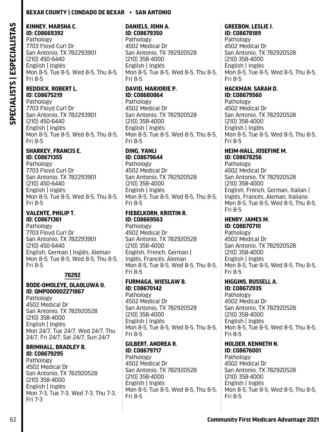# **KINNEY, MARSHA C.**

**ID: C08669392**  Pathology 7703 Floyd Curl Dr San Antonio, TX 782293901 (210) 450-6440 English | Inglés Mon 8-5, Tue 8-5, Wed 8-5, Thu 8-5, Fri 8-5

#### **REDDICK, ROBERT L. ID: C08675219**

Pathology 7703 Floyd Curl Dr San Antonio, TX 782293901 (210) 450-6440 English | Inglés Mon 8-5, Tue 8-5, Wed 8-5, Thu 8-5, Fri 8-5

#### **SHARKEY, FRANCIS E. ID: C08671355**

Pathology 7703 Floyd Curl Dr San Antonio, TX 782293901 (210) 450-6440 English | Inglés Mon 8-5, Tue 8-5, Wed 8-5, Thu 8-5, Fri 8-5

## **VALENTE, PHILIP T. ID: C08671361**

Pathology 7703 Floyd Curl Dr San Antonio, TX 782293901 (210) 450-6440 English, German | Inglés, Áleman Mon 8-5, Tue 8-5, Wed 8-5, Thu 8-5, Fri 8-5

## **78292**

#### **BODE-OMOLEYE, OLAOLUWA O. ID: QMP000002271867**

Pathology 4502 Medical Dr San Antonio, TX 782920528 (210) 358-4000 English | Inglés Mon 24/7, Tue 24/7, Wed 24/7, Thu 24/7, Fri 24/7, Sat 24/7, Sun 24/7

#### **BRIMHALL, BRADLEY B. ID: C08679295**

Pathology 4502 Medical Dr San Antonio, TX 782920528 (210) 358-4000 English | Inglés Mon 7-3, Tue 7-3, Wed 7-3, Thu 7-3, Fri 7-3

#### **DANIELS, JOHN A. ID: C08679350**

Pathology 4502 Medical Dr San Antonio, TX 782920528 (210) 358-4000 English | Inglés Mon 8-5, Tue 8-5, Wed 8-5, Thu 8-5, Fri 8-5

# **DAVID, MARJORIE P. ID: C08680864**

Pathology 4502 Medical Dr San Antonio, TX 782920528 (210) 358-4000 English | Inglés Mon 8-5, Tue 8-5, Wed 8-5, Thu 8-5, Fri 8-5

# **DING, YANLI**

**ID: C08679644**  Pathology 4502 Medical Dr San Antonio, TX 782920528 (210) 358-4000 English | Inglés Mon 8-5, Tue 8-5, Wed 8-5, Thu 8-5, Fri 8-5

## **FIEBELKORN, KRISTIN R. ID: C08669563**

Pathology 4502 Medical Dr San Antonio, TX 782920528 (210) 358-4000 English, French, German | Inglés, Francés, Áleman Mon 8-5, Tue 8-5, Wed 8-5, Thu 8-5, Fri 8-5

#### **FURMAGA, WIESLAW B. ID: C08670142**

Pathology 4502 Medical Dr San Antonio, TX 782920528 (210) 358-4000 English | Inglés Mon 8-5, Tue 8-5, Wed 8-5, Thu 8-5, Fri 8-5

#### **GILBERT, ANDREA R. ID: C08679717**

Pathology 4502 Medical Dr San Antonio, TX 782920528 (210) 358-4000 English | Inglés Mon 8-5, Tue 8-5, Wed 8-5, Thu 8-5, Fri 8-5

#### **GREEBON, LESLIE J. ID: C08678189**

Pathology 4502 Medical Dr San Antonio, TX 782920528 (210) 358-4000 English | Inglés Mon 8-5, Tue 8-5, Wed 8-5, Thu 8-5, Fri 8-5

# **HACKMAN, SARAH D.**

**ID: C08679560**  Pathology 4502 Medical Dr San Antonio, TX 782920528 (210) 358-4000 English | Inglés Mon 8-5, Tue 8-5, Wed 8-5, Thu 8-5, Fri 8-5

#### **HEIM-HALL, JOSEFINE M. ID: C08678256**

Pathology 4502 Medical Dr San Antonio, TX 782920528 (210) 358-4000 English, French, German, Italian | Inglés, Francés, Áleman, Italiano Mon 8-5, Tue 8-5, Wed 8-5, Thu 8-5, Fri 8-5

#### **HENRY, JAMES M. ID: C08670710**

Pathology 4502 Medical Dr San Antonio, TX 782920528 (210) 358-4000 English | Inglés Mon 8-5, Tue 8-5, Wed 8-5, Thu 8-5, Fri 8-5

# **HIGGINS, RUSSELL A.**

**ID: C08672935**  Pathology 4502 Medical Dr San Antonio, TX 782920528 (210) 358-4000 English | Inglés Mon 8-5, Tue 8-5, Wed 8-5, Thu 8-5, Fri 8-5

# **HOLDER, KENNETH N.**

**ID: C08676001**  Pathology 4502 Medical Dr San Antonio, TX 782920528 (210) 358-4000 English | Inglés Mon 8-5, Tue 8-5, Wed 8-5, Thu 8-5, Fri 8-5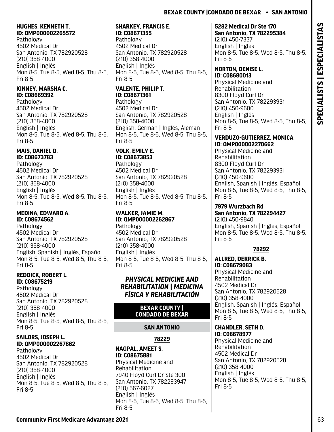#### **HUGHES, KENNETH T. ID: QMP000002265572**

Pathology 4502 Medical Dr San Antonio, TX 782920528 (210) 358-4000 English | Inglés Mon 8-5, Tue 8-5, Wed 8-5, Thu 8-5, Fri 8-5

## **KINNEY, MARSHA C. ID: C08669392**

Pathology 4502 Medical Dr San Antonio, TX 782920528 (210) 358-4000 English | Inglés Mon 8-5, Tue 8-5, Wed 8-5, Thu 8-5, Fri 8-5

#### **MAIS, DANIEL D. ID: C08673783**

Pathology 4502 Medical Dr San Antonio, TX 782920528 (210) 358-4000 English | Inglés Mon 8-5, Tue 8-5, Wed 8-5, Thu 8-5, Fri 8-5

## **MEDINA, EDWARD A. ID: C08674562**

Pathology 4502 Medical Dr San Antonio, TX 782920528 (210) 358-4000 English, Spanish | Inglés, Español Mon 8-5, Tue 8-5, Wed 8-5, Thu 8-5, Fri 8-5

## **REDDICK, ROBERT L. ID: C08675219**

Pathology 4502 Medical Dr San Antonio, TX 782920528 (210) 358-4000 English | Inglés Mon 8-5, Tue 8-5, Wed 8-5, Thu 8-5, Fri 8-5

## **SAILORS, JOSEPH L. ID: QMP000002267862**

Pathology 4502 Medical Dr San Antonio, TX 782920528 (210) 358-4000 English | Inglés Mon 8-5, Tue 8-5, Wed 8-5, Thu 8-5, Fri 8-5

#### **SHARKEY, FRANCIS E. ID: C08671355**

Pathology 4502 Medical Dr San Antonio, TX 782920528 (210) 358-4000 English | Inglés Mon 8-5, Tue 8-5, Wed 8-5, Thu 8-5, Fri 8-5

#### **VALENTE, PHILIP T. ID: C08671361**  Pathology

4502 Medical Dr San Antonio, TX 782920528 (210) 358-4000 English, German | Inglés, Áleman Mon 8-5, Tue 8-5, Wed 8-5, Thu 8-5, Fri 8-5

# **VOLK, EMILY E.**

**ID: C08673853**  Pathology 4502 Medical Dr San Antonio, TX 782920528 (210) 358-4000 English | Inglés Mon 8-5, Tue 8-5, Wed 8-5, Thu 8-5, Fri 8-5

#### **WALKER, JAMIE M. ID: QMP000002262867** Pathology 4502 Medical Dr San Antonio, TX 782920528 (210) 358-4000 English | Inglés Mon 8-5, Tue 8-5, Wed 8-5, Thu 8-5, Fri 8-5

## *PHYSICAL MEDICINE AND REHABILITATION | MEDICINA FÍSICA Y REHABILITACIÓN*

## **BEXAR COUNTY | CONDADO DE BEXAR**

# **SAN ANTONIO**

**78229**

#### **NAGPAL, AMEET S. ID: C08675881**  Physical Medicine and Rehabilitation 7940 Floyd Curl Dr Ste 300 San Antonio, TX 782293947 (210) 567-6027 English | Inglés Mon 8-5, Tue 8-5, Wed 8-5, Thu 8-5, Fri 8-5

# **5282 Medical Dr Ste 170**

**San Antonio, TX 782295384** (210) 450-7337 English | Inglés Mon 8-5, Tue 8-5, Wed 8-5, Thu 8-5, Fri 8-5

# **NORTON, DENISE L.**

**ID: C08680013**  Physical Medicine and Rehabilitation 8300 Floyd Curl Dr San Antonio, TX 782293931 (210) 450-9600 English | Inglés Mon 8-5, Tue 8-5, Wed 8-5, Thu 8-5, Fri 8-5

#### **VERDUZO-GUTIERREZ, MONICA ID: QMP000002270662**

Physical Medicine and Rehabilitation 8300 Floyd Curl Dr San Antonio, TX 782293931 (210) 450-9600 English, Spanish | Inglés, Español Mon 8-5, Tue 8-5, Wed 8-5, Thu 8-5, Fri 8-5

## **7979 Wurzbach Rd San Antonio, TX 782294427**

(210) 450-9840 English, Spanish | Inglés, Español Mon 8-5, Tue 8-5, Wed 8-5, Thu 8-5, Fri 8-5

## **78292**

**EXPERIENT SERVENT SERVES FROM AND SERVES FROM ARENO DESCRIPTION AND ARENO DESCRIPTION AND ARENO COMMUNITY THE SERVES FROM A COMMUNITY THE SERVES FROM A CONSUMING THE SERVES FROM A CONSUMING THE SERVES FROM A CONSUMING THE ALLRED, DERRICK B. ID: C08679083**  Physical Medicine and Rehabilitation 4502 Medical Dr San Antonio, TX 782920528 (210) 358-4000 English, Spanish | Inglés, Español Mon 8-5, Tue 8-5, Wed 8-5, Thu 8-5, Fri 8-5

#### **CHANDLER, SETH D. ID: C08678977**

Physical Medicine and Rehabilitation 4502 Medical Dr San Antonio, TX 782920528 (210) 358-4000 English | Inglés Mon 8-5, Tue 8-5, Wed 8-5, Thu 8-5, Fri 8-5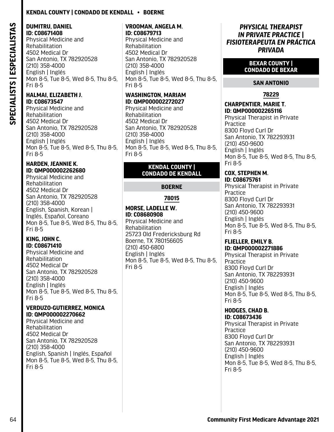## **Kendal County | Condado De Kendall • Boerne**

# SPECIALISTS | ESPECIALISTAS **SPECIALISTS | ESPECIALISTAS**

#### **DUMITRU, DANIEL ID: C08671408**

Physical Medicine and Rehabilitation 4502 Medical Dr San Antonio, TX 782920528 (210) 358-4000 English | Inglés Mon 8-5, Tue 8-5, Wed 8-5, Thu 8-5, Fri 8-5

#### **HALMAI, ELIZABETH J. ID: C08673547**

Physical Medicine and Rehabilitation 4502 Medical Dr San Antonio, TX 782920528 (210) 358-4000 English | Inglés Mon 8-5, Tue 8-5, Wed 8-5, Thu 8-5, Fri 8-5

#### **HARDEN, JEANNIE K. ID: QMP000002262680**

Physical Medicine and Rehabilitation 4502 Medical Dr San Antonio, TX 782920528 (210) 358-4000 English, Spanish, Korean | Inglés, Español, Coreano Mon 8-5, Tue 8-5, Wed 8-5, Thu 8-5, Fri 8-5

#### **KING, JOHN C. ID: C08671410**

Physical Medicine and Rehabilitation 4502 Medical Dr San Antonio, TX 782920528 (210) 358-4000 English | Inglés Mon 8-5, Tue 8-5, Wed 8-5, Thu 8-5, Fri 8-5

#### **VERDUZO-GUTIERREZ, MONICA ID: QMP000002270662**

Physical Medicine and Rehabilitation 4502 Medical Dr San Antonio, TX 782920528 (210) 358-4000 English, Spanish | Inglés, Español Mon 8-5, Tue 8-5, Wed 8-5, Thu 8-5, Fri 8-5

#### **VROOMAN, ANGELA M. ID: C08679713**

Physical Medicine and Rehabilitation 4502 Medical Dr San Antonio, TX 782920528 (210) 358-4000 English | Inglés Mon 8-5, Tue 8-5, Wed 8-5, Thu 8-5, Fri 8-5

## **WASHINGTON, MARIAM ID: QMP000002272027**

Physical Medicine and Rehabilitation 4502 Medical Dr San Antonio, TX 782920528 (210) 358-4000 English | Inglés Mon 8-5, Tue 8-5, Wed 8-5, Thu 8-5, Fri 8-5

#### **KENDAL COUNTY | CONDADO DE KENDALL**

## **BOERNE**

## **78015**

#### **MORSE, LADELLE W. ID: C08680908**

Physical Medicine and Rehabilitation 25723 Old Fredericksburg Rd Boerne, TX 780156605 (210) 450-6800 English | Inglés Mon 8-5, Tue 8-5, Wed 8-5, Thu 8-5, Fri 8-5

## *PHYSICAL THERAPIST IN PRIVATE PRACTICE | FISIOTERAPEUTA EN PRÁCTICA PRIVADA*

#### **BEXAR COUNTY | CONDADO DE BEXAR**

## **SAN ANTONIO**

## **78229**

#### **CHARPENTIER, MARIE T. ID: QMP000002265116**

Physical Therapist in Private Practice 8300 Floyd Curl Dr San Antonio, TX 782293931 (210) 450-9600 English | Inglés Mon 8-5, Tue 8-5, Wed 8-5, Thu 8-5, Fri 8-5

#### **COX, STEPHEN M. ID: C08675761**

Physical Therapist in Private Practice 8300 Floyd Curl Dr San Antonio, TX 782293931 (210) 450-9600 English | Inglés Mon 8-5, Tue 8-5, Wed 8-5, Thu 8-5, Fri 8-5

#### **FLIELLER, EMILY B. ID: QMP000002271886**

Physical Therapist in Private **Practice** 8300 Floyd Curl Dr San Antonio, TX 782293931 (210) 450-9600 English | Inglés Mon 8-5, Tue 8-5, Wed 8-5, Thu 8-5, Fri 8-5

#### **HODGES, CHAD B. ID: C08673436**

Physical Therapist in Private Practice 8300 Floyd Curl Dr San Antonio, TX 782293931 (210) 450-9600 English | Inglés Mon 8-5, Tue 8-5, Wed 8-5, Thu 8-5, Fri 8-5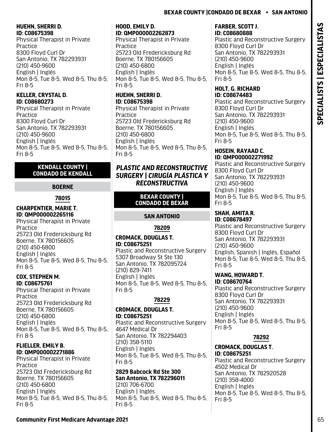#### **HUEHN, SHERRI D. ID: C08675398**

Physical Therapist in Private Practice 8300 Floyd Curl Dr San Antonio, TX 782293931 (210) 450-9600 English | Inglés Mon 8-5, Tue 8-5, Wed 8-5, Thu 8-5, Fri 8-5

#### **KELLER, CRYSTAL D. ID: C08680273**

Physical Therapist in Private Practice 8300 Floyd Curl Dr San Antonio, TX 782293931 (210) 450-9600 English | Inglés Mon 8-5, Tue 8-5, Wed 8-5, Thu 8-5, Fri 8-5

#### **KENDALL COUNTY | CONDADO DE KENDALL**

## **BOERNE**

## **78015**

#### **CHARPENTIER, MARIE T. ID: QMP000002265116**

Physical Therapist in Private Practice 25723 Old Fredericksburg Rd Boerne, TX 780156605 (210) 450-6800 English | Inglés Mon 8-5, Tue 8-5, Wed 8-5, Thu 8-5, Fri 8-5

#### **COX, STEPHEN M. ID: C08675761**

Physical Therapist in Private Practice 25723 Old Fredericksburg Rd Boerne, TX 780156605 (210) 450-6800 English | Inglés Mon 8-5, Tue 8-5, Wed 8-5, Thu 8-5, Fri 8-5

#### **FLIELLER, EMILY B. ID: QMP000002271886**

Physical Therapist in Private Practice 25723 Old Fredericksburg Rd Boerne, TX 780156605 (210) 450-6800 English | Inglés Mon 8-5, Tue 8-5, Wed 8-5, Thu 8-5, Fri 8-5

#### **HOOD, EMILY D. ID: QMP000002262873**

Physical Therapist in Private **Practice** 25723 Old Fredericksburg Rd Boerne, TX 780156605 (210) 450-6800 English | Inglés Mon 8-5, Tue 8-5, Wed 8-5, Thu 8-5, Fri 8-5

## **HUEHN, SHERRI D. ID: C08675398**

Physical Therapist in Private **Practice** 25723 Old Fredericksburg Rd Boerne, TX 780156605 (210) 450-6800 English | Inglés Mon 8-5, Tue 8-5, Wed 8-5, Thu 8-5, Fri 8-5

## *PLASTIC AND RECONSTRUCTIVE SURGERY | CIRUGÍA PLÁSTICA Y RECONSTRUCTIVA*

#### **BEXAR COUNTY | CONDADO DE BEXAR**

## **SAN ANTONIO**

## **78209**

#### **CROMACK, DOUGLAS T. ID: C08675251**

Plastic and Reconstructive Surgery 5307 Broadway St Ste 130 San Antonio, TX 782095724 (210) 829-7411 English | Inglés Mon 8-5, Tue 8-5, Wed 8-5, Thu 8-5, Fri 8-5

## **78229**

#### **CROMACK, DOUGLAS T. ID: C08675251**

Plastic and Reconstructive Surgery 4647 Medical Dr San Antonio, TX 782294403 (210) 358-5110 English | Inglés Mon 8-5, Tue 8-5, Wed 8-5, Thu 8-5, Fri 8-5

#### **2829 Babcock Rd Ste 300 San Antonio, TX 782296011** (210) 706-6700

English | Inglés Mon 8-5, Tue 8-5, Wed 8-5, Thu 8-5, Fri 8-5

#### **FARBER, SCOTT J. ID: C08680888**

Plastic and Reconstructive Surgery 8300 Floyd Curl Dr San Antonio, TX 782293931 (210) 450-9600 English | Inglés Mon 8-5, Tue 8-5, Wed 8-5, Thu 8-5, Fri 8-5

#### **HOLT, G. RICHARD ID: C08674483**

Plastic and Reconstructive Surgery 8300 Floyd Curl Dr San Antonio, TX 782293931 (210) 450-9600 English | Inglés Mon 8-5, Tue 8-5, Wed 8-5, Thu 8-5, Fri 8-5

#### **HOSEIN, RAYAAD C. ID: QMP000002271992**

Plastic and Reconstructive Surgery 8300 Floyd Curl Dr San Antonio, TX 782293931 (210) 450-9600 English | Inglés Mon 8-5, Tue 8-5, Wed 8-5, Thu 8-5, Fri 8-5

# **SHAH, AMITA R.**

**ID: C08678497**  Plastic and Reconstructive Surgery 8300 Floyd Curl Dr San Antonio, TX 782293931 (210) 450-9600 English, Spanish | Inglés, Español Mon 8-5, Tue 8-5, Wed 8-5, Thu 8-5, Fri 8-5

#### **WANG, HOWARD T. ID: C08670764**

Plastic and Reconstructive Surgery 8300 Floyd Curl Dr San Antonio, TX 782293931 (210) 450-9600 English | Inglés Mon 8-5, Tue 8-5, Wed 8-5, Thu 8-5, Fri 8-5

## **78292**

#### **CROMACK, DOUGLAS T. ID: C08675251**

Plastic and Reconstructive Surgery 4502 Medical Dr San Antonio, TX 782920528 (210) 358-4000 English | Inglés Mon 8-5, Tue 8-5, Wed 8-5, Thu 8-5, Fri 8-5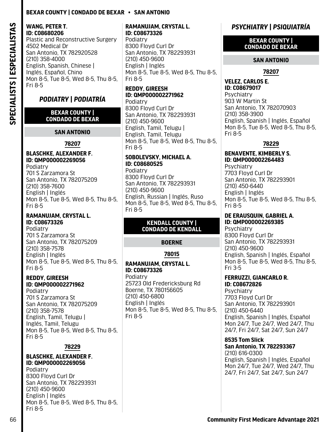#### **WANG, PETER T. ID: C08680206**

Plastic and Reconstructive Surgery 4502 Medical Dr San Antonio, TX 782920528 (210) 358-4000 English, Spanish, Chinese | Inglés, Español, Chino Mon 8-5, Tue 8-5, Wed 8-5, Thu 8-5, Fri 8-5

# *PODIATRY | PODIATRÍA*

#### **BEXAR COUNTY | CONDADO DE BEXAR**

**SAN ANTONIO**

#### **78207**

# **BLASCHKE, ALEXANDER F. ID: QMP000002269056**

Podiatry 701 S Zarzamora St San Antonio, TX 782075209 (210) 358-7600 English | Inglés Mon 8-5, Tue 8-5, Wed 8-5, Thu 8-5, Fri 8-5

## **RAMANUJAM, CRYSTAL L. ID: C08673326**

Podiatry 701 S Zarzamora St San Antonio, TX 782075209 (210) 358-7578 English | Inglés Mon 8-5, Tue 8-5, Wed 8-5, Thu 8-5, Fri 8-5

#### **REDDY, GIREESH ID: QMP000002271962**

Podiatry 701 S Zarzamora St San Antonio, TX 782075209 (210) 358-7578 English, Tamil, Telugu | Inglés, Tamil, Telugu Mon 8-5, Tue 8-5, Wed 8-5, Thu 8-5, Fri 8-5

#### **78229**

## **BLASCHKE, ALEXANDER F. ID: QMP000002269056**

Podiatry 8300 Floyd Curl Dr San Antonio, TX 782293931 (210) 450-9600 English | Inglés Mon 8-5, Tue 8-5, Wed 8-5, Thu 8-5, Fri 8-5

## **RAMANUJAM, CRYSTAL L. ID: C08673326**

Podiatry 8300 Floyd Curl Dr San Antonio, TX 782293931 (210) 450-9600 English | Inglés Mon 8-5, Tue 8-5, Wed 8-5, Thu 8-5, Fri 8-5

#### **REDDY, GIREESH ID: QMP000002271962** Podiatry

8300 Floyd Curl Dr San Antonio, TX 782293931 (210) 450-9600 English, Tamil, Telugu | English, Tamil, Telugu Mon 8-5, Tue 8-5, Wed 8-5, Thu 8-5, Fri 8-5

#### **SOBOLEVSKY, MICHAEL A. ID: C08680525**

Podiatry 8300 Floyd Curl Dr San Antonio, TX 782293931 (210) 450-9600 English, Russian | Inglés, Ruso Mon 8-5, Tue 8-5, Wed 8-5, Thu 8-5, Fri 8-5

#### **KENDALL COUNTY | CONDADO DE KENDALL**

## **BOERNE**

## **78015**

#### **RAMANUJAM, CRYSTAL L. ID: C08673326**

Podiatry 25723 Old Fredericksburg Rd Boerne, TX 780156605 (210) 450-6800 English | Inglés Mon 8-5, Tue 8-5, Wed 8-5, Thu 8-5, Fri 8-5

# *PSYCHIATRY | PSIQUIATRÍA*

#### **BEXAR COUNTY | CONDADO DE BEXAR**

#### **SAN ANTONIO**

## **78207**

**VELEZ, CARLOS E. ID: C08679017 Psychiatry** 903 W Martin St San Antonio, TX 782070903 (210) 358-3900 English, Spanish | Inglés, Español Mon 8-5, Tue 8-5, Wed 8-5, Thu 8-5, Fri 8-5

## **78229**

#### **BENAVENTE, KIMBERLY S. ID: QMP000002264483**

**Psychiatry** 7703 Floyd Curl Dr San Antonio, TX 782293901 (210) 450-6440 English | Inglés Mon 8-5, Tue 8-5, Wed 8-5, Thu 8-5, Fri 8-5

#### **DE ERAUSQUIN, GABRIEL A. ID: QMP000002269385**

**Psychiatry** 8300 Floyd Curl Dr San Antonio, TX 782293931 (210) 450-9600 English, Spanish | Inglés, Español Mon 8-5, Tue 8-5, Wed 8-5, Thu 8-5, Fri 3-5

#### **FERRUZZI, GIANCARLO R. ID: C08672826**

**Psychiatry** 7703 Floyd Curl Dr San Antonio, TX 782293901 (210) 450-6440 English, Spanish | Inglés, Español Mon 24/7, Tue 24/7, Wed 24/7, Thu 24/7, Fri 24/7, Sat 24/7, Sun 24/7

## **8535 Tom Slick**

**San Antonio, TX 782293367** (210) 616-0300

English, Spanish | Inglés, Español Mon 24/7, Tue 24/7, Wed 24/7, Thu 24/7, Fri 24/7, Sat 24/7, Sun 24/7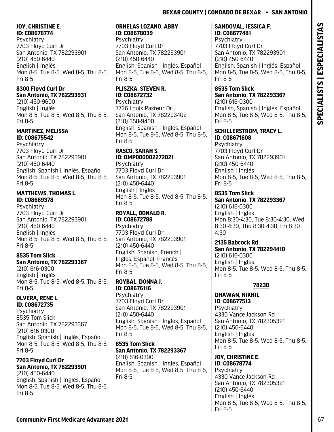## **JOY, CHRISTINE E. ID: C08678774**

Psychiatry 7703 Floyd Curl Dr San Antonio, TX 782293901 (210) 450-6440 English | Inglés Mon 8-5, Tue 8-5, Wed 8-5, Thu 8-5, Fri 8-5

## **8300 Floyd Curl Dr San Antonio, TX 782293931**

(210) 450-9600 English | Inglés Mon 8-5, Tue 8-5, Wed 8-5, Thu 8-5, Fri 8-5

## **MARTINEZ, MELISSA ID: C08675542**

Psychiatry 7703 Floyd Curl Dr San Antonio, TX 782293901 (210) 450-6440 English, Spanish | Inglés, Español Mon 8-5, Tue 8-5, Wed 8-5, Thu 8-5, Fri 8-5

## **MATTHEWS, THOMAS L. ID: C08669378**

Psychiatry 7703 Floyd Curl Dr San Antonio, TX 782293901 (210) 450-6440 English | Inglés Mon 8-5, Tue 8-5, Wed 8-5, Thu 8-5, Fri 8-5

# **8535 Tom Slick San Antonio, TX 782293367**

(210) 616-0300 English | Inglés Mon 8-5, Tue 8-5, Wed 8-5, Thu 8-5, Fri 8-5

#### **OLVERA, RENE L. ID: C08672735**

**Psychiatry** 8535 Tom Slick San Antonio, TX 782293367 (210) 616-0300 English, Spanish | Inglés, Español Mon 8-5, Tue 8-5, Wed 8-5, Thu 8-5, Fri 8-5

#### **7703 Floyd Curl Dr San Antonio, TX 782293901**

(210) 450-6440 English, Spanish | Inglés, Español Mon 8-5, Tue 8-5, Wed 8-5, Thu 8-5, Fri 8-5

## **ORNELAS LOZANO, ABBY ID: C08678039**

**Psychiatry** 7703 Floyd Curl Dr San Antonio, TX 782293901 (210) 450-6440 English, Spanish | Inglés, Español Mon 8-5, Tue 8-5, Wed 8-5, Thu 8-5, Fri 8-5

# **PLISZKA, STEVEN R. ID: C08672732**

**Psychiatry** 7726 Louis Pasteur Dr San Antonio, TX 782293402 (210) 358-9400 English, Spanish | Inglés, Español Mon 8-5, Tue 8-5, Wed 8-5, Thu 8-5, Fri 8-5

#### **RASCO, SARAH S. ID: QMP000002272021**

**Psychiatry** 7703 Floyd Curl Dr San Antonio, TX 782293901 (210) 450-6440 English | Inglés Mon 8-5, Tue 8-5, Wed 8-5, Thu 8-5, Fri 8-5

#### **ROYALL, DONALD R. ID: C08672788**

**Psychiatry** 7703 Floyd Curl Dr San Antonio, TX 782293901 (210) 450-6440 English, Spanish, French | Inglés, Español, Francés Mon 8-5, Tue 8-5, Wed 8-5, Thu 8-5, Fri 8-5

#### **ROYBAL, DONNA J. ID: C08676116 Psychiatry**

7703 Floyd Curl Dr San Antonio, TX 782293901 (210) 450-6440 English, Spanish | Inglés, Español Mon 8-5, Tue 8-5, Wed 8-5, Thu 8-5, Fri 8-5

#### **8535 Tom Slick San Antonio, TX 782293367** (210) 616-0300

English, Spanish | Inglés, Español Mon 8-5, Tue 8-5, Wed 8-5, Thu 8-5, Fri 8-5

## **SANDOVAL, JESSICA F. ID: C08677481**

**Psychiatry** 7703 Floyd Curl Dr San Antonio, TX 782293901 (210) 450-6440 English, Spanish | Inglés, Español Mon 8-5, Tue 8-5, Wed 8-5, Thu 8-5, Fri 8-5

# **8535 Tom Slick San Antonio, TX 782293367**

(210) 616-0300 English, Spanish | Inglés, Español Mon 8-5, Tue 8-5, Wed 8-5, Thu 8-5, Fri 8-5

## **SCHILLERSTROM, TRACY L. ID: C08671608**

**Psychiatry** 7703 Floyd Curl Dr San Antonio, TX 782293901 (210) 450-6440 English | Inglés Mon 8-5, Tue 8-5, Wed 8-5, Thu 8-5, Fri 8-5

# **8535 Tom Slick**

**San Antonio, TX 782293367** (210) 616-0300 English | Inglés Mon 8:30-4:30, Tue 8:30-4:30, Wed 8:30-4:30, Thu 8:30-4:30, Fri 8:30- 4:30

# **2135 Babcock Rd**

**San Antonio, TX 782294410** (210) 616-0300 English | Inglés Mon 8-5, Tue 8-5, Wed 8-5, Thu 8-5, Fri 8-5

# **78230**

#### **DHAWAN, NIKHIL ID: C08677513**

**Psychiatry** 4330 Vance Jackson Rd San Antonio, TX 782305321 (210) 450-6440 English | Inglés Mon 8-5, Tue 8-5, Wed 8-5, Thu 8-5, Fri 8-5

## **JOY, CHRISTINE E. ID: C08678774**

**Psychiatry** 4330 Vance Jackson Rd San Antonio, TX 782305321 (210) 450-6440 English | Inglés Mon 8-5, Tue 8-5, Wed 8-5, Thu 8-5, Fri 8-5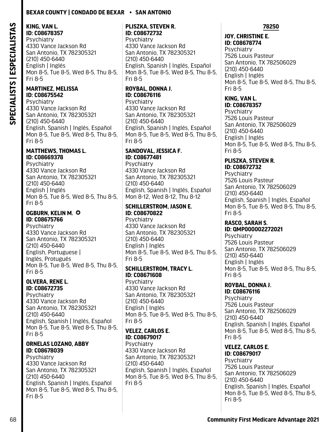# **KING, VAN L.**

**ID: C08678357 Psychiatry** 4330 Vance Jackson Rd San Antonio, TX 782305321 (210) 450-6440 English | Inglés Mon 8-5, Tue 8-5, Wed 8-5, Thu 8-5, Fri 8-5

#### **MARTINEZ, MELISSA ID: C08675542**

Psychiatry 4330 Vance Jackson Rd San Antonio, TX 782305321 (210) 450-6440 English, Spanish | Inglés, Español Mon 8-5, Tue 8-5, Wed 8-5, Thu 8-5, Fri 8-5

#### **MATTHEWS, THOMAS L. ID: C08669378**

Psychiatry 4330 Vance Jackson Rd San Antonio, TX 782305321 (210) 450-6440 English | Inglés Mon 8-5, Tue 8-5, Wed 8-5, Thu 8-5, Fri 8-5

## **OGBURN, KELIN M.**  $\odot$ **ID: C08675766**

**Psychiatry** 4330 Vance Jackson Rd San Antonio, TX 782305321 (210) 450-6440 English, Portuguese | Inglés, Protugués Mon 8-5, Tue 8-5, Wed 8-5, Thu 8-5, Fri 8-5

#### **OLVERA, RENE L. ID: C08672735**

Psychiatry 4330 Vance Jackson Rd San Antonio, TX 782305321 (210) 450-6440 English, Spanish | Inglés, Español Mon 8-5, Tue 8-5, Wed 8-5, Thu 8-5, Fri 8-5

## **ORNELAS LOZANO, ABBY ID: C08678039**

**Psychiatry** 4330 Vance Jackson Rd San Antonio, TX 782305321 (210) 450-6440 English, Spanish | Inglés, Español Mon 8-5, Tue 8-5, Wed 8-5, Thu 8-5, Fri 8-5

## **PLISZKA, STEVEN R. ID: C08672732**

**Psychiatry** 4330 Vance Jackson Rd San Antonio, TX 782305321 (210) 450-6440 English, Spanish | Inglés, Español Mon 8-5, Tue 8-5, Wed 8-5, Thu 8-5, Fri 8-5

# **ROYBAL, DONNA J. ID: C08676116**

**Psychiatry** 4330 Vance Jackson Rd San Antonio, TX 782305321 (210) 450-6440 English, Spanish | Inglés, Español Mon 8-5, Tue 8-5, Wed 8-5, Thu 8-5, Fri 8-5

#### **SANDOVAL, JESSICA F. ID: C08677481**

Psychiatry 4330 Vance Jackson Rd San Antonio, TX 782305321 (210) 450-6440 English, Spanish | Inglés, Español Mon 8-12, Wed 8-12, Thu 8-12

## **SCHILLERSTROM, JASON E. ID: C08670822**

**Psychiatry** 4330 Vance Jackson Rd San Antonio, TX 782305321 (210) 450-6440 English | Inglés Mon 8-5, Tue 8-5, Wed 8-5, Thu 8-5, Fri 8-5

## **SCHILLERSTROM, TRACY L. ID: C08671608**

**Psychiatry** 4330 Vance Jackson Rd San Antonio, TX 782305321 (210) 450-6440 English | Inglés Mon 8-5, Tue 8-5, Wed 8-5, Thu 8-5, Fri 8-5

## **VELEZ, CARLOS E. ID: C08679017**

Psychiatry 4330 Vance Jackson Rd San Antonio, TX 782305321 (210) 450-6440 English, Spanish | Inglés, Español Mon 8-5, Tue 8-5, Wed 8-5, Thu 8-5, Fri 8-5

## **78250**

#### **JOY, CHRISTINE E. ID: C08678774**

Psychiatry 7526 Louis Pasteur San Antonio, TX 782506029 (210) 450-6440 English | Inglés Mon 8-5, Tue 8-5, Wed 8-5, Thu 8-5, Fri 8-5

#### **KING, VAN L. ID: C08678357**

**Psychiatry** 7526 Louis Pasteur San Antonio, TX 782506029 (210) 450-6440 English | Inglés Mon 8-5, Tue 8-5, Wed 8-5, Thu 8-5, Fri 8-5

#### **PLISZKA, STEVEN R. ID: C08672732**

Psychiatry 7526 Louis Pasteur San Antonio, TX 782506029 (210) 450-6440 English, Spanish | Inglés, Español Mon 8-5, Tue 8-5, Wed 8-5, Thu 8-5, Fri 8-5

#### **RASCO, SARAH S. ID: QMP000002272021**

**Psychiatry** 7526 Louis Pasteur San Antonio, TX 782506029 (210) 450-6440 English | Inglés Mon 8-5, Tue 8-5, Wed 8-5, Thu 8-5, Fri 8-5

## **ROYBAL, DONNA J.**

**ID: C08676116 Psychiatry** 7526 Louis Pasteur San Antonio, TX 782506029 (210) 450-6440 English, Spanish | Inglés, Español Mon 8-5, Tue 8-5, Wed 8-5, Thu 8-5, Fri 8-5

## **VELEZ, CARLOS E.**

**ID: C08679017**  Psychiatry 7526 Louis Pasteur San Antonio, TX 782506029 (210) 450-6440 English, Spanish | Inglés, Español Mon 8-5, Tue 8-5, Wed 8-5, Thu 8-5, Fri 8-5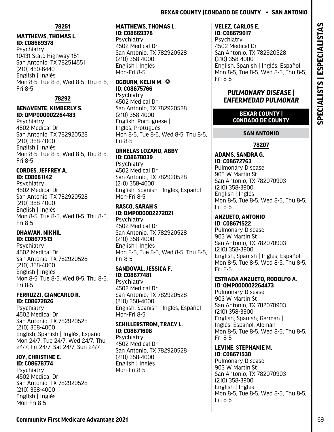## **Bexar County |Condado De County • San Antonio**

#### **78251**

## **MATTHEWS, THOMAS L. ID: C08669378**

Psychiatry 10431 State Highway 151 San Antonio, TX 782514551 (210) 450-6440 English | Inglés Mon 8-5, Tue 8-8, Wed 8-5, Thu 8-5, Fri 8-5

## **78292**

## **BENAVENTE, KIMBERLY S. ID: QMP000002264483**

**Psychiatry** 4502 Medical Dr San Antonio, TX 782920528 (210) 358-4000 English | Inglés Mon 8-5, Tue 8-5, Wed 8-5, Thu 8-5, Fri 8-5

## **CORDES, JEFFREY A. ID: C08681142**

**Psychiatry** 4502 Medical Dr San Antonio, TX 782920528 (210) 358-4000 English | Inglés Mon 8-5, Tue 8-5, Wed 8-5, Thu 8-5, Fri 8-5

#### **DHAWAN, NIKHIL ID: C08677513**

Psychiatry 4502 Medical Dr San Antonio, TX 782920528 (210) 358-4000 English | Inglés Mon 8-5, Tue 8-5, Wed 8-5, Thu 8-5, Fri 8-5

#### **FERRUZZI, GIANCARLO R. ID: C08672826**

**Psychiatry** 4502 Medical Dr San Antonio, TX 782920528 (210) 358-4000 English, Spanish | Inglés, Español Mon 24/7, Tue 24/7, Wed 24/7, Thu 24/7, Fri 24/7, Sat 24/7, Sun 24/7

#### **JOY, CHRISTINE E. ID: C08678774**

**Psychiatry** 4502 Medical Dr San Antonio, TX 782920528 (210) 358-4000 English | Inglés Mon-Fri 8-5

#### **MATTHEWS, THOMAS L. ID: C08669378**

Psychiatry 4502 Medical Dr San Antonio, TX 782920528 (210) 358-4000 English | Inglés Mon-Fri 8-5

#### **OGBURN, KELIN M.**  $\odot$ **ID: C08675766**

**Psychiatry** 4502 Medical Dr San Antonio, TX 782920528 (210) 358-4000 English, Portuguese | Inglés, Protugués Mon 8-5, Tue 8-5, Wed 8-5, Thu 8-5, Fri 8-5

#### **ORNELAS LOZANO, ABBY ID: C08678039**

**Psychiatry** 4502 Medical Dr San Antonio, TX 782920528 (210) 358-4000 English, Spanish | Inglés, Español Mon-Fri 8-5

#### **RASCO, SARAH S. ID: QMP000002272021 Psychiatry**

4502 Medical Dr San Antonio, TX 782920528 (210) 358-4000 English | Inglés Mon 8-5, Tue 8-5, Wed 8-5, Thu 8-5, Fri 8-5

## **SANDOVAL, JESSICA F. ID: C08677481**

Psychiatry 4502 Medical Dr San Antonio, TX 782920528 (210) 358-4000 English, Spanish | Inglés, Español Mon-Fri 8-5

## **SCHILLERSTROM, TRACY L. ID: C08671608**

**Psychiatry** 4502 Medical Dr San Antonio, TX 782920528 (210) 358-4000 English | Inglés Mon-Fri 8-5

#### **VELEZ, CARLOS E. ID: C08679017**

**Psychiatry** 4502 Medical Dr San Antonio, TX 782920528 (210) 358-4000 English, Spanish | Inglés, Español Mon 8-5, Tue 8-5, Wed 8-5, Thu 8-5, Fri 8-5

## *PULMONARY DISEASE | ENFERMEDAD PULMONAR*

## **BEXAR COUNTY | CONDADO DE COUNTY**

## **SAN ANTONIO**

## **78207**

#### **ADAMS, SANDRA G. ID: C08672763**  Pulmonary Disease 903 W Martin St San Antonio, TX 782070903 (210) 358-3900 English | Inglés Mon 8-5, Tue 8-5, Wed 8-5, Thu 8-5, Fri 8-5

#### **ANZUETO, ANTONIO ID: C08671522**

Pulmonary Disease 903 W Martin St San Antonio, TX 782070903 (210) 358-3900 English, Spanish | Inglés, Español Mon 8-5, Tue 8-5, Wed 8-5, Thu 8-5, Fri 8-5

## **ESTRADA ANZUETO, RODOLFO A. ID: QMP000002264473**

Pulmonary Disease 903 W Martin St San Antonio, TX 782070903 (210) 358-3900 English, Spanish, German | Inglés, Español, Alemán Mon 8-5, Tue 8-5, Wed 8-5, Thu 8-5, Fri 8-5

#### **LEVINE, STEPHANIE M. ID: C08671530**

Pulmonary Disease 903 W Martin St San Antonio, TX 782070903 (210) 358-3900 English | Inglés Mon 8-5, Tue 8-5, Wed 8-5, Thu 8-5, Fri 8-5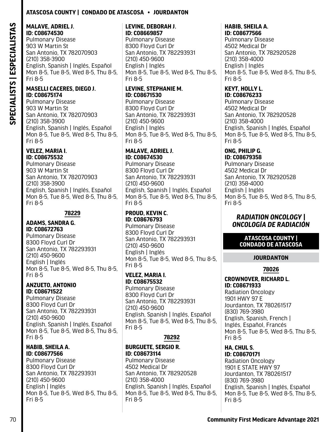## **Atascosa County | Condado De Atascosa • Jourdanton**

#### **MALAVE, ADRIEL J. ID: C08674530**

Pulmonary Disease 903 W Martin St San Antonio, TX 782070903 (210) 358-3900 English, Spanish | Inglés, Español Mon 8-5, Tue 8-5, Wed 8-5, Thu 8-5, Fri 8-5

#### **MASELLI CACERES, DIEGO J. ID: C08675174**

Pulmonary Disease 903 W Martin St San Antonio, TX 782070903 (210) 358-3900 English, Spanish | Inglés, Español Mon 8-5, Tue 8-5, Wed 8-5, Thu 8-5, Fri 8-5

#### **VELEZ, MARIA I. ID: C08675532**

Pulmonary Disease 903 W Martin St San Antonio, TX 782070903 (210) 358-3900 English, Spanish | Inglés, Español Mon 8-5, Tue 8-5, Wed 8-5, Thu 8-5, Fri 8-5

## **78229**

#### **ADAMS, SANDRA G. ID: C08672763**

Pulmonary Disease 8300 Floyd Curl Dr San Antonio, TX 782293931 (210) 450-9600 English | Inglés Mon 8-5, Tue 8-5, Wed 8-5, Thu 8-5, Fri 8-5

## **ANZUETO, ANTONIO ID: C08671522**

Pulmonary Disease 8300 Floyd Curl Dr San Antonio, TX 782293931 (210) 450-9600 English, Spanish | Inglés, Español Mon 8-5, Tue 8-5, Wed 8-5, Thu 8-5, Fri 8-5

#### **HABIB, SHEILA A. ID: C08677566**

Pulmonary Disease 8300 Floyd Curl Dr San Antonio, TX 782293931 (210) 450-9600 English | Inglés Mon 8-5, Tue 8-5, Wed 8-5, Thu 8-5, Fri 8-5

#### **LEVINE, DEBORAH J. ID: C08669857**

Pulmonary Disease 8300 Floyd Curl Dr San Antonio, TX 782293931 (210) 450-9600 English | Inglés Mon 8-5, Tue 8-5, Wed 8-5, Thu 8-5, Fri 8-5

## **LEVINE, STEPHANIE M. ID: C08671530**

Pulmonary Disease 8300 Floyd Curl Dr San Antonio, TX 782293931 (210) 450-9600 English | Inglés Mon 8-5, Tue 8-5, Wed 8-5, Thu 8-5, Fri 8-5

#### **MALAVE, ADRIEL J. ID: C08674530**

Pulmonary Disease 8300 Floyd Curl Dr San Antonio, TX 782293931 (210) 450-9600 English, Spanish | Inglés, Español Mon 8-5, Tue 8-5, Wed 8-5, Thu 8-5, Fri 8-5

#### **PROUD, KEVIN C. ID: C08676793**

Pulmonary Disease 8300 Floyd Curl Dr San Antonio, TX 782293931 (210) 450-9600 English | Inglés Mon 8-5, Tue 8-5, Wed 8-5, Thu 8-5, Fri 8-5

## **VELEZ, MARIA I. ID: C08675532**

Pulmonary Disease 8300 Floyd Curl Dr San Antonio, TX 782293931 (210) 450-9600 English, Spanish | Inglés, Español Mon 8-5, Tue 8-5, Wed 8-5, Thu 8-5, Fri 8-5

## **78292**

## **BURGUETE, SERGIO R. ID: C08673114**

Pulmonary Disease 4502 Medical Dr San Antonio, TX 782920528 (210) 358-4000 English, Spanish | Inglés, Español Mon 8-5, Tue 8-5, Wed 8-5, Thu 8-5, Fri 8-5

# **HABIB, SHEILA A.**

**ID: C08677566**  Pulmonary Disease 4502 Medical Dr San Antonio, TX 782920528 (210) 358-4000 English | Inglés Mon 8-5, Tue 8-5, Wed 8-5, Thu 8-5, Fri 8-5

#### **KEYT, HOLLY L. ID: C08676233**

Pulmonary Disease 4502 Medical Dr San Antonio, TX 782920528 (210) 358-4000 English, Spanish | Inglés, Español Mon 8-5, Tue 8-5, Wed 8-5, Thu 8-5, Fri 8-5

# **ONG, PHILIP G.**

**ID: C08679358**  Pulmonary Disease 4502 Medical Dr San Antonio, TX 782920528 (210) 358-4000 English | Inglés Mon 8-5, Tue 8-5, Wed 8-5, Thu 8-5, Fri 8-5

## *RADIATION ONCOLOGY | ONCOLOGÍA DE RADIACIÓN*

## **ATASCOSA COUNTY | CONDADO DE ATASCOSA**

## **JOURDANTON**

## **78026**

## **CROWNOVER, RICHARD L. ID: C08671933**

Radiation Oncology 1901 HWY 97 E Jourdanton, TX 780261517 (830) 769-3980 English, Spanish, French | Inglés, Español, Francés Mon 8-5, Tue 8-5, Wed 8-5, Thu 8-5, Fri 8-5

#### **HA, CHUL S. ID: C08670171**

Radiation Oncology 1901 E STATE HWY 97 Jourdanton, TX 780261517 (830) 769-3980 English, Spanish | Inglés, Español Mon 8-5, Tue 8-5, Wed 8-5, Thu 8-5, Fri 8-5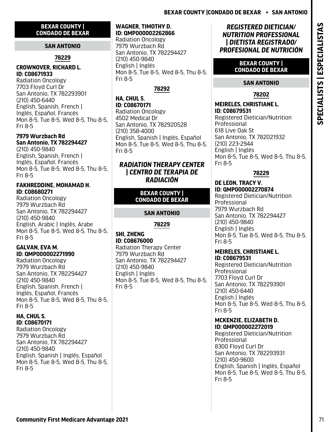### <span id="page-72-0"></span>**BEXAR COUNTY | CONDADO DE BEXAR**

## **SAN ANTONIO**

# **78229**

### **CROWNOVER, RICHARD L. ID: C08671933**

Radiation Oncology 7703 Floyd Curl Dr San Antonio, TX 782293901 (210) 450-6440 English, Spanish, French | Inglés, Español, Francés Mon 8-5, Tue 8-5, Wed 8-5, Thu 8-5, Fri 8-5

# **7979 Wurzbach Rd San Antonio, TX 782294427**

(210) 450-9840 English, Spanish, French | Inglés, Español, Francés Mon 8-5, Tue 8-5, Wed 8-5, Thu 8-5, Fri 8-5

### **FAKHREDDINE, MOHAMAD H. ID: C08680271**

Radiation Oncology 7979 Wurzbach Rd San Antonio, TX 782294427 (210) 450-9840 English, Arabic | Inglés, Árabe Mon 8-5, Tue 8-5, Wed 8-5, Thu 8-5, Fri 8-5

## **GALVAN, EVA M. ID: QMP000002271990**

Radiation Oncology 7979 Wurzbach Rd San Antonio, TX 782294427 (210) 450-9840 English, Spanish, French | Inglés, Español, Francés Mon 8-5, Tue 8-5, Wed 8-5, Thu 8-5, Fri 8-5

### **HA, CHUL S. ID: C08670171**

Radiation Oncology 7979 Wurzbach Rd San Antonio, TX 782294427 (210) 450-9840 English, Spanish | Inglés, Español Mon 8-5, Tue 8-5, Wed 8-5, Thu 8-5, Fri 8-5

### **WAGNER, TIMOTHY D. ID: QMP000002262866**

Radiation Oncology 7979 Wurzbach Rd San Antonio, TX 782294427 (210) 450-9840 English | Inglés Mon 8-5, Tue 8-5, Wed 8-5, Thu 8-5, Fri 8-5

# **78292**

**HA, CHUL S. ID: C08670171**  Radiation Oncology 4502 Medical Dr San Antonio, TX 782920528 (210) 358-4000 English, Spanish | Inglés, Español Mon 8-5, Tue 8-5, Wed 8-5, Thu 8-5, Fri 8-5

### *RADIATION THERAPY CENTER | CENTRO DE TERAPIA DE RADIACIÓN*

### **BEXAR COUNTY | CONDADO DE BEXAR**

# **SAN ANTONIO**

# **78229**

### **SHI, ZHENG ID: C08676000**

Radiation Therapy Center 7979 Wurzbach Rd San Antonio, TX 782294427 (210) 450-9840 English | Inglés Mon 8-5, Tue 8-5, Wed 8-5, Thu 8-5, Fri 8-5

# *REGISTERED DIETICIAN/ NUTRITION PROFESSIONAL | DIETISTA REGISTRADO/ PROFESIONAL DE NUTRICIÓN*

### **BEXAR COUNTY | CONDADO DE BEXAR**

# **SAN ANTONIO**

# **78202**

**MEIRELES, CHRISTIANE L. ID: C08679531**  Registered Dietician/Nutrition

Professional 618 Live Oak St San Antonio, TX 782021932 (210) 223-2944 English | Inglés Mon 8-5, Tue 8-5, Wed 8-5, Thu 8-5, Fri 8-5

# **78229**

### **DE LEON, TRACY V. ID: QMP000002270874**

Registered Dietician/Nutrition Professional 7979 Wurzbach Rd San Antonio, TX 782294427 (210) 450-9840 English | Inglés Mon 8-5, Tue 8-5, Wed 8-5, Thu 8-5, Fri 8-5

### **MEIRELES, CHRISTIANE L. ID: C08679531**

Registered Dietician/Nutrition Professional 7703 Floyd Curl Dr San Antonio, TX 782293901 (210) 450-6440 English | Inglés Mon 8-5, Tue 8-5, Wed 8-5, Thu 8-5, Fri 8-5

### **MCKENZIE, ELIZABETH D. ID: QMP000002272019**

Registered Dietician/Nutrition Professional 8300 Floyd Curl Dr San Antonio, TX 782293931 (210) 450-9600 English, Spanish | Inglés, Español Mon 8-5, Tue 8-5, Wed 8-5, Thu 8-5, Fri 8-5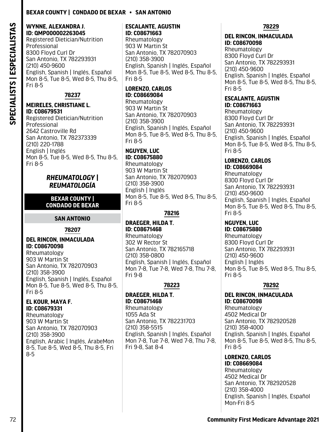### <span id="page-73-0"></span>**WYNNE, ALEXANDRA J. ID: QMP000002263045**

Registered Dietician/Nutrition Professional 8300 Floyd Curl Dr San Antonio, TX 782293931 (210) 450-9600 English, Spanish | Inglés, Español Mon 8-5, Tue 8-5, Wed 8-5, Thu 8-5, Fri 8-5

### **78237**

### **MEIRELES, CHRISTIANE L. ID: C08679531**

Registered Dietician/Nutrition Professional 2642 Castroville Rd San Antonio, TX 782373339 (210) 220-1788 English | Inglés Mon 8-5, Tue 8-5, Wed 8-5, Thu 8-5, Fri 8-5

### *RHEUMATOLOGY | REUMATOLOGÍA*

### **BEXAR COUNTY | CONDADO DE BEXAR**

### **SAN ANTONIO**

### **78207**

### **DEL RINCON, INMACULADA ID: C08670098**

Rheumatology 903 W Martin St San Antonio, TX 782070903 (210) 358-3900 English, Spanish | Inglés, Español Mon 8-5, Tue 8-5, Wed 8-5, Thu 8-5, Fri 8-5

### **EL KOUR, MAYA F. ID: C08679331**

Rheumatology 903 W Martin St San Antonio, TX 782070903 (210) 358-3900 English, Arabic | Inglés, ÁrabeMon 8-5, Tue 8-5, Wed 8-5, Thu 8-5, Fri 8-5

### **ESCALANTE, AGUSTIN ID: C08671663**

Rheumatology 903 W Martin St San Antonio, TX 782070903 (210) 358-3900 English, Spanish | Inglés, Español Mon 8-5, Tue 8-5, Wed 8-5, Thu 8-5, Fri 8-5

# **LORENZO, CARLOS ID: C08669084**

Rheumatology 903 W Martin St San Antonio, TX 782070903 (210) 358-3900 English, Spanish | Inglés, Español Mon 8-5, Tue 8-5, Wed 8-5, Thu 8-5, Fri 8-5

# **NGUYEN, LUC**

**ID: C08675880**  Rheumatology 903 W Martin St San Antonio, TX 782070903 (210) 358-3900 English | Inglés Mon 8-5, Tue 8-5, Wed 8-5, Thu 8-5, Fri 8-5

### **78216**

### **DRAEGER, HILDA T. ID: C08671468**  Rheumatology 302 W Rector St San Antonio, TX 782165718 (210) 358-0800 English, Spanish | Inglés, Español Mon 7-8, Tue 7-8, Wed 7-8, Thu 7-8, Fri 9-8

# **78223**

### **DRAEGER, HILDA T. ID: C08671468**  Rheumatology

1055 Ada St San Antonio, TX 782231703 (210) 358-5515 English, Spanish | Inglés, Español Mon 7-8, Tue 7-8, Wed 7-8, Thu 7-8, Fri 9-8, Sat 8-4

### **78229**

### **DEL RINCON, INMACULADA ID: C08670098**

Rheumatology 8300 Floyd Curl Dr San Antonio, TX 782293931 (210) 450-9600 English, Spanish | Inglés, Español Mon 8-5, Tue 8-5, Wed 8-5, Thu 8-5, Fri 8-5

### **ESCALANTE, AGUSTIN ID: C08671663**

Rheumatology 8300 Floyd Curl Dr San Antonio, TX 782293931 (210) 450-9600 English, Spanish | Inglés, Español Mon 8-5, Tue 8-5, Wed 8-5, Thu 8-5, Fri 8-5

### **LORENZO, CARLOS ID: C08669084**

Rheumatology 8300 Floyd Curl Dr San Antonio, TX 782293931 (210) 450-9600 English, Spanish | Inglés, Español Mon 8-5, Tue 8-5, Wed 8-5, Thu 8-5, Fri 8-5

# **NGUYEN, LUC**

**ID: C08675880**  Rheumatology 8300 Floyd Curl Dr San Antonio, TX 782293931 (210) 450-9600 English | Inglés Mon 8-5, Tue 8-5, Wed 8-5, Thu 8-5, Fri 8-5

### **78292**

# **DEL RINCON, INMACULADA ID: C08670098**

Rheumatology 4502 Medical Dr San Antonio, TX 782920528 (210) 358-4000 English, Spanish | Inglés, Español Mon 8-5, Tue 8-5, Wed 8-5, Thu 8-5, Fri 8-5

# **LORENZO, CARLOS**

**ID: C08669084**  Rheumatology 4502 Medical Dr San Antonio, TX 782920528 (210) 358-4000 English, Spanish | Inglés, Español Mon-Fri 8-5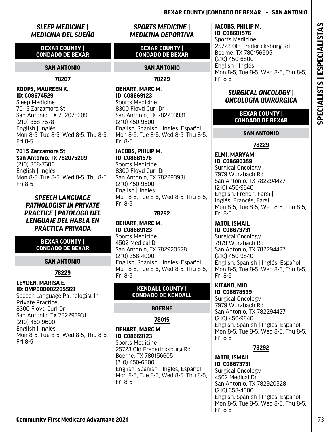# <span id="page-74-0"></span>*SLEEP MEDICINE | MEDICINA DEL SUEÑO*

### **BEXAR COUNTY | CONDADO DE BEXAR**

### **SAN ANTONIO**

### **78207**

### **KOOPS, MAUREEN K. ID: C08674529**

Sleep Medicine 701 S Zarzamora St San Antonio, TX 782075209 (210) 358-7578 English | Inglés Mon 8-5, Tue 8-5, Wed 8-5, Thu 8-5, Fri 8-5

## **701 S Zarzamora St San Antonio, TX 782075209**

(210) 358-7600 English | Inglés Mon 8-5, Tue 8-5, Wed 8-5, Thu 8-5, Fri 8-5

### *SPEECH LANGUAGE PATHOLOGIST IN PRIVATE PRACTICE | PATÓLOGO DEL LENGUAJE DEL HABLA EN PRÁCTICA PRIVADA*

### **BEXAR COUNTY | CONDADO DE BEXAR**

# **SAN ANTONIO**

# **78229**

### **LEYDEN, MARISA E. ID: QMP000002265569**

Speech Language Pathologist In Private Practice 8300 Floyd Curl Dr San Antonio, TX 782293931 (210) 450-9600 English | Inglés Mon 8-5, Tue 8-5, Wed 8-5, Thu 8-5, Fri 8-5

# *SPORTS MEDICINE | MEDICINA DEPORTIVA*

### **BEXAR COUNTY | CONDADO DE BEXAR**

### **SAN ANTONIO**

**78229**

### **DEHART, MARC M. ID: C08669123**  Sports Medicine 8300 Floyd Curl Dr San Antonio, TX 782293931 (210) 450-9600 English, Spanish | Inglés, Español Mon 8-5, Tue 8-5, Wed 8-5, Thu 8-5, Fri 8-5

**JACOBS, PHILIP M. ID: C08681576**  Sports Medicine 8300 Floyd Curl Dr San Antonio, TX 782293931 (210) 450-9600 English | Inglés Mon 8-5, Tue 8-5, Wed 8-5, Thu 8-5, Fri 8-5

### **78292**

### **DEHART, MARC M. ID: C08669123**  Sports Medicine 4502 Medical Dr San Antonio, TX 782920528 (210) 358-4000 English, Spanish | Inglés, Español Mon 8-5, Tue 8-5, Wed 8-5, Thu 8-5, Fri 8-5

### **KENDALL COUNTY | CONDADO DE KENDALL**

# **BOERNE**

## **78015**

### **DEHART, MARC M. ID: C08669123**  Sports Medicine 25723 Old Fredericksburg Rd Boerne, TX 780156605 (210) 450-6800 English, Spanish | Inglés, Español Mon 8-5, Tue 8-5, Wed 8-5, Thu 8-5, Fri 8-5

### **JACOBS, PHILIP M. ID: C08681576**

Sports Medicine 25723 Old Fredericksburg Rd Boerne, TX 780156605 (210) 450-6800 English | Inglés Mon 8-5, Tue 8-5, Wed 8-5, Thu 8-5, Fri 8-5

# *SURGICAL ONCOLOGY | ONCOLOGÍA QUIRÚRGICA*

**BEXAR COUNTY | CONDADO DE BEXAR**

### **SAN ANTONIO**

# **78229**

**ELMI, MARYAM ID: C08680359**  Surgical Oncology 7979 Wurzbach Rd San Antonio, TX 782294427 (210) 450-9840 English, French, Farsi | Inglés, Francés, Farsi Mon 8-5, Tue 8-5, Wed 8-5, Thu 8-5, Fri 8-5

### **JATOI, ISMAIL ID: C08673731**

Surgical Oncology 7979 Wurzbach Rd San Antonio, TX 782294427 (210) 450-9840 English, Spanish | Inglés, Español Mon 8-5, Tue 8-5, Wed 8-5, Thu 8-5, Fri 8-5

### **KITANO, MIO ID: C08678539**  Surgical Oncology 7979 Wurzbach Rd San Antonio, TX 782294427 (210) 450-9840 English, Spanish | Inglés, Español Mon 8-5, Tue 8-5, Wed 8-5, Thu 8-5, Fri 8-5

# **78292**

**JATOI, ISMAIL ID: C08673731**  Surgical Oncology 4502 Medical Dr San Antonio, TX 782920528 (210) 358-4000 English, Spanish | Inglés, Español Mon 8-5, Tue 8-5, Wed 8-5, Thu 8-5, Fri 8-5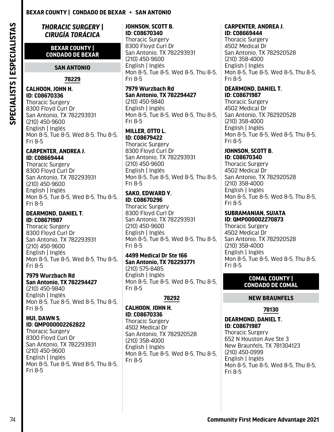<span id="page-75-0"></span>*THORACIC SURGERY | CIRUGÍA TORÁCICA*

### **BEXAR COUNTY | CONDADO DE BEXAR**

### **SAN ANTONIO**

**78229**

### **CALHOON, JOHN H. ID: C08670336**

Thoracic Surgery 8300 Floyd Curl Dr San Antonio, TX 782293931 (210) 450-9600 English | Inglés Mon 8-5, Tue 8-5, Wed 8-5, Thu 8-5, Fri 8-5

### **CARPENTER, ANDREA J. ID: C08669444**

Thoracic Surgery 8300 Floyd Curl Dr San Antonio, TX 782293931 (210) 450-9600 English | Inglés Mon 8-5, Tue 8-5, Wed 8-5, Thu 8-5, Fri 8-5

### **DEARMOND, DANIEL T. ID: C08671987**

Thoracic Surgery 8300 Floyd Curl Dr San Antonio, TX 782293931 (210) 450-9600 English | Inglés Mon 8-5, Tue 8-5, Wed 8-5, Thu 8-5, Fri 8-5

### **7979 Wurzbach Rd San Antonio, TX 782294427**

(210) 450-9840 English | Inglés Mon 8-5, Tue 8-5, Wed 8-5, Thu 8-5, Fri 8-5

### **HUI, DAWN S. ID: QMP000002262822**

Thoracic Surgery 8300 Floyd Curl Dr San Antonio, TX 782293931 (210) 450-9600 English | Inglés Mon 8-5, Tue 8-5, Wed 8-5, Thu 8-5, Fri 8-5

### **JOHNSON, SCOTT B. ID: C08670340**

Thoracic Surgery 8300 Floyd Curl Dr San Antonio, TX 782293931 (210) 450-9600 English | Inglés Mon 8-5, Tue 8-5, Wed 8-5, Thu 8-5, Fri 8-5

### **7979 Wurzbach Rd San Antonio, TX 782294427** (210) 450-9840 English | Inglés

Mon 8-5, Tue 8-5, Wed 8-5, Thu 8-5, Fri 8-5

### **MILLER, OTTO L. ID: C08679422**

Thoracic Surgery 8300 Floyd Curl Dr San Antonio, TX 782293931 (210) 450-9600 English | Inglés Mon 8-5, Tue 8-5, Wed 8-5, Thu 8-5, Fri 8-5

### **SAKO, EDWARD Y. ID: C08670296**

Thoracic Surgery 8300 Floyd Curl Dr San Antonio, TX 782293931 (210) 450-9600 English | Inglés Mon 8-5, Tue 8-5, Wed 8-5, Thu 8-5, Fri 8-5

# **4499 Medical Dr Ste 166**

**San Antonio, TX 782293771** (210) 575-8485 English | Inglés Mon 8-5, Tue 8-5, Wed 8-5, Thu 8-5, Fri 8-5

### **78292**

### **CALHOON, JOHN H. ID: C08670336**

Thoracic Surgery 4502 Medical Dr San Antonio, TX 782920528 (210) 358-4000 English | Inglés Mon 8-5, Tue 8-5, Wed 8-5, Thu 8-5, Fri 8-5

### **CARPENTER, ANDREA J. ID: C08669444**

Thoracic Surgery 4502 Medical Dr San Antonio, TX 782920528 (210) 358-4000 English | Inglés Mon 8-5, Tue 8-5, Wed 8-5, Thu 8-5, Fri 8-5

### **DEARMOND, DANIEL T. ID: C08671987**

Thoracic Surgery 4502 Medical Dr San Antonio, TX 782920528 (210) 358-4000 English | Inglés Mon 8-5, Tue 8-5, Wed 8-5, Thu 8-5, Fri 8-5

# **JOHNSON, SCOTT B.**

**ID: C08670340**  Thoracic Surgery 4502 Medical Dr San Antonio, TX 782920528 (210) 358-4000 English | Inglés Mon 8-5, Tue 8-5, Wed 8-5, Thu 8-5, Fri 8-5

### **SUBRAMANIAN, SUJATA ID: QMP000002270873**

Thoracic Surgery 4502 Medical Dr San Antonio, TX 782920528 (210) 358-4000 English | Inglés Mon 8-5, Tue 8-5, Wed 8-5, Thu 8-5, Fri 8-5

### **COMAL COUNTY | CONDADO DE COMAL**

### **NEW BRAUNFELS**

### **78130**

### **DEARMOND, DANIEL T. ID: C08671987**

Thoracic Surgery 652 N Houston Ave Ste 3 New Braunfels, TX 781304123 (210) 450-0999 English | Inglés Mon 8-5, Tue 8-5, Wed 8-5, Thu 8-5, Fri 8-5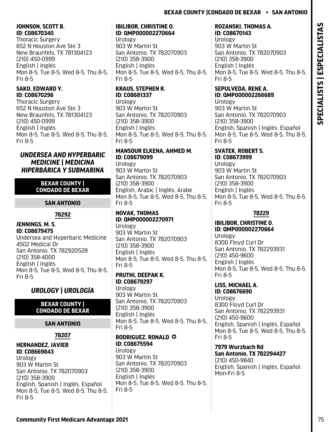### <span id="page-76-0"></span>**JOHNSON, SCOTT B. ID: C08670340**

Thoracic Surgery 652 N Houston Ave Ste 3 New Braunfels, TX 781304123 (210) 450-0999 English | Inglés Mon 8-5, Tue 8-5, Wed 8-5, Thu 8-5, Fri 8-5

### **SAKO, EDWARD Y. ID: C08670296**

Thoracic Surgery 652 N Houston Ave Ste 3 New Braunfels, TX 781304123 (210) 450-0999 English | Inglés Mon 8-5, Tue 8-5, Wed 8-5, Thu 8-5, Fri 8-5

### *UNDERSEA AND HYPERBARIC MEDICINE | MEDICINA HIPERBÁRICA Y SUBMARINA*

### **BEXAR COUNTY | CONDADO DE BEXAR**

### **SAN ANTONIO**

### **78292**

### **JENNINGS, M. S. ID: C08679475**

Undersea and Hyperbaric Medicine 4502 Medical Dr San Antonio, TX 782920528 (210) 358-4000 English | Inglés Mon 8-5, Tue 8-5, Wed 8-5, Thu 8-5, Fri 8-5

# *UROLOGY | UROLOGÍA*

### **BEXAR COUNTY | CONDADO DE BEXAR**

### **SAN ANTONIO**

### **78207**

### **HERNANDEZ, JAVIER ID: C08669843**

Urology 903 W Martin St San Antonio, TX 782070903 (210) 358-3900 English, Spanish | Inglés, Español Mon 8-5, Tue 8-5, Wed 8-5, Thu 8-5, Fri 8-5

### **IBILIBOR, CHRISTINE O. ID: QMP000002270664**

Urology 903 W Martin St San Antonio, TX 782070903 (210) 358-3900 English | Inglés Mon 8-5, Tue 8-5, Wed 8-5, Thu 8-5, Fri 8-5

# **KRAUS, STEPHEN R. ID: C08681337**

Urology 903 W Martin St San Antonio, TX 782070903 (210) 358-3900 English | Inglés Mon 8-5, Tue 8-5, Wed 8-5, Thu 8-5, Fri 8-5

### **MANSOUR ELKENA, AHMED M. ID: C08679099**

Urology 903 W Martin St San Antonio, TX 782070903 (210) 358-3900 English, Arabic | Inglés, Árabe Mon 8-5, Tue 8-5, Wed 8-5, Thu 8-5, Fri 8-5

### **NOVAK, THOMAS ID: QMP000002270971**

Urology 903 W Martin St San Antonio, TX 782070903 (210) 358-3900 English | Inglés Mon 8-5, Tue 8-5, Wed 8-5, Thu 8-5, Fri 8-5

### **PRUTHI, DEEPAK K. ID: C08679297**

Urology 903 W Martin St San Antonio, TX 782070903 (210) 358-3900 English | Inglés Mon 8-5, Tue 8-5, Wed 8-5, Thu 8-5, Fri 8-5

### **RODRIGUEZ, RONALD © ID: C08675594**

Urology 903 W Martin St San Antonio, TX 782070903 (210) 358-3900 English | Inglés Mon 8-5, Tue 8-5, Wed 8-5, Thu 8-5, Fri 8-5

### **ROZANSKI, THOMAS A. ID: C08670143**

Urology 903 W Martin St San Antonio, TX 782070903 (210) 358-3900 English | Inglés Mon 8-5, Tue 8-5, Wed 8-5, Thu 8-5, Fri 8-5

### **SEPULVEDA, RENE A. ID: QMP000002266689**

Urology 903 W Martin St San Antonio, TX 782070903 (210) 358-3900 English, Spanish | Inglés, Español Mon 8-5, Tue 8-5, Wed 8-5, Thu 8-5, Fri 8-5

# **SVATEK, ROBERT S.**

**ID: C08673999**  Urology 903 W Martin St San Antonio, TX 782070903 (210) 358-3900 English | Inglés Mon 8-5, Tue 8-5, Wed 8-5, Thu 8-5, Fri 8-5

### **78229**

### **IBILIBOR, CHRISTINE O. ID: QMP000002270664** Urology 8300 Floyd Curl Dr

San Antonio, TX 782293931 (210) 450-9600 English | Inglés Mon 8-5, Tue 8-5, Wed 8-5, Thu 8-5, Fri 8-5

# **LISS, MICHAEL A.**

**ID: C08676690**  Urology 8300 Floyd Curl Dr San Antonio, TX 782293931 (210) 450-9600 English, Spanish | Inglés, Español Mon 8-5, Tue 8-5, Wed 8-5, Thu 8-5, Fri 8-5

### **7979 Wurzbach Rd San Antonio, TX 782294427** (210) 450-9840 English, Spanish | Inglés, Español Mon-Fri 8-5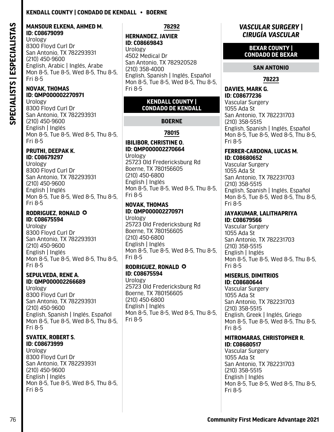### <span id="page-77-0"></span>**Kendall County | Condado De Kendall • Boerne**

### **MANSOUR ELKENA, AHMED M. ID: C08679099**

Urology 8300 Floyd Curl Dr San Antonio, TX 782293931 (210) 450-9600 English, Arabic | Inglés, Árabe Mon 8-5, Tue 8-5, Wed 8-5, Thu 8-5, Fri 8-5

### **NOVAK, THOMAS ID: QMP000002270971**

Urology 8300 Floyd Curl Dr San Antonio, TX 782293931 (210) 450-9600 English | Inglés Mon 8-5, Tue 8-5, Wed 8-5, Thu 8-5, Fri 8-5

### **PRUTHI, DEEPAK K. ID: C08679297**

Urology 8300 Floyd Curl Dr San Antonio, TX 782293931 (210) 450-9600 English | Inglés Mon 8-5, Tue 8-5, Wed 8-5, Thu 8-5, Fri 8-5

### **RODRIGUEZ, RONALD © ID: C08675594**

Urology 8300 Floyd Curl Dr San Antonio, TX 782293931 (210) 450-9600 English | Inglés Mon 8-5, Tue 8-5, Wed 8-5, Thu 8-5, Fri 8-5

### **SEPULVEDA, RENE A. ID: QMP000002266689**

Urology 8300 Floyd Curl Dr San Antonio, TX 782293931 (210) 450-9600 English, Spanish | Inglés, Español Mon 8-5, Tue 8-5, Wed 8-5, Thu 8-5, Fri 8-5

### **SVATEK, ROBERT S. ID: C08673999**

Urology 8300 Floyd Curl Dr San Antonio, TX 782293931 (210) 450-9600 English | Inglés Mon 8-5, Tue 8-5, Wed 8-5, Thu 8-5, Fri 8-5

**78292**

### **HERNANDEZ, JAVIER ID: C08669843**

Urology 4502 Medical Dr San Antonio, TX 782920528 (210) 358-4000 English, Spanish | Inglés, Español Mon 8-5, Tue 8-5, Wed 8-5, Thu 8-5, Fri 8-5

### **KENDALL COUNTY | CONDADO DE KENDALL**

### **BOERNE**

### **78015**

### **IBILIBOR, CHRISTINE O. ID: QMP000002270664**

Urology 25723 Old Fredericksburg Rd Boerne, TX 780156605 (210) 450-6800 English | Inglés Mon 8-5, Tue 8-5, Wed 8-5, Thu 8-5, Fri 8-5

### **NOVAK, THOMAS ID: QMP000002270971**

Urology 25723 Old Fredericksburg Rd Boerne, TX 780156605 (210) 450-6800 English | Inglés Mon 8-5, Tue 8-5, Wed 8-5, Thu 8-5, Fri 8-5

### **RODRIGUEZ, RONALD © ID: C08675594**

Urology 25723 Old Fredericksburg Rd Boerne, TX 780156605 (210) 450-6800 English | Inglés Mon 8-5, Tue 8-5, Wed 8-5, Thu 8-5, Fri 8-5

### *VASCULAR SURGERY | CIRUGÍA VASCULAR*

### **BEXAR COUNTY | CONDADO DE BEXAR**

### **SAN ANTONIO**

### **78223**

### **DAVIES, MARK G. ID: C08677236**

Vascular Surgery 1055 Ada St San Antonio, TX 782231703 (210) 358-5515 English, Spanish | Inglés, Español Mon 8-5, Tue 8-5, Wed 8-5, Thu 8-5, Fri 8-5

### **FERRER-CARDONA, LUCAS M. ID: C08680652**

Vascular Surgery 1055 Ada St San Antonio, TX 782231703 (210) 358-5515 English, Spanish | Inglés, Español Mon 8-5, Tue 8-5, Wed 8-5, Thu 8-5, Fri 8-5

### **JAYAKUMAR, LALITHAPRIYA ID: C08679566**

Vascular Surgery 1055 Ada St San Antonio, TX 782231703 (210) 358-5515 English | Inglés Mon 8-5, Tue 8-5, Wed 8-5, Thu 8-5, Fri 8-5

### **MISERLIS, DIMITRIOS ID: C08680644**

Vascular Surgery 1055 Ada St San Antonio, TX 782231703 (210) 358-5515 English, Greek | Inglés, Griego Mon 8-5, Tue 8-5, Wed 8-5, Thu 8-5, Fri 8-5

### **MITROMARAS, CHRISTOPHER R. ID: C08680517**

Vascular Surgery 1055 Ada St San Antonio, TX 782231703 (210) 358-5515 English | Inglés Mon 8-5, Tue 8-5, Wed 8-5, Thu 8-5, Fri 8-5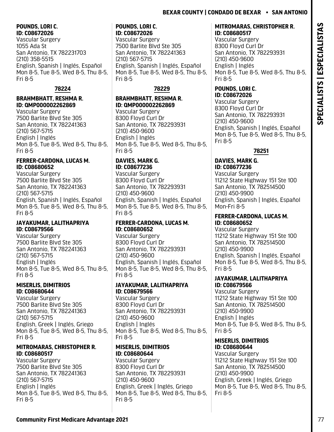### <span id="page-78-0"></span>**POUNDS, LORI C. ID: C08672026**

Vascular Surgery 1055 Ada St San Antonio, TX 782231703 (210) 358-5515 English, Spanish | Inglés, Español Mon 8-5, Tue 8-5, Wed 8-5, Thu 8-5, Fri 8-5

# **78224**

### **BRAHMBHATT, RESHMA R. ID: QMP000002262869**

Vascular Surgery 7500 Barlite Blvd Ste 305 San Antonio, TX 782241363 (210) 567-5715 English | Inglés Mon 8-5, Tue 8-5, Wed 8-5, Thu 8-5, Fri 8-5

### **FERRER-CARDONA, LUCAS M. ID: C08680652**

Vascular Surgery 7500 Barlite Blvd Ste 305 San Antonio, TX 782241363 (210) 567-5715 English, Spanish | Inglés, Español Mon 8-5, Tue 8-5, Wed 8-5, Thu 8-5, Fri 8-5

### **JAYAKUMAR, LALITHAPRIYA ID: C08679566**

Vascular Surgery 7500 Barlite Blvd Ste 305 San Antonio, TX 782241363 (210) 567-5715 English | Inglés Mon 8-5, Tue 8-5, Wed 8-5, Thu 8-5, Fri 8-5

### **MISERLIS, DIMITRIOS ID: C08680644**

Vascular Surgery 7500 Barlite Blvd Ste 305 San Antonio, TX 782241363 (210) 567-5715 English, Greek | Inglés, Griego Mon 8-5, Tue 8-5, Wed 8-5, Thu 8-5, Fri 8-5

### **MITROMARAS, CHRISTOPHER R. ID: C08680517**

Vascular Surgery 7500 Barlite Blvd Ste 305 San Antonio, TX 782241363 (210) 567-5715 English | Inglés Mon 8-5, Tue 8-5, Wed 8-5, Thu 8-5, Fri 8-5

### **POUNDS, LORI C. ID: C08672026**

Vascular Surgery 7500 Barlite Blvd Ste 305 San Antonio, TX 782241363 (210) 567-5715 English, Spanish | Inglés, Español Mon 8-5, Tue 8-5, Wed 8-5, Thu 8-5, Fri 8-5

# **78229**

# **BRAHMBHATT, RESHMA R. ID: QMP000002262869**

Vascular Surgery 8300 Floyd Curl Dr San Antonio, TX 782293931 (210) 450-9600 English | Inglés Mon 8-5, Tue 8-5, Wed 8-5, Thu 8-5, Fri 8-5

### **DAVIES, MARK G. ID: C08677236**

Vascular Surgery 8300 Floyd Curl Dr San Antonio, TX 782293931 (210) 450-9600 English, Spanish | Inglés, Español Mon 8-5, Tue 8-5, Wed 8-5, Thu 8-5, Fri 8-5

### **FERRER-CARDONA, LUCAS M. ID: C08680652**

Vascular Surgery 8300 Floyd Curl Dr San Antonio, TX 782293931 (210) 450-9600 English, Spanish | Inglés, Español Mon 8-5, Tue 8-5, Wed 8-5, Thu 8-5, Fri 8-5

### **JAYAKUMAR, LALITHAPRIYA ID: C08679566**

Vascular Surgery 8300 Floyd Curl Dr San Antonio, TX 782293931 (210) 450-9600 English | Inglés Mon 8-5, Tue 8-5, Wed 8-5, Thu 8-5, Fri 8-5

### **MISERLIS, DIMITRIOS ID: C08680644**

Vascular Surgery 8300 Floyd Curl Dr San Antonio, TX 782293931 (210) 450-9600 English, Greek | Inglés, Griego Mon 8-5, Tue 8-5, Wed 8-5, Thu 8-5, Fri 8-5

### **MITROMARAS, CHRISTOPHER R. ID: C08680517**

Vascular Surgery 8300 Floyd Curl Dr San Antonio, TX 782293931 (210) 450-9600 English | Inglés Mon 8-5, Tue 8-5, Wed 8-5, Thu 8-5, Fri 8-5

### **POUNDS, LORI C. ID: C08672026**

Vascular Surgery 8300 Floyd Curl Dr San Antonio, TX 782293931 (210) 450-9600 English, Spanish | Inglés, Español Mon 8-5, Tue 8-5, Wed 8-5, Thu 8-5, Fri 8-5

# **78251**

### **DAVIES, MARK G. ID: C08677236**

Vascular Surgery 11212 State Highway 151 Ste 100 San Antonio, TX 782514500 (210) 450-9900 English, Spanish | Inglés, Español Mon-Fri 8-5

### **FERRER-CARDONA, LUCAS M. ID: C08680652**

Vascular Surgery 11212 State Highway 151 Ste 100 San Antonio, TX 782514500 (210) 450-9900 English, Spanish | Inglés, Español Mon 8-5, Tue 8-5, Wed 8-5, Thu 8-5, Fri 8-5

### **JAYAKUMAR, LALITHAPRIYA ID: C08679566**

Vascular Surgery 11212 State Highway 151 Ste 100 San Antonio, TX 782514500 (210) 450-9900 English | Inglés Mon 8-5, Tue 8-5, Wed 8-5, Thu 8-5, Fri 8-5

### **MISERLIS, DIMITRIOS ID: C08680644**

Vascular Surgery 11212 State Highway 151 Ste 100 San Antonio, TX 782514500 (210) 450-9900 English, Greek | Inglés, Griego Mon 8-5, Tue 8-5, Wed 8-5, Thu 8-5, Fri 8-5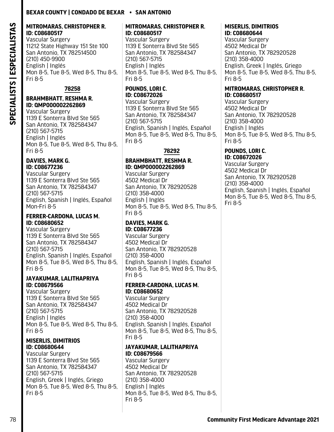### <span id="page-79-0"></span>**MITROMARAS, CHRISTOPHER R. ID: C08680517**

Vascular Surgery 11212 State Highway 151 Ste 100 San Antonio, TX 782514500 (210) 450-9900 English | Inglés Mon 8-5, Tue 8-5, Wed 8-5, Thu 8-5, Fri 8-5

### **78258**

### **BRAHMBHATT, RESHMA R. ID: QMP000002262869**

Vascular Surgery 1139 E Sonterra Blvd Ste 565 San Antonio, TX 782584347 (210) 567-5715 English | Inglés Mon 8-5, Tue 8-5, Wed 8-5, Thu 8-5, Fri 8-5

### **DAVIES, MARK G. ID: C08677236**

Vascular Surgery 1139 E Sonterra Blvd Ste 565 San Antonio, TX 782584347 (210) 567-5715 English, Spanish | Inglés, Español Mon-Fri 8-5

### **FERRER-CARDONA, LUCAS M. ID: C08680652**

Vascular Surgery 1139 E Sonterra Blvd Ste 565 San Antonio, TX 782584347 (210) 567-5715 English, Spanish | Inglés, Español Mon 8-5, Tue 8-5, Wed 8-5, Thu 8-5, Fri 8-5

### **JAYAKUMAR, LALITHAPRIYA ID: C08679566**

Vascular Surgery 1139 E Sonterra Blvd Ste 565 San Antonio, TX 782584347 (210) 567-5715 English | Inglés Mon 8-5, Tue 8-5, Wed 8-5, Thu 8-5, Fri 8-5

### **MISERLIS, DIMITRIOS ID: C08680644**

Vascular Surgery 1139 E Sonterra Blvd Ste 565 San Antonio, TX 782584347 (210) 567-5715 English, Greek | Inglés, Griego Mon 8-5, Tue 8-5, Wed 8-5, Thu 8-5, Fri 8-5

### **MITROMARAS, CHRISTOPHER R. ID: C08680517**

Vascular Surgery 1139 E Sonterra Blvd Ste 565 San Antonio, TX 782584347 (210) 567-5715 English | Inglés Mon 8-5, Tue 8-5, Wed 8-5, Thu 8-5, Fri 8-5

### **POUNDS, LORI C. ID: C08672026**

Vascular Surgery 1139 E Sonterra Blvd Ste 565 San Antonio, TX 782584347 (210) 567-5715 English, Spanish | Inglés, Español Mon 8-5, Tue 8-5, Wed 8-5, Thu 8-5, Fri 8-5

### **78292**

### **BRAHMBHATT, RESHMA R. ID: QMP000002262869**

Vascular Surgery 4502 Medical Dr San Antonio, TX 782920528 (210) 358-4000 English | Inglés Mon 8-5, Tue 8-5, Wed 8-5, Thu 8-5, Fri 8-5

### **DAVIES, MARK G. ID: C08677236**

Vascular Surgery 4502 Medical Dr San Antonio, TX 782920528 (210) 358-4000 English, Spanish | Inglés, Español Mon 8-5, Tue 8-5, Wed 8-5, Thu 8-5, Fri 8-5

### **FERRER-CARDONA, LUCAS M. ID: C08680652**

Vascular Surgery 4502 Medical Dr San Antonio, TX 782920528 (210) 358-4000 English, Spanish | Inglés, Español Mon 8-5, Tue 8-5, Wed 8-5, Thu 8-5, Fri 8-5

### **JAYAKUMAR, LALITHAPRIYA ID: C08679566**

Vascular Surgery 4502 Medical Dr San Antonio, TX 782920528 (210) 358-4000 English | Inglés Mon 8-5, Tue 8-5, Wed 8-5, Thu 8-5, Fri 8-5

### **MISERLIS, DIMITRIOS ID: C08680644**

Vascular Surgery 4502 Medical Dr San Antonio, TX 782920528 (210) 358-4000 English, Greek | Inglés, Griego Mon 8-5, Tue 8-5, Wed 8-5, Thu 8-5, Fri 8-5

### **MITROMARAS, CHRISTOPHER R. ID: C08680517**

Vascular Surgery 4502 Medical Dr San Antonio, TX 782920528 (210) 358-4000 English | Inglés Mon 8-5, Tue 8-5, Wed 8-5, Thu 8-5, Fri 8-5

### **POUNDS, LORI C. ID: C08672026**

Vascular Surgery 4502 Medical Dr San Antonio, TX 782920528 (210) 358-4000 English, Spanish | Inglés, Español Mon 8-5, Tue 8-5, Wed 8-5, Thu 8-5, Fri 8-5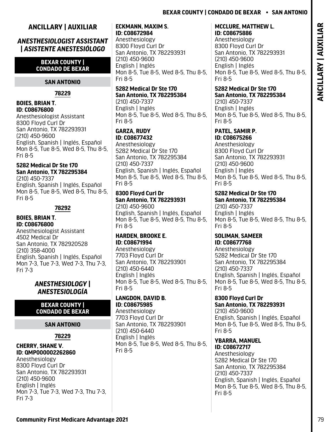# ANCILLARY | AUXILIAR **ANCILLARY | AUXILIAR**

### <span id="page-80-0"></span>**ANCILLARY | AUXILIAR**

### *ANESTHESIOLOGIST ASSISTANT | ASISTENTE ANESTESIÓLOGO*

### **BEXAR COUNTY | CONDADO DE BEXAR**

### **SAN ANTONIO**

**78229**

### **BOIES, BRIAN T. ID: C08676800**

Anesthesiologist Assistant 8300 Floyd Curl Dr San Antonio, TX 782293931 (210) 450-9600 English, Spanish | Inglés, Español Mon 8-5, Tue 8-5, Wed 8-5, Thu 8-5, Fri 8-5

# **5282 Medical Dr Ste 170 San Antonio, TX 782295384**

(210) 450-7337 English, Spanish | Inglés, Español Mon 8-5, Tue 8-5, Wed 8-5, Thu 8-5, Fri 8-5

### **78292**

### **BOIES, BRIAN T. ID: C08676800**

Anesthesiologist Assistant 4502 Medical Dr San Antonio, TX 782920528 (210) 358-4000 English, Spanish | Inglés, Español Mon 7-3, Tue 7-3, Wed 7-3, Thu 7-3, Fri 7-3

### *ANESTHESIOLOGY | ANESTESIOLOGÍA*

### **BEXAR COUNTY | CONDADO DE BEXAR**

### **SAN ANTONIO**

**78229**

### **CHERRY, SHANE V. ID: QMP000002262860**

Anesthesiology 8300 Floyd Curl Dr San Antonio, TX 782293931 (210) 450-9600 English | Inglés Mon 7-3, Tue 7-3, Wed 7-3, Thu 7-3, Fri 7-3

### **ECKMANN, MAXIM S. ID: C08672984**

Anesthesiology 8300 Floyd Curl Dr San Antonio, TX 782293931 (210) 450-9600 English | Inglés Mon 8-5, Tue 8-5, Wed 8-5, Thu 8-5, Fri 8-5

### **5282 Medical Dr Ste 170 San Antonio, TX 782295384** (210) 450-7337

English | Inglés Mon 8-5, Tue 8-5, Wed 8-5, Thu 8-5, Fri 8-5

### **GARZA, RUDY ID: C08677432**

Anesthesiology 5282 Medical Dr Ste 170 San Antonio, TX 782295384 (210) 450-7337 English, Spanish | Inglés, Español Mon 8-5, Tue 8-5, Wed 8-5, Thu 8-5, Fri 8-5

### **8300 Floyd Curl Dr San Antonio, TX 782293931** (210) 450-9600

English, Spanish | Inglés, Español Mon 8-5, Tue 8-5, Wed 8-5, Thu 8-5, Fri 8-5

### **HARDEN, BROOKE E. ID: C08671994**

Anesthesiology 7703 Floyd Curl Dr San Antonio, TX 782293901 (210) 450-6440 English | Inglés Mon 8-5, Tue 8-5, Wed 8-5, Thu 8-5, Fri 8-5

### **LANGDON, DAVID B. ID: C08675985**

Anesthesiology 7703 Floyd Curl Dr San Antonio, TX 782293901 (210) 450-6440 English | Inglés Mon 8-5, Tue 8-5, Wed 8-5, Thu 8-5, Fri 8-5

### **MCCLURE, MATTHEW L. ID: C08675886**

Anesthesiology 8300 Floyd Curl Dr San Antonio, TX 782293931 (210) 450-9600 English | Inglés Mon 8-5, Tue 8-5, Wed 8-5, Thu 8-5, Fri 8-5

# **5282 Medical Dr Ste 170 San Antonio, TX 782295384**

(210) 450-7337 English | Inglés Mon 8-5, Tue 8-5, Wed 8-5, Thu 8-5, Fri 8-5

### **PATEL, SAMIR P. ID: C08675266**

Anesthesiology 8300 Floyd Curl Dr San Antonio, TX 782293931 (210) 450-9600 English | Inglés Mon 8-5, Tue 8-5, Wed 8-5, Thu 8-5, Fri 8-5

### **5282 Medical Dr Ste 170 San Antonio, TX 782295384** (210) 450-7337 English | Inglés

Mon 8-5, Tue 8-5, Wed 8-5, Thu 8-5, Fri 8-5

### **SOLIMAN, SAMEER ID: C08677768**

Anesthesiology 5282 Medical Dr Ste 170 San Antonio, TX 782295384 (210) 450-7337 English, Spanish | Inglés, Español Mon 8-5, Tue 8-5, Wed 8-5, Thu 8-5, Fri 8-5

### **8300 Floyd Curl Dr San Antonio, TX 782293931** (210) 450-9600 English, Spanish | Inglés, Español Mon 8-5, Tue 8-5, Wed 8-5, Thu 8-5, Fri 8-5

### **YBARRA, MANUEL ID: C08672717**  Anesthesiology 5282 Medical Dr Ste 170 San Antonio, TX 782295384 (210) 450-7337 English, Spanish | Inglés, Español Mon 8-5, Tue 8-5, Wed 8-5, Thu 8-5, Fri 8-5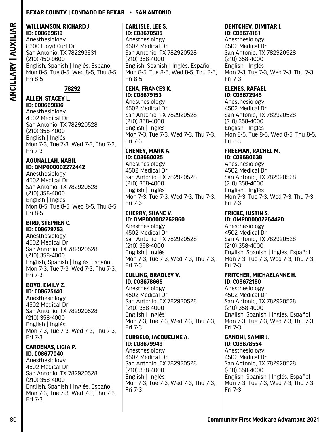### <span id="page-81-0"></span>**WILLIAMSON, RICHARD J. ID: C08669619**

Anesthesiology 8300 Floyd Curl Dr San Antonio, TX 782293931 (210) 450-9600 English, Spanish | Inglés, Español Mon 8-5, Tue 8-5, Wed 8-5, Thu 8-5, Fri 8-5

**78292**

### **ALLEN, STACEY L. ID: C08669886**

Anesthesiology 4502 Medical Dr San Antonio, TX 782920528 (210) 358-4000 English | Inglés Mon 7-3, Tue 7-3, Wed 7-3, Thu 7-3, Fri 7-3

### **AOUNALLAH, NABIL ID: QMP000002272442**

Anesthesiology 4502 Medical Dr San Antonio, TX 782920528 (210) 358-4000 English | Inglés Mon 8-5, Tue 8-5, Wed 8-5, Thu 8-5, Fri 8-5

### **BIRD, STEPHEN C. ID: C08679753**

Anesthesiology 4502 Medical Dr San Antonio, TX 782920528 (210) 358-4000 English, Spanish | Inglés, Español Mon 7-3, Tue 7-3, Wed 7-3, Thu 7-3, Fri 7-3

### **BOYD, EMILY Z. ID: C08675140**

Anesthesiology 4502 Medical Dr San Antonio, TX 782920528 (210) 358-4000 English | Inglés Mon 7-3, Tue 7-3, Wed 7-3, Thu 7-3, Fri 7-3

### **CARDENAS, LIGIA P. ID: C08677040**

Anesthesiology 4502 Medical Dr San Antonio, TX 782920528 (210) 358-4000 English, Spanish | Inglés, Español Mon 7-3, Tue 7-3, Wed 7-3, Thu 7-3, Fri 7-3

### **CARLISLE, LEE S. ID: C08670585**

Anesthesiology 4502 Medical Dr San Antonio, TX 782920528 (210) 358-4000 English, Spanish | Inglés, Español Mon 8-5, Tue 8-5, Wed 8-5, Thu 8-5, Fri 8-5

# **CENA, FRANCES K. ID: C08679153**

Anesthesiology 4502 Medical Dr San Antonio, TX 782920528 (210) 358-4000 English | Inglés Mon 7-3, Tue 7-3, Wed 7-3, Thu 7-3, Fri 7-3

### **CHENEY, MARK A. ID: C08680025**

Anesthesiology 4502 Medical Dr San Antonio, TX 782920528 (210) 358-4000 English | Inglés Mon 7-3, Tue 7-3, Wed 7-3, Thu 7-3, Fri 7-3

### **CHERRY, SHANE V. ID: QMP000002262860**

Anesthesiology 4502 Medical Dr San Antonio, TX 782920528 (210) 358-4000 English | Inglés Mon 7-3, Tue 7-3, Wed 7-3, Thu 7-3, Fri 7-3

### **CULLING, BRADLEY V. ID: C08678666**

Anesthesiology 4502 Medical Dr San Antonio, TX 782920528 (210) 358-4000 English | Inglés Mon 7-3, Tue 7-3, Wed 7-3, Thu 7-3, Fri 7-3

### **CURBELO, JACQUELINE A. ID: C08679949**

Anesthesiology 4502 Medical Dr San Antonio, TX 782920528 (210) 358-4000 English | Inglés Mon 7-3, Tue 7-3, Wed 7-3, Thu 7-3, Fri 7-3

### **DENTCHEV, DIMITAR I. ID: C08674181**

Anesthesiology 4502 Medical Dr San Antonio, TX 782920528 (210) 358-4000 English | Inglés Mon 7-3, Tue 7-3, Wed 7-3, Thu 7-3, Fri 7-3

# **ELENES, RAFAEL**

**ID: C08672945**  Anesthesiology 4502 Medical Dr San Antonio, TX 782920528 (210) 358-4000 English | Inglés Mon 8-5, Tue 8-5, Wed 8-5, Thu 8-5, Fri 8-5

# **FREEMAN, RACHEL M.**

**ID: C08680638**  Anesthesiology 4502 Medical Dr San Antonio, TX 782920528 (210) 358-4000 English | Inglés Mon 7-3, Tue 7-3, Wed 7-3, Thu 7-3, Fri 7-3

# **FRICKE, JUSTIN S.**

**ID: QMP000002264420** Anesthesiology 4502 Medical Dr San Antonio, TX 782920528 (210) 358-4000 English, Spanish | Inglés, Español Mon 7-3, Tue 7-3, Wed 7-3, Thu 7-3, Fri 7-3

### **FRITCHER, MICHAELANNE H. ID: C08672180**

Anesthesiology 4502 Medical Dr San Antonio, TX 782920528 (210) 358-4000 English, Spanish | Inglés, Español Mon 7-3, Tue 7-3, Wed 7-3, Thu 7-3, Fri 7-3

# **GANDHI, SAMIR J.**

**ID: C08678554**  Anesthesiology 4502 Medical Dr San Antonio, TX 782920528 (210) 358-4000 English, Spanish | Inglés, Español Mon 7-3, Tue 7-3, Wed 7-3, Thu 7-3, Fri 7-3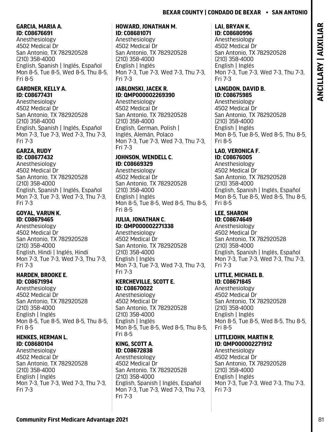### <span id="page-82-0"></span>**GARCIA, MARIA A. ID: C08676691**

Anesthesiology 4502 Medical Dr San Antonio, TX 782920528 (210) 358-4000 English, Spanish | Inglés, Español Mon 8-5, Tue 8-5, Wed 8-5, Thu 8-5, Fri 8-5

## **GARDNER, KELLY A. ID: C08677431**

Anesthesiology 4502 Medical Dr San Antonio, TX 782920528 (210) 358-4000 English, Spanish | Inglés, Español Mon 7-3, Tue 7-3, Wed 7-3, Thu 7-3, Fri 7-3

### **GARZA, RUDY ID: C08677432**

Anesthesiology 4502 Medical Dr San Antonio, TX 782920528 (210) 358-4000 English, Spanish | Inglés, Español Mon 7-3, Tue 7-3, Wed 7-3, Thu 7-3, Fri 7-3

### **GOYAL, VARUN K. ID: C08679465**

Anesthesiology 4502 Medical Dr San Antonio, TX 782920528 (210) 358-4000 English, Hindi | Inglés, Hindi Mon 7-3, Tue 7-3, Wed 7-3, Thu 7-3, Fri 7-3

### **HARDEN, BROOKE E. ID: C08671994**

Anesthesiology 4502 Medical Dr San Antonio, TX 782920528 (210) 358-4000 English | Inglés Mon 8-5, Tue 8-5, Wed 8-5, Thu 8-5, Fri 8-5

### **HENKES, HERMAN L. ID: C08680104**

Anesthesiology 4502 Medical Dr San Antonio, TX 782920528 (210) 358-4000 English | Inglés Mon 7-3, Tue 7-3, Wed 7-3, Thu 7-3, Fri 7-3

### **HOWARD, JONATHAN M. ID: C08681071**

Anesthesiology 4502 Medical Dr San Antonio, TX 782920528 (210) 358-4000 English | Inglés Mon 7-3, Tue 7-3, Wed 7-3, Thu 7-3, Fri 7-3

# **JABLONSKI, JACEK R. ID: QMP000002269390**

Anesthesiology 4502 Medical Dr San Antonio, TX 782920528 (210) 358-4000 English, German, Polish | Inglés, Alemán, Polaco Mon 7-3, Tue 7-3, Wed 7-3, Thu 7-3, Fri 7-3

# **JOHNSON, WENDELL C. ID: C08669329**

Anesthesiology 4502 Medical Dr San Antonio, TX 782920528 (210) 358-4000 English | Inglés Mon 8-5, Tue 8-5, Wed 8-5, Thu 8-5, Fri 8-5

### **JULIA, JONATHAN C. ID: QMP000002271338**

Anesthesiology 4502 Medical Dr San Antonio, TX 782920528 (210) 358-4000 English | Inglés Mon 7-3, Tue 7-3, Wed 7-3, Thu 7-3, Fri 7-3

# **KERCHEVILLE, SCOTT E. ID: C08670022**

Anesthesiology 4502 Medical Dr San Antonio, TX 782920528 (210) 358-4000 English | Inglés Mon 8-5, Tue 8-5, Wed 8-5, Thu 8-5, Fri 8-5

### **KING, SCOTT A. ID: C08672838**

Anesthesiology 4502 Medical Dr San Antonio, TX 782920528 (210) 358-4000 English, Spanish | Inglés, Español Mon 7-3, Tue 7-3, Wed 7-3, Thu 7-3, Fri 7-3

# **LAI, BRYAN K. ID: C08680996**

Anesthesiology 4502 Medical Dr San Antonio, TX 782920528 (210) 358-4000 English | Inglés Mon 7-3, Tue 7-3, Wed 7-3, Thu 7-3, Fri 7-3

### **LANGDON, DAVID B. ID: C08675985**

Anesthesiology 4502 Medical Dr San Antonio, TX 782920528 (210) 358-4000 English | Inglés Mon 8-5, Tue 8-5, Wed 8-5, Thu 8-5, Fri 8-5

### **LAO, VERONICA F. ID: C08676005**

Anesthesiology 4502 Medical Dr San Antonio, TX 782920528 (210) 358-4000 English, Spanish | Inglés, Español Mon 8-5, Tue 8-5, Wed 8-5, Thu 8-5, Fri 8-5

# **LEE, SHARON**

**ID: C08674649**  Anesthesiology 4502 Medical Dr San Antonio, TX 782920528 (210) 358-4000 English, Spanish | Inglés, Español Mon 7-3, Tue 7-3, Wed 7-3, Thu 7-3, Fri 7-3

# **LITTLE, MICHAEL B.**

**ID: C08671845**  Anesthesiology 4502 Medical Dr San Antonio, TX 782920528 (210) 358-4000 English | Inglés Mon 8-5, Tue 8-5, Wed 8-5, Thu 8-5, Fri 8-5

### **LITTLEJOHN, MARTIN R. ID: QMP000002271912**

Anesthesiology 4502 Medical Dr San Antonio, TX 782920528 (210) 358-4000 English | Inglés Mon 7-3, Tue 7-3, Wed 7-3, Thu 7-3, Fri 7-3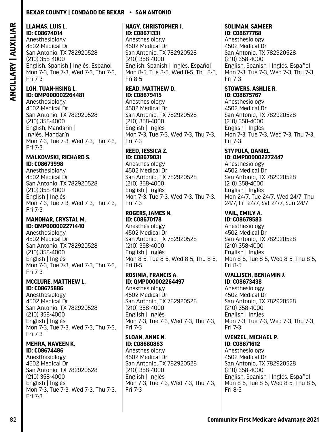### <span id="page-83-0"></span>**LLAMAS, LUIS L. ID: C08674014**

Anesthesiology 4502 Medical Dr San Antonio, TX 782920528 (210) 358-4000 English, Spanish | Inglés, Español Mon 7-3, Tue 7-3, Wed 7-3, Thu 7-3, Fri 7-3

### **LOH, TUAN-HSING L. ID: QMP000002264481**

Anesthesiology 4502 Medical Dr San Antonio, TX 782920528 (210) 358-4000 English, Mandarin | Inglés, Mandarín Mon 7-3, Tue 7-3, Wed 7-3, Thu 7-3, Fri 7-3

### **MALKOWSKI, RICHARD S. ID: C08673998**

Anesthesiology 4502 Medical Dr San Antonio, TX 782920528 (210) 358-4000 English | Inglés Mon 7-3, Tue 7-3, Wed 7-3, Thu 7-3, Fri 7-3

### **MANOHAR, CRYSTAL M. ID: QMP000002271440**

Anesthesiology 4502 Medical Dr San Antonio, TX 782920528 (210) 358-4000 English | Inglés Mon 7-3, Tue 7-3, Wed 7-3, Thu 7-3, Fri 7-3

### **MCCLURE, MATTHEW L. ID: C08675886**

Anesthesiology 4502 Medical Dr San Antonio, TX 782920528 (210) 358-4000 English | Inglés Mon 7-3, Tue 7-3, Wed 7-3, Thu 7-3, Fri 7-3

### **MEHRA, NAVEEN K. ID: C08674486**

Anesthesiology 4502 Medical Dr San Antonio, TX 782920528 (210) 358-4000 English | Inglés Mon 7-3, Tue 7-3, Wed 7-3, Thu 7-3, Fri 7-3

### **NAGY, CHRISTOPHER J. ID: C08671331**

Anesthesiology 4502 Medical Dr San Antonio, TX 782920528 (210) 358-4000 English, Spanish | Inglés, Español Mon 8-5, Tue 8-5, Wed 8-5, Thu 8-5, Fri 8-5

### **READ, MATTHEW D. ID: C08679415**  Anesthesiology

4502 Medical Dr San Antonio, TX 782920528 (210) 358-4000 English | Inglés Mon 7-3, Tue 7-3, Wed 7-3, Thu 7-3, Fri 7-3

# **REED, JESSICA Z.**

**ID: C08679031**  Anesthesiology 4502 Medical Dr San Antonio, TX 782920528 (210) 358-4000 English | Inglés Mon 7-3, Tue 7-3, Wed 7-3, Thu 7-3, Fri 7-3

### **ROGERS, JAMES N. ID: C08670178**

Anesthesiology 4502 Medical Dr San Antonio, TX 782920528 (210) 358-4000 English | Inglés Mon 8-5, Tue 8-5, Wed 8-5, Thu 8-5, Fri 8-5

### **ROSINIA, FRANCIS A. ID: QMP000002264497**

Anesthesiology 4502 Medical Dr San Antonio, TX 782920528 (210) 358-4000 English | Inglés Mon 7-3, Tue 7-3, Wed 7-3, Thu 7-3, Fri 7-3

### **SLOAN, ANNE N. ID: C08680863**

Anesthesiology 4502 Medical Dr San Antonio, TX 782920528 (210) 358-4000 English | Inglés Mon 7-3, Tue 7-3, Wed 7-3, Thu 7-3, Fri 7-3

# **SOLIMAN, SAMEER**

**ID: C08677768**  Anesthesiology 4502 Medical Dr San Antonio, TX 782920528 (210) 358-4000 English, Spanish | Inglés, Español Mon 7-3, Tue 7-3, Wed 7-3, Thu 7-3, Fri 7-3

### **STOWERS, ASHLIE R. ID: C08675767**

Anesthesiology 4502 Medical Dr San Antonio, TX 782920528 (210) 358-4000 English | Inglés Mon 7-3, Tue 7-3, Wed 7-3, Thu 7-3, Fri 7-3

### **STYPULA, DANIEL ID: QMP000002272447**

Anesthesiology 4502 Medical Dr San Antonio, TX 782920528 (210) 358-4000 English | Inglés Mon 24/7, Tue 24/7, Wed 24/7, Thu 24/7, Fri 24/7, Sat 24/7, Sun 24/7

# **VAIL, EMILY A.**

**ID: C08679583**  Anesthesiology 4502 Medical Dr San Antonio, TX 782920528 (210) 358-4000 English | Inglés Mon 8-5, Tue 8-5, Wed 8-5, Thu 8-5, Fri 8-5

# **WALLISCH, BENJAMIN J.**

**ID: C08673438**  Anesthesiology 4502 Medical Dr San Antonio, TX 782920528 (210) 358-4000 English | Inglés Mon 7-3, Tue 7-3, Wed 7-3, Thu 7-3, Fri 7-3

### **WENZEL, MICHAEL P. ID: C08671612**

Anesthesiology 4502 Medical Dr San Antonio, TX 782920528 (210) 358-4000 English, Spanish | Inglés, Español Mon 8-5, Tue 8-5, Wed 8-5, Thu 8-5, Fri 8-5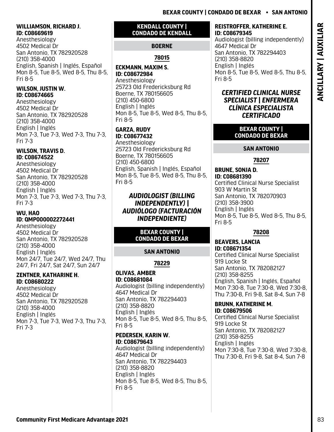### <span id="page-84-0"></span>**WILLIAMSON, RICHARD J. ID: C08669619**

Anesthesiology 4502 Medical Dr San Antonio, TX 782920528 (210) 358-4000 English, Spanish | Inglés, Español Mon 8-5, Tue 8-5, Wed 8-5, Thu 8-5, Fri 8-5

# **WILSON, JUSTIN W. ID: C08674665**

Anesthesiology 4502 Medical Dr San Antonio, TX 782920528 (210) 358-4000 English | Inglés Mon 7-3, Tue 7-3, Wed 7-3, Thu 7-3, Fri 7-3

### **WILSON, TRAVIS D. ID: C08674522**

Anesthesiology 4502 Medical Dr San Antonio, TX 782920528 (210) 358-4000 English | Inglés Mon 7-3, Tue 7-3, Wed 7-3, Thu 7-3, Fri 7-3

### **WU, HAO ID: QMP000002272441**

Anesthesiology 4502 Medical Dr San Antonio, TX 782920528 (210) 358-4000 English | Inglés Mon 24/7, Tue 24/7, Wed 24/7, Thu 24/7, Fri 24/7, Sat 24/7, Sun 24/7

### **ZENTNER, KATHARINE H. ID: C08680222**

Anesthesiology 4502 Medical Dr San Antonio, TX 782920528 (210) 358-4000 English | Inglés Mon 7-3, Tue 7-3, Wed 7-3, Thu 7-3, Fri 7-3

# **KENDALL COUNTY | CONDADO DE KENDALL**

# **BOERNE**

# **78015**

**ECKMANN, MAXIM S. ID: C08672984**  Anesthesiology 25723 Old Fredericksburg Rd Boerne, TX 780156605 (210) 450-6800 English | Inglés Mon 8-5, Tue 8-5, Wed 8-5, Thu 8-5, Fri 8-5

### **GARZA, RUDY ID: C08677432**

Anesthesiology 25723 Old Fredericksburg Rd Boerne, TX 780156605 (210) 450-6800 English, Spanish | Inglés, Español Mon 8-5, Tue 8-5, Wed 8-5, Thu 8-5, Fri 8-5

# *AUDIOLOGIST (BILLING INDEPENDENTLY) | AUDIÓLOGO (FACTURACIÓN INDEPENDIENTE)*

## **BEXAR COUNTY | CONDADO DE BEXAR**

# **SAN ANTONIO**

**78229**

## **OLIVAS, AMBER ID: C08681084**  Audiologist (billing independently)

4647 Medical Dr San Antonio, TX 782294403 (210) 358-8820 English | Inglés Mon 8-5, Tue 8-5, Wed 8-5, Thu 8-5, Fri 8-5

### **PEDERSEN, KARIN W. ID: C08679643**

Audiologist (billing independently) 4647 Medical Dr San Antonio, TX 782294403 (210) 358-8820 English | Inglés Mon 8-5, Tue 8-5, Wed 8-5, Thu 8-5, Fri 8-5

# **REISTROFFER, KATHERINE E. ID: C08679345**

Audiologist (billing independently) 4647 Medical Dr San Antonio, TX 782294403 (210) 358-8820 English | Inglés Mon 8-5, Tue 8-5, Wed 8-5, Thu 8-5, Fri 8-5

# *CERTIFIED CLINICAL NURSE SPECIALIST | ENFERMERA CLÍNICA ESPECIALISTA CERTIFICADO*

## **BEXAR COUNTY | CONDADO DE BEXAR**

# **SAN ANTONIO**

# **78207**

**BRUNE, SONJA D. ID: C08681390**  Certified Clinical Nurse Specialist 903 W Martin St San Antonio, TX 782070903 (210) 358-3900 English | Inglés Mon 8-5, Tue 8-5, Wed 8-5, Thu 8-5, Fri 8-5

# **78208**

**BEAVERS, LANCIA ID: C08671354**  Certified Clinical Nurse Specialist 919 Locke St San Antonio, TX 782082127 (210) 358-8255 English, Spanish | Inglés, Español Mon 7:30-8, Tue 7:30-8, Wed 7:30-8, Thu 7:30-8, Fri 9-8, Sat 8-4, Sun 7-8

# **BRUNN, KATHERINE M.**

**ID: C08679506**  Certified Clinical Nurse Specialist 919 Locke St San Antonio, TX 782082127 (210) 358-8255 English | Inglés Mon 7:30-8, Tue 7:30-8, Wed 7:30-8, Thu 7:30-8, Fri 9-8, Sat 8-4, Sun 7-8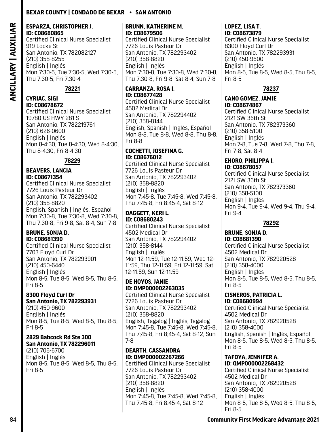### <span id="page-85-0"></span>**ESPARZA, CHRISTOPHER J. ID: C08680865**

Certified Clinical Nurse Specialist 919 Locke St San Antonio, TX 782082127 (210) 358-8255 English | Inglés Mon 7:30-5, Tue 7:30-5, Wed 7:30-5, Thu 7:30-5, Fri 7:30-4

### **78221**

### **CYRIAC, SIGI ID: C08678672**

Certified Clinical Nurse Specialist 19780 US HWY 281 S San Antonio, TX 782219761 (210) 626-0600 English | Inglés Mon 8-4:30, Tue 8-4:30, Wed 8-4:30, Thu 8-4:30, Fri 8-4:30

**78229**

### **BEAVERS, LANCIA ID: C08671354**

Certified Clinical Nurse Specialist 7726 Louis Pasteur Dr San Antonio, TX 782293402 (210) 358-8820 English, Spanish | Inglés, Español Mon 7:30-8, Tue 7:30-8, Wed 7:30-8, Thu 7:30-8, Fri 9-8, Sat 8-4, Sun 7-8

### **BRUNE, SONJA D. ID: C08681390**

Certified Clinical Nurse Specialist 7703 Floyd Curl Dr San Antonio, TX 782293901 (210) 450-6440 English | Inglés Mon 8-5, Tue 8-5, Wed 8-5, Thu 8-5, Fri 8-5

### **8300 Floyd Curl Dr San Antonio, TX 782293931**

(210) 450-9600 English | Inglés Mon 8-5, Tue 8-5, Wed 8-5, Thu 8-5, Fri 8-5

### **2829 Babcock Rd Ste 300 San Antonio, TX 782296011**

(210) 706-6700 English | Inglés Mon 8-5, Tue 8-5, Wed 8-5, Thu 8-5, Fri 8-5

### **BRUNN, KATHERINE M. ID: C08679506**

Certified Clinical Nurse Specialist 7726 Louis Pasteur Dr San Antonio, TX 782293402 (210) 358-8820 English | Inglés Mon 7:30-8, Tue 7:30-8, Wed 7:30-8, Thu 7:30-8, Fri 9-8, Sat 8-4, Sun 7-8

### **CARRANZA, ROSA I. ID: C08677428**

Certified Clinical Nurse Specialist 4502 Medical Dr San Antonio, TX 782294402 (210) 358-8144 English, Spanish | Inglés, Español Mon 8-8, Tue 8-8, Wed 8-8, Thu 8-8, Fri 8-8

### **COCHETTI, JOSEFINA G. ID: C08676012**

Certified Clinical Nurse Specialist 7726 Louis Pasteur Dr San Antonio, TX 782293402 (210) 358-8820 English | Inglés Mon 7:45-8, Tue 7:45-8, Wed 7:45-8, Thu 7:45-8, Fri 8:45-4, Sat 8-12

### **DAGGETT, KERI L. ID: C08680243**

Certified Clinical Nurse Specialist 4502 Medical Dr San Antonio, TX 782294402 (210) 358-8144 English | Inglés Mon 12-11:59, Tue 12-11:59, Wed 12- 11:59, Thu 12-11:59, Fri 12-11:59, Sat 12-11:59, Sun 12-11:59

### **DE HOYOS, JANIE ID: QMP000002263035**

Certified Clinical Nurse Specialist 7726 Louis Pasteur Dr San Antonio, TX 782293402 (210) 358-8820 English, Tagalog | Inglés, Tagalog Mon 7;45-8, Tue 7:45-8, Wed 7:45-8, Thu 7;45-8, Fri 8;45-4, Sat 8-12, Sun 7-8

### **DEARTH, CASSANDRA ID: QMP000002267266**

Certified Clinical Nurse Specialist 7726 Louis Pasteur Dr San Antonio, TX 782293402 (210) 358-8820 English | Inglés Mon 7:45-8, Tue 7:45-8, Wed 7:45-8, Thu 7:45-8, Fri 8:45-4, Sat 8-12

### **LOPEZ, LISA T. ID: C08673879**

Certified Clinical Nurse Specialist 8300 Floyd Curl Dr San Antonio, TX 782293931 (210) 450-9600 English | Inglés Mon 8-5, Tue 8-5, Wed 8-5, Thu 8-5, Fri 8-5

## **78237**

### **CANO GOMEZ, JAMIE ID: C08674867**

Certified Clinical Nurse Specialist 2121 SW 36th St San Antonio, TX 782373360 (210) 358-5100 English | Inglés Mon 7-8, Tue 7-8, Wed 7-8, Thu 7-8, Fri 7-8, Sat 8-4

### **EHORO, PHILIPPA I. ID: C08678057**

Certified Clinical Nurse Specialist 2121 SW 36th St San Antonio, TX 782373360 (210) 358-5100 English | Inglés Mon 9-4, Tue 9-4, Wed 9-4, Thu 9-4, Fri 9-4

### **78292**

### **BRUNE, SONJA D. ID: C08681390**

Certified Clinical Nurse Specialist 4502 Medical Dr San Antonio, TX 782920528 (210) 358-4000 English | Inglés Mon 8-5, Tue 8-5, Wed 8-5, Thu 8-5, Fri 8-5

### **CISNEROS, PATRICIA L. ID: C08680994**

Certified Clinical Nurse Specialist 4502 Medical Dr San Antonio, TX 782920528 (210) 358-4000 English, Spanish | Inglés, Español Mon 8-5, Tue 8-5, Wed 8-5, Thu 8-5, Fri 8-5

### **TAFOYA, JENNIFER A. ID: QMP000002268432**

Certified Clinical Nurse Specialist 4502 Medical Dr San Antonio, TX 782920528 (210) 358-4000 English | Inglés Mon 8-5, Tue 8-5, Wed 8-5, Thu 8-5, Fri 8-5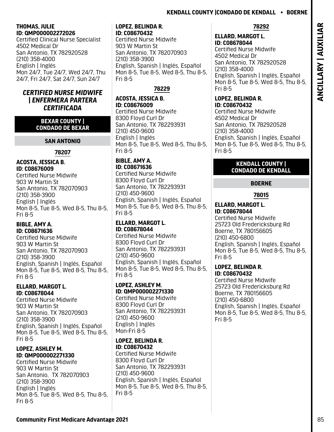# **Kendall County |Condado De Kendall • Boerne**

### <span id="page-86-0"></span>**THOMAS, JULIE ID: QMP000002272026**

Certified Clinical Nurse Specialist 4502 Medical Dr San Antonio, TX 782920528 (210) 358-4000 English | Inglés Mon 24/7, Tue 24/7, Wed 24/7, Thu 24/7, Fri 24/7, Sat 24/7, Sun 24/7

### *CERTIFIED NURSE MIDWIFE | ENFERMERA PARTERA CERTIFICADA*

### **BEXAR COUNTY | CONDADO DE BEXAR**

# **SAN ANTONIO**

**78207**

### **ACOSTA, JESSICA B. ID: C08676009**

Certified Nurse Midwife 903 W Martin St San Antonio, TX 782070903 (210) 358-3900 English | Inglés Mon 8-5, Tue 8-5, Wed 8-5, Thu 8-5, Fri 8-5

### **BIBLE, AMY A. ID: C08671636**

Certified Nurse Midwife 903 W Martin St San Antonio, TX 782070903 (210) 358-3900 English, Spanish | Inglés, Español Mon 8-5, Tue 8-5, Wed 8-5, Thu 8-5, Fri 8-5

### **ELLARD, MARGOT L. ID: C08678044**

Certified Nurse Midwife 903 W Martin St San Antonio, TX 782070903 (210) 358-3900 English, Spanish | Inglés, Español Mon 8-5, Tue 8-5, Wed 8-5, Thu 8-5, Fri 8-5

### **LOPEZ, ASHLEY M. ID: QMP000002271330**

Certified Nurse Midwife 903 W Martin St San Antonio, TX 782070903 (210) 358-3900 English | Inglés Mon 8-5, Tue 8-5, Wed 8-5, Thu 8-5, Fri 8-5

### **LOPEZ, BELINDA R. ID: C08670432**

Certified Nurse Midwife 903 W Martin St San Antonio, TX 782070903 (210) 358-3900 English, Spanish | Inglés, Español Mon 8-5, Tue 8-5, Wed 8-5, Thu 8-5, Fri 8-5

# **78229**

**ACOSTA, JESSICA B. ID: C08676009**  Certified Nurse Midwife 8300 Floyd Curl Dr San Antonio, TX 782293931 (210) 450-9600 English | Inglés Mon 8-5, Tue 8-5, Wed 8-5, Thu 8-5, Fri 8-5

### **BIBLE, AMY A. ID: C08671636**

Certified Nurse Midwife 8300 Floyd Curl Dr San Antonio, TX 782293931 (210) 450-9600 English, Spanish | Inglés, Español Mon 8-5, Tue 8-5, Wed 8-5, Thu 8-5, Fri 8-5

### **ELLARD, MARGOT L. ID: C08678044**

Certified Nurse Midwife 8300 Floyd Curl Dr San Antonio, TX 782293931 (210) 450-9600 English, Spanish | Inglés, Español Mon 8-5, Tue 8-5, Wed 8-5, Thu 8-5, Fri 8-5

### **LOPEZ, ASHLEY M. ID: QMP000002271330**

Certified Nurse Midwife 8300 Floyd Curl Dr San Antonio, TX 782293931 (210) 450-9600 English | Inglés Mon-Fri 8-5

### **LOPEZ, BELINDA R. ID: C08670432**

Certified Nurse Midwife 8300 Floyd Curl Dr San Antonio, TX 782293931 (210) 450-9600 English, Spanish | Inglés, Español Mon 8-5, Tue 8-5, Wed 8-5, Thu 8-5, Fri 8-5

# **78292**

**ELLARD, MARGOT L. ID: C08678044**  Certified Nurse Midwife 4502 Medical Dr San Antonio, TX 782920528 (210) 358-4000 English, Spanish | Inglés, Español Mon 8-5, Tue 8-5, Wed 8-5, Thu 8-5, Fri 8-5

### **LOPEZ, BELINDA R. ID: C08670432**

Certified Nurse Midwife 4502 Medical Dr San Antonio, TX 782920528 (210) 358-4000 English, Spanish | Inglés, Español Mon 8-5, Tue 8-5, Wed 8-5, Thu 8-5, Fri 8-5

### **KENDALL COUNTY | CONDADO DE KENDALL**

# **BOERNE**

## **78015**

### **ELLARD, MARGOT L. ID: C08678044**

Certified Nurse Midwife 25723 Old Fredericksburg Rd Boerne, TX 780156605 (210) 450-6800 English, Spanish | Inglés, Español Mon 8-5, Tue 8-5, Wed 8-5, Thu 8-5, Fri 8-5

# **LOPEZ, BELINDA R.**

**ID: C08670432**  Certified Nurse Midwife 25723 Old Fredericksburg Rd Boerne, TX 780156605 (210) 450-6800 English, Spanish | Inglés, Español Mon 8-5, Tue 8-5, Wed 8-5, Thu 8-5, Fri 8-5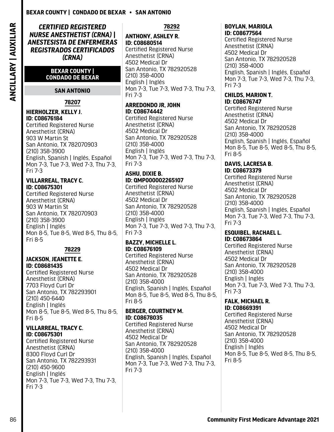<span id="page-87-0"></span>*CERTIFIED REGISTERED NURSE ANESTHETIST (CRNA) | ANESTESISTA DE ENFERMERAS REGISTRADOS CERTIFICADOS (CRNA)*

### **BEXAR COUNTY | CONDADO DE BEXAR**

### **SAN ANTONIO**

### **78207**

### **HIERHOLZER, KELLY J. ID: C08676184**

Certified Registered Nurse Anesthetist (CRNA) 903 W Martin St San Antonio, TX 782070903 (210) 358-3900 English, Spanish | Inglés, Español Mon 7-3, Tue 7-3, Wed 7-3, Thu 7-3, Fri 7-3

### **VILLARREAL, TRACY C. ID: C08675301**

Certified Registered Nurse Anesthetist (CRNA) 903 W Martin St San Antonio, TX 782070903 (210) 358-3900 English | Inglés Mon 8-5, Tue 8-5, Wed 8-5, Thu 8-5, Fri 8-5

### **78229**

### **JACKSON, JEANETTE E. ID: C08681435**

Certified Registered Nurse Anesthetist (CRNA) 7703 Floyd Curl Dr San Antonio, TX 782293901 (210) 450-6440 English | Inglés Mon 8-5, Tue 8-5, Wed 8-5, Thu 8-5, Fri 8-5

### **VILLARREAL, TRACY C. ID: C08675301**

Certified Registered Nurse Anesthetist (CRNA) 8300 Floyd Curl Dr San Antonio, TX 782293931 (210) 450-9600 English | Inglés Mon 7-3, Tue 7-3, Wed 7-3, Thu 7-3, Fri 7-3

### **78292**

# **ANTHONY, ASHLEY R. ID: C08680514**

Certified Registered Nurse Anesthetist (CRNA) 4502 Medical Dr San Antonio, TX 782920528 (210) 358-4000 English | Inglés Mon 7-3, Tue 7-3, Wed 7-3, Thu 7-3, Fri 7-3

### **ARREDONDO JR, JOHN ID: C08674442**

Certified Registered Nurse Anesthetist (CRNA) 4502 Medical Dr San Antonio, TX 782920528 (210) 358-4000 English | Inglés Mon 7-3, Tue 7-3, Wed 7-3, Thu 7-3, Fri 7-3

### **ASHU, DIXIE B. ID: QMP000002265107**

Certified Registered Nurse Anesthetist (CRNA) 4502 Medical Dr San Antonio, TX 782920528 (210) 358-4000 English | Inglés Mon 7-3, Tue 7-3, Wed 7-3, Thu 7-3, Fri 7-3

### **BAZZY, MICHELLE L. ID: C08676109**

Certified Registered Nurse Anesthetist (CRNA) 4502 Medical Dr San Antonio, TX 782920528 (210) 358-4000 English, Spanish | Inglés, Español Mon 8-5, Tue 8-5, Wed 8-5, Thu 8-5, Fri 8-5

### **BERGER, COURTNEY M. ID: C08678035**

Certified Registered Nurse Anesthetist (CRNA) 4502 Medical Dr San Antonio, TX 782920528 (210) 358-4000 English, Spanish | Inglés, Español Mon 7-3, Tue 7-3, Wed 7-3, Thu 7-3, Fri 7-3

### **BOYLAN, MARIOLA ID: C08677564**

Certified Registered Nurse Anesthetist (CRNA) 4502 Medical Dr San Antonio, TX 782920528 (210) 358-4000 English, Spanish | Inglés, Español Mon 7-3, Tue 7-3, Wed 7-3, Thu 7-3, Fri 7-3

### **CHILDS, MARION T. ID: C08676747**

Certified Registered Nurse Anesthetist (CRNA) 4502 Medical Dr San Antonio, TX 782920528 (210) 358-4000 English, Spanish | Inglés, Español Mon 8-5, Tue 8-5, Wed 8-5, Thu 8-5, Fri 8-5

### **DAVIS, LACRESA B. ID: C08673379**

Certified Registered Nurse Anesthetist (CRNA) 4502 Medical Dr San Antonio, TX 782920528 (210) 358-4000 English, Spanish | Inglés, Español Mon 7-3, Tue 7-3, Wed 7-3, Thu 7-3, Fri 7-3

### **ESQUIBEL, RACHAEL L. ID: C08673864**

Certified Registered Nurse Anesthetist (CRNA) 4502 Medical Dr San Antonio, TX 782920528 (210) 358-4000 English | Inglés Mon 7-3, Tue 7-3, Wed 7-3, Thu 7-3, Fri 7-3

### **FALK, MICHAEL R. ID: C08669391**

Certified Registered Nurse Anesthetist (CRNA) 4502 Medical Dr San Antonio, TX 782920528 (210) 358-4000 English | Inglés Mon 8-5, Tue 8-5, Wed 8-5, Thu 8-5, Fri 8-5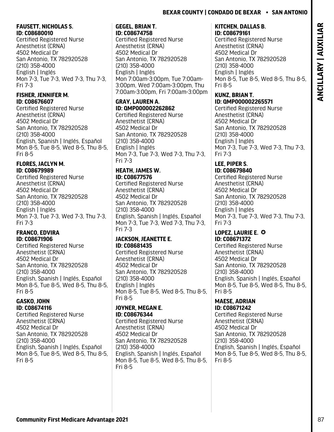## <span id="page-88-0"></span>**FAUSETT, NICHOLAS S. ID: C08680010**

Certified Registered Nurse Anesthetist (CRNA) 4502 Medical Dr San Antonio, TX 782920528 (210) 358-4000 English | Inglés Mon 7-3, Tue 7-3, Wed 7-3, Thu 7-3, Fri 7-3

### **FISHER, JENNIFER M. ID: C08676607**

Certified Registered Nurse Anesthetist (CRNA) 4502 Medical Dr San Antonio, TX 782920528 (210) 358-4000 English, Spanish | Inglés, Español Mon 8-5, Tue 8-5, Wed 8-5, Thu 8-5, Fri 8-5

# **FLORES, JACLYN M. ID: C08679989**

Certified Registered Nurse Anesthetist (CRNA) 4502 Medical Dr San Antonio, TX 782920528 (210) 358-4000 English | Inglés Mon 7-3, Tue 7-3, Wed 7-3, Thu 7-3, Fri 7-3

### **FRANCO, EDVIRA ID: C08671906**

Certified Registered Nurse Anesthetist (CRNA) 4502 Medical Dr San Antonio, TX 782920528 (210) 358-4000 English, Spanish | Inglés, Español Mon 8-5, Tue 8-5, Wed 8-5, Thu 8-5, Fri 8-5

### **GASKO, JOHN ID: C08674116**

Certified Registered Nurse Anesthetist (CRNA) 4502 Medical Dr San Antonio, TX 782920528 (210) 358-4000 English, Spanish | Inglés, Español Mon 8-5, Tue 8-5, Wed 8-5, Thu 8-5, Fri 8-5

### **GEGEL, BRIAN T. ID: C08674758**

Certified Registered Nurse Anesthetist (CRNA) 4502 Medical Dr San Antonio, TX 782920528 (210) 358-4000 English | Inglés Mon 7:00am-3:00pm, Tue 7:00am-3:00pm, Wed 7:00am-3:00pm, Thu 7:00am-3:00pm, Fri 7:00am-3:00pm

### **GRAY, LAUREN A. ID: QMP000002262862**

Certified Registered Nurse Anesthetist (CRNA) 4502 Medical Dr San Antonio, TX 782920528 (210) 358-4000 English | Inglés Mon 7-3, Tue 7-3, Wed 7-3, Thu 7-3, Fri 7-3

## **HEATH, JAMES W. ID: C08677576**

Certified Registered Nurse Anesthetist (CRNA) 4502 Medical Dr San Antonio, TX 782920528 (210) 358-4000 English, Spanish | Inglés, Español Mon 7-3, Tue 7-3, Wed 7-3, Thu 7-3, Fri 7-3

### **JACKSON, JEANETTE E. ID: C08681435**

Certified Registered Nurse Anesthetist (CRNA) 4502 Medical Dr San Antonio, TX 782920528 (210) 358-4000 English | Inglés Mon 8-5, Tue 8-5, Wed 8-5, Thu 8-5, Fri 8-5

### **JOYNER, MEGAN E. ID: C08676344**

Certified Registered Nurse Anesthetist (CRNA) 4502 Medical Dr San Antonio, TX 782920528 (210) 358-4000 English, Spanish | Inglés, Español Mon 8-5, Tue 8-5, Wed 8-5, Thu 8-5, Fri 8-5

### **KITCHEN, DALLAS B. ID: C08679161**

Certified Registered Nurse Anesthetist (CRNA) 4502 Medical Dr San Antonio, TX 782920528 (210) 358-4000 English | Inglés Mon 8-5, Tue 8-5, Wed 8-5, Thu 8-5, Fri 8-5

### **KUNZ, BRIAN T. ID: QMP000002265571**

Certified Registered Nurse Anesthetist (CRNA) 4502 Medical Dr San Antonio, TX 782920528 (210) 358-4000 English | Inglés Mon 7-3, Tue 7-3, Wed 7-3, Thu 7-3, Fri 7-3

### **LEE, PIPER S. ID: C08679840**

Certified Registered Nurse Anesthetist (CRNA) 4502 Medical Dr San Antonio, TX 782920528 (210) 358-4000 English | Inglés Mon 7-3, Tue 7-3, Wed 7-3, Thu 7-3, Fri 7-3

### **LOPEZ, LAURIE E. O ID: C08671372**

Certified Registered Nurse Anesthetist (CRNA) 4502 Medical Dr San Antonio, TX 782920528 (210) 358-4000 English, Spanish | Inglés, Español Mon 8-5, Tue 8-5, Wed 8-5, Thu 8-5, Fri 8-5

### **MAESE, ADRIAN ID: C08671242**

Certified Registered Nurse Anesthetist (CRNA) 4502 Medical Dr San Antonio, TX 782920528 (210) 358-4000 English, Spanish | Inglés, Español Mon 8-5, Tue 8-5, Wed 8-5, Thu 8-5, Fri 8-5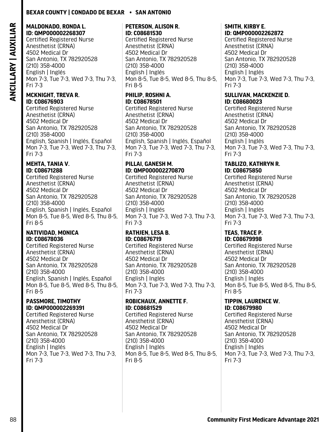### <span id="page-89-0"></span>**MALDONADO, RONDA L. ID: QMP000002268307**

Certified Registered Nurse Anesthetist (CRNA) 4502 Medical Dr San Antonio, TX 782920528 (210) 358-4000 English | Inglés Mon 7-3, Tue 7-3, Wed 7-3, Thu 7-3, Fri 7-3

### **MCKNIGHT, TREVA R. ID: C08676903**

Certified Registered Nurse Anesthetist (CRNA) 4502 Medical Dr San Antonio, TX 782920528 (210) 358-4000 English, Spanish | Inglés, Español Mon 7-3, Tue 7-3, Wed 7-3, Thu 7-3, Fri 7-3

### **MEHTA, TANIA V. ID: C08671288**

Certified Registered Nurse Anesthetist (CRNA) 4502 Medical Dr San Antonio, TX 782920528 (210) 358-4000 English, Spanish | Inglés, Español Mon 8-5, Tue 8-5, Wed 8-5, Thu 8-5, Fri 8-5

### **NATIVIDAD, MONICA ID: C08678036**

Certified Registered Nurse Anesthetist (CRNA) 4502 Medical Dr San Antonio, TX 782920528 (210) 358-4000 English, Spanish | Inglés, Español Mon 8-5, Tue 8-5, Wed 8-5, Thu 8-5, Fri 8-5

### **PASSMORE, TIMOTHY ID: QMP000002269391**

Certified Registered Nurse Anesthetist (CRNA) 4502 Medical Dr San Antonio, TX 782920528 (210) 358-4000 English | Inglés Mon 7-3, Tue 7-3, Wed 7-3, Thu 7-3, Fri 7-3

### **PETERSON, ALISON R. ID: C08681530**

Certified Registered Nurse Anesthetist (CRNA) 4502 Medical Dr San Antonio, TX 782920528 (210) 358-4000 English | Inglés Mon 8-5, Tue 8-5, Wed 8-5, Thu 8-5, Fri 8-5

### **PHILIP, ROSHNI A. ID: C08678501**

Certified Registered Nurse Anesthetist (CRNA) 4502 Medical Dr San Antonio, TX 782920528 (210) 358-4000 English, Spanish | Inglés, Español Mon 7-3, Tue 7-3, Wed 7-3, Thu 7-3, Fri 7-3

### **PILLAI, GANESH M. ID: QMP000002270870**

Certified Registered Nurse Anesthetist (CRNA) 4502 Medical Dr San Antonio, TX 782920528 (210) 358-4000 English | Inglés Mon 7-3, Tue 7-3, Wed 7-3, Thu 7-3, Fri 7-3

# **RATHJEN, LESA B. ID: C08676719**

Certified Registered Nurse Anesthetist (CRNA) 4502 Medical Dr San Antonio, TX 782920528 (210) 358-4000 English | Inglés Mon 7-3, Tue 7-3, Wed 7-3, Thu 7-3, Fri 7-3

## **ROBICHAUX, ANNETTE F. ID: C08681529**

Certified Registered Nurse Anesthetist (CRNA) 4502 Medical Dr San Antonio, TX 782920528 (210) 358-4000 English | Inglés Mon 8-5, Tue 8-5, Wed 8-5, Thu 8-5, Fri 8-5

### **SMITH, KIRBY E. ID: QMP000002262872**

Certified Registered Nurse Anesthetist (CRNA) 4502 Medical Dr San Antonio, TX 782920528 (210) 358-4000 English | Inglés Mon 7-3, Tue 7-3, Wed 7-3, Thu 7-3, Fri 7-3

### **SULLIVAN, MACKENZIE D. ID: C08680023**

Certified Registered Nurse Anesthetist (CRNA) 4502 Medical Dr San Antonio, TX 782920528 (210) 358-4000 English | Inglés Mon 7-3, Tue 7-3, Wed 7-3, Thu 7-3, Fri 7-3

### **TABLIZO, KATHRYN R. ID: C08675850**

Certified Registered Nurse Anesthetist (CRNA) 4502 Medical Dr San Antonio, TX 782920528 (210) 358-4000 English | Inglés Mon 7-3, Tue 7-3, Wed 7-3, Thu 7-3, Fri 7-3

### **TEAS, TRACE P. ID: C08679998**

Certified Registered Nurse Anesthetist (CRNA) 4502 Medical Dr San Antonio, TX 782920528 (210) 358-4000 English | Inglés Mon 8-5, Tue 8-5, Wed 8-5, Thu 8-5, Fri 8-5

### **TIPPIN, LAURENCE W. ID: C08679980**

Certified Registered Nurse Anesthetist (CRNA) 4502 Medical Dr San Antonio, TX 782920528 (210) 358-4000 English | Inglés Mon 7-3, Tue 7-3, Wed 7-3, Thu 7-3, Fri 7-3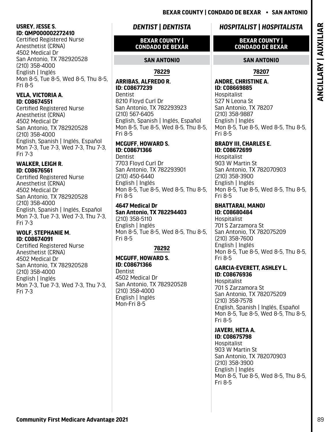## <span id="page-90-0"></span>**USREY, JESSE S. ID: QMP000002272410**

Certified Registered Nurse Anesthetist (CRNA) 4502 Medical Dr San Antonio, TX 782920528 (210) 358-4000 English | Inglés Mon 8-5, Tue 8-5, Wed 8-5, Thu 8-5, Fri 8-5

### **VELA, VICTORIA A. ID: C08674551**

Certified Registered Nurse Anesthetist (CRNA) 4502 Medical Dr San Antonio, TX 782920528 (210) 358-4000 English, Spanish | Inglés, Español Mon 7-3, Tue 7-3, Wed 7-3, Thu 7-3, Fri 7-3

# **WALKER, LEIGH R. ID: C08676561**

Certified Registered Nurse Anesthetist (CRNA) 4502 Medical Dr San Antonio, TX 782920528 (210) 358-4000 English, Spanish | Inglés, Español Mon 7-3, Tue 7-3, Wed 7-3, Thu 7-3, Fri 7-3

### **WOLF, STEPHANIE M. ID: C08674091**

Certified Registered Nurse Anesthetist (CRNA) 4502 Medical Dr San Antonio, TX 782920528 (210) 358-4000 English | Inglés Mon 7-3, Tue 7-3, Wed 7-3, Thu 7-3, Fri 7-3

# *DENTIST | DENTISTA*

### **BEXAR COUNTY | CONDADO DE BEXAR**

# **SAN ANTONIO**

## **78229**

### **ARRIBAS, ALFREDO R. ID: C08677239**

**Dentist** 8210 Floyd Curl Dr San Antonio, TX 782293923 (210) 567-6405 English, Spanish | Inglés, Español Mon 8-5, Tue 8-5, Wed 8-5, Thu 8-5, Fri 8-5

### **MCGUFF, HOWARD S. ID: C08671366**

Dentist 7703 Floyd Curl Dr San Antonio, TX 782293901 (210) 450-6440 English | Inglés Mon 8-5, Tue 8-5, Wed 8-5, Thu 8-5, Fri 8-5

### **4647 Medical Dr San Antonio, TX 782294403** (210) 358-5110 English | Inglés Mon 8-5, Tue 8-5, Wed 8-5, Thu 8-5, Fri 8-5

# **78292**

**MCGUFF, HOWARD S. ID: C08671366 Dentist** 4502 Medical Dr San Antonio, TX 782920528 (210) 358-4000 English | Inglés Mon-Fri 8-5

# *HOSPITALIST | HOSPITALISTA*

### **BEXAR COUNTY | CONDADO DE BEXAR**

## **SAN ANTONIO**

### **78207**

# **ANDRE, CHRISTINE A. ID: C08669885**

Hospitalist 527 N Leona St San Antonio, TX 78207 (210) 358-9887 English | Inglés Mon 8-5, Tue 8-5, Wed 8-5, Thu 8-5, Fri 8-5

# **BRADY III, CHARLES E.**

**ID: C08672699**  Hospitalist 903 W Martin St San Antonio, TX 782070903 (210) 358-3900 English | Inglés Mon 8-5, Tue 8-5, Wed 8-5, Thu 8-5, Fri 8-5

### **BHATTARAI, MANOJ ID: C08680484**

Hospitalist 701 S Zarzamora St San Antonio, TX 782075209 (210) 358-7600 English | Inglés Mon 8-5, Tue 8-5, Wed 8-5, Thu 8-5, Fri 8-5

### **GARCIA-EVERETT, ASHLEY L. ID: C08676936**

**Hospitalist** 701 S Zarzamora St San Antonio, TX 782075209 (210) 358-7578 English, Spanish | Inglés, Español Mon 8-5, Tue 8-5, Wed 8-5, Thu 8-5, Fri 8-5

# **JAVERI, HETA A.**

**ID: C08675798**  Hospitalist 903 W Martin St San Antonio, TX 782070903 (210) 358-3900 English | Inglés Mon 8-5, Tue 8-5, Wed 8-5, Thu 8-5, Fri 8-5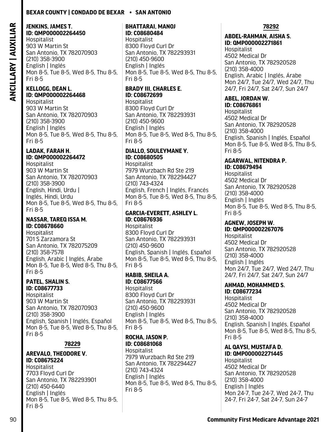# <span id="page-91-0"></span>**JENKINS, JAMES T. ID: QMP000002264450**

Hospitalist 903 W Martin St San Antonio, TX 782070903 (210) 358-3900 English | Inglés Mon 8-5, Tue 8-5, Wed 8-5, Thu 8-5, Fri 8-5

### **KELLOGG, DEAN L. ID: QMP000002264468**

Hospitalist 903 W Martin St San Antonio, TX 782070903 (210) 358-3900 English | Inglés Mon 8-5, Tue 8-5, Wed 8-5, Thu 8-5, Fri 8-5

### **LADAK, FARAH H. ID: QMP000002264472**

Hospitalist 903 W Martin St San Antonio, TX 782070903 (210) 358-3900 English, Hindi, Urdu | Inglés, Hindi, Urdu Mon 8-5, Tue 8-5, Wed 8-5, Thu 8-5, Fri 8-5

### **NASSAR, TAREQ ISSA M. ID: C08678660**

Hospitalist 701 S Zarzamora St San Antonio, TX 782075209 (210) 358-7578 English, Arabic | Inglés, Árabe Mon 8-5, Tue 8-5, Wed 8-5, Thu 8-5, Fri 8-5

### **PATEL, SHALIN S. ID: C08677733**

Hospitalist 903 W Martin St San Antonio, TX 782070903 (210) 358-3900 English, Spanish | Inglés, Español Mon 8-5, Tue 8-5, Wed 8-5, Thu 8-5, Fri 8-5

### **78229**

# **AREVALO, THEODORE V. ID: C08675224**

Hospitalist 7703 Floyd Curl Dr San Antonio, TX 782293901 (210) 450-6440 English | Inglés Mon 8-5, Tue 8-5, Wed 8-5, Thu 8-5, Fri 8-5

### **BHATTARAI, MANOJ ID: C08680484**

Hospitalist 8300 Floyd Curl Dr San Antonio, TX 782293931 (210) 450-9600 English | Inglés Mon 8-5, Tue 8-5, Wed 8-5, Thu 8-5, Fri 8-5

# **BRADY III, CHARLES E. ID: C08672699**

Hospitalist 8300 Floyd Curl Dr San Antonio, TX 782293931 (210) 450-9600 English | Inglés Mon 8-5, Tue 8-5, Wed 8-5, Thu 8-5, Fri 8-5

### **DIALLO, SOULEYMANE Y. ID: C08680505**

Hospitalist 7979 Wurzbach Rd Ste 219 San Antonio, TX 782294427 (210) 743-4324 English, French | Inglés, Francés Mon 8-5, Tue 8-5, Wed 8-5, Thu 8-5, Fri 8-5

### **GARCIA-EVERETT, ASHLEY L. ID: C08676936**

**Hospitalist** 8300 Floyd Curl Dr San Antonio, TX 782293931 (210) 450-9600 English, Spanish | Inglés, Español Mon 8-5, Tue 8-5, Wed 8-5, Thu 8-5, Fri 8-5

### **HABIB, SHEILA A. ID: C08677566**

Hospitalist 8300 Floyd Curl Dr San Antonio, TX 782293931 (210) 450-9600 English | Inglés Mon 8-5, Tue 8-5, Wed 8-5, Thu 8-5, Fri 8-5

### **ROCHA, JASON P. ID: C08681068**

Hospitalist 7979 Wurzbach Rd Ste 219 San Antonio, TX 782294427 (210) 743-4324 English | Inglés Mon 8-5, Tue 8-5, Wed 8-5, Thu 8-5, Fri 8-5

### **78292**

### **ABDEL-RAHMAN, AISHA S. ID: QMP000002271861**

Hospitalist 4502 Medical Dr San Antonio, TX 782920528 (210) 358-4000 English, Arabic | Inglés, Árabe Mon 24/7, Tue 24/7, Wed 24/7, Thu 24/7, Fri 24/7, Sat 24/7, Sun 24/7

### **ABEL, JORDAN W. ID: C08676861**

Hospitalist 4502 Medical Dr San Antonio, TX 782920528 (210) 358-4000 English, Spanish | Inglés, Español Mon 8-5, Tue 8-5, Wed 8-5, Thu 8-5, Fri 8-5

### **AGARWAL, NITENDRA P. ID: C08679494**

Hospitalist 4502 Medical Dr San Antonio, TX 782920528 (210) 358-4000 English | Inglés Mon 8-5, Tue 8-5, Wed 8-5, Thu 8-5, Fri 8-5

# **AGNEW, JOSEPH W.**

**ID: QMP000002267076** Hospitalist 4502 Medical Dr San Antonio, TX 782920528 (210) 358-4000 English | Inglés Mon 24/7, Tue 24/7, Wed 24/7, Thu 24/7, Fri 24/7, Sat 24/7, Sun 24/7

## **AHMAD, MOHAMMED S.**

**ID: C08677234**  Hospitalist 4502 Medical Dr San Antonio, TX 782920528 (210) 358-4000 English, Spanish | Inglés, Español Mon 8-5, Tue 8-5, Wed 8-5, Thu 8-5, Fri 8-5

# **AL QAYSI, MUSTAFA D.**

**ID: QMP000002271445** Hospitalist 4502 Medical Dr San Antonio, TX 782920528 (210) 358-4000 English | Inglés Mon 24-7, Tue 24-7, Wed 24-7, Thu 24-7, Fri 24-7, Sat 24-7, Sun 24-7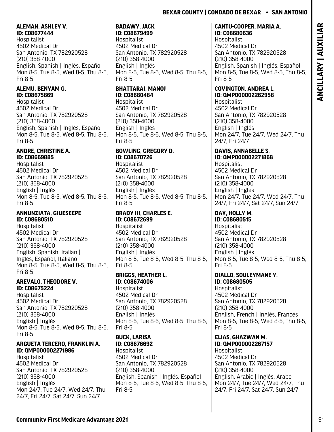### <span id="page-92-0"></span>**ALEMAN, ASHLEY V. ID: C08677444**

Hospitalist 4502 Medical Dr San Antonio, TX 782920528 (210) 358-4000 English, Spanish | Inglés, Español Mon 8-5, Tue 8-5, Wed 8-5, Thu 8-5, Fri 8-5

## **ALEMU, BENYAM G. ID: C08675869**

Hospitalist 4502 Medical Dr San Antonio, TX 782920528 (210) 358-4000 English, Spanish | Inglés, Español Mon 8-5, Tue 8-5, Wed 8-5, Thu 8-5, Fri 8-5

### **ANDRE, CHRISTINE A. ID: C08669885**

Hospitalist 4502 Medical Dr San Antonio, TX 782920528 (210) 358-4000 English | Inglés Mon 8-5, Tue 8-5, Wed 8-5, Thu 8-5, Fri 8-5

### **ANNUNZIATA, GIUESEEPE ID: C08680510**

**Hospitalist** 4502 Medical Dr San Antonio, TX 782920528 (210) 358-4000 English, Spanish, Italian | Inglés, Español, Italiano Mon 8-5, Tue 8-5, Wed 8-5, Thu 8-5, Fri 8-5

### **AREVALO, THEODORE V. ID: C08675224**

Hospitalist 4502 Medical Dr San Antonio, TX 782920528 (210) 358-4000 English | Inglés Mon 8-5, Tue 8-5, Wed 8-5, Thu 8-5, Fri 8-5

### **ARGUETA TERCERO, FRANKLIN A. ID: QMP000002271986**

Hospitalist 4502 Medical Dr San Antonio, TX 782920528 (210) 358-4000 English | Inglés Mon 24/7, Tue 24/7, Wed 24/7, Thu 24/7, Fri 24/7, Sat 24/7, Sun 24/7

### **BADAWY, JACK ID: C08679499**

Hospitalist 4502 Medical Dr San Antonio, TX 782920528 (210) 358-4000 English | Inglés Mon 8-5, Tue 8-5, Wed 8-5, Thu 8-5, Fri 8-5

# **BHATTARAI, MANOJ ID: C08680484**

Hospitalist 4502 Medical Dr San Antonio, TX 782920528 (210) 358-4000 English | Inglés Mon 8-5, Tue 8-5, Wed 8-5, Thu 8-5, Fri 8-5

### **BOWLING, GREGORY D. ID: C08670726**

Hospitalist 4502 Medical Dr San Antonio, TX 782920528 (210) 358-4000 English | Inglés Mon 8-5, Tue 8-5, Wed 8-5, Thu 8-5, Fri 8-5

### **BRADY III, CHARLES E. ID: C08672699 Hospitalist** 4502 Medical Dr San Antonio, TX 782920528

(210) 358-4000 English | Inglés Mon 8-5, Tue 8-5, Wed 8-5, Thu 8-5, Fri 8-5

### **BRIGGS, HEATHER L. ID: C08674006**

Hospitalist 4502 Medical Dr San Antonio, TX 782920528 (210) 358-4000 English | Inglés Mon 8-5, Tue 8-5, Wed 8-5, Thu 8-5, Fri 8-5

# **BUCK, LARISA**

**ID: C08676692**  Hospitalist 4502 Medical Dr San Antonio, TX 782920528 (210) 358-4000 English, Spanish | Inglés, Español Mon 8-5, Tue 8-5, Wed 8-5, Thu 8-5, Fri 8-5

## **CANTU-COOPER, MARIA A. ID: C08680636**

Hospitalist 4502 Medical Dr San Antonio, TX 782920528 (210) 358-4000 English, Spanish | Inglés, Español Mon 8-5, Tue 8-5, Wed 8-5, Thu 8-5, Fri 8-5

# **COVINGTON, ANDREA L. ID: QMP000002262958**

Hospitalist 4502 Medical Dr San Antonio, TX 782920528 (210) 358-4000 English | Inglés Mon 24/7, Tue 24/7, Wed 24/7, Thu 24/7, Fri 24/7

# **DAVIS, ANNABELLE S.**

**ID: QMP000002271868** Hospitalist 4502 Medical Dr San Antonio, TX 782920528 (210) 358-4000 English | Inglés Mon 24/7, Tue 24/7, Wed 24/7, Thu 24/7, Fri 24/7, Sat 24/7, Sun 24/7

# **DAY, HOLLY M.**

**ID: C08680515 Hospitalist** 4502 Medical Dr San Antonio, TX 782920528 (210) 358-4000 English | Inglés Mon 8-5, Tue 8-5, Wed 8-5, Thu 8-5, Fri 8-5

### **DIALLO, SOULEYMANE Y. ID: C08680505**

Hospitalist 4502 Medical Dr San Antonio, TX 782920528 (210) 358-4000 English, French | Inglés, Francés Mon 8-5, Tue 8-5, Wed 8-5, Thu 8-5, Fri 8-5

### **ELIAS, GHAZWAN M. ID: QMP000002267157**

Hospitalist 4502 Medical Dr San Antonio, TX 782920528 (210) 358-4000 English, Arabic | Inglés, Árabe Mon 24/7, Tue 24/7, Wed 24/7, Thu 24/7, Fri 24/7, Sat 24/7, Sun 24/7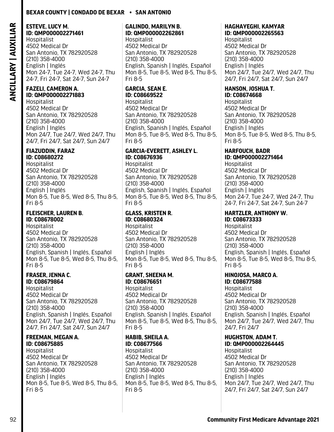# <span id="page-93-0"></span>**ESTEVE, LUCY M. ID: QMP000002271461**

Hospitalist 4502 Medical Dr San Antonio, TX 782920528 (210) 358-4000 English | Inglés Mon 24-7, Tue 24-7, Wed 24-7, Thu 24-7, Fri 24-7, Sat 24-7, Sun 24-7

### **FAZELI, CAMERON A. ID: QMP000002271883**

Hospitalist 4502 Medical Dr San Antonio, TX 782920528 (210) 358-4000 English | Inglés Mon 24/7, Tue 24/7, Wed 24/7, Thu 24/7, Fri 24/7, Sat 24/7, Sun 24/7

### **FIAZUDDIN, FARAZ ID: C08680272**

Hospitalist 4502 Medical Dr San Antonio, TX 782920528 (210) 358-4000 English | Inglés Mon 8-5, Tue 8-5, Wed 8-5, Thu 8-5, Fri 8-5

### **FLEISCHER, LAUREN B. ID: C08678002**

**Hospitalist** 4502 Medical Dr San Antonio, TX 782920528 (210) 358-4000 English, Spanish | Inglés, Español Mon 8-5, Tue 8-5, Wed 8-5, Thu 8-5, Fri 8-5

### **FRASER, JENNA C. ID: C08679864**

Hospitalist 4502 Medical Dr San Antonio, TX 782920528 (210) 358-4000 English, Spanish | Inglés, Español Mon 24/7, Tue 24/7, Wed 24/7, Thu 24/7, Fri 24/7, Sat 24/7, Sun 24/7

### **FREEMAN, MEGAN A. ID: C08675885**

Hospitalist 4502 Medical Dr San Antonio, TX 782920528 (210) 358-4000 English | Inglés Mon 8-5, Tue 8-5, Wed 8-5, Thu 8-5, Fri 8-5

# **GALINDO, MARILYN B. ID: QMP000002262861**

Hospitalist 4502 Medical Dr San Antonio, TX 782920528 (210) 358-4000 English, Spanish | Inglés, Español Mon 8-5, Tue 8-5, Wed 8-5, Thu 8-5, Fri 8-5

# **GARCIA, SEAN E. ID: C08669522**

Hospitalist 4502 Medical Dr San Antonio, TX 782920528 (210) 358-4000 English, Spanish | Inglés, Español Mon 8-5, Tue 8-5, Wed 8-5, Thu 8-5, Fri 8-5

### **GARCIA-EVERETT, ASHLEY L. ID: C08676936**

Hospitalist 4502 Medical Dr San Antonio, TX 782920528 (210) 358-4000 English, Spanish | Inglés, Español Mon 8-5, Tue 8-5, Wed 8-5, Thu 8-5, Fri 8-5

### **GLASS, KRISTEN R. ID: C08680324**

**Hospitalist** 4502 Medical Dr San Antonio, TX 782920528 (210) 358-4000 English | Inglés Mon 8-5, Tue 8-5, Wed 8-5, Thu 8-5, Fri 8-5

### **GRANT, SHEENA M. ID: C08676651**

Hospitalist 4502 Medical Dr San Antonio, TX 782920528 (210) 358-4000 English, Spanish | Inglés, Español Mon 8-5, Tue 8-5, Wed 8-5, Thu 8-5, Fri 8-5

### **HABIB, SHEILA A. ID: C08677566**

Hospitalist 4502 Medical Dr San Antonio, TX 782920528 (210) 358-4000 English | Inglés Mon 8-5, Tue 8-5, Wed 8-5, Thu 8-5, Fri 8-5

### **HAGHAYEGHI, KAMYAR ID: QMP000002265563**

Hospitalist 4502 Medical Dr San Antonio, TX 782920528 (210) 358-4000 English | Inglés Mon 24/7, Tue 24/7, Wed 24/7, Thu 24/7, Fri 24/7, Sat 24/7, Sun 24/7

# **HANSON, JOSHUA T.**

**ID: C08674668**  Hospitalist 4502 Medical Dr San Antonio, TX 782920528 (210) 358-4000 English | Inglés Mon 8-5, Tue 8-5, Wed 8-5, Thu 8-5, Fri 8-5

# **HARFOUCH, BADR**

**ID: QMP000002271464** Hospitalist 4502 Medical Dr San Antonio, TX 782920528 (210) 358-4000 English | Inglés Mon 24-7, Tue 24-7, Wed 24-7, Thu 24-7, Fri 24-7, Sat 24-7, Sun 24-7

# **HARTZLER, ANTHONY W.**

**ID: C08673333**  Hospitalist 4502 Medical Dr San Antonio, TX 782920528 (210) 358-4000 English, Spanish | Inglés, Español Mon 8-5, Tue 8-5, Wed 8-5, Thu 8-5, Fri 8-5

# **HINOJOSA, MARCO A.**

**ID: C08677588**  Hospitalist 4502 Medical Dr San Antonio, TX 782920528 (210) 358-4000 English, Spanish | Inglés, Español Mon 24/7, Tue 24/7, Wed 24/7, Thu 24/7, Fri 24/7

# **HUGHSTON, ADAM T.**

**ID: QMP000002264445** Hospitalist 4502 Medical Dr San Antonio, TX 782920528 (210) 358-4000 English | Inglés Mon 24/7, Tue 24/7, Wed 24/7, Thu 24/7, Fri 24/7, Sat 24/7, Sun 24/7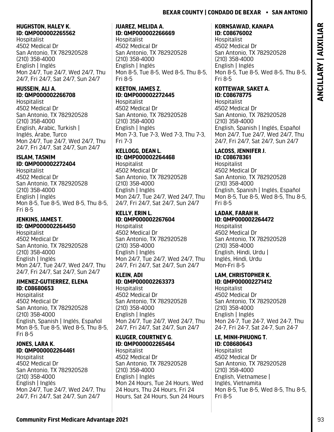### <span id="page-94-0"></span>**HUGHSTON, HALEY K. ID: QMP000002265562**

Hospitalist 4502 Medical Dr San Antonio, TX 782920528 (210) 358-4000 English | Inglés Mon 24/7, Tue 24/7, Wed 24/7, Thu 24/7, Fri 24/7, Sat 24/7, Sun 24/7

### **HUSSEIN, ALI A. ID: QMP000002266708**

Hospitalist 4502 Medical Dr San Antonio, TX 782920528 (210) 358-4000 English, Arabic, Turkish | Inglés, Árabe, Turco Mon 24/7, Tue 24/7, Wed 24/7, Thu 24/7, Fri 24/7, Sat 24/7, Sun 24/7

# **ISLAM, TASNIM ID: QMP000002272404**

Hospitalist 4502 Medical Dr San Antonio, TX 782920528 (210) 358-4000 English | Inglés Mon 8-5, Tue 8-5, Wed 8-5, Thu 8-5, Fri 8-5

### **JENKINS, JAMES T. ID: QMP000002264450**

Hospitalist 4502 Medical Dr San Antonio, TX 782920528 (210) 358-4000 English | Inglés Mon 24/7, Tue 24/7, Wed 24/7, Thu 24/7, Fri 24/7, Sat 24/7, Sun 24/7

### **JIMENEZ-GUTIERREZ, ELENA ID: C08680653**

Hospitalist 4502 Medical Dr San Antonio, TX 782920528 (210) 358-4000 English, Spanish | Inglés, Español Mon 8-5, Tue 8-5, Wed 8-5, Thu 8-5, Fri 8-5

### **JONES, LARA K. ID: QMP000002264461**

Hospitalist 4502 Medical Dr San Antonio, TX 782920528 (210) 358-4000 English | Inglés Mon 24/7, Tue 24/7, Wed 24/7, Thu 24/7, Fri 24/7, Sat 24/7, Sun 24/7

### **JUAREZ, MELIDA A. ID: QMP000002266669**

Hospitalist 4502 Medical Dr San Antonio, TX 782920528 (210) 358-4000 English | Inglés Mon 8-5, Tue 8-5, Wed 8-5, Thu 8-5, Fri 8-5

### **KEETON, JAMES Z. ID: QMP000002272445** Hospitalist

4502 Medical Dr San Antonio, TX 782920528 (210) 358-4000 English | Inglés Mon 7-3, Tue 7-3, Wed 7-3, Thu 7-3, Fri 7-3

# **KELLOGG, DEAN L. ID: QMP000002264468**

Hospitalist 4502 Medical Dr San Antonio, TX 782920528 (210) 358-4000 English | Inglés Mon 24/7, Tue 24/7, Wed 24/7, Thu 24/7, Fri 24/7, Sat 24/7, Sun 24/7

# **KELLY, ERIN L.**

**ID: QMP000002267604 Hospitalist** 4502 Medical Dr San Antonio, TX 782920528 (210) 358-4000 English | Inglés Mon 24/7, Tue 24/7, Wed 24/7, Thu 24/7, Fri 24/7, Sat 24/7, Sun 24/7

# **KLEIN, ADI**

**ID: QMP000002263373** Hospitalist 4502 Medical Dr San Antonio, TX 782920528 (210) 358-4000 English | Inglés Mon 24/7, Tue 24/7, Wed 24/7, Thu 24/7, Fri 24/7, Sat 24/7, Sun 24/7

### **KLUGER, COURTNEY G. ID: QMP000002265464**

Hospitalist 4502 Medical Dr San Antonio, TX 782920528 (210) 358-4000 English | Inglés Mon 24 Hours, Tue 24 Hours, Wed 24 Hours, Thu 24 Hours, Fri 24 Hours, Sat 24 Hours, Sun 24 Hours

### **KORNSAWAD, KANAPA ID: C08676002**

Hospitalist 4502 Medical Dr San Antonio, TX 782920528 (210) 358-4000 English | Inglés Mon 8-5, Tue 8-5, Wed 8-5, Thu 8-5, Fri 8-5

### **KOTTEWAR, SAKET A. ID: C08678775**

Hospitalist 4502 Medical Dr San Antonio, TX 782920528 (210) 358-4000 English, Spanish | Inglés, Español Mon 24/7, Tue 24/7, Wed 24/7, Thu 24/7, Fri 24/7, Sat 24/7, Sun 24/7

### **LACOSS, JENNIFER J. ID: C08678361**

Hospitalist 4502 Medical Dr San Antonio, TX 782920528 (210) 358-4000 English, Spanish | Inglés, Español Mon 8-5, Tue 8-5, Wed 8-5, Thu 8-5, Fri 8-5

### **LADAK, FARAH H. ID: QMP000002264472**

**Hospitalist** 4502 Medical Dr San Antonio, TX 782920528 (210) 358-4000 English, Hindi, Urdu | Inglés, Hindi, Urdu Mon-Fri 8-5

### **LAM, CHRISTOPHER K. ID: QMP000002271412**

Hospitalist 4502 Medical Dr San Antonio, TX 782920528 (210) 358-4000 English | Inglés Mon 24-7, Tue 24-7, Wed 24-7, Thu 24-7, Fri 24-7, Sat 24-7, Sun 24-7

# **LE, MINH-PHUONG T.**

**ID: C08680643**  Hospitalist 4502 Medical Dr San Antonio, TX 782920528 (210) 358-4000 English, Vietnamese | Inglés, Vietnamita Mon 8-5, Tue 8-5, Wed 8-5, Thu 8-5, Fri 8-5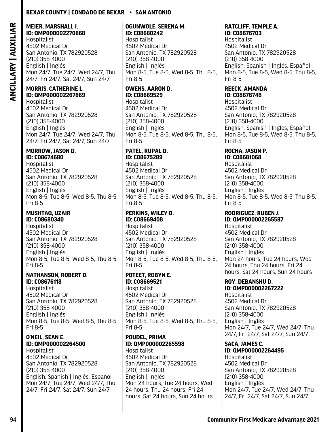# <span id="page-95-0"></span>**MEIER, MARSHALL J. ID: QMP000002270868**

Hospitalist 4502 Medical Dr San Antonio, TX 782920528 (210) 358-4000 English | Inglés Mon 24/7, Tue 24/7, Wed 24/7, Thu 24/7, Fri 24/7, Sat 24/7, Sun 24/7

### **MORRIS, CATHERINE L. ID: QMP000002267869**

Hospitalist 4502 Medical Dr San Antonio, TX 782920528 (210) 358-4000 English | Inglés Mon 24/7, Tue 24/7, Wed 24/7, Thu 24/7, Fri 24/7, Sat 24/7, Sun 24/7

### **MORROW, JASON D. ID: C08674680**

Hospitalist 4502 Medical Dr San Antonio, TX 782920528 (210) 358-4000 English | Inglés Mon 8-5, Tue 8-5, Wed 8-5, Thu 8-5, Fri 8-5

### **MUSHTAQ, UZAIR ID: C08680340**

Hospitalist 4502 Medical Dr San Antonio, TX 782920528 (210) 358-4000 English | Inglés Mon 8-5, Tue 8-5, Wed 8-5, Thu 8-5, Fri 8-5

### **NATHANSON, ROBERT D. ID: C08676118**

Hospitalist 4502 Medical Dr San Antonio, TX 782920528 (210) 358-4000 English | Inglés Mon 8-5, Tue 8-5, Wed 8-5, Thu 8-5, Fri 8-5

### **O'NEIL, SEAN E. ID: QMP000002264500**

Hospitalist 4502 Medical Dr San Antonio, TX 782920528 (210) 358-4000 English, Spanish | Inglés, Español Mon 24/7, Tue 24/7, Wed 24/7, Thu 24/7, Fri 24/7, Sat 24/7, Sun 24/7

## **OGUNWOLE, SERENA M. ID: C08680242**

Hospitalist 4502 Medical Dr San Antonio, TX 782920528 (210) 358-4000 English | Inglés Mon 8-5, Tue 8-5, Wed 8-5, Thu 8-5, Fri 8-5

### **OWENS, AARON D. ID: C08669529**  Hospitalist

4502 Medical Dr San Antonio, TX 782920528 (210) 358-4000 English | Inglés Mon 8-5, Tue 8-5, Wed 8-5, Thu 8-5, Fri 8-5

### **PATEL, RUPAL D. ID: C08675289**

Hospitalist 4502 Medical Dr San Antonio, TX 782920528 (210) 358-4000 English | Inglés Mon 8-5, Tue 8-5, Wed 8-5, Thu 8-5, Fri 8-5

### **PERKINS, WILEY D. ID: C08669408**

**Hospitalist** 4502 Medical Dr San Antonio, TX 782920528 (210) 358-4000 English | Inglés Mon 8-5, Tue 8-5, Wed 8-5, Thu 8-5, Fri 8-5

### **POTEET, ROBYN E. ID: C08669521**

Hospitalist 4502 Medical Dr San Antonio, TX 782920528 (210) 358-4000 English | Inglés Mon 8-5, Tue 8-5, Wed 8-5, Thu 8-5, Fri 8-5

### **POUDEL, PRIMA ID: QMP000002265598**

Hospitalist 4502 Medical Dr San Antonio, TX 782920528 (210) 358-4000 English | Inglés Mon 24 hours, Tue 24 hours, Wed 24 hours, Thu 24 hours, Fri 24 hours, Sat 24 hours, Sun 24 hours

### **RATCLIFF, TEMPLE A. ID: C08676703**

Hospitalist 4502 Medical Dr San Antonio, TX 782920528 (210) 358-4000 English, Spanish | Inglés, Español Mon 8-5, Tue 8-5, Wed 8-5, Thu 8-5, Fri 8-5

# **REECK, AMANDA**

**ID: C08676748**  Hospitalist 4502 Medical Dr San Antonio, TX 782920528 (210) 358-4000 English, Spanish | Inglés, Español Mon 8-5, Tue 8-5, Wed 8-5, Thu 8-5, Fri 8-5

### **ROCHA, JASON P. ID: C08681068**

Hospitalist 4502 Medical Dr San Antonio, TX 782920528 (210) 358-4000 English | Inglés Mon 8-5, Tue 8-5, Wed 8-5, Thu 8-5, Fri 8-5

### **RODRIGUEZ, RUBEN J.**

**ID: QMP000002265587** Hospitalist 4502 Medical Dr San Antonio, TX 782920528 (210) 358-4000 English | Inglés Mon 24 hours, Tue 24 hours, Wed 24 hours, Thu 24 hours, Fri 24 hours, Sat 24 hours, Sun 24 hours

## **ROY, DEBANSHU D.**

**ID: QMP000002267222** Hospitalist 4502 Medical Dr San Antonio, TX 782920528 (210) 358-4000 English | Inglés Mon 24/7, Tue 24/7, Wed 24/7, Thu 24/7, Fri 24/7, Sat 24/7, Sun 24/7

# **SACA, JAMES C.**

**ID: QMP000002264495** Hospitalist 4502 Medical Dr San Antonio, TX 782920528 (210) 358-4000 English | Inglés Mon 24/7, Tue 24/7, Wed 24/7, Thu 24/7, Fri 24/7, Sat 24/7, Sun 24/7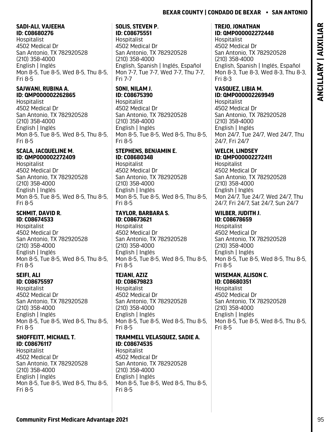### <span id="page-96-0"></span>**SADI-ALI, VAJEEHA ID: C08680276**

Hospitalist 4502 Medical Dr San Antonio, TX 782920528 (210) 358-4000 English | Inglés Mon 8-5, Tue 8-5, Wed 8-5, Thu 8-5, Fri 8-5

### **SAJWANI, RUBINA A. ID: QMP000002262865**

Hospitalist 4502 Medical Dr San Antonio, TX 782920528 (210) 358-4000 English | Inglés Mon 8-5, Tue 8-5, Wed 8-5, Thu 8-5, Fri 8-5

### **SCALA, JACQUELINE M. ID: QMP000002272409**

Hospitalist 4502 Medical Dr San Antonio, TX 782920528 (210) 358-4000 English | Inglés Mon 8-5, Tue 8-5, Wed 8-5, Thu 8-5, Fri 8-5

### **SCHMIT, DAVID R. ID: C08674533**

**Hospitalist** 4502 Medical Dr San Antonio, TX 782920528 (210) 358-4000 English | Inglés Mon 8-5, Tue 8-5, Wed 8-5, Thu 8-5, Fri 8-5

### **SEIFI, ALI ID: C08675597**

Hospitalist 4502 Medical Dr San Antonio, TX 782920528 (210) 358-4000 English | Inglés Mon 8-5, Tue 8-5, Wed 8-5, Thu 8-5, Fri 8-5

# **SHOFFEITT, MICHAEL T. ID: C08676117**

Hospitalist 4502 Medical Dr San Antonio, TX 782920528 (210) 358-4000 English | Inglés Mon 8-5, Tue 8-5, Wed 8-5, Thu 8-5, Fri 8-5

### **SOLIS, STEVEN P. ID: C08675551**

Hospitalist 4502 Medical Dr San Antonio, TX 782920528 (210) 358-4000 English, Spanish | Inglés, Español Mon 7-7, Tue 7-7, Wed 7-7, Thu 7-7, Fri 7-7

### **SONI, NILAM J. ID: C08675390**

Hospitalist 4502 Medical Dr San Antonio, TX 782920528 (210) 358-4000 English | Inglés Mon 8-5, Tue 8-5, Wed 8-5, Thu 8-5, Fri 8-5

### **STEPHENS, BENJAMIN E. ID: C08680348**

Hospitalist 4502 Medical Dr San Antonio, TX 782920528 (210) 358-4000 English | Inglés Mon 8-5, Tue 8-5, Wed 8-5, Thu 8-5, Fri 8-5

### **TAYLOR, BARBARA S. ID: C08673621 Hospitalist** 4502 Medical Dr San Antonio, TX 782920528 (210) 358-4000 English | Inglés Mon 8-5, Tue 8-5, Wed 8-5, Thu 8-5,

# **TEJANI, AZIZ**

Fri 8-5

**ID: C08679823**  Hospitalist 4502 Medical Dr San Antonio, TX 782920528 (210) 358-4000 English | Inglés Mon 8-5, Tue 8-5, Wed 8-5, Thu 8-5, Fri 8-5

# **TRAMMELL VELASQUEZ, SADIE A. ID: C08674535**

Hospitalist 4502 Medical Dr San Antonio, TX 782920528 (210) 358-4000 English | Inglés Mon 8-5, Tue 8-5, Wed 8-5, Thu 8-5, Fri 8-5

## **TREJO, JONATHAN ID: QMP000002272448**

Hospitalist 4502 Medical Dr San Antonio, TX 782920528 (210) 358-4000 English, Spanish | Inglés, Español Mon 8-3, Tue 8-3, Wed 8-3, Thu 8-3, Fri 8-3

# **VASQUEZ, LIBIA M. ID: QMP000002269949**

Hospitalist 4502 Medical Dr San Antonio, TX 782920528 (210) 358-4000 English | Inglés Mon 24/7, Tue 24/7, Wed 24/7, Thu 24/7, Fri 24/7

# **WELCH, LINDSEY**

**ID: QMP000002272411** Hospitalist 4502 Medical Dr San Antonio, TX 782920528 (210) 358-4000 English | Inglés Mon 24/7, Tue 24/7, Wed 24/7, Thu 24/7, Fri 24/7, Sat 24/7, Sun 24/7

# **WILBER, JUDITH J.**

**ID: C08678659 Hospitalist** 4502 Medical Dr San Antonio, TX 782920528 (210) 358-4000 English | Inglés Mon 8-5, Tue 8-5, Wed 8-5, Thu 8-5, Fri 8-5

# **WISEMAN, ALISON C.**

**ID: C08680351**  Hospitalist 4502 Medical Dr San Antonio, TX 782920528 (210) 358-4000 English | Inglés Mon 8-5, Tue 8-5, Wed 8-5, Thu 8-5, Fri 8-5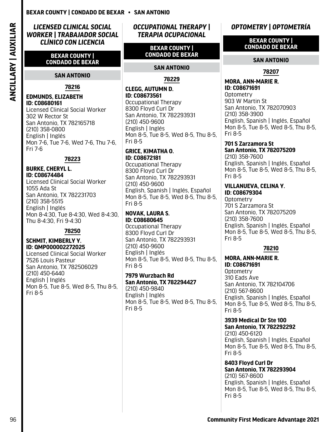### <span id="page-97-0"></span>*LICENSED CLINICAL SOCIAL WORKER | TRABAJADOR SOCIAL CLÍNICO CON LICENCIA*

**BEXAR COUNTY | CONDADO DE BEXAR**

### **SAN ANTONIO**

### **78216**

### **EDMUNDS, ELIZABETH ID: C08680161**

Licensed Clinical Social Worker 302 W Rector St San Antonio, TX 782165718 (210) 358-0800 English | Inglés Mon 7-6, Tue 7-6, Wed 7-6, Thu 7-6, Fri 7-6

### **78223**

### **BURKE, CHERYL L. ID: C08674484**  Licensed Clinical Social Worker 1055 Ada St San Antonio, TX 782231703 (210) 358-5515 English | Inglés Mon 8-4:30, Tue 8-4:30, Wed 8-4:30, Thu 8-4:30, Fri 9-4:30

### **78250**

### **SCHMIT, KIMBERLY Y. ID: QMP000002272025**

Licensed Clinical Social Worker 7526 Louis Pasteur San Antonio, TX 782506029 (210) 450-6440 English | Inglés Mon 8-5, Tue 8-5, Wed 8-5, Thu 8-5, Fri 8-5

*OCCUPATIONAL THERAPY | TERAPIA OCUPACIONAL*

### **BEXAR COUNTY | CONDADO DE BEXAR**

### **SAN ANTONIO**

### **78229**

### **CLEGG, AUTUMN D. ID: C08673561**

Occupational Therapy 8300 Floyd Curl Dr San Antonio, TX 782293931 (210) 450-9600 English | Inglés Mon 8-5, Tue 8-5, Wed 8-5, Thu 8-5, Fri 8-5

### **GRICE, KIMATHA O. ID: C08672181**

Occupational Therapy 8300 Floyd Curl Dr San Antonio, TX 782293931 (210) 450-9600 English, Spanish | Inglés, Español Mon 8-5, Tue 8-5, Wed 8-5, Thu 8-5, Fri 8-5

## **NOVAK, LAURA S. ID: C08680645**

Occupational Therapy 8300 Floyd Curl Dr San Antonio, TX 782293931 (210) 450-9600 English | Inglés Mon 8-5, Tue 8-5, Wed 8-5, Thu 8-5, Fri 8-5

**7979 Wurzbach Rd San Antonio, TX 782294427** (210) 450-9840 English | Inglés Mon 8-5, Tue 8-5, Wed 8-5, Thu 8-5, Fri 8-5

# *OPTOMETRY | OPTOMETRÍA*

### **BEXAR COUNTY | CONDADO DE BEXAR**

### **SAN ANTONIO**

### **78207**

### **MORA, ANN-MARIE R. ID: C08671691**

Optometry 903 W Martin St San Antonio, TX 782070903 (210) 358-3900 English, Spanish | Inglés, Español Mon 8-5, Tue 8-5, Wed 8-5, Thu 8-5, Fri 8-5

### **701 S Zarzamora St San Antonio, TX 782075209**

(210) 358-7600 English, Spanish | Inglés, Español Mon 8-5, Tue 8-5, Wed 8-5, Thu 8-5, Fri 8-5

### **VILLANUEVA, CELINA Y. ID: C08679304**

**Optometry** 701 S Zarzamora St San Antonio, TX 782075209 (210) 358-7600 English, Spanish | Inglés, Español Mon 8-5, Tue 8-5, Wed 8-5, Thu 8-5, Fri 8-5

### **78210**

### **MORA, ANN-MARIE R. ID: C08671691**

**Optometry** 310 Eads Ave San Antonio, TX 782104706 (210) 567-8600 English, Spanish | Inglés, Español Mon 8-5, Tue 8-5, Wed 8-5, Thu 8-5, Fri 8-5

### **3939 Medical Dr Ste 100 San Antonio, TX 782292292** (210) 450-6120 English, Spanish | Inglés, Español

Mon 8-5, Tue 8-5, Wed 8-5, Thu 8-5, Fri 8-5

**8403 Floyd Curl Dr San Antonio, TX 782293904** (210) 567-8600 English, Spanish | Inglés, Español Mon 8-5, Tue 8-5, Wed 8-5, Thu 8-5, Fri 8-5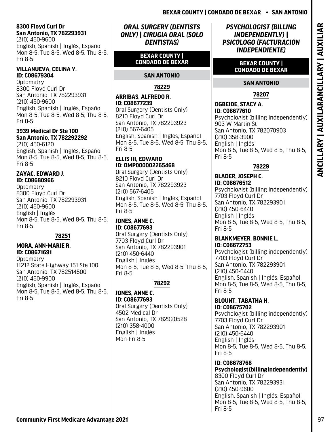### <span id="page-98-0"></span>**8300 Floyd Curl Dr San Antonio, TX 782293931**

(210) 450-9600 English, Spanish | Inglés, Español Mon 8-5, Tue 8-5, Wed 8-5, Thu 8-5, Fri 8-5

### **VILLANUEVA, CELINA Y. ID: C08679304**

**Optometry** 8300 Floyd Curl Dr San Antonio, TX 782293931 (210) 450-9600 English, Spanish | Inglés, Español Mon 8-5, Tue 8-5, Wed 8-5, Thu 8-5, Fri 8-5

### **3939 Medical Dr Ste 100 San Antonio, TX 782292292**

(210) 450-6120 English, Spanish | Inglés, Español Mon 8-5, Tue 8-5, Wed 8-5, Thu 8-5, Fri 8-5

### **ZAYAC, EDWARD J. ID: C08680966**

**Optometry** 8300 Floyd Curl Dr San Antonio, TX 782293931 (210) 450-9600 English | Inglés Mon 8-5, Tue 8-5, Wed 8-5, Thu 8-5, Fri 8-5

### **78251**

### **MORA, ANN-MARIE R. ID: C08671691**

**Optometry** 11212 State Highway 151 Ste 100 San Antonio, TX 782514500 (210) 450-9900 English, Spanish | Inglés, Español Mon 8-5, Tue 8-5, Wed 8-5, Thu 8-5, Fri 8-5

### *ORAL SURGERY (DENTISTS ONLY) | CIRUGIA ORAL (SOLO DENTISTAS)*

### **BEXAR COUNTY | CONDADO DE BEXAR**

### **SAN ANTONIO**

### **78229**

### **ARRIBAS, ALFREDO R. ID: C08677239**

Oral Surgery (Dentists Only) 8210 Floyd Curl Dr San Antonio, TX 782293923 (210) 567-6405 English, Spanish | Inglés, Español Mon 8-5, Tue 8-5, Wed 8-5, Thu 8-5, Fri 8-5

### **ELLIS III, EDWARD ID: QMP000002265468**

Oral Surgery (Dentists Only) 8210 Floyd Curl Dr San Antonio, TX 782293923 (210) 567-6405 English, Spanish | Inglés, Español Mon 8-5, Tue 8-5, Wed 8-5, Thu 8-5, Fri 8-5

## **JONES, ANNE C. ID: C08677693**

Oral Surgery (Dentists Only) 7703 Floyd Curl Dr San Antonio, TX 782293901 (210) 450-6440 English | Inglés Mon 8-5, Tue 8-5, Wed 8-5, Thu 8-5, Fri 8-5

## **78292**

### **JONES, ANNE C. ID: C08677693**

Oral Surgery (Dentists Only) 4502 Medical Dr San Antonio, TX 782920528 (210) 358-4000 English | Inglés Mon-Fri 8-5

## *PSYCHOLOGIST (BILLING INDEPENDENTLY) | PSICÓLOGO (FACTURACIÓN INDEPENDIENTE)*

### **BEXAR COUNTY | CONDADO DE BEXAR**

# **SAN ANTONIO**

# **78207**

# **ESSIMPLY COMPUTER MEDICARE DEVELOP COMPUTERS AND COMPUTER COMPUTER COMPUTER COMPUTER COMPUTERS (COMPUTER COMPUTER COMPUTER COMPUTER COMPUTER COMPUTER COMPUTER COMPUTER COMPUTER COMPUTER COMPUTER COMPUTER COMPUTER COMPUTER OGBEIDE, STACY A. ID: C08677610**  Psychologist (billing independently) 903 W Martin St San Antonio, TX 782070903 (210) 358-3900 English | Inglés Mon 8-5, Tue 8-5, Wed 8-5, Thu 8-5, Fri 8-5

# **78229**

### **BLADER, JOSEPH C. ID: C08676512**

Psychologist (billing independently) 7703 Floyd Curl Dr San Antonio, TX 782293901 (210) 450-6440 English | Inglés Mon 8-5, Tue 8-5, Wed 8-5, Thu 8-5, Fri 8-5

### **BLANKMEYER, BONNIE L. ID: C08672753**

Psychologist (billing independently) 7703 Floyd Curl Dr San Antonio, TX 782293901 (210) 450-6440 English, Spanish | Inglés, Español Mon 8-5, Tue 8-5, Wed 8-5, Thu 8-5, Fri 8-5

### **BLOUNT, TABATHA H. ID: C08675702**

Psychologist (billing independently) 7703 Floyd Curl Dr San Antonio, TX 782293901 (210) 450-6440 English | Inglés Mon 8-5, Tue 8-5, Wed 8-5, Thu 8-5, Fri 8-5

# **ID: C08678768**

**Psychologist (billing independently)** 8300 Floyd Curl Dr San Antonio, TX 782293931 (210) 450-9600 English, Spanish | Inglés, Español Mon 8-5, Tue 8-5, Wed 8-5, Thu 8-5, Fri 8-5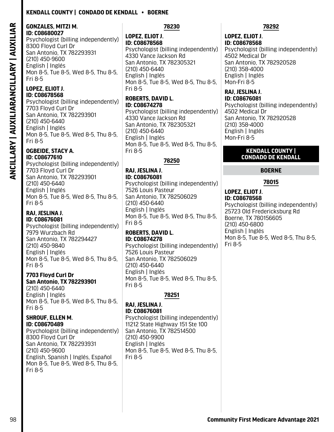### **Kendall County | Condado De Kendall • Boerne**

### **GONZALES, MITZI M. ID: C08680027**

Psychologist (billing independently) 8300 Floyd Curl Dr San Antonio, TX 782293931 (210) 450-9600 English | Inglés Mon 8-5, Tue 8-5, Wed 8-5, Thu 8-5, Fri 8-5

# **LOPEZ, ELIOT J. ID: C08678568**

Psychologist (billing independently) 7703 Floyd Curl Dr San Antonio, TX 782293901 (210) 450-6440 English | Inglés Mon 8-5, Tue 8-5, Wed 8-5, Thu 8-5, Fri 8-5

### **OGBEIDE, STACY A. ID: C08677610**

Psychologist (billing independently) 7703 Floyd Curl Dr San Antonio, TX 782293901 (210) 450-6440 English | Inglés Mon 8-5, Tue 8-5, Wed 8-5, Thu 8-5, Fri 8-5

### **RAJ, JESLINA J. ID: C08676081**

Psychologist (billing independently) 7979 Wurzbach Rd San Antonio, TX 782294427 (210) 450-9840 English | Inglés Mon 8-5, Tue 8-5, Wed 8-5, Thu 8-5, Fri 8-5

### **7703 Floyd Curl Dr San Antonio, TX 782293901**

(210) 450-6440 English | Inglés Mon 8-5, Tue 8-5, Wed 8-5, Thu 8-5, Fri 8-5

### **SHROUF, ELLEN M. ID: C08670489**

Psychologist (billing independently) 8300 Floyd Curl Dr San Antonio, TX 782293931 (210) 450-9600 English, Spanish | Inglés, Español Mon 8-5, Tue 8-5, Wed 8-5, Thu 8-5, Fri 8-5

### **78230**

<span id="page-99-0"></span>**SEE ARE THE INTERNATION CONSULTER ADVANTAGE AND ANOTHOLOGY IN A SEE ARE THIS CONSULTER ADVAnTAGE ARE THIS CONSULTER ADVANTAGE ARE THIS CONSULTER ADVANTAGE ARE THIS CONSULTER ADVANTAGE ARE THIS CONSULTER ADVANTAGE ARE THI LOPEZ, ELIOT J. ID: C08678568**  Psychologist (billing independently) 4330 Vance Jackson Rd San Antonio, TX 782305321 (210) 450-6440 English | Inglés Mon 8-5, Tue 8-5, Wed 8-5, Thu 8-5, Fri 8-5

### **ROBERTS, DAVID L. ID: C08674278**

Psychologist (billing independently) 4330 Vance Jackson Rd San Antonio, TX 782305321 (210) 450-6440 English | Inglés Mon 8-5, Tue 8-5, Wed 8-5, Thu 8-5, Fri 8-5

## **78250**

# **RAJ, JESLINA J.**

**ID: C08676081**  Psychologist (billing independently) 7526 Louis Pasteur San Antonio, TX 782506029 (210) 450-6440 English | Inglés Mon 8-5, Tue 8-5, Wed 8-5, Thu 8-5, Fri 8-5

### **ROBERTS, DAVID L. ID: C08674278**

Psychologist (billing independently) 7526 Louis Pasteur San Antonio, TX 782506029 (210) 450-6440 English | Inglés Mon 8-5, Tue 8-5, Wed 8-5, Thu 8-5, Fri 8-5

## **78251**

### **RAJ, JESLINA J. ID: C08676081**

Psychologist (billing independently) 11212 State Highway 151 Ste 100 San Antonio, TX 782514500 (210) 450-9900 English | Inglés Mon 8-5, Tue 8-5, Wed 8-5, Thu 8-5, Fri 8-5

### **78292**

### **LOPEZ, ELIOT J. ID: C08678568**

Psychologist (billing independently) 4502 Medical Dr San Antonio, TX 782920528 (210) 358-4000 English | Inglés Mon-Fri 8-5

### **RAJ, JESLINA J. ID: C08676081**

Psychologist (billing independently) 4502 Medical Dr San Antonio, TX 782920528 (210) 358-4000 English | Inglés Mon-Fri 8-5

### **KENDALL COUNTY | CONDADO DE KENDALL**

### **BOERNE**

### **78015**

### **LOPEZ, ELIOT J. ID: C08678568**

Psychologist (billing independently) 25723 Old Fredericksburg Rd Boerne, TX 780156605 (210) 450-6800 English | Inglés Mon 8-5, Tue 8-5, Wed 8-5, Thu 8-5, Fri 8-5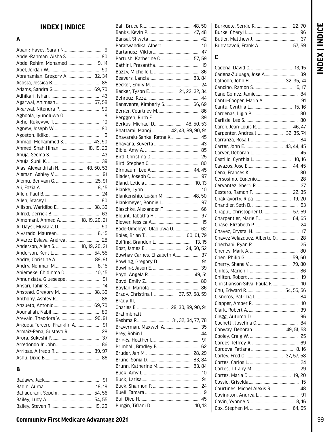# INDEX | INDICE **INDEX | INDICE**

# **INDEX | INDICE**

### **A**

| Abrahamian, Gregory A.  32, 34     |    |
|------------------------------------|----|
|                                    |    |
|                                    |    |
|                                    |    |
| Agarwal, Animesh  57, 58           |    |
|                                    |    |
|                                    |    |
|                                    |    |
|                                    |    |
|                                    |    |
| Ahmad, Mohammed S.  43, 90         |    |
| Ahmed, Shah-Hinan  18, 19, 20      |    |
|                                    |    |
|                                    |    |
| Alas, Alexandriah N 48, 50, 53     |    |
|                                    |    |
|                                    |    |
|                                    |    |
|                                    |    |
|                                    |    |
|                                    |    |
|                                    |    |
| Almomani, Ahmed A.  18, 19, 20, 21 |    |
|                                    |    |
|                                    |    |
| Alvarez-Eslava, Andrea  28         |    |
| Anderson, Allen S.  18, 19, 20, 21 |    |
|                                    |    |
|                                    |    |
|                                    |    |
|                                    |    |
| Aniemeke, Chidinma 0.  10, 15      |    |
|                                    |    |
|                                    |    |
|                                    |    |
|                                    | 86 |
|                                    |    |
|                                    | 80 |
|                                    |    |
| Argueta Tercero, Franklin A.       | 91 |
| Armaiz-Pena, Gustavo R.            | 28 |
|                                    | 37 |
|                                    | 86 |
|                                    |    |
|                                    | 86 |
| в                                  |    |
|                                    |    |

| Bararwandika, Albert                 | 10 |
|--------------------------------------|----|
|                                      |    |
| Bartush, Katherine C.  57, 59        |    |
|                                      |    |
|                                      | 86 |
|                                      |    |
|                                      |    |
| Becker, Tyson E.  21, 22, 32, 34     |    |
|                                      |    |
|                                      |    |
| Benavente, Kimberly S 66, 69         |    |
|                                      |    |
|                                      | 39 |
| Berkus, Michael D 48, 50, 53         |    |
| Bhattarai, Manoj  42, 43, 89, 90, 91 |    |
| Bhavaraju-Sanka, Ratna K 45          |    |
|                                      |    |
|                                      |    |
|                                      |    |
|                                      |    |
|                                      |    |
|                                      |    |
|                                      |    |
|                                      |    |
| Blankenship, Logan M.  48, 50        |    |
| Blankmeyer, Bonnie L 97              |    |
| Blaschke, Alexander F.               | 66 |
|                                      |    |
|                                      |    |
| Bode-Omoleye, Olaoluwa O.            | 62 |
| Boies, Brian T.  60, 61, 79          |    |
|                                      |    |
|                                      |    |
|                                      |    |
| Bowhay-Carnes, Elizabeth A 37        |    |
|                                      |    |
|                                      | 39 |
|                                      |    |
|                                      |    |
|                                      |    |
| Brady, Christina I.  37, 57, 58, 59  |    |
| Brady III,                           |    |
|                                      |    |
| Brahmbhatt,                          |    |
| Reshma R.  31, 32, 34, 77, 78        |    |
| Braverman, Maxwell A.                | 35 |
|                                      |    |
|                                      |    |
|                                      | 62 |
|                                      |    |
|                                      |    |
| Brunn, Katherine M 83, 84            |    |
|                                      |    |
|                                      | 91 |
|                                      |    |
|                                      |    |
|                                      |    |
|                                      |    |
|                                      |    |

|                                | 37 |
|--------------------------------|----|
| Buttacavoli, Frank A.  57, 59  |    |
| C                              |    |
|                                |    |
|                                |    |
| Calhoon, John H 32, 35, 74     |    |
|                                |    |
|                                |    |
|                                |    |
|                                |    |
|                                |    |
|                                |    |
|                                |    |
| Carpenter, Andrea J 32, 35, 74 |    |
|                                |    |
|                                |    |
|                                |    |
|                                |    |
|                                |    |
|                                |    |
|                                |    |
|                                |    |
|                                |    |
| Chakravorty, Ripa 19, 20       |    |
|                                |    |
|                                |    |
| Charpentier, Marie T 64, 65    |    |
|                                |    |
|                                |    |
| Chavez Velazquez, Alberto 0 28 |    |
|                                |    |
|                                |    |
|                                |    |
|                                |    |
|                                |    |
|                                |    |
| Christianson-Silva, Paula F    | 10 |
| Chu, Edward R.  54, 55, 56     |    |
|                                | 84 |
|                                | 10 |
|                                | 39 |
|                                | 96 |
|                                | 84 |
| Conway, Deborah L.  49, 51, 53 |    |
|                                | 25 |
|                                | 69 |
|                                |    |
|                                |    |
|                                | 24 |
|                                | 29 |
|                                |    |
|                                |    |
| Courtines, Michel Alexis R     | 48 |
|                                | 91 |
|                                |    |
|                                |    |

Burguete, Sergio R. ............................. [22](#page-23-0)**,** [70](#page-71-0) Burke, Cheryl L............................................ [96](#page-97-0)

# **Community First Medicare Advantage 2021** 99

Badawy, Jack................................................ [91](#page-92-0) Badin, Auroa .......................................... [18](#page-19-0)**,** [19](#page-20-0) Bahadorani, Sepehr............................. [54](#page-55-0)**,** [56](#page-57-0) Bailey, Lucy A. ...................................... [54](#page-55-0)**,** [55](#page-56-0) Bailey, Steven R..................................... [19](#page-20-0)**,** [20](#page-21-0)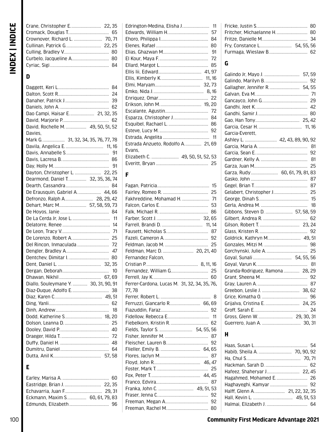# **D**

|                                               | 84 |
|-----------------------------------------------|----|
|                                               | 24 |
|                                               | 39 |
|                                               | 62 |
| Dao Campi, Haisar E 21, 32, 35                |    |
|                                               |    |
| David, Rochelle M.  49, 50, 51, 52            |    |
| Davies.                                       |    |
| <br>Mark G…………………  31, 32, 34, 35, 76, 77, 78 |    |
|                                               |    |
|                                               |    |
|                                               |    |
|                                               |    |
| Dayton, Christopher L.  22, 25                |    |
| Dearmond, Daniel T.  32, 35, 36, 74           |    |
|                                               |    |
| De Erausquin, Gabriel A.  44, 66              |    |
| Defronzo, Ralph A 28, 29, 42                  |    |
| Dehart, Marc M 57, 58, 59, 73                 |    |
|                                               |    |
|                                               |    |
|                                               |    |
|                                               | 71 |
|                                               | 25 |
|                                               |    |
|                                               |    |
|                                               |    |
|                                               |    |
|                                               |    |
|                                               |    |
| Diallo, Souleymane Y.  30, 31, 90, 91         |    |
|                                               |    |
|                                               |    |
|                                               |    |
|                                               |    |
| Dodd, Katherine S 18, 20                      |    |
|                                               |    |
|                                               |    |
|                                               | 72 |
|                                               |    |
|                                               |    |
|                                               |    |

# **E**

| Eckmann, Maxim S 60, 61, 79, 83 |  |
|---------------------------------|--|
|                                 |  |

|                                  | 84  |
|----------------------------------|-----|
|                                  | 80  |
|                                  | -91 |
|                                  |     |
|                                  |     |
|                                  |     |
|                                  |     |
|                                  |     |
|                                  |     |
|                                  |     |
|                                  |     |
|                                  |     |
| Esparza, Christopher J 84        |     |
|                                  |     |
|                                  |     |
|                                  |     |
| Estrada Anzueto, Rodolfo A 21,69 |     |
| Evans.                           |     |
| Elizabeth C.  49, 50, 51, 52, 53 |     |
|                                  |     |
|                                  |     |

# **F**

| Fakhreddine, Mohamad H.  71                  |    |
|----------------------------------------------|----|
|                                              |    |
|                                              |    |
|                                              |    |
|                                              |    |
|                                              |    |
|                                              |    |
|                                              |    |
| Feldman, Marc D.  20, 21, 40                 |    |
| Fernandez Falcon.                            |    |
|                                              |    |
|                                              |    |
|                                              |    |
| Ferrer-Cardona, Lucas M. 31, 32, 34, 35, 76, |    |
| 77,78                                        |    |
|                                              |    |
| Ferruzzi, Giancarlo R 66, 69                 |    |
|                                              |    |
|                                              |    |
|                                              |    |
| Fields, Taylor S.  54, 55, 56                |    |
|                                              |    |
|                                              |    |
|                                              |    |
|                                              |    |
|                                              |    |
|                                              |    |
|                                              |    |
|                                              |    |
|                                              |    |
|                                              |    |
|                                              |    |
|                                              |    |
|                                              | 80 |

# **G**

| Galindo Jr, Mayo J.  57, 59      |  |
|----------------------------------|--|
|                                  |  |
| Garcia-Everett.                  |  |
| Ashley L.  42, 43, 89, 90, 92    |  |
|                                  |  |
| 92                               |  |
| 81                               |  |
| 25                               |  |
| Garza, Rudy 60, 61, 79, 81, 83   |  |
|                                  |  |
|                                  |  |
|                                  |  |
|                                  |  |
|                                  |  |
| Gibbons, Steven D.  57, 58, 59   |  |
|                                  |  |
|                                  |  |
|                                  |  |
| Goldrick, Kathryn M 49, 51       |  |
|                                  |  |
| Goyal, Sunali  54, 55, 56        |  |
|                                  |  |
| Granda-Rodriguez, Ramona  28, 29 |  |
|                                  |  |
|                                  |  |
|                                  |  |
|                                  |  |
|                                  |  |
|                                  |  |
|                                  |  |
|                                  |  |
|                                  |  |

# **H**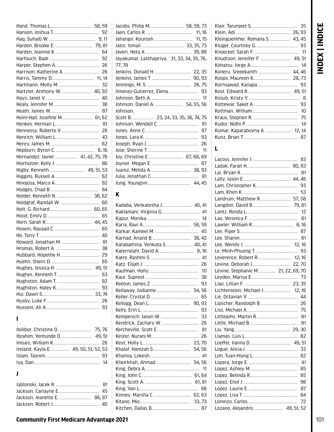| Hartzler, Anthony W.  40, 92      |    |
|-----------------------------------|----|
|                                   |    |
|                                   |    |
|                                   |    |
| Heim-Hall, Josefine M 61, 62      |    |
|                                   |    |
|                                   |    |
|                                   |    |
|                                   |    |
|                                   |    |
| Hernandez, Javier  41, 42, 75, 76 |    |
|                                   |    |
| Higby, Kenneth 49, 51, 53         |    |
|                                   |    |
|                                   |    |
|                                   |    |
|                                   |    |
| Holder, Kenneth N.  38, 62        |    |
|                                   |    |
|                                   |    |
|                                   |    |
|                                   |    |
|                                   |    |
|                                   |    |
|                                   |    |
|                                   |    |
|                                   |    |
|                                   |    |
|                                   |    |
|                                   | 63 |
|                                   | 92 |
|                                   | 93 |
|                                   |    |
|                                   | 26 |

### $\mathbf{I}$

| Ireland, Kayla E.  49, 50, 51, 52, 53 |  |
|---------------------------------------|--|
|                                       |  |
|                                       |  |
|                                       |  |

# $\mathbf{j}$

| Jacobs, Philip M 58, 59, 73                  |
|----------------------------------------------|
|                                              |
|                                              |
|                                              |
|                                              |
| Jayakumar, Lalithapriya. 31, 33, 34, 35, 76, |
| 77,78                                        |
|                                              |
|                                              |
|                                              |
|                                              |
|                                              |
| Johnson, Daniel A.  54, 55, 56               |
| Johnson.                                     |
|                                              |
| 81                                           |
| 97                                           |
| 93                                           |
|                                              |
|                                              |
| Joy, Christine E.  67, 68, 69                |
|                                              |
|                                              |
|                                              |
|                                              |

# $\mathbf K$

| Kadaba, Venkatesha J 40,41   |    |
|------------------------------|----|
|                              |    |
|                              |    |
|                              |    |
|                              |    |
|                              |    |
| Katabathina, Venkata S 40,41 |    |
|                              |    |
|                              |    |
|                              |    |
|                              |    |
|                              |    |
|                              | 93 |
|                              |    |
|                              | 65 |
|                              |    |
|                              | 93 |
|                              |    |
|                              |    |
|                              |    |
|                              | 26 |
|                              |    |
|                              |    |
|                              |    |
|                              |    |
|                              |    |
|                              |    |
|                              |    |
|                              |    |
|                              |    |
|                              |    |
|                              |    |

| Kumar, Kaparaboyna A.  12, 14 |  |
|-------------------------------|--|
|                               |  |
|                               |  |

INDEX | INDICE

# $\mathbf{L}$

|                                    | 93 |
|------------------------------------|----|
|                                    |    |
|                                    |    |
|                                    |    |
|                                    |    |
|                                    |    |
| Landrum, Matthew R 57, 58          |    |
|                                    |    |
|                                    |    |
|                                    |    |
|                                    |    |
|                                    |    |
|                                    |    |
|                                    |    |
|                                    |    |
| Leverence, Robert R 12, 16         |    |
|                                    |    |
| Levine, Stephanie M 21, 22, 69, 70 |    |
|                                    |    |
|                                    |    |
| Lichtenstein, Michael J 12, 16     |    |
|                                    |    |
|                                    |    |
|                                    | 75 |
|                                    | 81 |
|                                    |    |
|                                    |    |
|                                    |    |
|                                    |    |
|                                    |    |
|                                    |    |
|                                    |    |
|                                    | 85 |
|                                    |    |
|                                    | 98 |
|                                    |    |
|                                    |    |
|                                    |    |
| Lozano, Alejandro  49, 51, 52      |    |

# **Community First Medicare Advantage 2021**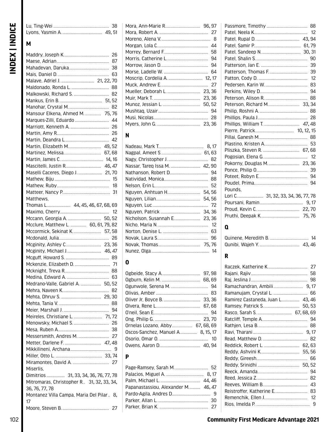# **M**

| Malave, Adriel J.  21, 22, 70              |    |
|--------------------------------------------|----|
|                                            |    |
| Malkowski, Richard S.  82                  |    |
|                                            |    |
|                                            |    |
| Mansour Elkena, Ahmed M.  75,76            |    |
| Marques-Zilli, Eduardo  44                 |    |
|                                            |    |
|                                            |    |
|                                            |    |
|                                            |    |
| Martin, Elizabeth M 49,52                  |    |
| Martinez, Melissa 67,68                    |    |
|                                            |    |
| Mascitelli, Justin R 46,47                 |    |
| Maselli Caceres, Diego J.  21,70           |    |
|                                            |    |
|                                            |    |
|                                            |    |
| Matthews,                                  |    |
| Thomas L 44, 45, 46, 67, 68, 69            |    |
|                                            |    |
| Mccann, Georgia A.  50, 52                 |    |
| Mcclure, Matthew L.  60, 61, 79, 82        |    |
| Mccormick, Sekinat K 57, 58                |    |
|                                            |    |
|                                            |    |
|                                            |    |
|                                            |    |
|                                            |    |
|                                            |    |
| Mckenzie, Elizabeth D.  71                 |    |
|                                            |    |
|                                            |    |
| Medrano-Valle, Gabriel A.  50, 52          |    |
|                                            |    |
|                                            |    |
|                                            |    |
|                                            | 94 |
|                                            |    |
| Meireles, Christiane L 71,72               |    |
|                                            |    |
|                                            |    |
|                                            |    |
|                                            |    |
|                                            |    |
|                                            |    |
|                                            |    |
| Miserlis.                                  |    |
| Dimitrios  31, 33, 34, 36, 76, 77, 78      |    |
| Mitromaras, Christopher R. 31, 32, 33, 34, |    |
| 36, 76, 77, 78                             |    |
| Montanez Villa Campa, Maria Del Pilar 8,   |    |
| 17                                         | 27 |

| 58 |
|----|
| 94 |
|    |
|    |
|    |
|    |
|    |
|    |
|    |
|    |
|    |
|    |

# **N**

| Nassar, Tareq Issa M.  42, 90 |  |
|-------------------------------|--|
| Nathanson, Robert D 94        |  |
|                               |  |
|                               |  |
| Nguyen, Anhtuan H 54, 56      |  |
|                               |  |
|                               |  |
|                               |  |
| Nicholson, Susannah E 23,36   |  |
|                               |  |
|                               |  |
|                               |  |
|                               |  |
|                               |  |
|                               |  |

# **O**

| Ornelas Lozano, Abby 67, 68, 69   |  |
|-----------------------------------|--|
| Oscos-Sanchez, Manuel A 8, 15, 17 |  |
|                                   |  |
|                                   |  |

## **P**

| Papanastassiou, Alexander M 46,47 |  |
|-----------------------------------|--|
|                                   |  |
|                                   |  |
|                                   |  |
|                                   |  |

|                                   | 94 |
|-----------------------------------|----|
| Pounds.                           |    |
| Lori C 31, 32, 33, 34, 36, 77, 78 |    |
|                                   |    |
|                                   |    |
|                                   |    |

# **Q**

# **R**

| Ramirez Castaneda, Juan L 43,46 |  |
|---------------------------------|--|
|                                 |  |
| Rasco, Sarah S.  67, 68, 69     |  |
|                                 |  |
|                                 |  |
|                                 |  |
|                                 |  |
| Reddick, Robert L.  62, 63      |  |
|                                 |  |
|                                 |  |
|                                 |  |
|                                 |  |
|                                 |  |
|                                 |  |
| Reistroffer, Katherine E 83     |  |
|                                 |  |
|                                 |  |
|                                 |  |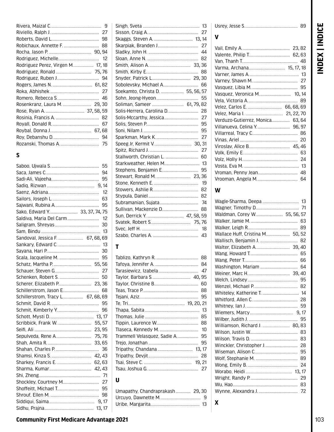| ш<br>t<br>Ĵ.<br>┍<br>7     |
|----------------------------|
| ٤<br>L<br>ı<br>ľ<br>ı<br>× |

| Rodriguez Perez, Virgen M 17, 18 |  |
|----------------------------------|--|
|                                  |  |
|                                  |  |
|                                  |  |
|                                  |  |
|                                  |  |
|                                  |  |
|                                  |  |
|                                  |  |
|                                  |  |
|                                  |  |
|                                  |  |
|                                  |  |

### $\mathsf{s}$

|                                   | 55     |
|-----------------------------------|--------|
|                                   | 94     |
|                                   |        |
|                                   |        |
|                                   |        |
|                                   | 63     |
|                                   | 95     |
| Sako, Edward Y 33, 37, 74, 75     |        |
| Saldiva, Maria Del Carm 12        |        |
|                                   | 30     |
|                                   |        |
| Sandoval, Jessica F.  67, 68, 69  |        |
|                                   |        |
|                                   |        |
|                                   |        |
|                                   |        |
|                                   |        |
|                                   |        |
|                                   |        |
|                                   |        |
| Schillerstrom, Tracy L 67, 68, 69 |        |
|                                   |        |
|                                   |        |
|                                   |        |
|                                   |        |
|                                   |        |
|                                   |        |
|                                   |        |
|                                   |        |
|                                   |        |
| Sharkey, Francis E.  62, 63       |        |
|                                   |        |
|                                   |        |
|                                   |        |
|                                   |        |
|                                   |        |
|                                   |        |
|                                   | 13, 17 |

|                                  |  | 13 |
|----------------------------------|--|----|
|                                  |  |    |
|                                  |  |    |
|                                  |  |    |
|                                  |  |    |
|                                  |  |    |
|                                  |  |    |
|                                  |  |    |
|                                  |  |    |
|                                  |  |    |
| Soekamto, Christa D.  55, 56, 57 |  |    |
|                                  |  | 55 |
| Soliman, Sameer  61, 79, 82      |  |    |
| Solis-Herrera, Carolina D 28     |  |    |
|                                  |  |    |
|                                  |  | 95 |
|                                  |  | 95 |
|                                  |  |    |
|                                  |  |    |
|                                  |  | 27 |
| Stallworth, Christian L.  60     |  |    |
|                                  |  |    |
| Stephens, Benjamin E             |  | 95 |
|                                  |  |    |
|                                  |  |    |
|                                  |  | 82 |
|                                  |  | 82 |
|                                  |  | 74 |
| Sullivan, Mackenzie D            |  | 88 |
| Sun, Derrick Y.  47, 58, 59      |  |    |
|                                  |  |    |
|                                  |  |    |
|                                  |  | 43 |
|                                  |  |    |

### $\mathbf T$

|  | 47 |
|--|----|
|  |    |
|  | 60 |
|  |    |
|  |    |
|  |    |
|  |    |
|  | 85 |
|  |    |
|  |    |
|  |    |
|  |    |
|  |    |
|  |    |
|  |    |
|  | 27 |
|  |    |

# $\mathsf{U}$

### 

### $\mathbf V$

| Velez, Carlos E.  66, 68, 69     |    |
|----------------------------------|----|
|                                  |    |
| Verduzo-Gutierrez, Monica 63, 64 |    |
|                                  |    |
|                                  |    |
|                                  |    |
|                                  |    |
|                                  | 63 |
|                                  |    |
|                                  |    |
|                                  |    |
|                                  |    |

### W

| Wagle-Sharma, Deepa  13         |  |
|---------------------------------|--|
|                                 |  |
| Waldman, Corey W 55, 56, 57     |  |
|                                 |  |
| 89                              |  |
| Wallace Huff, Cristina M 50, 52 |  |
|                                 |  |
|                                 |  |
|                                 |  |
|                                 |  |
| Washington, Mariam  64          |  |
|                                 |  |
|                                 |  |
|                                 |  |
|                                 |  |
|                                 |  |
| 59                              |  |
|                                 |  |
| 95                              |  |
| Williamson, Richard J.  80, 83  |  |
|                                 |  |
|                                 |  |
|                                 |  |
|                                 |  |
| 89                              |  |
| 24                              |  |
|                                 |  |
|                                 |  |
|                                 |  |
| 72                              |  |
|                                 |  |
| x                               |  |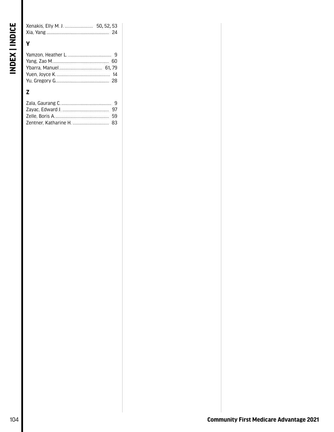| <b>V</b> |  |
|----------|--|
|          |  |

# $\mathbf{Z}$